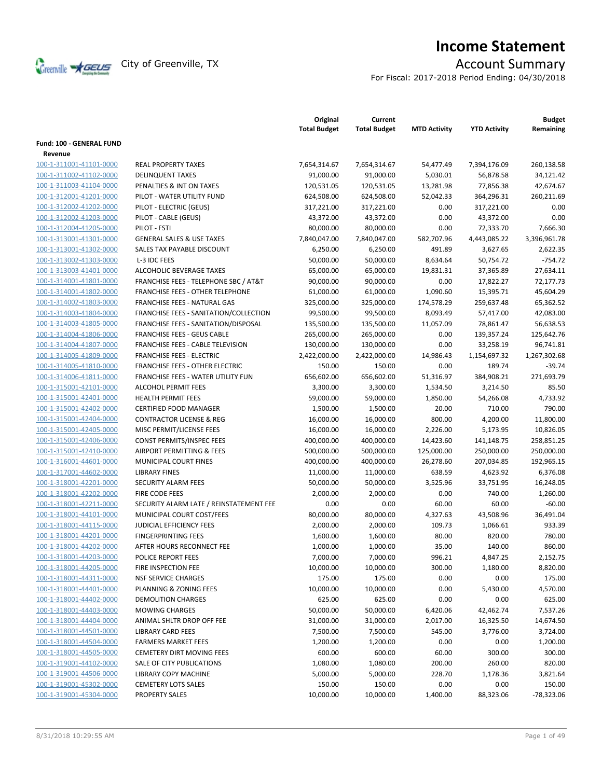

# **Income Statement**

For Fiscal: 2017-2018 Period Ending: 04/30/2018

|                                 |                                         | Original<br><b>Total Budget</b> | Current<br><b>Total Budget</b> | <b>MTD Activity</b> | <b>YTD Activity</b> | <b>Budget</b><br>Remaining |
|---------------------------------|-----------------------------------------|---------------------------------|--------------------------------|---------------------|---------------------|----------------------------|
| <b>Fund: 100 - GENERAL FUND</b> |                                         |                                 |                                |                     |                     |                            |
| Revenue                         |                                         |                                 |                                |                     |                     |                            |
| 100-1-311001-41101-0000         | <b>REAL PROPERTY TAXES</b>              | 7,654,314.67                    | 7,654,314.67                   | 54,477.49           | 7,394,176.09        | 260,138.58                 |
| 100-1-311002-41102-0000         | <b>DELINQUENT TAXES</b>                 | 91,000.00                       | 91,000.00                      | 5,030.01            | 56,878.58           | 34,121.42                  |
| 100-1-311003-41104-0000         | PENALTIES & INT ON TAXES                | 120,531.05                      | 120,531.05                     | 13,281.98           | 77,856.38           | 42,674.67                  |
| 100-1-312001-41201-0000         | PILOT - WATER UTILITY FUND              | 624,508.00                      | 624,508.00                     | 52,042.33           | 364,296.31          | 260,211.69                 |
| 100-1-312002-41202-0000         | PILOT - ELECTRIC (GEUS)                 | 317,221.00                      | 317,221.00                     | 0.00                | 317,221.00          | 0.00                       |
| 100-1-312002-41203-0000         | PILOT - CABLE (GEUS)                    | 43,372.00                       | 43,372.00                      | 0.00                | 43,372.00           | 0.00                       |
| 100-1-312004-41205-0000         | PILOT - FSTI                            | 80,000.00                       | 80,000.00                      | 0.00                | 72,333.70           | 7,666.30                   |
| 100-1-313001-41301-0000         | <b>GENERAL SALES &amp; USE TAXES</b>    | 7,840,047.00                    | 7,840,047.00                   | 582,707.96          | 4,443,085.22        | 3,396,961.78               |
| 100-1-313001-41302-0000         | SALES TAX PAYABLE DISCOUNT              | 6,250.00                        | 6,250.00                       | 491.89              | 3,627.65            | 2,622.35                   |
| 100-1-313002-41303-0000         | L-3 IDC FEES                            | 50,000.00                       | 50,000.00                      | 8,634.64            | 50,754.72           | $-754.72$                  |
| 100-1-313003-41401-0000         | ALCOHOLIC BEVERAGE TAXES                | 65,000.00                       | 65,000.00                      | 19,831.31           | 37,365.89           | 27,634.11                  |
| 100-1-314001-41801-0000         | FRANCHISE FEES - TELEPHONE SBC / AT&T   | 90,000.00                       | 90,000.00                      | 0.00                | 17,822.27           | 72,177.73                  |
| 100-1-314001-41802-0000         | FRANCHISE FEES - OTHER TELEPHONE        | 61,000.00                       | 61,000.00                      | 1,090.60            | 15,395.71           | 45,604.29                  |
| 100-1-314002-41803-0000         | <b>FRANCHISE FEES - NATURAL GAS</b>     | 325,000.00                      | 325,000.00                     | 174,578.29          | 259,637.48          | 65,362.52                  |
| 100-1-314003-41804-0000         | FRANCHISE FEES - SANITATION/COLLECTION  | 99,500.00                       | 99,500.00                      | 8,093.49            | 57,417.00           | 42,083.00                  |
| 100-1-314003-41805-0000         | FRANCHISE FEES - SANITATION/DISPOSAL    | 135,500.00                      | 135,500.00                     | 11,057.09           | 78,861.47           | 56,638.53                  |
| 100-1-314004-41806-0000         | <b>FRANCHISE FEES - GEUS CABLE</b>      | 265,000.00                      | 265,000.00                     | 0.00                | 139,357.24          | 125,642.76                 |
| 100-1-314004-41807-0000         | FRANCHISE FEES - CABLE TELEVISION       | 130,000.00                      | 130,000.00                     | 0.00                | 33,258.19           | 96,741.81                  |
| 100-1-314005-41809-0000         | <b>FRANCHISE FEES - ELECTRIC</b>        | 2,422,000.00                    | 2,422,000.00                   | 14,986.43           | 1,154,697.32        | 1,267,302.68               |
| 100-1-314005-41810-0000         | <b>FRANCHISE FEES - OTHER ELECTRIC</b>  | 150.00                          | 150.00                         | 0.00                | 189.74              | $-39.74$                   |
| 100-1-314006-41811-0000         | FRANCHISE FEES - WATER UTILITY FUN      | 656,602.00                      | 656,602.00                     | 51,316.97           | 384,908.21          | 271,693.79                 |
| 100-1-315001-42101-0000         | <b>ALCOHOL PERMIT FEES</b>              | 3,300.00                        | 3,300.00                       | 1,534.50            | 3,214.50            | 85.50                      |
| 100-1-315001-42401-0000         | <b>HEALTH PERMIT FEES</b>               | 59,000.00                       | 59,000.00                      | 1,850.00            | 54,266.08           | 4,733.92                   |
| 100-1-315001-42402-0000         | <b>CERTIFIED FOOD MANAGER</b>           | 1,500.00                        | 1,500.00                       | 20.00               | 710.00              | 790.00                     |
| 100-1-315001-42404-0000         | <b>CONTRACTOR LICENSE &amp; REG</b>     | 16,000.00                       | 16,000.00                      | 800.00              | 4,200.00            | 11,800.00                  |
| 100-1-315001-42405-0000         | MISC PERMIT/LICENSE FEES                | 16,000.00                       | 16,000.00                      | 2,226.00            | 5,173.95            | 10,826.05                  |
| 100-1-315001-42406-0000         | CONST PERMITS/INSPEC FEES               | 400,000.00                      | 400,000.00                     | 14,423.60           | 141,148.75          | 258,851.25                 |
| 100-1-315001-42410-0000         | AIRPORT PERMITTING & FEES               | 500,000.00                      | 500,000.00                     | 125,000.00          | 250,000.00          | 250,000.00                 |
| 100-1-316001-44601-0000         | MUNICIPAL COURT FINES                   | 400,000.00                      | 400,000.00                     | 26,278.60           | 207,034.85          | 192,965.15                 |
| 100-1-317001-44602-0000         | <b>LIBRARY FINES</b>                    | 11,000.00                       | 11,000.00                      | 638.59              | 4,623.92            | 6,376.08                   |
| 100-1-318001-42201-0000         | SECURITY ALARM FEES                     | 50,000.00                       | 50,000.00                      | 3,525.96            | 33,751.95           | 16,248.05                  |
| 100-1-318001-42202-0000         | FIRE CODE FEES                          | 2,000.00                        | 2,000.00                       | 0.00                | 740.00              | 1,260.00                   |
| 100-1-318001-42211-0000         | SECURITY ALARM LATE / REINSTATEMENT FEE | 0.00                            | 0.00                           | 60.00               | 60.00               | $-60.00$                   |
| 100-1-318001-44101-0000         | MUNICIPAL COURT COST/FEES               | 80,000.00                       | 80,000.00                      | 4,327.63            | 43,508.96           | 36,491.04                  |
| 100-1-318001-44115-0000         | JUDICIAL EFFICIENCY FEES                | 2,000.00                        | 2,000.00                       | 109.73              | 1,066.61            | 933.39                     |
| 100-1-318001-44201-0000         | <b>FINGERPRINTING FEES</b>              | 1,600.00                        | 1,600.00                       | 80.00               | 820.00              | 780.00                     |
| 100-1-318001-44202-0000         | AFTER HOURS RECONNECT FEE               | 1,000.00                        | 1,000.00                       | 35.00               | 140.00              | 860.00                     |
| 100-1-318001-44203-0000         | <b>POLICE REPORT FEES</b>               | 7,000.00                        | 7,000.00                       | 996.21              | 4,847.25            | 2,152.75                   |
| 100-1-318001-44205-0000         | FIRE INSPECTION FEE                     | 10,000.00                       | 10,000.00                      | 300.00              | 1,180.00            | 8,820.00                   |
| 100-1-318001-44311-0000         | <b>NSF SERVICE CHARGES</b>              | 175.00                          | 175.00                         | 0.00                | 0.00                | 175.00                     |
| 100-1-318001-44401-0000         | PLANNING & ZONING FEES                  | 10,000.00                       | 10,000.00                      | 0.00                | 5,430.00            | 4,570.00                   |
| 100-1-318001-44402-0000         | DEMOLITION CHARGES                      | 625.00                          | 625.00                         | 0.00                | 0.00                | 625.00                     |
| 100-1-318001-44403-0000         | <b>MOWING CHARGES</b>                   | 50,000.00                       | 50,000.00                      | 6,420.06            | 42,462.74           | 7,537.26                   |
| 100-1-318001-44404-0000         | ANIMAL SHLTR DROP OFF FEE               | 31,000.00                       | 31,000.00                      | 2,017.00            | 16,325.50           | 14,674.50                  |
| 100-1-318001-44501-0000         | <b>LIBRARY CARD FEES</b>                | 7,500.00                        | 7,500.00                       | 545.00              | 3,776.00            | 3,724.00                   |
| 100-1-318001-44504-0000         | <b>FARMERS MARKET FEES</b>              | 1,200.00                        | 1,200.00                       | 0.00                | 0.00                | 1,200.00                   |
| 100-1-318001-44505-0000         | <b>CEMETERY DIRT MOVING FEES</b>        | 600.00                          | 600.00                         | 60.00               | 300.00              | 300.00                     |
| 100-1-319001-44102-0000         | SALE OF CITY PUBLICATIONS               | 1,080.00                        | 1,080.00                       | 200.00              | 260.00              | 820.00                     |
| 100-1-319001-44506-0000         | LIBRARY COPY MACHINE                    | 5,000.00                        | 5,000.00                       | 228.70              | 1,178.36            | 3,821.64                   |
| 100-1-319001-45302-0000         | <b>CEMETERY LOTS SALES</b>              | 150.00                          | 150.00                         | 0.00                | 0.00                | 150.00                     |
| 100-1-319001-45304-0000         | PROPERTY SALES                          | 10,000.00                       | 10,000.00                      | 1,400.00            | 88,323.06           | $-78,323.06$               |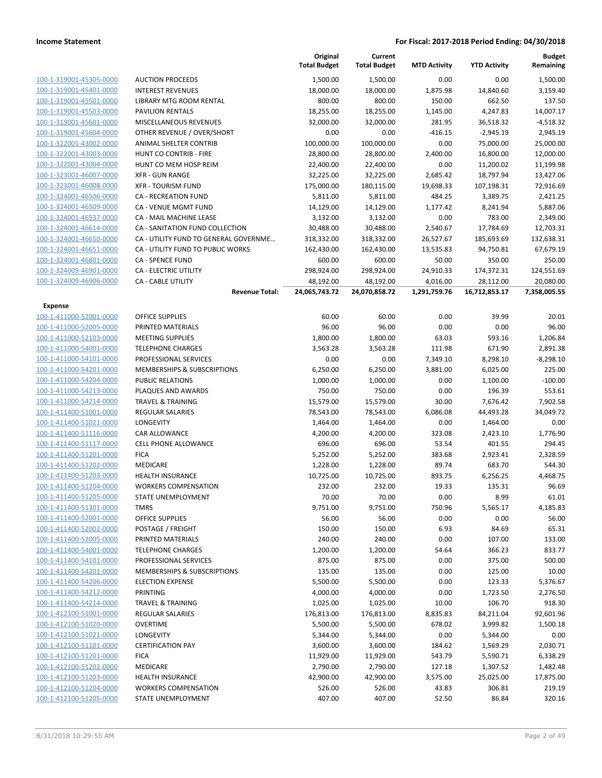|                         |                                                                   | Original<br><b>Total Budget</b> | Current<br><b>Total Budget</b> | <b>MTD Activity</b> | <b>YTD Activity</b> | <b>Budget</b><br>Remaining |
|-------------------------|-------------------------------------------------------------------|---------------------------------|--------------------------------|---------------------|---------------------|----------------------------|
| 100-1-319001-45305-0000 | <b>AUCTION PROCEEDS</b>                                           | 1,500.00                        | 1,500.00                       | 0.00                | 0.00                | 1,500.00                   |
| 100-1-319001-45401-0000 | <b>INTEREST REVENUES</b>                                          | 18,000.00                       | 18,000.00                      | 1,875.98            | 14,840.60           | 3,159.40                   |
| 100-1-319001-45501-0000 | LIBRARY MTG ROOM RENTAL                                           | 800.00                          | 800.00                         | 150.00              | 662.50              | 137.50                     |
| 100-1-319001-45503-0000 | PAVILION RENTALS                                                  | 18,255.00                       | 18,255.00                      | 1,145.00            | 4,247.83            | 14,007.17                  |
| 100-1-319001-45601-0000 | MISCELLANEOUS REVENUES                                            | 32,000.00                       | 32,000.00                      | 281.95              | 36,518.32           | $-4,518.32$                |
| 100-1-319001-45604-0000 | OTHER REVENUE / OVER/SHORT                                        | 0.00                            | 0.00                           | $-416.15$           | $-2,945.19$         | 2,945.19                   |
| 100-1-322001-43002-0000 | ANIMAL SHELTER CONTRIB                                            | 100,000.00                      | 100,000.00                     | 0.00                | 75,000.00           | 25,000.00                  |
| 100-1-322001-43003-0000 | HUNT CO CONTRIB - FIRE                                            | 28,800.00                       | 28,800.00                      | 2,400.00            | 16,800.00           | 12,000.00                  |
| 100-1-322001-43004-0000 | HUNT CO MEM HOSP REIM                                             | 22,400.00                       | 22,400.00                      | 0.00                | 11,200.02           | 11,199.98                  |
| 100-1-323001-46007-0000 | <b>XFR - GUN RANGE</b>                                            | 32,225.00                       | 32,225.00                      | 2,685.42            | 18,797.94           | 13,427.06                  |
| 100-1-323001-46008-0000 | <b>XFR - TOURISM FUND</b>                                         | 175,000.00                      | 180,115.00                     | 19,698.33           | 107,198.31          | 72,916.69                  |
| 100-1-324001-46506-0000 | <b>CA - RECREATION FUND</b>                                       | 5,811.00                        | 5,811.00                       | 484.25              | 3,389.75            | 2,421.25                   |
| 100-1-324001-46509-0000 | CA - VENUE MGMT FUND                                              | 14,129.00                       | 14,129.00                      | 1,177.42            | 8,241.94            | 5,887.06                   |
| 100-1-324001-46537-0000 | CA - MAIL MACHINE LEASE                                           | 3,132.00                        | 3,132.00                       | 0.00                | 783.00              | 2,349.00                   |
| 100-1-324001-46614-0000 | CA - SANITATION FUND COLLECTION                                   | 30,488.00                       | 30,488.00                      | 2,540.67            | 17,784.69           | 12,703.31                  |
| 100-1-324001-46650-0000 | CA - UTILITY FUND TO GENERAL GOVERNME                             | 318,332.00                      | 318,332.00                     | 26,527.67           | 185,693.69          | 132,638.31                 |
| 100-1-324001-46651-0000 | CA - UTILITY FUND TO PUBLIC WORKS                                 | 162,430.00                      | 162,430.00                     | 13,535.83           | 94,750.81           | 67,679.19                  |
| 100-1-324001-46801-0000 | <b>CA - SPENCE FUND</b>                                           | 600.00                          | 600.00                         | 50.00               | 350.00              | 250.00                     |
| 100-1-324009-46901-0000 | <b>CA - ELECTRIC UTILITY</b>                                      | 298,924.00                      | 298,924.00                     | 24,910.33           | 174,372.31          | 124,551.69                 |
| 100-1-324009-46906-0000 | CA - CABLE UTILITY                                                | 48,192.00                       | 48,192.00                      | 4,016.00            | 28,112.00           | 20,080.00                  |
|                         | <b>Revenue Total:</b>                                             | 24,065,743.72                   | 24,070,858.72                  | 1,291,759.76        | 16,712,853.17       | 7,358,005.55               |
| <b>Expense</b>          |                                                                   |                                 |                                |                     |                     |                            |
| 100-1-411000-52001-0000 | <b>OFFICE SUPPLIES</b>                                            | 60.00                           | 60.00                          | 0.00                | 39.99               | 20.01                      |
| 100-1-411000-52005-0000 | PRINTED MATERIALS                                                 | 96.00                           | 96.00                          | 0.00                | 0.00                | 96.00                      |
| 100-1-411000-52103-0000 | <b>MEETING SUPPLIES</b>                                           | 1,800.00                        | 1,800.00                       | 63.03               | 593.16              | 1,206.84                   |
| 100-1-411000-54001-0000 | <b>TELEPHONE CHARGES</b>                                          | 3,563.28                        | 3,563.28                       | 111.98              | 671.90              | 2,891.38                   |
| 100-1-411000-54101-0000 | PROFESSIONAL SERVICES                                             | 0.00                            | 0.00                           | 7,349.10            | 8,298.10            | $-8,298.10$                |
| 100-1-411000-54201-0000 | MEMBERSHIPS & SUBSCRIPTIONS                                       | 6,250.00                        | 6,250.00                       | 3,881.00            | 6,025.00            | 225.00                     |
| 100-1-411000-54204-0000 | PUBLIC RELATIONS                                                  | 1,000.00                        | 1,000.00                       | 0.00                | 1,100.00            | $-100.00$                  |
| 100-1-411000-54213-0000 | PLAQUES AND AWARDS                                                | 750.00                          | 750.00                         | 0.00                | 196.39              | 553.61                     |
| 100-1-411000-54214-0000 | <b>TRAVEL &amp; TRAINING</b>                                      | 15,579.00                       | 15,579.00                      | 30.00               | 7,676.42            | 7,902.58                   |
| 100-1-411400-51001-0000 | REGULAR SALARIES                                                  | 78,543.00                       | 78,543.00                      | 6,086.08            | 44,493.28           | 34,049.72                  |
| 100-1-411400-51021-0000 | LONGEVITY                                                         | 1,464.00                        | 1,464.00                       | 0.00                | 1,464.00            | 0.00                       |
| 100-1-411400-51116-0000 | CAR ALLOWANCE                                                     | 4,200.00                        | 4,200.00                       | 323.08              | 2,423.10            | 1,776.90                   |
| 100-1-411400-51117-0000 | <b>CELL PHONE ALLOWANCE</b>                                       | 696.00                          | 696.00                         | 53.54               | 401.55              | 294.45                     |
| 100-1-411400-51201-0000 | <b>FICA</b>                                                       | 5,252.00                        | 5,252.00                       | 383.68              | 2,923.41            | 2,328.59                   |
| 100-1-411400-51202-0000 | MEDICARE                                                          | 1,228.00                        | 1,228.00                       | 89.74               | 683.70              | 544.30                     |
| 100-1-411400-51203-0000 | <b>HEALTH INSURANCE</b>                                           | 10,725.00                       | 10,725.00                      | 893.75              | 6,256.25            | 4,468.75                   |
| 100-1-411400-51204-0000 | <b>WORKERS COMPENSATION</b>                                       | 232.00                          | 232.00                         | 19.33               | 135.31              | 96.69                      |
| 100-1-411400-51205-0000 | <b>STATE UNEMPLOYMENT</b>                                         | 70.00                           | 70.00                          | 0.00                | 8.99                | 61.01                      |
| 100-1-411400-51301-0000 | <b>TMRS</b>                                                       | 9,751.00                        | 9,751.00                       | 750.96              | 5,565.17            | 4,185.83                   |
| 100-1-411400-52001-0000 | <b>OFFICE SUPPLIES</b>                                            | 56.00                           | 56.00                          | 0.00                | 0.00                | 56.00                      |
| 100-1-411400-52002-0000 | POSTAGE / FREIGHT                                                 | 150.00                          | 150.00                         | 6.93                | 84.69               | 65.31                      |
| 100-1-411400-52005-0000 | PRINTED MATERIALS                                                 | 240.00                          | 240.00                         | 0.00                | 107.00              | 133.00                     |
| 100-1-411400-54001-0000 | <b>TELEPHONE CHARGES</b>                                          | 1,200.00                        | 1,200.00                       | 54.64               | 366.23              | 833.77                     |
| 100-1-411400-54101-0000 | PROFESSIONAL SERVICES                                             | 875.00                          | 875.00                         | 0.00                | 375.00              | 500.00                     |
| 100-1-411400-54201-0000 | <b>MEMBERSHIPS &amp; SUBSCRIPTIONS</b><br><b>ELECTION EXPENSE</b> | 135.00                          | 135.00                         | 0.00                | 125.00              | 10.00                      |
| 100-1-411400-54206-0000 |                                                                   | 5,500.00                        | 5,500.00                       | 0.00                | 123.33              | 5,376.67                   |
| 100-1-411400-54212-0000 | PRINTING                                                          | 4,000.00                        | 4,000.00                       | 0.00                | 1,723.50            | 2,276.50                   |
| 100-1-411400-54214-0000 | <b>TRAVEL &amp; TRAINING</b>                                      | 1,025.00                        | 1,025.00                       | 10.00               | 106.70              | 918.30                     |
| 100-1-412100-51001-0000 | <b>REGULAR SALARIES</b>                                           | 176,813.00                      | 176,813.00                     | 8,835.83            | 84,211.04           | 92,601.96                  |
| 100-1-412100-51020-0000 | <b>OVERTIME</b>                                                   | 5,500.00                        | 5,500.00                       | 678.02              | 3,999.82            | 1,500.18                   |
| 100-1-412100-51021-0000 | LONGEVITY                                                         | 5,344.00                        | 5,344.00                       | 0.00                | 5,344.00            | 0.00                       |
| 100-1-412100-51101-0000 | <b>CERTIFICATION PAY</b>                                          | 3,600.00                        | 3,600.00                       | 184.62              | 1,569.29            | 2,030.71                   |
| 100-1-412100-51201-0000 | <b>FICA</b>                                                       | 11,929.00                       | 11,929.00                      | 543.79              | 5,590.71            | 6,338.29                   |
| 100-1-412100-51202-0000 | MEDICARE                                                          | 2,790.00                        | 2,790.00                       | 127.18              | 1,307.52            | 1,482.48                   |
| 100-1-412100-51203-0000 | <b>HEALTH INSURANCE</b>                                           | 42,900.00                       | 42,900.00                      | 3,575.00            | 25,025.00           | 17,875.00                  |
| 100-1-412100-51204-0000 | <b>WORKERS COMPENSATION</b>                                       | 526.00                          | 526.00                         | 43.83               | 306.81              | 219.19                     |
| 100-1-412100-51205-0000 | STATE UNEMPLOYMENT                                                | 407.00                          | 407.00                         | 52.50               | 86.84               | 320.16                     |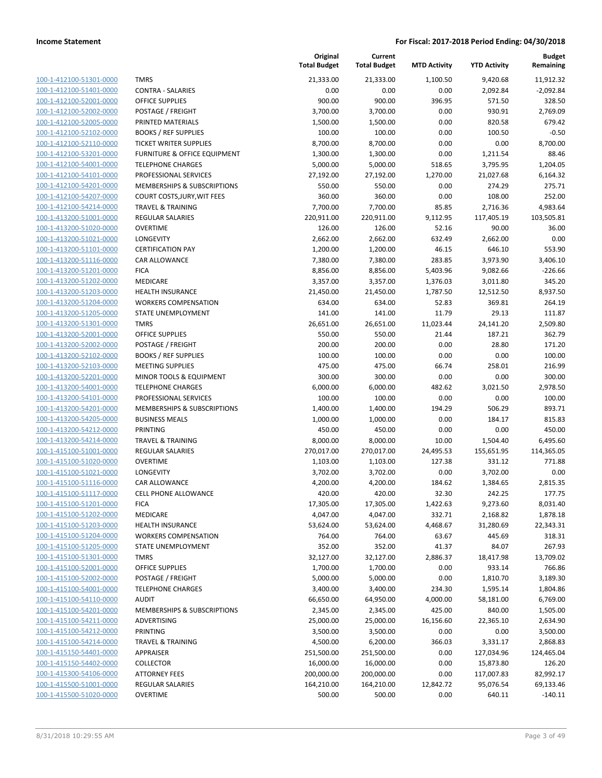| 100-1-412100-51301-0000        |
|--------------------------------|
| 100-1-412100-51401-0000        |
| 100-1-412100-52001-0000        |
| 100-1-412100-52002-0000        |
| 100-1-412100-52005-0000        |
| <u>100-1-412100-52102-0000</u> |
| 100-1-412100-52110-0000        |
| 100-1-412100-53201-0000        |
| 100-1-412100-54001-0000        |
| 100-1-412100-54101-0000        |
| 100-1-412100-54201-0000        |
| 100-1-412100-54207-0000        |
| 100-1-412100-54214-0000        |
| 100-1-413200-51001-0000        |
| 100-1-413200-51020-0000        |
| 100-1-413200-51021-0000        |
| 100-1-413200-51101-0000        |
| 100-1-413200-51116-0000        |
| 100-1-413200-51201-0000        |
| 100-1-413200-51202-0000        |
| 100-1-413200-51203-0000        |
| 100-1-413200-51204-0000        |
| 100-1-413200-51205-0000        |
| 100-1-413200-51301-0000        |
| 100-1-413200-52001-0000        |
| 100-1-413200-52002-0000        |
| 100-1-413200-52102-0000        |
| 100-1-413200-52103-0000        |
| 100-1-413200-52201-0000        |
| 100-1-413200-54001-0000        |
| 100-1-413200-54101-0000        |
| 100-1-413200-54201-0000        |
| 100-1-413200-54205-0000        |
| 100-1-413200-54212-0000        |
| 100-1-413200-54214-0000        |
| 100-1-415100-51001-0000        |
| 100-1-415100-51020-0000        |
| 100-1-415100-51021-0000        |
| 100-1-415100-51116-0000        |
| 100-1-415100-51117-0000        |
| 100-1-415100-51201-0000        |
| <u>100-1-415100-51202-0000</u> |
| <u>100-1-415100-51203-0000</u> |
| 100-1-415100-51204-0000        |
| 100-1-415100-51205-0000        |
| <u>100-1-415100-51301-0000</u> |
| 100-1-415100-52001-0000        |
| <u>100-1-415100-52002-0000</u> |
| 100-1-415100-54001-0000        |
| <u>100-1-415100-54110-0000</u> |
| 100-1-415100-54201-0000        |
| 100-1-415100-54211-0000        |
| <u>100-1-415100-54212-0000</u> |
| 100-1-415100-54214-0000        |
| <u>100-1-415150-54401-0000</u> |
| <u>100-1-415150-54402-0000</u> |
| <u>100-1-415300-54106-0000</u> |
| <u>100-1-415500-51001-0000</u> |
| <u>100-1-415500-51020-0000</u> |
|                                |

|                         |                              | Original<br><b>Total Budget</b> | Current<br><b>Total Budget</b> | <b>MTD Activity</b> | <b>YTD Activity</b> | <b>Budget</b><br>Remaining |
|-------------------------|------------------------------|---------------------------------|--------------------------------|---------------------|---------------------|----------------------------|
| 100-1-412100-51301-0000 | <b>TMRS</b>                  | 21,333.00                       | 21,333.00                      | 1,100.50            | 9,420.68            | 11,912.32                  |
| 100-1-412100-51401-0000 | <b>CONTRA - SALARIES</b>     | 0.00                            | 0.00                           | 0.00                | 2,092.84            | $-2,092.84$                |
| 100-1-412100-52001-0000 | <b>OFFICE SUPPLIES</b>       | 900.00                          | 900.00                         | 396.95              | 571.50              | 328.50                     |
| 100-1-412100-52002-0000 | POSTAGE / FREIGHT            | 3,700.00                        | 3,700.00                       | 0.00                | 930.91              | 2,769.09                   |
| 100-1-412100-52005-0000 | PRINTED MATERIALS            | 1,500.00                        | 1,500.00                       | 0.00                | 820.58              | 679.42                     |
| 100-1-412100-52102-0000 | <b>BOOKS / REF SUPPLIES</b>  | 100.00                          | 100.00                         | 0.00                | 100.50              | $-0.50$                    |
| 100-1-412100-52110-0000 | TICKET WRITER SUPPLIES       | 8,700.00                        | 8,700.00                       | 0.00                | 0.00                | 8,700.00                   |
| 100-1-412100-53201-0000 | FURNITURE & OFFICE EQUIPMENT | 1,300.00                        | 1,300.00                       | 0.00                | 1,211.54            | 88.46                      |
| 100-1-412100-54001-0000 | <b>TELEPHONE CHARGES</b>     | 5,000.00                        | 5,000.00                       | 518.65              | 3,795.95            | 1,204.05                   |
| 100-1-412100-54101-0000 | PROFESSIONAL SERVICES        | 27,192.00                       | 27,192.00                      | 1,270.00            | 21,027.68           | 6,164.32                   |
| 100-1-412100-54201-0000 | MEMBERSHIPS & SUBSCRIPTIONS  | 550.00                          | 550.00                         | 0.00                | 274.29              | 275.71                     |
| 100-1-412100-54207-0000 | COURT COSTS, JURY, WIT FEES  | 360.00                          | 360.00                         | 0.00                | 108.00              | 252.00                     |
| 100-1-412100-54214-0000 | <b>TRAVEL &amp; TRAINING</b> | 7,700.00                        | 7,700.00                       | 85.85               | 2,716.36            | 4,983.64                   |
| 100-1-413200-51001-0000 | REGULAR SALARIES             | 220,911.00                      | 220,911.00                     | 9,112.95            | 117,405.19          | 103,505.81                 |
| 100-1-413200-51020-0000 | <b>OVERTIME</b>              | 126.00                          | 126.00                         | 52.16               | 90.00               | 36.00                      |
| 100-1-413200-51021-0000 | LONGEVITY                    | 2,662.00                        | 2,662.00                       | 632.49              | 2,662.00            | 0.00                       |
| 100-1-413200-51101-0000 | <b>CERTIFICATION PAY</b>     | 1,200.00                        | 1,200.00                       | 46.15               | 646.10              | 553.90                     |
| 100-1-413200-51116-0000 | CAR ALLOWANCE                | 7,380.00                        | 7,380.00                       | 283.85              | 3,973.90            | 3,406.10                   |
| 100-1-413200-51201-0000 | <b>FICA</b>                  | 8,856.00                        | 8,856.00                       | 5,403.96            | 9,082.66            | $-226.66$                  |
| 100-1-413200-51202-0000 | <b>MEDICARE</b>              | 3,357.00                        | 3,357.00                       | 1,376.03            | 3,011.80            | 345.20                     |
| 100-1-413200-51203-0000 | <b>HEALTH INSURANCE</b>      | 21,450.00                       | 21,450.00                      | 1,787.50            | 12,512.50           | 8,937.50                   |
| 100-1-413200-51204-0000 | <b>WORKERS COMPENSATION</b>  | 634.00                          | 634.00                         | 52.83               | 369.81              | 264.19                     |
| 100-1-413200-51205-0000 | STATE UNEMPLOYMENT           | 141.00                          | 141.00                         | 11.79               | 29.13               | 111.87                     |
| 100-1-413200-51301-0000 | <b>TMRS</b>                  | 26,651.00                       | 26,651.00                      | 11,023.44           | 24,141.20           | 2,509.80                   |
| 100-1-413200-52001-0000 | <b>OFFICE SUPPLIES</b>       | 550.00                          | 550.00                         | 21.44               | 187.21              | 362.79                     |
| 100-1-413200-52002-0000 | POSTAGE / FREIGHT            | 200.00                          | 200.00                         | 0.00                | 28.80               | 171.20                     |
| 100-1-413200-52102-0000 | <b>BOOKS / REF SUPPLIES</b>  | 100.00                          | 100.00                         | 0.00                | 0.00                | 100.00                     |
| 100-1-413200-52103-0000 | <b>MEETING SUPPLIES</b>      | 475.00                          | 475.00                         | 66.74               | 258.01              | 216.99                     |
| 100-1-413200-52201-0000 | MINOR TOOLS & EQUIPMENT      | 300.00                          | 300.00                         | 0.00                | 0.00                | 300.00                     |
| 100-1-413200-54001-0000 | <b>TELEPHONE CHARGES</b>     | 6,000.00                        | 6,000.00                       | 482.62              | 3,021.50            | 2,978.50                   |
| 100-1-413200-54101-0000 | PROFESSIONAL SERVICES        | 100.00                          | 100.00                         | 0.00                | 0.00                | 100.00                     |
| 100-1-413200-54201-0000 | MEMBERSHIPS & SUBSCRIPTIONS  | 1,400.00                        | 1,400.00                       | 194.29              | 506.29              | 893.71                     |
| 100-1-413200-54205-0000 | <b>BUSINESS MEALS</b>        | 1,000.00                        | 1,000.00                       | 0.00                | 184.17              | 815.83                     |
| 100-1-413200-54212-0000 | <b>PRINTING</b>              | 450.00                          | 450.00                         | 0.00                | 0.00                | 450.00                     |
| 100-1-413200-54214-0000 | <b>TRAVEL &amp; TRAINING</b> | 8,000.00                        | 8,000.00                       | 10.00               | 1,504.40            | 6,495.60                   |
| 100-1-415100-51001-0000 | REGULAR SALARIES             | 270,017.00                      | 270,017.00                     | 24,495.53           | 155,651.95          | 114,365.05                 |
| 100-1-415100-51020-0000 | <b>OVERTIME</b>              | 1,103.00                        | 1,103.00                       | 127.38              | 331.12              | 771.88                     |
| 100-1-415100-51021-0000 | <b>LONGEVITY</b>             | 3,702.00                        | 3,702.00                       | 0.00                | 3,702.00            | 0.00                       |
| 100-1-415100-51116-0000 | CAR ALLOWANCE                | 4,200.00                        | 4,200.00                       | 184.62              | 1,384.65            | 2,815.35                   |
| 100-1-415100-51117-0000 | <b>CELL PHONE ALLOWANCE</b>  | 420.00                          | 420.00                         | 32.30               | 242.25              | 177.75                     |
| 100-1-415100-51201-0000 | <b>FICA</b>                  | 17,305.00                       | 17,305.00                      | 1,422.63            | 9,273.60            | 8,031.40                   |
| 100-1-415100-51202-0000 | MEDICARE                     | 4,047.00                        | 4,047.00                       | 332.71              | 2,168.82            | 1,878.18                   |
| 100-1-415100-51203-0000 | <b>HEALTH INSURANCE</b>      | 53,624.00                       | 53,624.00                      | 4,468.67            | 31,280.69           | 22,343.31                  |
| 100-1-415100-51204-0000 | <b>WORKERS COMPENSATION</b>  | 764.00                          | 764.00                         | 63.67               | 445.69              | 318.31                     |
| 100-1-415100-51205-0000 | STATE UNEMPLOYMENT           | 352.00                          | 352.00                         | 41.37               | 84.07               | 267.93                     |
| 100-1-415100-51301-0000 | <b>TMRS</b>                  | 32,127.00                       | 32,127.00                      | 2,886.37            | 18,417.98           | 13,709.02                  |
| 100-1-415100-52001-0000 | <b>OFFICE SUPPLIES</b>       | 1,700.00                        | 1,700.00                       | 0.00                | 933.14              | 766.86                     |
| 100-1-415100-52002-0000 | POSTAGE / FREIGHT            | 5,000.00                        | 5,000.00                       | 0.00                | 1,810.70            | 3,189.30                   |
| 100-1-415100-54001-0000 | <b>TELEPHONE CHARGES</b>     | 3,400.00                        | 3,400.00                       | 234.30              | 1,595.14            | 1,804.86                   |
| 100-1-415100-54110-0000 | <b>AUDIT</b>                 | 66,650.00                       | 64,950.00                      | 4,000.00            | 58,181.00           | 6,769.00                   |
| 100-1-415100-54201-0000 | MEMBERSHIPS & SUBSCRIPTIONS  | 2,345.00                        | 2,345.00                       | 425.00              | 840.00              | 1,505.00                   |
| 100-1-415100-54211-0000 | ADVERTISING                  | 25,000.00                       | 25,000.00                      | 16,156.60           | 22,365.10           | 2,634.90                   |
| 100-1-415100-54212-0000 | <b>PRINTING</b>              | 3,500.00                        | 3,500.00                       | 0.00                | 0.00                | 3,500.00                   |
| 100-1-415100-54214-0000 | <b>TRAVEL &amp; TRAINING</b> | 4,500.00                        | 6,200.00                       | 366.03              | 3,331.17            | 2,868.83                   |
| 100-1-415150-54401-0000 | APPRAISER                    | 251,500.00                      | 251,500.00                     | 0.00                | 127,034.96          | 124,465.04                 |
| 100-1-415150-54402-0000 | <b>COLLECTOR</b>             | 16,000.00                       | 16,000.00                      | 0.00                | 15,873.80           | 126.20                     |
| 100-1-415300-54106-0000 | <b>ATTORNEY FEES</b>         | 200,000.00                      | 200,000.00                     | 0.00                | 117,007.83          | 82,992.17                  |
| 100-1-415500-51001-0000 | REGULAR SALARIES             | 164,210.00                      | 164,210.00                     | 12,842.72           | 95,076.54           | 69,133.46                  |
| 100-1-415500-51020-0000 | <b>OVERTIME</b>              | 500.00                          | 500.00                         | 0.00                | 640.11              | $-140.11$                  |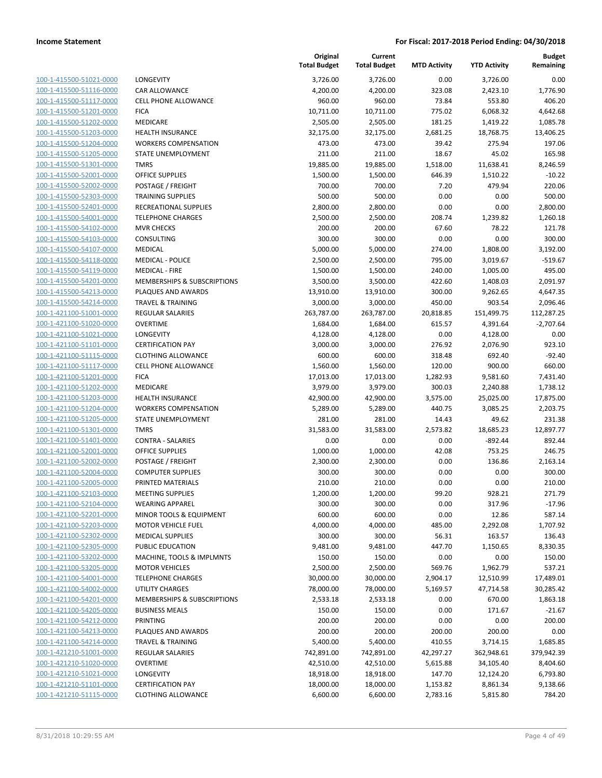| 100-1-415500-51021-0000                                   |
|-----------------------------------------------------------|
| 100-1-415500-51116-0000                                   |
| 100-1-415500-51117-0000                                   |
| 100-1-415500-51201-0000                                   |
| <u>100-1-415500-51202-0000</u>                            |
| 100-1-415500-51203-0000                                   |
| 100-1-415500-51204-0000                                   |
| 100-1-415500-51205-0000                                   |
| 100-1-415500-51301-0000                                   |
| 100-1-415500-52001-0000                                   |
| 100-1-415500-52002-0000                                   |
| 100-1-415500-52303-0000                                   |
| 100-1-415500-52401-0000                                   |
| 100-1-415500-54001-0000                                   |
| <u>100-1-415500-54102-0000</u>                            |
| 100-1-415500-54103-0000                                   |
| 100-1-415500-54107-0000                                   |
| 100-1-415500-54118-0000                                   |
| 100-1-415500-54119-0000                                   |
| 100-1-415500-54201-0000                                   |
| 100-1-415500-54213-0000                                   |
| 100-1-415500-54214-0000                                   |
| 100-1-421100-51001-0000                                   |
| 100-1-421100-51020-0000                                   |
| <u>100-1-421100-51021-0000</u>                            |
| 100-1-421100-51101-0000                                   |
| 100-1-421100-51115-0000                                   |
| 100-1-421100-51117-0000                                   |
| 100-1-421100-51201-0000                                   |
| 100-1-421100-51202-0000                                   |
| 100-1-421100-51203-0000                                   |
| 100-1-421100-51204-0000                                   |
| 100-1-421100-51205-0000                                   |
| 100-1-421100-51301-0000                                   |
|                                                           |
| <u>100-1-421100-51401-0000</u><br>100-1-421100-52001-0000 |
| 100-1-421100-52002-0000                                   |
|                                                           |
| 100-1-421100-52004-0000                                   |
| 100-1-421100-52005-0000                                   |
| 100-1-421100-52103-0000                                   |
| 100-1-421100-52104-0000                                   |
| <u>100-1-421100-52201-0000</u>                            |
| 100-1-421100-52203-0000                                   |
| <u>100-1-421100-52302-0000</u>                            |
| 100-1-421100-52305-0000                                   |
| <u>100-1-421100-53202-0000</u>                            |
| <u>100-1-421100-53205-0000</u>                            |
| 100-1-421100-54001-0000                                   |
| <u>100-1-421100-54002-0000</u>                            |
| 100-1-421100-54201-0000                                   |
| 100-1-421100-54205-0000                                   |
| 100-1-421100-54212-0000                                   |
| 100-1-421100-54213-0000                                   |
| <u>100-1-421100-54214-0000</u>                            |
| 100-1-421210-51001-0000                                   |
| <u>100-1-421210-51020-0000</u>                            |
| <u>100-1-421210-51021-0000</u>                            |
| 100-1-421210-51101-0000                                   |
| <u>100-1-421210-51115-0000</u>                            |
|                                                           |

| ONGEVITY                               |
|----------------------------------------|
| AR ALLOWANCE                           |
| ELL PHONE ALLOWANCE                    |
| ICA                                    |
| 1EDICARE                               |
| <b>EALTH INSURANCE</b>                 |
| VORKERS COMPENSATION                   |
| TATE UNEMPLOYMENT                      |
| MRS                                    |
| <b>FFICE SUPPLIES</b>                  |
| OSTAGE / FREIGHT                       |
| RAINING SUPPLIES                       |
| ECREATIONAL SUPPLIES                   |
| ELEPHONE CHARGES                       |
| 1VR CHECKS                             |
| ONSULTING                              |
| <b>IEDICAL</b>                         |
| 1EDICAL - POLICE                       |
| <b>IEDICAL - FIRE</b>                  |
| <b>IEMBERSHIPS &amp; SUBSCRIPTIONS</b> |
| LAQUES AND AWARDS                      |
| RAVEL & TRAINING                       |
| <b>EGULAR SALARIES</b>                 |
| VERTIME                                |
| ONGEVITY                               |
| <b>ERTIFICATION PAY</b>                |
| LOTHING ALLOWANCE                      |
| ELL PHONE ALLOWANCE                    |
| ICA                                    |
| 1EDICARE                               |
| <b>EALTH INSURANCE</b>                 |
| VORKERS COMPENSATION                   |
| TATE UNEMPLOYMENT                      |
| MRS                                    |
| ONTRA - SALARIES                       |
| <b>FFICE SUPPLIES</b>                  |
| OSTAGE / FREIGHT                       |
| OMPUTER SUPPLIES                       |
| RINTED MATERIALS                       |
| <b>IEETING SUPPLIES</b>                |
| VEARING APPAREL                        |
|                                        |
|                                        |
| 1INOR TOOLS & EQUIPMENT                |
| 1OTOR VEHICLE FUEL                     |
| <b>IEDICAL SUPPLIES</b>                |
| <b>UBLIC EDUCATION</b>                 |
| 1ACHINE, TOOLS & IMPLMNTS              |
| <b>1OTOR VEHICLES</b>                  |
| ELEPHONE CHARGES                       |
| <b>TILITY CHARGES</b>                  |
| <b>IEMBERSHIPS &amp; SUBSCRIPTIONS</b> |
| <b>USINESS MEALS</b>                   |
| RINTING                                |
| LAQUES AND AWARDS                      |
| RAVEL & TRAINING                       |
| EGULAR SALARIES                        |
| VERTIME                                |
| ONGEVITY<br><b>ERTIFICATION PAY</b>    |

|                                                    |                                            | Original<br><b>Total Budget</b> | Current<br><b>Total Budget</b> | <b>MTD Activity</b> | <b>YTD Activity</b>  | <b>Budget</b><br>Remaining |
|----------------------------------------------------|--------------------------------------------|---------------------------------|--------------------------------|---------------------|----------------------|----------------------------|
| 100-1-415500-51021-0000                            | <b>LONGEVITY</b>                           | 3,726.00                        | 3,726.00                       | 0.00                | 3,726.00             | 0.00                       |
| 100-1-415500-51116-0000                            | <b>CAR ALLOWANCE</b>                       | 4,200.00                        | 4,200.00                       | 323.08              | 2,423.10             | 1,776.90                   |
| 100-1-415500-51117-0000                            | <b>CELL PHONE ALLOWANCE</b>                | 960.00                          | 960.00                         | 73.84               | 553.80               | 406.20                     |
| 100-1-415500-51201-0000                            | <b>FICA</b>                                | 10,711.00                       | 10,711.00                      | 775.02              | 6,068.32             | 4,642.68                   |
| 100-1-415500-51202-0000                            | MEDICARE                                   | 2,505.00                        | 2,505.00                       | 181.25              | 1,419.22             | 1,085.78                   |
| 100-1-415500-51203-0000                            | HEALTH INSURANCE                           | 32,175.00                       | 32,175.00                      | 2,681.25            | 18,768.75            | 13,406.25                  |
| 100-1-415500-51204-0000                            | <b>WORKERS COMPENSATION</b>                | 473.00                          | 473.00                         | 39.42               | 275.94               | 197.06                     |
| 100-1-415500-51205-0000                            | <b>STATE UNEMPLOYMENT</b>                  | 211.00                          | 211.00                         | 18.67               | 45.02                | 165.98                     |
| 100-1-415500-51301-0000                            | <b>TMRS</b>                                | 19,885.00                       | 19,885.00                      | 1,518.00            | 11,638.41            | 8,246.59                   |
| 100-1-415500-52001-0000                            | <b>OFFICE SUPPLIES</b>                     | 1,500.00                        | 1,500.00                       | 646.39              | 1,510.22             | $-10.22$                   |
| 100-1-415500-52002-0000                            | POSTAGE / FREIGHT                          | 700.00                          | 700.00                         | 7.20                | 479.94               | 220.06                     |
| 100-1-415500-52303-0000                            | TRAINING SUPPLIES                          | 500.00                          | 500.00                         | 0.00                | 0.00                 | 500.00                     |
| 100-1-415500-52401-0000                            | RECREATIONAL SUPPLIES                      | 2,800.00                        | 2,800.00                       | 0.00                | 0.00                 | 2,800.00                   |
| 100-1-415500-54001-0000                            | <b>TELEPHONE CHARGES</b>                   | 2,500.00                        | 2,500.00                       | 208.74              | 1,239.82             | 1,260.18                   |
| 100-1-415500-54102-0000                            | <b>MVR CHECKS</b>                          | 200.00                          | 200.00                         | 67.60               | 78.22                | 121.78                     |
| 100-1-415500-54103-0000                            | CONSULTING                                 | 300.00                          | 300.00                         | 0.00                | 0.00                 | 300.00                     |
| 100-1-415500-54107-0000                            | MEDICAL                                    | 5,000.00                        | 5,000.00                       | 274.00              | 1,808.00             | 3,192.00                   |
| 100-1-415500-54118-0000                            | <b>MEDICAL - POLICE</b>                    | 2,500.00                        | 2,500.00                       | 795.00              | 3,019.67             | $-519.67$                  |
| 100-1-415500-54119-0000                            | <b>MEDICAL - FIRE</b>                      | 1,500.00                        | 1,500.00                       | 240.00              | 1,005.00             | 495.00                     |
| 100-1-415500-54201-0000                            | MEMBERSHIPS & SUBSCRIPTIONS                | 3,500.00                        | 3,500.00                       | 422.60              | 1,408.03             | 2,091.97                   |
| 100-1-415500-54213-0000                            | PLAQUES AND AWARDS                         | 13,910.00                       | 13,910.00                      | 300.00              | 9,262.65             | 4,647.35                   |
| 100-1-415500-54214-0000                            | <b>TRAVEL &amp; TRAINING</b>               | 3,000.00                        | 3,000.00                       | 450.00              | 903.54               | 2,096.46                   |
| 100-1-421100-51001-0000                            | <b>REGULAR SALARIES</b><br><b>OVERTIME</b> | 263,787.00                      | 263,787.00                     | 20,818.85           | 151,499.75           | 112,287.25                 |
| 100-1-421100-51020-0000<br>100-1-421100-51021-0000 | <b>LONGEVITY</b>                           | 1,684.00                        | 1,684.00                       | 615.57<br>0.00      | 4,391.64             | $-2,707.64$<br>0.00        |
| 100-1-421100-51101-0000                            | <b>CERTIFICATION PAY</b>                   | 4,128.00<br>3,000.00            | 4,128.00<br>3,000.00           | 276.92              | 4,128.00<br>2,076.90 | 923.10                     |
| 100-1-421100-51115-0000                            | <b>CLOTHING ALLOWANCE</b>                  | 600.00                          | 600.00                         | 318.48              | 692.40               | $-92.40$                   |
| 100-1-421100-51117-0000                            | <b>CELL PHONE ALLOWANCE</b>                | 1,560.00                        | 1,560.00                       | 120.00              | 900.00               | 660.00                     |
| 100-1-421100-51201-0000                            | <b>FICA</b>                                | 17,013.00                       | 17,013.00                      | 1,282.93            | 9,581.60             | 7,431.40                   |
| 100-1-421100-51202-0000                            | MEDICARE                                   | 3,979.00                        | 3,979.00                       | 300.03              | 2,240.88             | 1,738.12                   |
| 100-1-421100-51203-0000                            | <b>HEALTH INSURANCE</b>                    | 42,900.00                       | 42,900.00                      | 3,575.00            | 25,025.00            | 17,875.00                  |
| 100-1-421100-51204-0000                            | <b>WORKERS COMPENSATION</b>                | 5,289.00                        | 5,289.00                       | 440.75              | 3,085.25             | 2,203.75                   |
| 100-1-421100-51205-0000                            | STATE UNEMPLOYMENT                         | 281.00                          | 281.00                         | 14.43               | 49.62                | 231.38                     |
| 100-1-421100-51301-0000                            | <b>TMRS</b>                                | 31,583.00                       | 31,583.00                      | 2,573.82            | 18,685.23            | 12,897.77                  |
| 100-1-421100-51401-0000                            | <b>CONTRA - SALARIES</b>                   | 0.00                            | 0.00                           | 0.00                | $-892.44$            | 892.44                     |
| 100-1-421100-52001-0000                            | <b>OFFICE SUPPLIES</b>                     | 1,000.00                        | 1,000.00                       | 42.08               | 753.25               | 246.75                     |
| 100-1-421100-52002-0000                            | POSTAGE / FREIGHT                          | 2,300.00                        | 2,300.00                       | 0.00                | 136.86               | 2,163.14                   |
| 100-1-421100-52004-0000                            | <b>COMPUTER SUPPLIES</b>                   | 300.00                          | 300.00                         | 0.00                | 0.00                 | 300.00                     |
| 100-1-421100-52005-0000                            | PRINTED MATERIALS                          | 210.00                          | 210.00                         | 0.00                | 0.00                 | 210.00                     |
| 100-1-421100-52103-0000                            | <b>MEETING SUPPLIES</b>                    | 1,200.00                        | 1,200.00                       | 99.20               | 928.21               | 271.79                     |
| 100-1-421100-52104-0000                            | <b>WEARING APPAREL</b>                     | 300.00                          | 300.00                         | 0.00                | 317.96               | $-17.96$                   |
| 100-1-421100-52201-0000                            | MINOR TOOLS & EQUIPMENT                    | 600.00                          | 600.00                         | 0.00                | 12.86                | 587.14                     |
| 100-1-421100-52203-0000                            | <b>MOTOR VEHICLE FUEL</b>                  | 4,000.00                        | 4,000.00                       | 485.00              | 2,292.08             | 1,707.92                   |
| 100-1-421100-52302-0000                            | <b>MEDICAL SUPPLIES</b>                    | 300.00                          | 300.00                         | 56.31               | 163.57               | 136.43                     |
| 100-1-421100-52305-0000                            | PUBLIC EDUCATION                           | 9,481.00                        | 9,481.00                       | 447.70              | 1,150.65             | 8,330.35                   |
| 100-1-421100-53202-0000                            | MACHINE, TOOLS & IMPLMNTS                  | 150.00                          | 150.00                         | 0.00                | 0.00                 | 150.00                     |
| 100-1-421100-53205-0000                            | <b>MOTOR VEHICLES</b>                      | 2,500.00                        | 2,500.00                       | 569.76              | 1,962.79             | 537.21                     |
| 100-1-421100-54001-0000                            | <b>TELEPHONE CHARGES</b>                   | 30,000.00                       | 30,000.00                      | 2,904.17            | 12,510.99            | 17,489.01                  |
| 100-1-421100-54002-0000                            | UTILITY CHARGES                            | 78,000.00                       | 78,000.00                      | 5,169.57            | 47,714.58            | 30,285.42                  |
| 100-1-421100-54201-0000                            | MEMBERSHIPS & SUBSCRIPTIONS                | 2,533.18                        | 2,533.18                       | 0.00                | 670.00               | 1,863.18                   |
| 100-1-421100-54205-0000                            | <b>BUSINESS MEALS</b>                      | 150.00                          | 150.00                         | 0.00                | 171.67               | $-21.67$                   |
| 100-1-421100-54212-0000                            | PRINTING                                   | 200.00                          | 200.00                         | 0.00                | 0.00                 | 200.00                     |
| 100-1-421100-54213-0000                            | PLAQUES AND AWARDS                         | 200.00                          | 200.00                         | 200.00              | 200.00               | 0.00                       |
| 100-1-421100-54214-0000                            | <b>TRAVEL &amp; TRAINING</b>               | 5,400.00                        | 5,400.00                       | 410.55              | 3,714.15             | 1,685.85                   |
| 100-1-421210-51001-0000                            | <b>REGULAR SALARIES</b>                    | 742,891.00                      | 742,891.00                     | 42,297.27           | 362,948.61           | 379,942.39                 |
| 100-1-421210-51020-0000                            | <b>OVERTIME</b>                            | 42,510.00                       | 42,510.00                      | 5,615.88            | 34,105.40            | 8,404.60                   |
| 100-1-421210-51021-0000                            | LONGEVITY                                  | 18,918.00                       | 18,918.00                      | 147.70              | 12,124.20            | 6,793.80                   |
| 100-1-421210-51101-0000                            | <b>CERTIFICATION PAY</b>                   | 18,000.00                       | 18,000.00                      | 1,153.82            | 8,861.34             | 9,138.66                   |
| 100-1-421210-51115-0000                            | <b>CLOTHING ALLOWANCE</b>                  | 6,600.00                        | 6,600.00                       | 2,783.16            | 5,815.80             | 784.20                     |
|                                                    |                                            |                                 |                                |                     |                      |                            |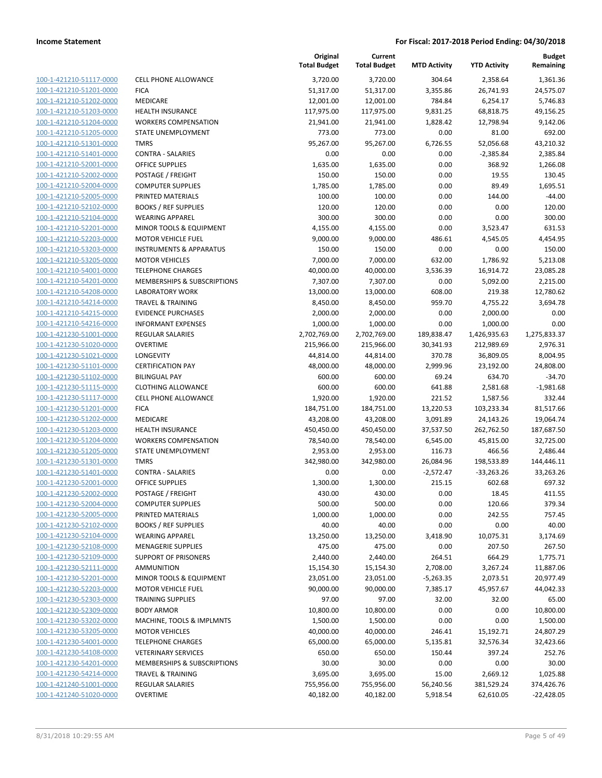| 100-1-421210-51117-0000        |
|--------------------------------|
| 100-1-421210-51201-0000        |
| 100-1-421210-51202-0000        |
| 100-1-421210-51203-0000        |
| 100-1-421210-51204-0000        |
| 100-1-421210-51205-0000        |
| 100-1-421210-51301-0000        |
| 100-1-421210-51401-0000        |
| 100-1-421210-52001-0000        |
| 100-1-421210-52002-0000        |
| 100-1-421210-52004-0000        |
| 100-1-421210-52005-0000        |
| 100-1-421210-52102-0000        |
| 100-1-421210-52104-0000        |
|                                |
| 100-1-421210-52201-0000        |
| 100-1-421210-52203-0000        |
| 100-1-421210-53203-0000        |
| 100-1-421210-53205-0000        |
| 100-1-421210-54001-0000        |
| 100-1-421210-54201-0000        |
| 100-1-421210-54208-0000        |
| 100-1-421210-54214-0000        |
| 100-1-421210-54215-0000        |
| 100-1-421210-54216-0000        |
| 100-1-421230-51001-0000        |
| 100-1-421230-51020-0000        |
| 100-1-421230-51021-0000        |
| 100-1-421230-51101-0000        |
| 100-1-421230-51102-0000        |
| 100-1-421230-51115-0000        |
| 100-1-421230-51117-0000        |
|                                |
| 100-1-421230-51201-0000        |
| 100-1-421230-51202-0000        |
| 100-1-421230-51203-0000        |
| <u>100-1-421230-51204-0000</u> |
| 100-1-421230-51205-0000        |
| 100-1-421230-51301-0000        |
| 100-1-421230-51401-0000        |
| 100-1-421230-52001-0000        |
| 100-1-421230-52002-0000        |
| 100-1-421230-52004-0000        |
| 100-1-421230-52005-0000        |
| 100-1-421230-52102-0000        |
| 100-1-421230-52104-0000        |
| <u>100-1-421230-52108-0000</u> |
| <u>100-1-421230-52109-0000</u> |
| <u>100-1-421230-52111-0000</u> |
|                                |
| <u>100-1-421230-52201-0000</u> |
| <u>100-1-421230-52203-0000</u> |
| <u>100-1-421230-52303-0000</u> |
| <u>100-1-421230-52309-0000</u> |
| <u>100-1-421230-53202-0000</u> |
| 100-1-421230-53205-0000        |
| 100-1-421230-54001-0000        |
| <u>100-1-421230-54108-0000</u> |
| <u>100-1-421230-54201-0000</u> |
| 100-1-421230-54214-0000        |
| <u>100-1-421240-51001-0000</u> |
| 100-1-421240-51020-0000        |
|                                |

|                         |                                    | Original<br><b>Total Budget</b> | Current<br><b>Total Budget</b> | <b>MTD Activity</b> | <b>YTD Activity</b> | <b>Budget</b><br>Remaining |
|-------------------------|------------------------------------|---------------------------------|--------------------------------|---------------------|---------------------|----------------------------|
| 100-1-421210-51117-0000 | <b>CELL PHONE ALLOWANCE</b>        | 3,720.00                        | 3,720.00                       | 304.64              | 2,358.64            | 1,361.36                   |
| 100-1-421210-51201-0000 | <b>FICA</b>                        | 51,317.00                       | 51,317.00                      | 3,355.86            | 26,741.93           | 24,575.07                  |
| 100-1-421210-51202-0000 | MEDICARE                           | 12,001.00                       | 12,001.00                      | 784.84              | 6,254.17            | 5,746.83                   |
| 100-1-421210-51203-0000 | <b>HEALTH INSURANCE</b>            | 117,975.00                      | 117,975.00                     | 9,831.25            | 68,818.75           | 49,156.25                  |
| 100-1-421210-51204-0000 | <b>WORKERS COMPENSATION</b>        | 21,941.00                       | 21,941.00                      | 1,828.42            | 12,798.94           | 9,142.06                   |
| 100-1-421210-51205-0000 | STATE UNEMPLOYMENT                 | 773.00                          | 773.00                         | 0.00                | 81.00               | 692.00                     |
| 100-1-421210-51301-0000 | <b>TMRS</b>                        | 95,267.00                       | 95,267.00                      | 6,726.55            | 52,056.68           | 43,210.32                  |
| 100-1-421210-51401-0000 | <b>CONTRA - SALARIES</b>           | 0.00                            | 0.00                           | 0.00                | $-2,385.84$         | 2,385.84                   |
| 100-1-421210-52001-0000 | <b>OFFICE SUPPLIES</b>             | 1,635.00                        | 1,635.00                       | 0.00                | 368.92              | 1,266.08                   |
| 100-1-421210-52002-0000 | POSTAGE / FREIGHT                  | 150.00                          | 150.00                         | 0.00                | 19.55               | 130.45                     |
| 100-1-421210-52004-0000 | <b>COMPUTER SUPPLIES</b>           | 1,785.00                        | 1,785.00                       | 0.00                | 89.49               | 1,695.51                   |
| 100-1-421210-52005-0000 | PRINTED MATERIALS                  | 100.00                          | 100.00                         | 0.00                | 144.00              | $-44.00$                   |
| 100-1-421210-52102-0000 | <b>BOOKS / REF SUPPLIES</b>        | 120.00                          | 120.00                         | 0.00                | 0.00                | 120.00                     |
| 100-1-421210-52104-0000 | <b>WEARING APPAREL</b>             | 300.00                          | 300.00                         | 0.00                | 0.00                | 300.00                     |
| 100-1-421210-52201-0000 | MINOR TOOLS & EQUIPMENT            | 4,155.00                        | 4,155.00                       | 0.00                | 3,523.47            | 631.53                     |
| 100-1-421210-52203-0000 | <b>MOTOR VEHICLE FUEL</b>          | 9,000.00                        | 9,000.00                       | 486.61              | 4,545.05            | 4,454.95                   |
| 100-1-421210-53203-0000 | <b>INSTRUMENTS &amp; APPARATUS</b> | 150.00                          | 150.00                         | 0.00                | 0.00                | 150.00                     |
| 100-1-421210-53205-0000 | <b>MOTOR VEHICLES</b>              | 7,000.00                        | 7,000.00                       | 632.00              | 1,786.92            | 5,213.08                   |
| 100-1-421210-54001-0000 | <b>TELEPHONE CHARGES</b>           | 40,000.00                       | 40,000.00                      | 3,536.39            | 16,914.72           | 23,085.28                  |
| 100-1-421210-54201-0000 | MEMBERSHIPS & SUBSCRIPTIONS        | 7,307.00                        | 7,307.00                       | 0.00                | 5,092.00            | 2,215.00                   |
| 100-1-421210-54208-0000 | <b>LABORATORY WORK</b>             | 13,000.00                       | 13,000.00                      | 608.00              | 219.38              | 12,780.62                  |
| 100-1-421210-54214-0000 | <b>TRAVEL &amp; TRAINING</b>       | 8,450.00                        | 8,450.00                       | 959.70              | 4,755.22            | 3,694.78                   |
| 100-1-421210-54215-0000 | <b>EVIDENCE PURCHASES</b>          | 2,000.00                        | 2,000.00                       | 0.00                | 2,000.00            | 0.00                       |
| 100-1-421210-54216-0000 | <b>INFORMANT EXPENSES</b>          | 1,000.00                        | 1,000.00                       | 0.00                | 1,000.00            | 0.00                       |
| 100-1-421230-51001-0000 | REGULAR SALARIES                   | 2,702,769.00                    | 2,702,769.00                   | 189,838.47          | 1,426,935.63        | 1,275,833.37               |
| 100-1-421230-51020-0000 | <b>OVERTIME</b>                    | 215,966.00                      | 215,966.00                     | 30,341.93           | 212,989.69          | 2,976.31                   |
| 100-1-421230-51021-0000 | LONGEVITY                          | 44,814.00                       | 44,814.00                      | 370.78              | 36,809.05           | 8,004.95                   |
| 100-1-421230-51101-0000 | <b>CERTIFICATION PAY</b>           | 48,000.00                       | 48,000.00                      | 2,999.96            | 23,192.00           | 24,808.00                  |
| 100-1-421230-51102-0000 | <b>BILINGUAL PAY</b>               | 600.00                          | 600.00                         | 69.24               | 634.70              | $-34.70$                   |
| 100-1-421230-51115-0000 | <b>CLOTHING ALLOWANCE</b>          | 600.00                          | 600.00                         | 641.88              | 2,581.68            | $-1,981.68$                |
| 100-1-421230-51117-0000 | <b>CELL PHONE ALLOWANCE</b>        | 1,920.00                        | 1,920.00                       | 221.52              | 1,587.56            | 332.44                     |
| 100-1-421230-51201-0000 | <b>FICA</b>                        | 184,751.00                      | 184,751.00                     | 13,220.53           | 103,233.34          | 81,517.66                  |
| 100-1-421230-51202-0000 | MEDICARE                           | 43,208.00                       | 43,208.00                      | 3,091.89            | 24,143.26           | 19,064.74                  |
| 100-1-421230-51203-0000 | <b>HEALTH INSURANCE</b>            | 450,450.00                      | 450,450.00                     | 37,537.50           | 262,762.50          | 187,687.50                 |
| 100-1-421230-51204-0000 | <b>WORKERS COMPENSATION</b>        | 78,540.00                       | 78,540.00                      | 6,545.00            | 45,815.00           | 32,725.00                  |
| 100-1-421230-51205-0000 | STATE UNEMPLOYMENT                 | 2,953.00                        | 2,953.00                       | 116.73              | 466.56              | 2,486.44                   |
| 100-1-421230-51301-0000 | <b>TMRS</b>                        | 342,980.00                      | 342,980.00                     | 26,084.96           | 198,533.89          | 144,446.11                 |
| 100-1-421230-51401-0000 | <b>CONTRA - SALARIES</b>           | 0.00                            | 0.00                           | $-2,572.47$         | $-33,263.26$        | 33,263.26                  |
| 100-1-421230-52001-0000 | <b>OFFICE SUPPLIES</b>             | 1,300.00                        | 1,300.00                       | 215.15              | 602.68              | 697.32                     |
| 100-1-421230-52002-0000 | POSTAGE / FREIGHT                  | 430.00                          | 430.00                         | 0.00                | 18.45               | 411.55                     |
| 100-1-421230-52004-0000 | <b>COMPUTER SUPPLIES</b>           | 500.00                          | 500.00                         | 0.00                | 120.66              | 379.34                     |
| 100-1-421230-52005-0000 | PRINTED MATERIALS                  | 1,000.00                        | 1,000.00                       | 0.00                | 242.55              | 757.45                     |
| 100-1-421230-52102-0000 | <b>BOOKS / REF SUPPLIES</b>        | 40.00                           | 40.00                          | 0.00                | 0.00                | 40.00                      |
| 100-1-421230-52104-0000 | <b>WEARING APPAREL</b>             | 13,250.00                       | 13,250.00                      | 3,418.90            | 10,075.31           | 3,174.69                   |
| 100-1-421230-52108-0000 | <b>MENAGERIE SUPPLIES</b>          | 475.00                          | 475.00                         | 0.00                | 207.50              | 267.50                     |
| 100-1-421230-52109-0000 | <b>SUPPORT OF PRISONERS</b>        | 2,440.00                        | 2,440.00                       | 264.51              | 664.29              | 1,775.71                   |
| 100-1-421230-52111-0000 | <b>AMMUNITION</b>                  | 15,154.30                       | 15,154.30                      | 2,708.00            | 3,267.24            | 11,887.06                  |
| 100-1-421230-52201-0000 | MINOR TOOLS & EQUIPMENT            | 23,051.00                       | 23,051.00                      | $-5,263.35$         | 2,073.51            | 20,977.49                  |
| 100-1-421230-52203-0000 | <b>MOTOR VEHICLE FUEL</b>          | 90,000.00                       | 90,000.00                      | 7,385.17            | 45,957.67           | 44,042.33                  |
| 100-1-421230-52303-0000 | <b>TRAINING SUPPLIES</b>           | 97.00                           | 97.00                          | 32.00               | 32.00               | 65.00                      |
| 100-1-421230-52309-0000 | <b>BODY ARMOR</b>                  | 10,800.00                       | 10,800.00                      | 0.00                | 0.00                | 10,800.00                  |
| 100-1-421230-53202-0000 | MACHINE, TOOLS & IMPLMNTS          | 1,500.00                        | 1,500.00                       | 0.00                | 0.00                | 1,500.00                   |
| 100-1-421230-53205-0000 | <b>MOTOR VEHICLES</b>              | 40,000.00                       | 40,000.00                      | 246.41              | 15,192.71           | 24,807.29                  |
| 100-1-421230-54001-0000 | <b>TELEPHONE CHARGES</b>           | 65,000.00                       | 65,000.00                      | 5,135.81            | 32,576.34           | 32,423.66                  |
| 100-1-421230-54108-0000 | <b>VETERINARY SERVICES</b>         | 650.00                          | 650.00                         | 150.44              | 397.24              | 252.76                     |
| 100-1-421230-54201-0000 | MEMBERSHIPS & SUBSCRIPTIONS        | 30.00                           | 30.00                          | 0.00                | 0.00                | 30.00                      |
| 100-1-421230-54214-0000 | <b>TRAVEL &amp; TRAINING</b>       | 3,695.00                        | 3,695.00                       | 15.00               | 2,669.12            | 1,025.88                   |
| 100-1-421240-51001-0000 | <b>REGULAR SALARIES</b>            | 755,956.00                      | 755,956.00                     | 56,240.56           | 381,529.24          | 374,426.76                 |
| 100-1-421240-51020-0000 | <b>OVERTIME</b>                    | 40,182.00                       | 40,182.00                      | 5,918.54            | 62,610.05           | $-22,428.05$               |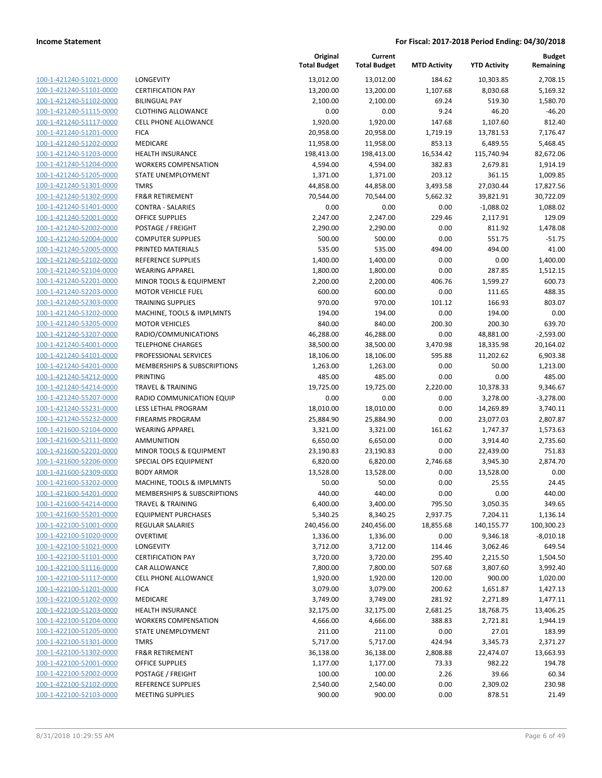| 100-1-421240-51021-0000        |
|--------------------------------|
| 100-1-421240-51101-0000        |
| 100-1-421240-51102-0000        |
| 100-1-421240-51115-0000        |
| 100-1-421240-51117-0000        |
| 100-1-421240-51201-0000        |
| 100-1-421240-51202-0000        |
| 100-1-421240-51203-0000        |
| 100-1-421240-51204-0000        |
| 100-1-421240-51205-0000        |
| 100-1-421240-51301-0000        |
| 100-1-421240-51302-0000        |
| 100-1-421240-51401-0000        |
| 100-1-421240-52001-0000        |
| 100-1-421240-52002-0000        |
|                                |
| 100-1-421240-52004-0000        |
| 100-1-421240-52005-0000        |
| 100-1-421240-52102-0000        |
| 100-1-421240-52104-0000        |
| 100-1-421240-52201-0000        |
| 100-1-421240-52203-0000        |
| 100-1-421240-52303-0000        |
| 100-1-421240-53202-0000        |
| 100-1-421240-53205-0000        |
| 100-1-421240-53207-0000        |
| 100-1-421240-54001-0000        |
| 100-1-421240-54101-0000        |
| 100-1-421240-54201-0000        |
| 100-1-421240-54212-0000        |
| 100-1-421240-54214-0000        |
| 100-1-421240-55207-0000        |
|                                |
| 100-1-421240-55231-0000        |
| 100-1-421240-55232-0000        |
| 100-1-421600-52104-0000        |
| 100-1-421600-52111-0000        |
| 100-1-421600-52201-0000        |
| 100-1-421600-52206-0000        |
| 100-1-421600-52309-0000        |
| 100-1-421600-53202-0000        |
| 100-1-421600-54201-0000        |
| 100-1-421600-54214-0000        |
| <u>100-1-421600-55201-0000</u> |
| 100-1-422100-51001-0000        |
| <u>100-1-422100-51020-0000</u> |
| 100-1-422100-51021-0000        |
| <u>100-1-422100-51101-0000</u> |
|                                |
| <u>100-1-422100-51116-0000</u> |
| <u>100-1-422100-51117-0000</u> |
| <u>100-1-422100-51201-0000</u> |
| 100-1-422100-51202-0000        |
| <u>100-1-422100-51203-0000</u> |
| 100-1-422100-51204-0000        |
| <u>100-1-422100-51205-0000</u> |
| <u>100-1-422100-51301-0000</u> |
| <u>100-1-422100-51302-0000</u> |
| <u>100-1-422100-52001-0000</u> |
| 100-1-422100-52002-0000        |
| <u>100-1-422100-52102-0000</u> |
| <u>100-1-422100-52103-0000</u> |
|                                |

|                                                    |                                                | Original<br><b>Total Budget</b> | Current<br><b>Total Budget</b> | <b>MTD Activity</b> | <b>YTD Activity</b>    | <b>Budget</b><br>Remaining |
|----------------------------------------------------|------------------------------------------------|---------------------------------|--------------------------------|---------------------|------------------------|----------------------------|
| 100-1-421240-51021-0000                            | LONGEVITY                                      | 13,012.00                       | 13,012.00                      | 184.62              | 10,303.85              | 2,708.15                   |
| 100-1-421240-51101-0000                            | <b>CERTIFICATION PAY</b>                       | 13,200.00                       | 13,200.00                      | 1,107.68            | 8,030.68               | 5,169.32                   |
| 100-1-421240-51102-0000                            | <b>BILINGUAL PAY</b>                           | 2,100.00                        | 2,100.00                       | 69.24               | 519.30                 | 1,580.70                   |
| 100-1-421240-51115-0000                            | <b>CLOTHING ALLOWANCE</b>                      | 0.00                            | 0.00                           | 9.24                | 46.20                  | $-46.20$                   |
| 100-1-421240-51117-0000                            | <b>CELL PHONE ALLOWANCE</b>                    | 1,920.00                        | 1,920.00                       | 147.68              | 1,107.60               | 812.40                     |
| 100-1-421240-51201-0000                            | <b>FICA</b>                                    | 20,958.00                       | 20,958.00                      | 1,719.19            | 13,781.53              | 7,176.47                   |
| 100-1-421240-51202-0000                            | MEDICARE                                       | 11,958.00                       | 11,958.00                      | 853.13              | 6,489.55               | 5,468.45                   |
| 100-1-421240-51203-0000                            | <b>HEALTH INSURANCE</b>                        | 198,413.00                      | 198,413.00                     | 16,534.42           | 115,740.94             | 82,672.06                  |
| 100-1-421240-51204-0000                            | <b>WORKERS COMPENSATION</b>                    | 4,594.00                        | 4,594.00                       | 382.83              | 2,679.81               | 1,914.19                   |
| 100-1-421240-51205-0000                            | <b>STATE UNEMPLOYMENT</b>                      | 1,371.00                        | 1,371.00                       | 203.12              | 361.15                 | 1,009.85                   |
| 100-1-421240-51301-0000                            | <b>TMRS</b>                                    | 44,858.00                       | 44,858.00                      | 3,493.58            | 27,030.44              | 17,827.56                  |
| 100-1-421240-51302-0000                            | FR&R RETIREMENT                                | 70,544.00                       | 70,544.00                      | 5,662.32            | 39,821.91              | 30,722.09                  |
| 100-1-421240-51401-0000                            | <b>CONTRA - SALARIES</b>                       | 0.00                            | 0.00                           | 0.00                | $-1,088.02$            | 1,088.02                   |
| 100-1-421240-52001-0000                            | <b>OFFICE SUPPLIES</b>                         | 2,247.00                        | 2,247.00                       | 229.46              | 2,117.91               | 129.09                     |
| 100-1-421240-52002-0000                            | POSTAGE / FREIGHT                              | 2,290.00                        | 2,290.00                       | 0.00                | 811.92                 | 1,478.08                   |
| 100-1-421240-52004-0000                            | <b>COMPUTER SUPPLIES</b>                       | 500.00                          | 500.00                         | 0.00                | 551.75                 | $-51.75$                   |
| 100-1-421240-52005-0000                            | PRINTED MATERIALS                              | 535.00                          | 535.00                         | 494.00              | 494.00                 | 41.00                      |
| 100-1-421240-52102-0000                            | <b>REFERENCE SUPPLIES</b>                      | 1,400.00                        | 1,400.00                       | 0.00                | 0.00                   | 1,400.00                   |
| 100-1-421240-52104-0000                            | <b>WEARING APPAREL</b>                         | 1,800.00                        | 1,800.00                       | 0.00                | 287.85                 | 1,512.15                   |
| 100-1-421240-52201-0000                            | MINOR TOOLS & EQUIPMENT                        | 2,200.00                        | 2,200.00                       | 406.76              | 1,599.27               | 600.73                     |
| 100-1-421240-52203-0000                            | <b>MOTOR VEHICLE FUEL</b>                      | 600.00                          | 600.00                         | 0.00                | 111.65                 | 488.35                     |
| 100-1-421240-52303-0000                            | <b>TRAINING SUPPLIES</b>                       | 970.00                          | 970.00                         | 101.12              | 166.93                 | 803.07                     |
| 100-1-421240-53202-0000                            | MACHINE, TOOLS & IMPLMNTS                      | 194.00                          | 194.00                         | 0.00                | 194.00                 | 0.00                       |
| 100-1-421240-53205-0000                            | <b>MOTOR VEHICLES</b>                          | 840.00                          | 840.00                         | 200.30              | 200.30                 | 639.70                     |
| 100-1-421240-53207-0000                            | RADIO/COMMUNICATIONS                           | 46,288.00                       | 46,288.00                      | 0.00                | 48,881.00              | $-2,593.00$                |
| 100-1-421240-54001-0000                            | <b>TELEPHONE CHARGES</b>                       | 38,500.00                       | 38,500.00                      | 3,470.98            | 18,335.98              | 20,164.02                  |
| 100-1-421240-54101-0000                            | PROFESSIONAL SERVICES                          | 18,106.00                       | 18,106.00                      | 595.88              | 11,202.62              | 6,903.38                   |
| 100-1-421240-54201-0000                            | MEMBERSHIPS & SUBSCRIPTIONS                    | 1,263.00                        | 1,263.00                       | 0.00                | 50.00                  | 1,213.00                   |
| 100-1-421240-54212-0000                            | PRINTING                                       | 485.00                          | 485.00                         | 0.00                | 0.00                   | 485.00                     |
| 100-1-421240-54214-0000<br>100-1-421240-55207-0000 | <b>TRAVEL &amp; TRAINING</b>                   | 19,725.00                       | 19,725.00                      | 2,220.00            | 10,378.33              | 9,346.67                   |
|                                                    | RADIO COMMUNICATION EQUIP                      | 0.00                            | 0.00                           | 0.00                | 3,278.00               | $-3,278.00$                |
| 100-1-421240-55231-0000<br>100-1-421240-55232-0000 | LESS LETHAL PROGRAM<br><b>FIREARMS PROGRAM</b> | 18,010.00<br>25,884.90          | 18,010.00                      | 0.00<br>0.00        | 14,269.89<br>23,077.03 | 3,740.11<br>2,807.87       |
| 100-1-421600-52104-0000                            | <b>WEARING APPAREL</b>                         | 3,321.00                        | 25,884.90<br>3,321.00          | 161.62              | 1,747.37               | 1,573.63                   |
| 100-1-421600-52111-0000                            | AMMUNITION                                     | 6,650.00                        | 6,650.00                       | 0.00                | 3,914.40               | 2,735.60                   |
| 100-1-421600-52201-0000                            | MINOR TOOLS & EQUIPMENT                        | 23,190.83                       | 23,190.83                      | 0.00                | 22,439.00              | 751.83                     |
| 100-1-421600-52206-0000                            | SPECIAL OPS EQUIPMENT                          | 6,820.00                        | 6,820.00                       | 2,746.68            | 3,945.30               | 2,874.70                   |
| 100-1-421600-52309-0000                            | <b>BODY ARMOR</b>                              | 13,528.00                       | 13,528.00                      | 0.00                | 13,528.00              | 0.00                       |
| 100-1-421600-53202-0000                            | MACHINE, TOOLS & IMPLMNTS                      | 50.00                           | 50.00                          | 0.00                | 25.55                  | 24.45                      |
| 100-1-421600-54201-0000                            | MEMBERSHIPS & SUBSCRIPTIONS                    | 440.00                          | 440.00                         | 0.00                | 0.00                   | 440.00                     |
| 100-1-421600-54214-0000                            | <b>TRAVEL &amp; TRAINING</b>                   | 6,400.00                        | 3,400.00                       | 795.50              | 3,050.35               | 349.65                     |
| 100-1-421600-55201-0000                            | <b>EQUIPMENT PURCHASES</b>                     | 5,340.25                        | 8,340.25                       | 2,937.75            | 7,204.11               | 1,136.14                   |
| 100-1-422100-51001-0000                            | <b>REGULAR SALARIES</b>                        | 240,456.00                      | 240,456.00                     | 18,855.68           | 140,155.77             | 100,300.23                 |
| 100-1-422100-51020-0000                            | <b>OVERTIME</b>                                | 1,336.00                        | 1,336.00                       | 0.00                | 9,346.18               | $-8,010.18$                |
| 100-1-422100-51021-0000                            | LONGEVITY                                      | 3,712.00                        | 3,712.00                       | 114.46              | 3,062.46               | 649.54                     |
| 100-1-422100-51101-0000                            | <b>CERTIFICATION PAY</b>                       | 3,720.00                        | 3,720.00                       | 295.40              | 2,215.50               | 1,504.50                   |
| 100-1-422100-51116-0000                            | CAR ALLOWANCE                                  | 7,800.00                        | 7,800.00                       | 507.68              | 3,807.60               | 3,992.40                   |
| 100-1-422100-51117-0000                            | CELL PHONE ALLOWANCE                           | 1,920.00                        | 1,920.00                       | 120.00              | 900.00                 | 1,020.00                   |
| 100-1-422100-51201-0000                            | <b>FICA</b>                                    | 3,079.00                        | 3,079.00                       | 200.62              | 1,651.87               | 1,427.13                   |
| 100-1-422100-51202-0000                            | <b>MEDICARE</b>                                | 3,749.00                        | 3,749.00                       | 281.92              | 2,271.89               | 1,477.11                   |
| 100-1-422100-51203-0000                            | HEALTH INSURANCE                               | 32,175.00                       | 32,175.00                      | 2,681.25            | 18,768.75              | 13,406.25                  |
| 100-1-422100-51204-0000                            | <b>WORKERS COMPENSATION</b>                    | 4,666.00                        | 4,666.00                       | 388.83              | 2,721.81               | 1,944.19                   |
| 100-1-422100-51205-0000                            | STATE UNEMPLOYMENT                             | 211.00                          | 211.00                         | 0.00                | 27.01                  | 183.99                     |
| 100-1-422100-51301-0000                            | <b>TMRS</b>                                    | 5,717.00                        | 5,717.00                       | 424.94              | 3,345.73               | 2,371.27                   |
| 100-1-422100-51302-0000                            | FR&R RETIREMENT                                | 36,138.00                       | 36,138.00                      | 2,808.88            | 22,474.07              | 13,663.93                  |
| 100-1-422100-52001-0000                            | <b>OFFICE SUPPLIES</b>                         | 1,177.00                        | 1,177.00                       | 73.33               | 982.22                 | 194.78                     |
| 100-1-422100-52002-0000                            | POSTAGE / FREIGHT                              | 100.00                          | 100.00                         | 2.26                | 39.66                  | 60.34                      |
| 100-1-422100-52102-0000                            | REFERENCE SUPPLIES                             | 2,540.00                        | 2,540.00                       | 0.00                | 2,309.02               | 230.98                     |
| 100-1-422100-52103-0000                            | <b>MEETING SUPPLIES</b>                        | 900.00                          | 900.00                         | 0.00                | 878.51                 | 21.49                      |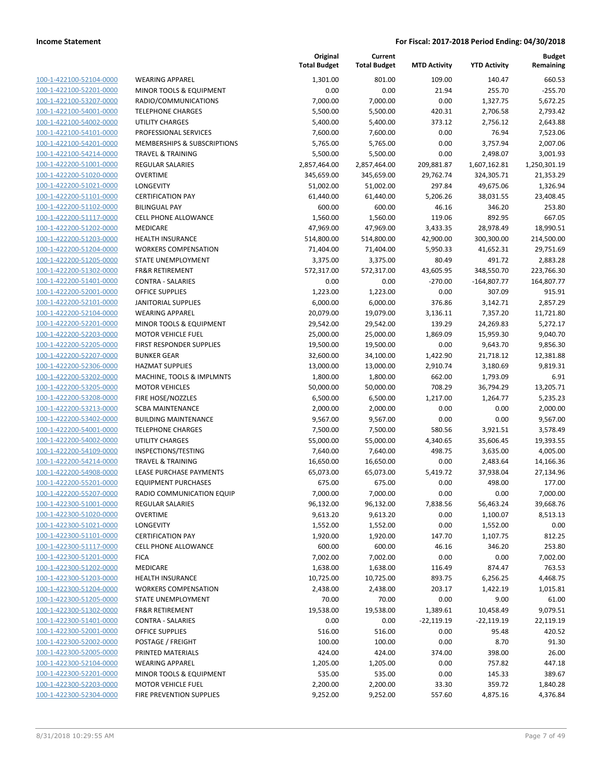| 100-1-422100-52104-0000              |
|--------------------------------------|
| 100-1-422100-52201-0000              |
| 100-1-422100-53207-0000              |
| <u>100-1-422100-54001-0000</u>       |
| 100-1-422100-54002-0000              |
| $100 - 1$<br>-422100-54101-0000      |
| 100-1-422100-54201-0000              |
| 100-1-422100-54214-0000              |
| 100-1-422200-51001-0000              |
| 100-1-422200-51020-0000              |
| $100 - 1$<br>-422200-51021-0000      |
| 100-1-422200-51101-0000              |
| 100-1-422200-51102-0000              |
| <u>100-1-422200-51117-0000</u>       |
| 100-1-422200-51202-0000              |
| -422200-51203-0000<br>$100 - 1$      |
| 100-1-422200-51204-0000              |
| 100-1-422200-51205-0000              |
| <u>100-1-422200-51302-0000</u>       |
| 100-1-422200-51401-0000              |
| $100 - 1$<br>-422200-52001-0000      |
| 100-1-422200-52101-0000              |
| 100-1-422200-52104-0000              |
|                                      |
| <u>100-1-422200-52201-0000</u>       |
| 100-1-422200-52203-0000<br>$100 - 1$ |
| -422200-52205-0000                   |
| 100-1-422200-52207-0000              |
| 100-1-422200-52306-0000              |
| <u>100-1-422200-53202-0000</u>       |
| 100-1-422200-53205-0000              |
| $100 - 1$<br>-422200-53208-0000      |
| 100-1-422200-53213-0000              |
| 100-1-422200-53402-0000              |
| <u>100-1-422200-54001-0000</u>       |
| 100-1-422200-54002-0000              |
| $100 - 1$<br>-422200-54109-0000      |
| 100-1-422200-54214-0000              |
| 100-1-422200-54908-0000              |
| <u>100-1-422200-55201-0000</u>       |
| 100-1-422200-55207-0000              |
| $100 - 1$<br>-422300-51001-0000      |
| <u>100-1-422300-51020-0000</u>       |
| <u>100-1-422300-51021-0000</u>       |
| <u>100-1-422300-51101-0000</u>       |
| <u>100-1-422300-51117-0000</u>       |
| <u>100-1-422300-51201-0000</u>       |
| 100-1-422300-51202-0000              |
| 100-1-422300-51203-0000              |
| <u>100-1-422300-51204-0000</u>       |
| 100-1-422300-51205-0000              |
| 100-1-422300-51302-0000              |
| 100-1-422300-51401-0000              |
| <u>100-1-422300-52001-0000</u>       |
| <u>100-1-422300-52002-0000</u>       |
| <u>100-1-422300-52005-0000</u>       |
| 100-1-422300-52104-0000              |
|                                      |
| <u>100-1-422300-52201-0000</u>       |
| 100-1-422300-52203-0000              |
| <u>100-1-422300-52304-0000</u>       |

|                                                    |                                              | Original<br><b>Total Budget</b> | Current<br><b>Total Budget</b> | <b>MTD Activity</b> | <b>YTD Activity</b>  | <b>Budget</b><br>Remaining |
|----------------------------------------------------|----------------------------------------------|---------------------------------|--------------------------------|---------------------|----------------------|----------------------------|
| 100-1-422100-52104-0000                            | <b>WEARING APPAREL</b>                       | 1,301.00                        | 801.00                         | 109.00              | 140.47               | 660.53                     |
| 100-1-422100-52201-0000                            | MINOR TOOLS & EQUIPMENT                      | 0.00                            | 0.00                           | 21.94               | 255.70               | $-255.70$                  |
| 100-1-422100-53207-0000                            | RADIO/COMMUNICATIONS                         | 7,000.00                        | 7,000.00                       | 0.00                | 1,327.75             | 5,672.25                   |
| 100-1-422100-54001-0000                            | <b>TELEPHONE CHARGES</b>                     | 5,500.00                        | 5,500.00                       | 420.31              | 2,706.58             | 2,793.42                   |
| 100-1-422100-54002-0000                            | <b>UTILITY CHARGES</b>                       | 5,400.00                        | 5,400.00                       | 373.12              | 2,756.12             | 2,643.88                   |
| 100-1-422100-54101-0000                            | PROFESSIONAL SERVICES                        | 7,600.00                        | 7,600.00                       | 0.00                | 76.94                | 7,523.06                   |
| 100-1-422100-54201-0000                            | MEMBERSHIPS & SUBSCRIPTIONS                  | 5,765.00                        | 5,765.00                       | 0.00                | 3,757.94             | 2,007.06                   |
| 100-1-422100-54214-0000                            | <b>TRAVEL &amp; TRAINING</b>                 | 5,500.00                        | 5,500.00                       | 0.00                | 2,498.07             | 3,001.93                   |
| 100-1-422200-51001-0000                            | <b>REGULAR SALARIES</b>                      | 2,857,464.00                    | 2,857,464.00                   | 209,881.87          | 1,607,162.81         | 1,250,301.19               |
| 100-1-422200-51020-0000                            | <b>OVERTIME</b>                              | 345,659.00                      | 345,659.00                     | 29,762.74           | 324,305.71           | 21,353.29                  |
| 100-1-422200-51021-0000                            | LONGEVITY                                    | 51,002.00                       | 51,002.00                      | 297.84              | 49,675.06            | 1,326.94                   |
| 100-1-422200-51101-0000                            | <b>CERTIFICATION PAY</b>                     | 61,440.00                       | 61,440.00                      | 5,206.26            | 38,031.55            | 23,408.45                  |
| 100-1-422200-51102-0000                            | <b>BILINGUAL PAY</b>                         | 600.00                          | 600.00                         | 46.16               | 346.20               | 253.80                     |
| 100-1-422200-51117-0000                            | <b>CELL PHONE ALLOWANCE</b>                  | 1,560.00                        | 1,560.00                       | 119.06              | 892.95               | 667.05                     |
| 100-1-422200-51202-0000                            | <b>MEDICARE</b>                              | 47,969.00                       | 47,969.00                      | 3,433.35            | 28,978.49            | 18,990.51                  |
| 100-1-422200-51203-0000                            | <b>HEALTH INSURANCE</b>                      | 514,800.00                      | 514,800.00                     | 42,900.00           | 300,300.00           | 214,500.00                 |
| 100-1-422200-51204-0000                            | <b>WORKERS COMPENSATION</b>                  | 71,404.00                       | 71,404.00                      | 5,950.33            | 41,652.31            | 29,751.69                  |
| 100-1-422200-51205-0000                            | STATE UNEMPLOYMENT                           | 3,375.00                        | 3,375.00                       | 80.49               | 491.72               | 2,883.28                   |
| 100-1-422200-51302-0000                            | <b>FR&amp;R RETIREMENT</b>                   | 572,317.00                      | 572,317.00                     | 43,605.95           | 348,550.70           | 223,766.30                 |
| 100-1-422200-51401-0000                            | <b>CONTRA - SALARIES</b>                     | 0.00                            | 0.00                           | $-270.00$           | $-164,807.77$        | 164,807.77                 |
| 100-1-422200-52001-0000                            | <b>OFFICE SUPPLIES</b>                       | 1,223.00                        | 1,223.00                       | 0.00                | 307.09               | 915.91                     |
| 100-1-422200-52101-0000                            | <b>JANITORIAL SUPPLIES</b>                   | 6,000.00                        | 6,000.00                       | 376.86              | 3,142.71             | 2,857.29                   |
| 100-1-422200-52104-0000                            | <b>WEARING APPAREL</b>                       | 20,079.00                       | 19,079.00                      | 3,136.11            | 7,357.20             | 11,721.80                  |
| 100-1-422200-52201-0000                            | MINOR TOOLS & EQUIPMENT                      | 29,542.00                       | 29,542.00                      | 139.29              | 24,269.83            | 5,272.17                   |
| 100-1-422200-52203-0000                            | <b>MOTOR VEHICLE FUEL</b>                    | 25,000.00                       | 25,000.00                      | 1,869.09            | 15,959.30            | 9,040.70                   |
| 100-1-422200-52205-0000                            | FIRST RESPONDER SUPPLIES                     | 19,500.00                       | 19,500.00                      | 0.00                | 9,643.70             | 9,856.30                   |
| 100-1-422200-52207-0000<br>100-1-422200-52306-0000 | <b>BUNKER GEAR</b><br><b>HAZMAT SUPPLIES</b> | 32,600.00                       | 34,100.00                      | 1,422.90            | 21,718.12            | 12,381.88                  |
| 100-1-422200-53202-0000                            | MACHINE, TOOLS & IMPLMNTS                    | 13,000.00<br>1,800.00           | 13,000.00<br>1,800.00          | 2,910.74<br>662.00  | 3,180.69<br>1,793.09 | 9,819.31<br>6.91           |
| 100-1-422200-53205-0000                            | <b>MOTOR VEHICLES</b>                        | 50,000.00                       | 50,000.00                      | 708.29              | 36,794.29            | 13,205.71                  |
| 100-1-422200-53208-0000                            | FIRE HOSE/NOZZLES                            | 6,500.00                        | 6,500.00                       | 1,217.00            | 1,264.77             | 5,235.23                   |
| 100-1-422200-53213-0000                            | <b>SCBA MAINTENANCE</b>                      | 2,000.00                        | 2,000.00                       | 0.00                | 0.00                 | 2,000.00                   |
| 100-1-422200-53402-0000                            | <b>BUILDING MAINTENANCE</b>                  | 9,567.00                        | 9,567.00                       | 0.00                | 0.00                 | 9,567.00                   |
| 100-1-422200-54001-0000                            | <b>TELEPHONE CHARGES</b>                     | 7,500.00                        | 7,500.00                       | 580.56              | 3,921.51             | 3,578.49                   |
| 100-1-422200-54002-0000                            | <b>UTILITY CHARGES</b>                       | 55,000.00                       | 55,000.00                      | 4,340.65            | 35,606.45            | 19,393.55                  |
| 100-1-422200-54109-0000                            | INSPECTIONS/TESTING                          | 7,640.00                        | 7,640.00                       | 498.75              | 3,635.00             | 4,005.00                   |
| 100-1-422200-54214-0000                            | <b>TRAVEL &amp; TRAINING</b>                 | 16,650.00                       | 16,650.00                      | 0.00                | 2,483.64             | 14,166.36                  |
| 100-1-422200-54908-0000                            | <b>LEASE PURCHASE PAYMENTS</b>               | 65,073.00                       | 65,073.00                      | 5,419.72            | 37,938.04            | 27,134.96                  |
| 100-1-422200-55201-0000                            | <b>EQUIPMENT PURCHASES</b>                   | 675.00                          | 675.00                         | 0.00                | 498.00               | 177.00                     |
| 100-1-422200-55207-0000                            | RADIO COMMUNICATION EQUIP                    | 7,000.00                        | 7,000.00                       | 0.00                | 0.00                 | 7,000.00                   |
| 100-1-422300-51001-0000                            | REGULAR SALARIES                             | 96,132.00                       | 96,132.00                      | 7,838.56            | 56,463.24            | 39,668.76                  |
| 100-1-422300-51020-0000                            | <b>OVERTIME</b>                              | 9,613.20                        | 9,613.20                       | 0.00                | 1,100.07             | 8,513.13                   |
| 100-1-422300-51021-0000                            | LONGEVITY                                    | 1,552.00                        | 1,552.00                       | 0.00                | 1,552.00             | 0.00                       |
| 100-1-422300-51101-0000                            | <b>CERTIFICATION PAY</b>                     | 1,920.00                        | 1,920.00                       | 147.70              | 1,107.75             | 812.25                     |
| 100-1-422300-51117-0000                            | <b>CELL PHONE ALLOWANCE</b>                  | 600.00                          | 600.00                         | 46.16               | 346.20               | 253.80                     |
| 100-1-422300-51201-0000                            | <b>FICA</b>                                  | 7,002.00                        | 7,002.00                       | 0.00                | 0.00                 | 7,002.00                   |
| 100-1-422300-51202-0000                            | MEDICARE                                     | 1,638.00                        | 1,638.00                       | 116.49              | 874.47               | 763.53                     |
| 100-1-422300-51203-0000                            | <b>HEALTH INSURANCE</b>                      | 10,725.00                       | 10,725.00                      | 893.75              | 6,256.25             | 4,468.75                   |
| 100-1-422300-51204-0000                            | <b>WORKERS COMPENSATION</b>                  | 2,438.00                        | 2,438.00                       | 203.17              | 1,422.19             | 1,015.81                   |
| 100-1-422300-51205-0000                            | STATE UNEMPLOYMENT                           | 70.00                           | 70.00                          | 0.00                | 9.00                 | 61.00                      |
| 100-1-422300-51302-0000                            | <b>FR&amp;R RETIREMENT</b>                   | 19,538.00                       | 19,538.00                      | 1,389.61            | 10,458.49            | 9,079.51                   |
| 100-1-422300-51401-0000                            | <b>CONTRA - SALARIES</b>                     | 0.00                            | 0.00                           | $-22,119.19$        | $-22,119.19$         | 22,119.19                  |
| 100-1-422300-52001-0000                            | <b>OFFICE SUPPLIES</b>                       | 516.00                          | 516.00                         | 0.00                | 95.48                | 420.52                     |
| 100-1-422300-52002-0000                            | POSTAGE / FREIGHT                            | 100.00                          | 100.00                         | 0.00                | 8.70                 | 91.30                      |
| 100-1-422300-52005-0000                            | PRINTED MATERIALS                            | 424.00                          | 424.00                         | 374.00              | 398.00               | 26.00                      |
| 100-1-422300-52104-0000                            | <b>WEARING APPAREL</b>                       | 1,205.00                        | 1,205.00                       | 0.00                | 757.82               | 447.18                     |
| 100-1-422300-52201-0000                            | MINOR TOOLS & EQUIPMENT                      | 535.00                          | 535.00                         | 0.00                | 145.33               | 389.67                     |
| 100-1-422300-52203-0000                            | <b>MOTOR VEHICLE FUEL</b>                    | 2,200.00                        | 2,200.00                       | 33.30               | 359.72               | 1,840.28                   |
| 100-1-422300-52304-0000                            | FIRE PREVENTION SUPPLIES                     | 9,252.00                        | 9,252.00                       | 557.60              | 4,875.16             | 4,376.84                   |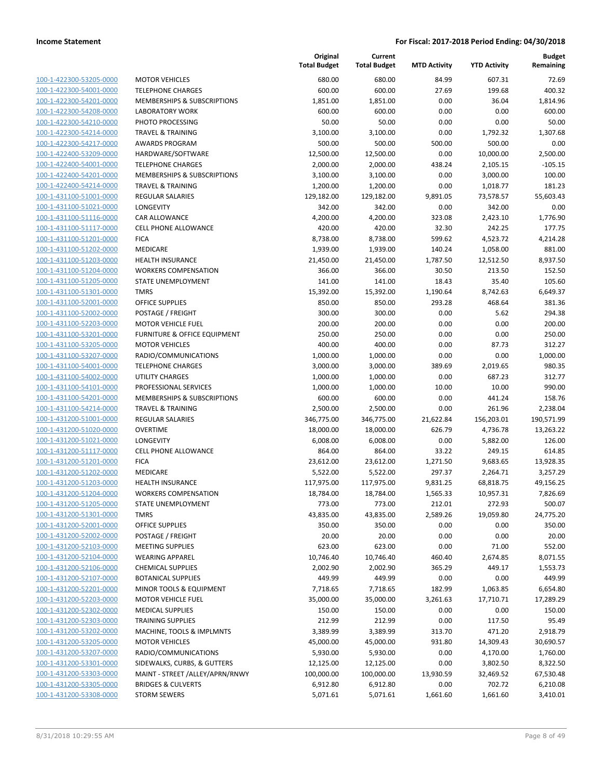| 100-1-422300-53205-0000                                          |
|------------------------------------------------------------------|
| 100-1-422300-54001-0000                                          |
| 100-1-422300-54201-0000                                          |
| <u>100-1-422300-54208-0000</u>                                   |
| 100-1-422300-54210-0000                                          |
| 100-1-422300-54214-0000                                          |
| 100-1-422300-54217-0000                                          |
| <u>100-1-422400-53209-0000</u>                                   |
| 100-1-422400-54001-0000                                          |
|                                                                  |
| 100-1-422400-54201-0000                                          |
| 100-1-422400-54214-0000                                          |
| 100-1-431100-51001-0000                                          |
| 100-1-431100-51021-0000                                          |
| <u>100-1-431100-51116-0000</u>                                   |
| 100-1-431100-51117-0000                                          |
| 100-1-431100-51201-0000                                          |
| 100-1-431100-51202-0000                                          |
| 100-1-431100-51203-0000                                          |
| 100-1-431100-51204-0000                                          |
| 100-1-431100-51205-0000                                          |
| 100-1-431100-51301-0000                                          |
| 100-1-431100-52001-0000                                          |
|                                                                  |
| 100-1-431100-52002-0000                                          |
| <u>100-1-431100-52203-0000</u>                                   |
| 100-1-431100-53201-0000                                          |
| 100-1-431100-53205-0000                                          |
| 100-1-431100-53207-0000                                          |
| 100-1-431100-54001-0000                                          |
| 100-1-431100-54002-0000                                          |
| 100-1-431100-54101-0000                                          |
| 100-1-431100-54201-0000                                          |
| 100-1-431100-54214-0000                                          |
| <u>100-1-431200-51001-0000</u>                                   |
| <u>100-1-431200-51020-0000</u>                                   |
| 100-1-431200-51021-0000                                          |
| 100-1-431200-51117-0000                                          |
| 100-1-431200-51201-0000                                          |
| 100-1-431200-51202-0000                                          |
| 100-1-431200-51203-0000                                          |
| 100-1-431200-51204-0000                                          |
|                                                                  |
| 100-1-431200-51205-0000                                          |
| 100-1-431200-51301-0000                                          |
| 100-1-431200-52001-0000                                          |
|                                                                  |
| 100-1-431200-52002-0000                                          |
| <u>100-1-431200-52103-0000</u>                                   |
| <u>100-1-431200-52104-0000</u>                                   |
| 100-1-431200-52106-0000                                          |
| <u>100-1-431200-52107-0000</u>                                   |
| <u>100-1-431200-52201-0000</u>                                   |
| <u>100-1-431200-52203-0000</u>                                   |
| 100-1-431200-52302-0000                                          |
| 100-1-431200-52303-0000                                          |
|                                                                  |
| <u>100-1-431200-53202-0000</u>                                   |
| <u>100-1-431200-53205-0000</u>                                   |
| <u>100-1-431200-53207-0000</u>                                   |
| <u>100-1-431200-53301-0000</u>                                   |
| 100-1-431200-53303-0000                                          |
| <u>100-1-431200-53305-0000</u><br><u>100-1-431200-53308-0000</u> |

|                         |                                         | Original<br><b>Total Budget</b> | Current<br><b>Total Budget</b> | <b>MTD Activity</b> | <b>YTD Activity</b> | <b>Budget</b><br>Remaining |
|-------------------------|-----------------------------------------|---------------------------------|--------------------------------|---------------------|---------------------|----------------------------|
| 100-1-422300-53205-0000 | <b>MOTOR VEHICLES</b>                   | 680.00                          | 680.00                         | 84.99               | 607.31              | 72.69                      |
| 100-1-422300-54001-0000 | <b>TELEPHONE CHARGES</b>                | 600.00                          | 600.00                         | 27.69               | 199.68              | 400.32                     |
| 100-1-422300-54201-0000 | MEMBERSHIPS & SUBSCRIPTIONS             | 1,851.00                        | 1,851.00                       | 0.00                | 36.04               | 1,814.96                   |
| 100-1-422300-54208-0000 | <b>LABORATORY WORK</b>                  | 600.00                          | 600.00                         | 0.00                | 0.00                | 600.00                     |
| 100-1-422300-54210-0000 | PHOTO PROCESSING                        | 50.00                           | 50.00                          | 0.00                | 0.00                | 50.00                      |
| 100-1-422300-54214-0000 | <b>TRAVEL &amp; TRAINING</b>            | 3,100.00                        | 3,100.00                       | 0.00                | 1,792.32            | 1,307.68                   |
| 100-1-422300-54217-0000 | <b>AWARDS PROGRAM</b>                   | 500.00                          | 500.00                         | 500.00              | 500.00              | 0.00                       |
| 100-1-422400-53209-0000 | HARDWARE/SOFTWARE                       | 12,500.00                       | 12,500.00                      | 0.00                | 10,000.00           | 2,500.00                   |
| 100-1-422400-54001-0000 | <b>TELEPHONE CHARGES</b>                | 2,000.00                        | 2,000.00                       | 438.24              | 2,105.15            | $-105.15$                  |
| 100-1-422400-54201-0000 | MEMBERSHIPS & SUBSCRIPTIONS             | 3,100.00                        | 3,100.00                       | 0.00                | 3,000.00            | 100.00                     |
| 100-1-422400-54214-0000 | <b>TRAVEL &amp; TRAINING</b>            | 1,200.00                        | 1,200.00                       | 0.00                | 1,018.77            | 181.23                     |
| 100-1-431100-51001-0000 | <b>REGULAR SALARIES</b>                 | 129,182.00                      | 129,182.00                     | 9,891.05            | 73,578.57           | 55,603.43                  |
| 100-1-431100-51021-0000 | LONGEVITY                               | 342.00                          | 342.00                         | 0.00                | 342.00              | 0.00                       |
| 100-1-431100-51116-0000 | CAR ALLOWANCE                           | 4,200.00                        | 4,200.00                       | 323.08              | 2,423.10            | 1,776.90                   |
| 100-1-431100-51117-0000 | <b>CELL PHONE ALLOWANCE</b>             | 420.00                          | 420.00                         | 32.30               | 242.25              | 177.75                     |
| 100-1-431100-51201-0000 | <b>FICA</b>                             | 8,738.00                        | 8,738.00                       | 599.62              | 4,523.72            | 4,214.28                   |
| 100-1-431100-51202-0000 | MEDICARE                                | 1,939.00                        | 1,939.00                       | 140.24              | 1,058.00            | 881.00                     |
| 100-1-431100-51203-0000 | <b>HEALTH INSURANCE</b>                 | 21,450.00                       | 21,450.00                      | 1,787.50            | 12,512.50           | 8,937.50                   |
| 100-1-431100-51204-0000 | <b>WORKERS COMPENSATION</b>             | 366.00                          | 366.00                         | 30.50               | 213.50              | 152.50                     |
| 100-1-431100-51205-0000 | STATE UNEMPLOYMENT                      | 141.00                          | 141.00                         | 18.43               | 35.40               | 105.60                     |
| 100-1-431100-51301-0000 | <b>TMRS</b>                             | 15,392.00                       | 15,392.00                      | 1,190.64            | 8,742.63            | 6,649.37                   |
| 100-1-431100-52001-0000 | <b>OFFICE SUPPLIES</b>                  | 850.00                          | 850.00                         | 293.28              | 468.64              | 381.36                     |
| 100-1-431100-52002-0000 | POSTAGE / FREIGHT                       | 300.00                          | 300.00                         | 0.00                | 5.62                | 294.38                     |
| 100-1-431100-52203-0000 | <b>MOTOR VEHICLE FUEL</b>               | 200.00                          | 200.00                         | 0.00                | 0.00                | 200.00                     |
| 100-1-431100-53201-0000 | <b>FURNITURE &amp; OFFICE EQUIPMENT</b> | 250.00                          | 250.00                         | 0.00                | 0.00                | 250.00                     |
| 100-1-431100-53205-0000 | <b>MOTOR VEHICLES</b>                   | 400.00                          | 400.00                         | 0.00                | 87.73               | 312.27                     |
| 100-1-431100-53207-0000 | RADIO/COMMUNICATIONS                    | 1,000.00                        | 1,000.00                       | 0.00                | 0.00                | 1,000.00                   |
| 100-1-431100-54001-0000 | <b>TELEPHONE CHARGES</b>                | 3,000.00                        | 3,000.00                       | 389.69              | 2,019.65            | 980.35                     |
| 100-1-431100-54002-0000 | <b>UTILITY CHARGES</b>                  | 1,000.00                        | 1,000.00                       | 0.00                | 687.23              | 312.77                     |
| 100-1-431100-54101-0000 | PROFESSIONAL SERVICES                   | 1,000.00                        | 1,000.00                       | 10.00               | 10.00               | 990.00                     |
| 100-1-431100-54201-0000 | MEMBERSHIPS & SUBSCRIPTIONS             | 600.00                          | 600.00                         | 0.00                | 441.24              | 158.76                     |
| 100-1-431100-54214-0000 | <b>TRAVEL &amp; TRAINING</b>            | 2,500.00                        | 2,500.00                       | 0.00                | 261.96              | 2,238.04                   |
| 100-1-431200-51001-0000 | REGULAR SALARIES                        | 346,775.00                      | 346,775.00                     | 21,622.84           | 156,203.01          | 190,571.99                 |
| 100-1-431200-51020-0000 | <b>OVERTIME</b>                         | 18,000.00                       | 18,000.00                      | 626.79              | 4,736.78            | 13,263.22                  |
| 100-1-431200-51021-0000 | LONGEVITY                               | 6,008.00                        | 6,008.00                       | 0.00                | 5,882.00            | 126.00                     |
| 100-1-431200-51117-0000 | <b>CELL PHONE ALLOWANCE</b>             | 864.00                          | 864.00                         | 33.22               | 249.15              | 614.85                     |
| 100-1-431200-51201-0000 | <b>FICA</b>                             | 23,612.00                       | 23,612.00                      | 1,271.50            | 9,683.65            | 13,928.35                  |
| 100-1-431200-51202-0000 | MEDICARE                                | 5,522.00                        | 5,522.00                       | 297.37              | 2,264.71            | 3,257.29                   |
| 100-1-431200-51203-0000 | <b>HEALTH INSURANCE</b>                 | 117,975.00                      | 117,975.00                     | 9,831.25            | 68,818.75           | 49,156.25                  |
| 100-1-431200-51204-0000 | <b>WORKERS COMPENSATION</b>             | 18,784.00                       | 18,784.00                      | 1,565.33            | 10,957.31           | 7,826.69                   |
| 100-1-431200-51205-0000 | STATE UNEMPLOYMENT                      | 773.00                          | 773.00                         | 212.01              | 272.93              | 500.07                     |
| 100-1-431200-51301-0000 | <b>TMRS</b>                             | 43,835.00                       | 43,835.00                      | 2,589.26            | 19,059.80           | 24,775.20                  |
| 100-1-431200-52001-0000 | <b>OFFICE SUPPLIES</b>                  | 350.00                          | 350.00                         | 0.00                | 0.00                | 350.00                     |
| 100-1-431200-52002-0000 | POSTAGE / FREIGHT                       | 20.00                           | 20.00                          | 0.00                | 0.00                | 20.00                      |
| 100-1-431200-52103-0000 | <b>MEETING SUPPLIES</b>                 | 623.00                          | 623.00                         | 0.00                | 71.00               | 552.00                     |
| 100-1-431200-52104-0000 | <b>WEARING APPAREL</b>                  | 10,746.40                       | 10,746.40                      | 460.40              | 2,674.85            | 8,071.55                   |
| 100-1-431200-52106-0000 | <b>CHEMICAL SUPPLIES</b>                | 2,002.90                        | 2,002.90                       | 365.29              | 449.17              | 1,553.73                   |
| 100-1-431200-52107-0000 | <b>BOTANICAL SUPPLIES</b>               | 449.99                          | 449.99                         | 0.00                | 0.00                | 449.99                     |
| 100-1-431200-52201-0000 | MINOR TOOLS & EQUIPMENT                 | 7,718.65                        | 7,718.65                       | 182.99              | 1,063.85            | 6,654.80                   |
| 100-1-431200-52203-0000 | <b>MOTOR VEHICLE FUEL</b>               | 35,000.00                       | 35,000.00                      | 3,261.63            | 17,710.71           | 17,289.29                  |
| 100-1-431200-52302-0000 | <b>MEDICAL SUPPLIES</b>                 | 150.00                          | 150.00                         | 0.00                | 0.00                | 150.00                     |
| 100-1-431200-52303-0000 | <b>TRAINING SUPPLIES</b>                | 212.99                          | 212.99                         | 0.00                | 117.50              | 95.49                      |
| 100-1-431200-53202-0000 | MACHINE, TOOLS & IMPLMNTS               | 3,389.99                        | 3,389.99                       | 313.70              | 471.20              | 2,918.79                   |
| 100-1-431200-53205-0000 | <b>MOTOR VEHICLES</b>                   | 45,000.00                       | 45,000.00                      | 931.80              | 14,309.43           | 30,690.57                  |
| 100-1-431200-53207-0000 | RADIO/COMMUNICATIONS                    | 5,930.00                        | 5,930.00                       | 0.00                | 4,170.00            | 1,760.00                   |
| 100-1-431200-53301-0000 | SIDEWALKS, CURBS, & GUTTERS             | 12,125.00                       | 12,125.00                      | 0.00                | 3,802.50            | 8,322.50                   |
| 100-1-431200-53303-0000 | MAINT - STREET /ALLEY/APRN/RNWY         | 100,000.00                      | 100,000.00                     | 13,930.59           | 32,469.52           | 67,530.48                  |
| 100-1-431200-53305-0000 | <b>BRIDGES &amp; CULVERTS</b>           | 6,912.80                        | 6,912.80                       | 0.00                | 702.72              | 6,210.08                   |
| 100-1-431200-53308-0000 | <b>STORM SEWERS</b>                     | 5,071.61                        | 5,071.61                       | 1,661.60            | 1,661.60            | 3,410.01                   |
|                         |                                         |                                 |                                |                     |                     |                            |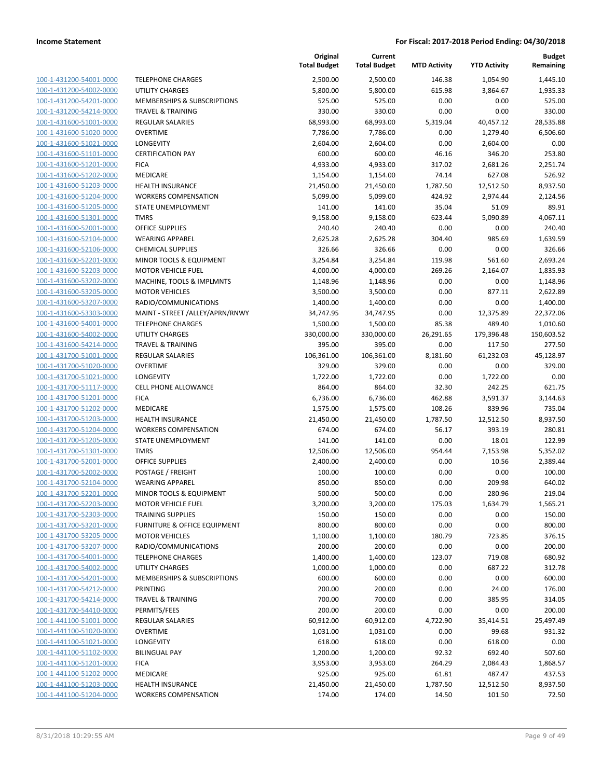| 100-1-431200-54001-0000                                   |
|-----------------------------------------------------------|
| 100-1-431200-54002-0000                                   |
| 100-1-431200-54201-0000                                   |
| 100-1-431200-54214-0000                                   |
| 100-1-431600-51001-0000                                   |
| 100-1-431600-51020-0000                                   |
| 100-1-431600-51021-0000                                   |
| 100-1-431600-51101-0000                                   |
| 100-1-431600-51201-0000                                   |
| <u>100-1-431600-51202-0000</u><br>100-1-431600-51203-0000 |
| 100-1-431600-51204-0000                                   |
| 100-1-431600-51205-0000                                   |
| 100-1-431600-51301-0000                                   |
| <u>100-1-431600-52001-0000</u>                            |
| 100-1-431600-52104-0000                                   |
| 100-1-431600-52106-0000                                   |
| 100-1-431600-52201-0000                                   |
| 100-1-431600-52203-0000                                   |
| <u>100-1-431600-53202-0000</u>                            |
| 100-1-431600-53205-0000                                   |
| 100-1-431600-53207-0000                                   |
| 100-1-431600-53303-0000                                   |
| 100-1-431600-54001-0000                                   |
| <u>100-1-431600-54002-0000</u>                            |
| 100-1-431600-54214-0000                                   |
| 100-1-431700-51001-0000                                   |
| 100-1-431700-51020-0000                                   |
| 100-1-431700-51021-0000                                   |
| 100-1-431700-51117-0000                                   |
| 100-1-431700-51201-0000                                   |
| 100-1-431700-51202-0000                                   |
| 100-1-431700-51203-0000                                   |
| 100-1-431700-51204-0000                                   |
| 100-1-431700-51205-0000                                   |
| 100-1-431700-51301-0000                                   |
| 100-1-431700-52001-0000                                   |
| 100-1-431700-52002-0000                                   |
| 100-1-431700-52104-0000                                   |
| 100-1-431700-52201-0000                                   |
| 100-1-431700-52203-0000                                   |
| <u>100-1-431700-52303-0000</u>                            |
| 100-1-431700-53201-0000                                   |
| <u>100-1-431700-53205-0000</u>                            |
| 100-1-431700-53207-0000                                   |
| <u>100-1-431700-54001-0000</u>                            |
| <u>100-1-431700-54002-0000</u>                            |
| 100-1-431700-54201-0000                                   |
| <u>100-1-431700-54212-0000</u>                            |
| 100-1-431700-54214-0000                                   |
| <u>100-1-431700-54410-0000</u>                            |
| 100-1-441100-51001-0000                                   |
| 100-1-441100-51020-0000                                   |
| <u>100-1-441100-51021-0000</u>                            |
| 100-1-441100-51102-0000<br><u>100-1-441100-51201-0000</u> |
| <u>100-1-441100-51202-0000</u>                            |
| 100-1-441100-51203-0000                                   |
| 100-1-441100-51204-0000                                   |
|                                                           |

|                                                    |                                          | Original<br><b>Total Budget</b> | Current<br><b>Total Budget</b> | <b>MTD Activity</b> | <b>YTD Activity</b> | <b>Budget</b><br>Remaining |
|----------------------------------------------------|------------------------------------------|---------------------------------|--------------------------------|---------------------|---------------------|----------------------------|
| 100-1-431200-54001-0000                            | <b>TELEPHONE CHARGES</b>                 | 2,500.00                        | 2,500.00                       | 146.38              | 1,054.90            | 1,445.10                   |
| 100-1-431200-54002-0000                            | <b>UTILITY CHARGES</b>                   | 5,800.00                        | 5,800.00                       | 615.98              | 3,864.67            | 1,935.33                   |
| 100-1-431200-54201-0000                            | MEMBERSHIPS & SUBSCRIPTIONS              | 525.00                          | 525.00                         | 0.00                | 0.00                | 525.00                     |
| 100-1-431200-54214-0000                            | <b>TRAVEL &amp; TRAINING</b>             | 330.00                          | 330.00                         | 0.00                | 0.00                | 330.00                     |
| 100-1-431600-51001-0000                            | <b>REGULAR SALARIES</b>                  | 68,993.00                       | 68,993.00                      | 5,319.04            | 40,457.12           | 28,535.88                  |
| 100-1-431600-51020-0000                            | <b>OVERTIME</b>                          | 7,786.00                        | 7,786.00                       | 0.00                | 1,279.40            | 6,506.60                   |
| 100-1-431600-51021-0000                            | LONGEVITY                                | 2,604.00                        | 2,604.00                       | 0.00                | 2,604.00            | 0.00                       |
| 100-1-431600-51101-0000                            | <b>CERTIFICATION PAY</b>                 | 600.00                          | 600.00                         | 46.16               | 346.20              | 253.80                     |
| 100-1-431600-51201-0000                            | <b>FICA</b>                              | 4,933.00                        | 4,933.00                       | 317.02              | 2,681.26            | 2,251.74                   |
| 100-1-431600-51202-0000                            | MEDICARE                                 | 1,154.00                        | 1,154.00                       | 74.14               | 627.08              | 526.92                     |
| 100-1-431600-51203-0000                            | <b>HEALTH INSURANCE</b>                  | 21,450.00                       | 21,450.00                      | 1,787.50            | 12,512.50           | 8,937.50                   |
| 100-1-431600-51204-0000                            | <b>WORKERS COMPENSATION</b>              | 5,099.00                        | 5,099.00                       | 424.92              | 2,974.44            | 2,124.56                   |
| 100-1-431600-51205-0000                            | STATE UNEMPLOYMENT                       | 141.00                          | 141.00                         | 35.04               | 51.09               | 89.91                      |
| 100-1-431600-51301-0000                            | <b>TMRS</b>                              | 9,158.00                        | 9,158.00                       | 623.44              | 5,090.89            | 4,067.11                   |
| 100-1-431600-52001-0000                            | <b>OFFICE SUPPLIES</b>                   | 240.40                          | 240.40                         | 0.00                | 0.00                | 240.40                     |
| 100-1-431600-52104-0000                            | <b>WEARING APPAREL</b>                   | 2,625.28                        | 2,625.28                       | 304.40              | 985.69              | 1,639.59                   |
| 100-1-431600-52106-0000                            | <b>CHEMICAL SUPPLIES</b>                 | 326.66                          | 326.66                         | 0.00                | 0.00                | 326.66                     |
| 100-1-431600-52201-0000                            | MINOR TOOLS & EQUIPMENT                  | 3,254.84                        | 3,254.84                       | 119.98              | 561.60              | 2,693.24                   |
| 100-1-431600-52203-0000                            | <b>MOTOR VEHICLE FUEL</b>                | 4,000.00                        | 4,000.00                       | 269.26              | 2,164.07            | 1,835.93                   |
| 100-1-431600-53202-0000                            | MACHINE, TOOLS & IMPLMNTS                | 1,148.96                        | 1,148.96                       | 0.00                | 0.00                | 1,148.96                   |
| 100-1-431600-53205-0000                            | <b>MOTOR VEHICLES</b>                    | 3,500.00                        | 3,500.00                       | 0.00                | 877.11              | 2,622.89                   |
| 100-1-431600-53207-0000                            | RADIO/COMMUNICATIONS                     | 1,400.00                        | 1,400.00                       | 0.00                | 0.00                | 1,400.00                   |
| 100-1-431600-53303-0000                            | MAINT - STREET /ALLEY/APRN/RNWY          | 34,747.95                       | 34,747.95                      | 0.00                | 12,375.89           | 22,372.06                  |
| 100-1-431600-54001-0000                            | <b>TELEPHONE CHARGES</b>                 | 1,500.00                        | 1,500.00                       | 85.38               | 489.40              | 1,010.60                   |
| 100-1-431600-54002-0000                            | <b>UTILITY CHARGES</b>                   | 330,000.00                      | 330,000.00                     | 26,291.65           | 179,396.48          | 150,603.52                 |
| 100-1-431600-54214-0000                            | TRAVEL & TRAINING                        | 395.00                          | 395.00                         | 0.00                | 117.50              | 277.50                     |
| 100-1-431700-51001-0000                            | <b>REGULAR SALARIES</b>                  | 106,361.00                      | 106,361.00                     | 8,181.60            | 61,232.03           | 45,128.97                  |
| 100-1-431700-51020-0000                            | <b>OVERTIME</b>                          | 329.00                          | 329.00                         | 0.00                | 0.00                | 329.00                     |
| 100-1-431700-51021-0000<br>100-1-431700-51117-0000 | LONGEVITY<br><b>CELL PHONE ALLOWANCE</b> | 1,722.00<br>864.00              | 1,722.00<br>864.00             | 0.00<br>32.30       | 1,722.00<br>242.25  | 0.00<br>621.75             |
| 100-1-431700-51201-0000                            | <b>FICA</b>                              | 6,736.00                        | 6,736.00                       | 462.88              | 3,591.37            | 3,144.63                   |
| 100-1-431700-51202-0000                            | MEDICARE                                 | 1,575.00                        | 1,575.00                       | 108.26              | 839.96              | 735.04                     |
| 100-1-431700-51203-0000                            | HEALTH INSURANCE                         | 21,450.00                       | 21,450.00                      | 1,787.50            | 12,512.50           | 8,937.50                   |
| 100-1-431700-51204-0000                            | <b>WORKERS COMPENSATION</b>              | 674.00                          | 674.00                         | 56.17               | 393.19              | 280.81                     |
| 100-1-431700-51205-0000                            | <b>STATE UNEMPLOYMENT</b>                | 141.00                          | 141.00                         | 0.00                | 18.01               | 122.99                     |
| 100-1-431700-51301-0000                            | <b>TMRS</b>                              | 12,506.00                       | 12,506.00                      | 954.44              | 7,153.98            | 5,352.02                   |
| 100-1-431700-52001-0000                            | <b>OFFICE SUPPLIES</b>                   | 2,400.00                        | 2,400.00                       | 0.00                | 10.56               | 2,389.44                   |
| 100-1-431700-52002-0000                            | POSTAGE / FREIGHT                        | 100.00                          | 100.00                         | 0.00                | 0.00                | 100.00                     |
| 100-1-431700-52104-0000                            | <b>WEARING APPAREL</b>                   | 850.00                          | 850.00                         | 0.00                | 209.98              | 640.02                     |
| 100-1-431700-52201-0000                            | MINOR TOOLS & EQUIPMENT                  | 500.00                          | 500.00                         | 0.00                | 280.96              | 219.04                     |
| 100-1-431700-52203-0000                            | <b>MOTOR VEHICLE FUEL</b>                | 3,200.00                        | 3,200.00                       | 175.03              | 1,634.79            | 1,565.21                   |
| 100-1-431700-52303-0000                            | <b>TRAINING SUPPLIES</b>                 | 150.00                          | 150.00                         | 0.00                | 0.00                | 150.00                     |
| 100-1-431700-53201-0000                            | FURNITURE & OFFICE EQUIPMENT             | 800.00                          | 800.00                         | 0.00                | 0.00                | 800.00                     |
| 100-1-431700-53205-0000                            | <b>MOTOR VEHICLES</b>                    | 1,100.00                        | 1,100.00                       | 180.79              | 723.85              | 376.15                     |
| 100-1-431700-53207-0000                            | RADIO/COMMUNICATIONS                     | 200.00                          | 200.00                         | 0.00                | 0.00                | 200.00                     |
| 100-1-431700-54001-0000                            | <b>TELEPHONE CHARGES</b>                 | 1,400.00                        | 1,400.00                       | 123.07              | 719.08              | 680.92                     |
| 100-1-431700-54002-0000                            | <b>UTILITY CHARGES</b>                   | 1,000.00                        | 1,000.00                       | 0.00                | 687.22              | 312.78                     |
| 100-1-431700-54201-0000                            | MEMBERSHIPS & SUBSCRIPTIONS              | 600.00                          | 600.00                         | 0.00                | 0.00                | 600.00                     |
| 100-1-431700-54212-0000                            | PRINTING                                 | 200.00                          | 200.00                         | 0.00                | 24.00               | 176.00                     |
| 100-1-431700-54214-0000                            | <b>TRAVEL &amp; TRAINING</b>             | 700.00                          | 700.00                         | 0.00                | 385.95              | 314.05                     |
| 100-1-431700-54410-0000                            | PERMITS/FEES                             | 200.00                          | 200.00                         | 0.00                | 0.00                | 200.00                     |
| 100-1-441100-51001-0000                            | <b>REGULAR SALARIES</b>                  | 60,912.00                       | 60,912.00                      | 4,722.90            | 35,414.51           | 25,497.49                  |
| 100-1-441100-51020-0000                            | <b>OVERTIME</b>                          | 1,031.00                        | 1,031.00                       | 0.00                | 99.68               | 931.32                     |
| 100-1-441100-51021-0000                            | LONGEVITY                                | 618.00                          | 618.00                         | 0.00                | 618.00              | 0.00                       |
| 100-1-441100-51102-0000                            | <b>BILINGUAL PAY</b>                     | 1,200.00                        | 1,200.00                       | 92.32               | 692.40              | 507.60                     |
| 100-1-441100-51201-0000                            | <b>FICA</b>                              | 3,953.00                        | 3,953.00                       | 264.29              | 2,084.43            | 1,868.57                   |
| 100-1-441100-51202-0000                            | MEDICARE                                 | 925.00                          | 925.00                         | 61.81               | 487.47              | 437.53                     |
| 100-1-441100-51203-0000                            | <b>HEALTH INSURANCE</b>                  | 21,450.00                       | 21,450.00                      | 1,787.50            | 12,512.50           | 8,937.50                   |
| 100-1-441100-51204-0000                            | <b>WORKERS COMPENSATION</b>              | 174.00                          | 174.00                         | 14.50               | 101.50              | 72.50                      |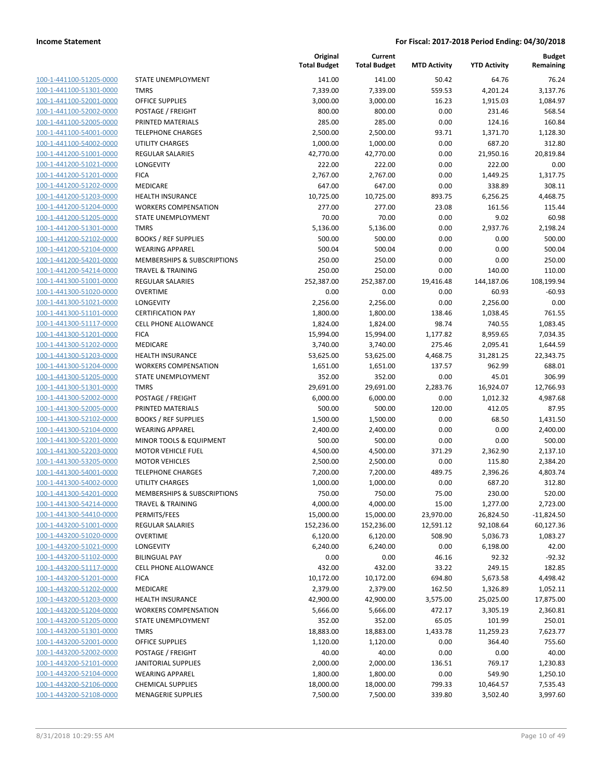100-1-441100-51205-0000 100-1-441100-51301-0000 100-1-441100-52001-0000 100-1-441100-52002-0000 100-1-441100-52005-0000 100-1-441100-54001-0000 100-1-441100-54002-0000 100-1-441200-51001-0000 100-1-441200-51021-0000 100-1-441200-51201-0000 100-1-441200-51202-0000 100-1-441200-51203-0000 100-1-441200-51204-0000 100-1-441200-51205-0000 100-1-441200-51301-0000 100-1-441200-52102-0000 100-1-441200-52104-0000 100-1-441200-54201-0000 100-1-441200-54214-0000 100-1-441300-51001-0000 100-1-441300-51020-0000 100-1-441300-51021-0000 LONGEVITY 2,256.00 2,256.00 0.00 2,256.00 0.00 100-1-441300-51101-0000 100-1-441300-51117-0000 100-1-441300-51201-0000 100-1-441300-51202-0000 100-1-441300-51203-0000 100-1-441300-51204-0000 100-1-441300-51205-0000 100-1-441300-51301-0000 100-1-441300-52002-0000 100-1-441300-52005-0000 100-1-441300-52102-0000 100-1-441300-52104-0000 100-1-441300-52201-0000 100-1-441300-52203-0000 100-1-441300-53205-0000 100-1-441300-54001-0000 100-1-441300-54002-0000 100-1-441300-54201-0000 100-1-441300-54214-0000 100-1-441300-54410-0000 100-1-443200-51001-0000 100-1-443200-51020-0000 100-1-443200-51021-0000 LONGEVITY 6,240.00 6,240.00 0.00 6,198.00 42.00 100-1-443200-51102-0000 100-1-443200-51117-0000 100-1-443200-51201-0000 100-1-443200-51202-0000 100-1-443200-51203-0000 100-1-443200-51204-0000 100-1-443200-51205-0000 100-1-443200-51301-0000 100-1-443200-52001-0000 100-1-443200-52002-0000 100-1-443200-52101-0000 100-1-443200-52104-0000 100-1-443200-52106-0000 100-1-443200-52108-0000

|                              | Original<br><b>Total Budget</b> | Current<br><b>Total Budget</b> | <b>MTD Activity</b> | <b>YTD Activity</b> | <b>Budget</b><br>Remaining |
|------------------------------|---------------------------------|--------------------------------|---------------------|---------------------|----------------------------|
| STATE UNEMPLOYMENT           | 141.00                          | 141.00                         | 50.42               | 64.76               | 76.24                      |
| <b>TMRS</b>                  | 7,339.00                        | 7,339.00                       | 559.53              | 4,201.24            | 3,137.76                   |
| <b>OFFICE SUPPLIES</b>       | 3,000.00                        | 3,000.00                       | 16.23               | 1,915.03            | 1,084.97                   |
| POSTAGE / FREIGHT            | 800.00                          | 800.00                         | 0.00                | 231.46              | 568.54                     |
| PRINTED MATERIALS            | 285.00                          | 285.00                         | 0.00                | 124.16              | 160.84                     |
| <b>TELEPHONE CHARGES</b>     | 2,500.00                        | 2,500.00                       | 93.71               | 1,371.70            | 1,128.30                   |
| <b>UTILITY CHARGES</b>       | 1,000.00                        | 1,000.00                       | 0.00                | 687.20              | 312.80                     |
| <b>REGULAR SALARIES</b>      | 42,770.00                       | 42,770.00                      | 0.00                | 21,950.16           | 20,819.84                  |
| LONGEVITY                    | 222.00                          | 222.00                         | 0.00                | 222.00              | 0.00                       |
| <b>FICA</b>                  | 2,767.00                        | 2,767.00                       | 0.00                | 1,449.25            | 1,317.75                   |
| <b>MEDICARE</b>              | 647.00                          | 647.00                         | 0.00                | 338.89              | 308.11                     |
| HEALTH INSURANCE             | 10,725.00                       | 10,725.00                      | 893.75              | 6,256.25            | 4,468.75                   |
| <b>WORKERS COMPENSATION</b>  | 277.00                          | 277.00                         | 23.08               | 161.56              | 115.44                     |
| STATE UNEMPLOYMENT           | 70.00                           | 70.00                          | 0.00                | 9.02                | 60.98                      |
| <b>TMRS</b>                  | 5,136.00                        | 5,136.00                       | 0.00                | 2,937.76            | 2,198.24                   |
| <b>BOOKS / REF SUPPLIES</b>  | 500.00                          | 500.00                         | 0.00                | 0.00                | 500.00                     |
| <b>WEARING APPAREL</b>       | 500.04                          | 500.04                         | 0.00                | 0.00                | 500.04                     |
| MEMBERSHIPS & SUBSCRIPTIONS  | 250.00                          | 250.00                         | 0.00                | 0.00                | 250.00                     |
| <b>TRAVEL &amp; TRAINING</b> | 250.00                          | 250.00                         | 0.00                | 140.00              | 110.00                     |
| <b>REGULAR SALARIES</b>      | 252,387.00                      | 252,387.00                     | 19,416.48           | 144,187.06          | 108,199.94                 |
| <b>OVERTIME</b>              | 0.00                            | 0.00                           | 0.00                | 60.93               | $-60.93$                   |
| <b>LONGEVITY</b>             | 2,256.00                        | 2,256.00                       | 0.00                | 2,256.00            | 0.00                       |
| <b>CERTIFICATION PAY</b>     | 1,800.00                        | 1,800.00                       | 138.46              | 1,038.45            | 761.55                     |
| CELL PHONE ALLOWANCE         | 1,824.00                        | 1,824.00                       | 98.74               | 740.55              | 1,083.45                   |
| <b>FICA</b>                  | 15,994.00                       | 15,994.00                      | 1,177.82            | 8,959.65            | 7,034.35                   |
| MEDICARE                     | 3,740.00                        | 3,740.00                       | 275.46              | 2,095.41            | 1,644.59                   |
| <b>HEALTH INSURANCE</b>      | 53,625.00                       | 53,625.00                      | 4,468.75            | 31,281.25           | 22,343.75                  |
| <b>WORKERS COMPENSATION</b>  | 1,651.00                        | 1,651.00                       | 137.57              | 962.99              | 688.01                     |
| STATE UNEMPLOYMENT           | 352.00                          | 352.00                         | 0.00                | 45.01               | 306.99                     |
| <b>TMRS</b>                  | 29,691.00                       | 29,691.00                      | 2,283.76            | 16,924.07           | 12,766.93                  |
| POSTAGE / FREIGHT            | 6,000.00                        | 6,000.00                       | 0.00                | 1,012.32            | 4,987.68                   |
| PRINTED MATERIALS            | 500.00                          | 500.00                         | 120.00              | 412.05              | 87.95                      |
| <b>BOOKS / REF SUPPLIES</b>  | 1,500.00                        | 1,500.00                       | 0.00                | 68.50               | 1,431.50                   |
| <b>WEARING APPAREL</b>       | 2,400.00                        | 2,400.00                       | 0.00                | 0.00                | 2,400.00                   |
| MINOR TOOLS & EQUIPMENT      | 500.00                          | 500.00                         | 0.00                | 0.00                | 500.00                     |
| <b>MOTOR VEHICLE FUEL</b>    | 4,500.00                        | 4,500.00                       | 371.29              | 2,362.90            | 2,137.10                   |
| <b>MOTOR VEHICLES</b>        | 2,500.00                        | 2,500.00                       | 0.00                | 115.80              | 2,384.20                   |
| <b>TELEPHONE CHARGES</b>     | 7,200.00                        | 7,200.00                       | 489.75              | 2,396.26            | 4,803.74                   |
| UTILITY CHARGES              | 1,000.00                        | 1,000.00                       | 0.00                | 687.20              | 312.80                     |
| MEMBERSHIPS & SUBSCRIPTIONS  | 750.00                          | 750.00                         | 75.00               | 230.00              | 520.00                     |
| <b>TRAVEL &amp; TRAINING</b> | 4,000.00                        | 4,000.00                       | 15.00               | 1,277.00            | 2,723.00                   |
| PERMITS/FEES                 | 15,000.00                       | 15,000.00                      | 23,970.00           | 26,824.50           | $-11,824.50$               |
| <b>REGULAR SALARIES</b>      | 152,236.00                      | 152,236.00                     | 12,591.12           | 92,108.64           | 60,127.36                  |
| <b>OVERTIME</b>              | 6,120.00                        | 6,120.00                       | 508.90              | 5,036.73            | 1,083.27                   |
| LONGEVITY                    | 6,240.00                        | 6,240.00                       | 0.00                | 6,198.00            | 42.00                      |
| <b>BILINGUAL PAY</b>         | 0.00                            | 0.00                           | 46.16               | 92.32               | $-92.32$                   |
| CELL PHONE ALLOWANCE         | 432.00                          | 432.00                         | 33.22               | 249.15              | 182.85                     |
| <b>FICA</b>                  | 10,172.00                       | 10,172.00                      | 694.80              | 5,673.58            | 4,498.42                   |
| MEDICARE                     | 2,379.00                        | 2,379.00                       | 162.50              | 1,326.89            | 1,052.11                   |
| <b>HEALTH INSURANCE</b>      | 42,900.00                       | 42,900.00                      | 3,575.00            | 25,025.00           | 17,875.00                  |
| <b>WORKERS COMPENSATION</b>  | 5,666.00                        | 5,666.00                       | 472.17              | 3,305.19            | 2,360.81                   |
| STATE UNEMPLOYMENT           | 352.00                          | 352.00                         | 65.05               | 101.99              | 250.01                     |
| <b>TMRS</b>                  | 18,883.00                       | 18,883.00                      | 1,433.78            | 11,259.23           | 7,623.77                   |
| <b>OFFICE SUPPLIES</b>       | 1,120.00                        | 1,120.00                       | 0.00                | 364.40              | 755.60                     |
| POSTAGE / FREIGHT            | 40.00                           | 40.00                          | 0.00                | 0.00                | 40.00                      |
| <b>JANITORIAL SUPPLIES</b>   | 2,000.00                        | 2,000.00                       | 136.51              | 769.17              | 1,230.83                   |
| <b>WEARING APPAREL</b>       | 1,800.00                        | 1,800.00                       | 0.00                | 549.90              | 1,250.10                   |
| <b>CHEMICAL SUPPLIES</b>     | 18,000.00                       | 18,000.00                      | 799.33              | 10,464.57           | 7,535.43                   |
| <b>MENAGERIE SUPPLIES</b>    | 7,500.00                        | 7,500.00                       | 339.80              | 3,502.40            | 3,997.60                   |
|                              |                                 |                                |                     |                     |                            |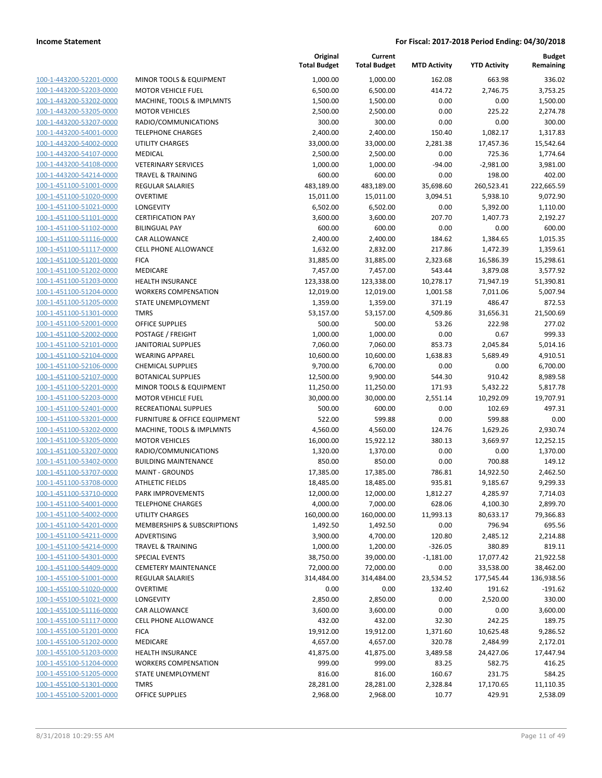100-1-443200-52201-0000 100-1-443200-52203-0000 100-1-443200-53202-0000 100-1-443200-53205-0000 100-1-443200-53207-0000 100-1-443200-54001-0000 100-1-443200-54002-0000 100-1-443200-54107-0000 100-1-443200-54108-0000 100-1-443200-54214-0000 100-1-451100-51001-0000 100-1-451100-51020-0000 100-1-451100-51021-0000 100-1-451100-51101-0000 100-1-451100-51102-0000 100-1-451100-51116-0000 100-1-451100-51117-0000 100-1-451100-51201-0000 100-1-451100-51202-0000 100-1-451100-51203-0000 100-1-451100-51204-0000 100-1-451100-51205-0000 100-1-451100-51301-0000 100-1-451100-52001-0000 100-1-451100-52002-0000 100-1-451100-52101-0000 100-1-451100-52104-0000 100-1-451100-52106-0000 100-1-451100-52107-0000 100-1-451100-52201-0000 100-1-451100-52203-0000 100-1-451100-52401-0000 100-1-451100-53201-0000 100-1-451100-53202-0000 100-1-451100-53205-0000 100-1-451100-53207-0000 100-1-451100-53402-0000 100-1-451100-53707-0000 100-1-451100-53708-0000 100-1-451100-53710-0000 100-1-451100-54001-0000 100-1-451100-54002-0000 100-1-451100-54201-0000 100-1-451100-54211-0000 100-1-451100-54214-0000 100-1-451100-54301-0000 100-1-451100-54409-0000 100-1-455100-51001-0000 100-1-455100-51020-0000 100-1-455100-51021-0000 100-1-455100-51116-0000 100-1-455100-51117-0000 100-1-455100-51201-0000 100-1-455100-51202-0000 100-1-455100-51203-0000 100-1-455100-51204-0000 100-1-455100-51205-0000 100-1-455100-51301-0000 100-1-455100-52001-0000

|                              | Original            | Current             |                     |                     | <b>Budget</b> |
|------------------------------|---------------------|---------------------|---------------------|---------------------|---------------|
|                              | <b>Total Budget</b> | <b>Total Budget</b> | <b>MTD Activity</b> | <b>YTD Activity</b> | Remaining     |
| MINOR TOOLS & EQUIPMENT      | 1,000.00            | 1,000.00            | 162.08              | 663.98              | 336.02        |
| <b>MOTOR VEHICLE FUEL</b>    | 6,500.00            | 6,500.00            | 414.72              | 2,746.75            | 3,753.25      |
| MACHINE, TOOLS & IMPLMNTS    | 1,500.00            | 1,500.00            | 0.00                | 0.00                | 1,500.00      |
| <b>MOTOR VEHICLES</b>        | 2,500.00            | 2,500.00            | 0.00                | 225.22              | 2,274.78      |
| RADIO/COMMUNICATIONS         | 300.00              | 300.00              | 0.00                | 0.00                | 300.00        |
| <b>TELEPHONE CHARGES</b>     | 2,400.00            | 2,400.00            | 150.40              | 1,082.17            | 1,317.83      |
| <b>UTILITY CHARGES</b>       | 33,000.00           | 33,000.00           | 2,281.38            | 17,457.36           | 15,542.64     |
| MEDICAL                      | 2,500.00            | 2,500.00            | 0.00                | 725.36              | 1,774.64      |
| <b>VETERINARY SERVICES</b>   | 1,000.00            | 1,000.00            | $-94.00$            | $-2,981.00$         | 3,981.00      |
| <b>TRAVEL &amp; TRAINING</b> | 600.00              | 600.00              | 0.00                | 198.00              | 402.00        |
| <b>REGULAR SALARIES</b>      | 483,189.00          | 483,189.00          | 35,698.60           | 260,523.41          | 222,665.59    |
| <b>OVERTIME</b>              | 15,011.00           | 15,011.00           | 3,094.51            | 5,938.10            | 9,072.90      |
| LONGEVITY                    | 6,502.00            | 6,502.00            | 0.00                | 5,392.00            | 1,110.00      |
| <b>CERTIFICATION PAY</b>     | 3,600.00            | 3,600.00            | 207.70              | 1,407.73            | 2,192.27      |
| <b>BILINGUAL PAY</b>         | 600.00              | 600.00              | 0.00                | 0.00                | 600.00        |
| CAR ALLOWANCE                | 2,400.00            | 2,400.00            | 184.62              | 1,384.65            | 1,015.35      |
| <b>CELL PHONE ALLOWANCE</b>  | 1,632.00            | 2,832.00            | 217.86              | 1,472.39            | 1,359.61      |
| <b>FICA</b>                  | 31,885.00           | 31,885.00           | 2,323.68            | 16,586.39           | 15,298.61     |
| <b>MEDICARE</b>              | 7,457.00            | 7,457.00            | 543.44              | 3,879.08            | 3,577.92      |
| <b>HEALTH INSURANCE</b>      | 123,338.00          | 123,338.00          | 10,278.17           | 71,947.19           | 51,390.81     |
| <b>WORKERS COMPENSATION</b>  | 12,019.00           | 12,019.00           | 1,001.58            | 7,011.06            | 5,007.94      |
| <b>STATE UNEMPLOYMENT</b>    | 1,359.00            | 1,359.00            | 371.19              | 486.47              | 872.53        |
| <b>TMRS</b>                  | 53,157.00           | 53,157.00           | 4,509.86            | 31,656.31           | 21,500.69     |
| <b>OFFICE SUPPLIES</b>       | 500.00              | 500.00              | 53.26               | 222.98              | 277.02        |
| POSTAGE / FREIGHT            | 1,000.00            | 1,000.00            | 0.00                | 0.67                | 999.33        |
| <b>JANITORIAL SUPPLIES</b>   | 7,060.00            | 7,060.00            | 853.73              | 2,045.84            | 5,014.16      |
| <b>WEARING APPAREL</b>       | 10,600.00           | 10,600.00           | 1,638.83            | 5,689.49            | 4,910.51      |
| <b>CHEMICAL SUPPLIES</b>     | 9,700.00            | 6,700.00            | 0.00                | 0.00                | 6,700.00      |
| <b>BOTANICAL SUPPLIES</b>    | 12,500.00           | 9,900.00            | 544.30              | 910.42              | 8,989.58      |
| MINOR TOOLS & EQUIPMENT      | 11,250.00           | 11,250.00           | 171.93              | 5,432.22            | 5,817.78      |
| <b>MOTOR VEHICLE FUEL</b>    | 30,000.00           | 30,000.00           | 2,551.14            | 10,292.09           | 19,707.91     |
| RECREATIONAL SUPPLIES        | 500.00              | 600.00              | 0.00                | 102.69              | 497.31        |
| FURNITURE & OFFICE EQUIPMENT | 522.00              | 599.88              | 0.00                | 599.88              | 0.00          |
| MACHINE, TOOLS & IMPLMNTS    | 4,560.00            | 4,560.00            | 124.76              | 1,629.26            | 2,930.74      |
| <b>MOTOR VEHICLES</b>        | 16,000.00           | 15,922.12           | 380.13              | 3,669.97            | 12,252.15     |
| RADIO/COMMUNICATIONS         | 1,320.00            | 1,370.00            | 0.00                | 0.00                | 1,370.00      |
| <b>BUILDING MAINTENANCE</b>  | 850.00              | 850.00              | 0.00                | 700.88              | 149.12        |
| <b>MAINT - GROUNDS</b>       | 17,385.00           | 17,385.00           | 786.81              | 14,922.50           | 2,462.50      |
| <b>ATHLETIC FIELDS</b>       | 18,485.00           | 18,485.00           | 935.81              | 9,185.67            | 9,299.33      |
| PARK IMPROVEMENTS            | 12,000.00           | 12,000.00           | 1,812.27            | 4,285.97            | 7,714.03      |
| <b>TELEPHONE CHARGES</b>     | 4,000.00            | 7,000.00            | 628.06              | 4,100.30            | 2,899.70      |
| UTILITY CHARGES              | 160,000.00          | 160,000.00          | 11,993.13           | 80,633.17           | 79,366.83     |
| MEMBERSHIPS & SUBSCRIPTIONS  | 1,492.50            | 1,492.50            | 0.00                | 796.94              | 695.56        |
| ADVERTISING                  | 3,900.00            | 4,700.00            | 120.80              | 2,485.12            | 2,214.88      |
| <b>TRAVEL &amp; TRAINING</b> | 1,000.00            | 1,200.00            | $-326.05$           | 380.89              | 819.11        |
| <b>SPECIAL EVENTS</b>        | 38,750.00           | 39,000.00           | $-1,181.00$         | 17,077.42           | 21,922.58     |
| <b>CEMETERY MAINTENANCE</b>  | 72,000.00           | 72,000.00           | 0.00                | 33,538.00           | 38,462.00     |
| REGULAR SALARIES             | 314,484.00          | 314,484.00          | 23,534.52           | 177,545.44          | 136,938.56    |
| <b>OVERTIME</b>              | 0.00                | 0.00                | 132.40              | 191.62              | $-191.62$     |
| LONGEVITY                    | 2,850.00            | 2,850.00            | 0.00                | 2,520.00            | 330.00        |
| CAR ALLOWANCE                | 3,600.00            | 3,600.00            | 0.00                | 0.00                | 3,600.00      |
| CELL PHONE ALLOWANCE         | 432.00              | 432.00              | 32.30               | 242.25              | 189.75        |
| <b>FICA</b>                  | 19,912.00           | 19,912.00           | 1,371.60            | 10,625.48           | 9,286.52      |
| MEDICARE                     | 4,657.00            | 4,657.00            | 320.78              | 2,484.99            | 2,172.01      |
| <b>HEALTH INSURANCE</b>      | 41,875.00           | 41,875.00           | 3,489.58            | 24,427.06           | 17,447.94     |
| <b>WORKERS COMPENSATION</b>  | 999.00              | 999.00              | 83.25               | 582.75              | 416.25        |
| STATE UNEMPLOYMENT           | 816.00              | 816.00              | 160.67              | 231.75              | 584.25        |
| <b>TMRS</b>                  | 28,281.00           | 28,281.00           | 2,328.84            | 17,170.65           | 11,110.35     |
| OFFICE SUPPLIES              | 2,968.00            | 2,968.00            | 10.77               | 429.91              | 2,538.09      |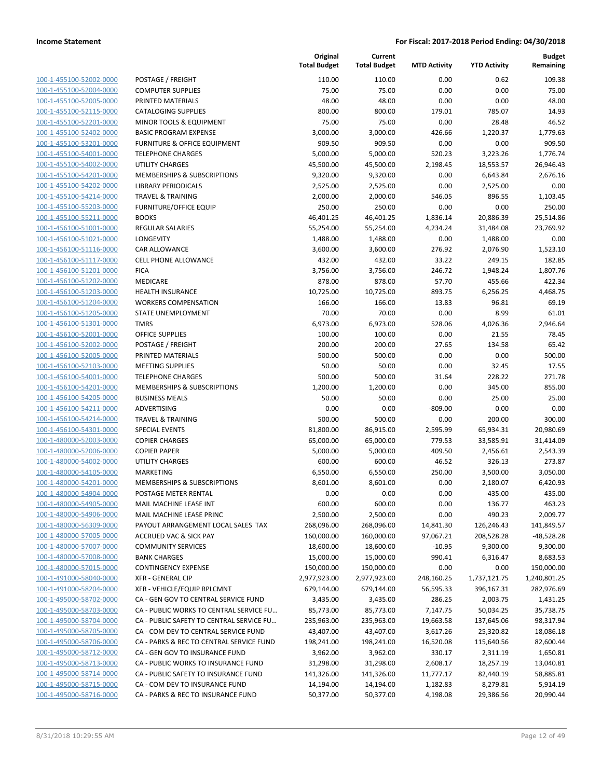100-1-455100-52002-0000 100-1-455100-52004-0000 100-1-455100-52005-0000 100-1-455100-52115-0000 100-1-455100-52201-0000 100-1-455100-52402-0000 100-1-455100-53201-0000 100-1-455100-54001-0000 100-1-455100-54002-0000 100-1-455100-54201-0000 100-1-455100-54202-0000 100-1-455100-54214-0000 100-1-455100-55203-0000 100-1-455100-55211-0000 100-1-456100-51001-0000 100-1-456100-51021-0000 100-1-456100-51116-0000 100-1-456100-51117-0000 100-1-456100-51201-0000 FICA 3,756.00 3,756.00 246.72 1,948.24 1,807.76 100-1-456100-51202-0000 100-1-456100-51203-0000 100-1-456100-51204-0000 100-1-456100-51205-0000 100-1-456100-51301-0000 100-1-456100-52001-0000 100-1-456100-52002-0000 100-1-456100-52005-0000 PRINTED MATERIALS 500.00 500.00 0.00 0.00 500.00 100-1-456100-52103-0000 100-1-456100-54001-0000 100-1-456100-54201-0000 100-1-456100-54205-0000 100-1-456100-54211-0000 100-1-456100-54214-0000 100-1-456100-54301-0000 100-1-480000-52003-0000 100-1-480000-52006-0000 100-1-480000-54002-0000 100-1-480000-54105-0000 100-1-480000-54201-0000 100-1-480000-54904-0000 100-1-480000-54905-0000 100-1-480000-54906-0000 100-1-480000-56309-0000 100-1-480000-57005-0000 100-1-480000-57007-0000 100-1-480000-57008-0000 100-1-480000-57015-0000 100-1-491000-58040-0000 100-1-491000-58204-0000 100-1-495000-58702-0000 100-1-495000-58703-0000 100-1-495000-58704-0000 100-1-495000-58705-0000 100-1-495000-58706-0000 100-1-495000-58712-0000 100-1-495000-58713-0000 100-1-495000-58714-0000 100-1-495000-58715-0000 100-1-495000-58716-0000

|                                             | Original<br><b>Total Budget</b> | Current<br><b>Total Budget</b> | <b>MTD Activity</b> | <b>YTD Activity</b> | <b>Budget</b><br>Remaining |
|---------------------------------------------|---------------------------------|--------------------------------|---------------------|---------------------|----------------------------|
| POSTAGE / FREIGHT                           | 110.00                          | 110.00                         | 0.00                | 0.62                | 109.38                     |
| <b>COMPUTER SUPPLIES</b>                    | 75.00                           | 75.00                          | 0.00                | 0.00                | 75.00                      |
| PRINTED MATERIALS                           | 48.00                           | 48.00                          | 0.00                | 0.00                | 48.00                      |
| <b>CATALOGING SUPPLIES</b>                  | 800.00                          | 800.00                         | 179.01              | 785.07              | 14.93                      |
| MINOR TOOLS & EQUIPMENT                     | 75.00                           | 75.00                          | 0.00                | 28.48               | 46.52                      |
| <b>BASIC PROGRAM EXPENSE</b>                | 3,000.00                        | 3,000.00                       | 426.66              | 1,220.37            | 1,779.63                   |
| FURNITURE & OFFICE EQUIPMENT                | 909.50                          | 909.50                         | 0.00                | 0.00                | 909.50                     |
| <b>TELEPHONE CHARGES</b>                    | 5,000.00                        | 5,000.00                       | 520.23              | 3,223.26            | 1,776.74                   |
| <b>UTILITY CHARGES</b>                      | 45,500.00                       | 45,500.00                      | 2,198.45            | 18,553.57           | 26,946.43                  |
| MEMBERSHIPS & SUBSCRIPTIONS                 | 9,320.00                        | 9,320.00                       | 0.00                | 6,643.84            | 2,676.16                   |
| <b>LIBRARY PERIODICALS</b>                  | 2,525.00                        | 2,525.00                       | 0.00                | 2,525.00            | 0.00                       |
| <b>TRAVEL &amp; TRAINING</b>                | 2,000.00                        | 2,000.00                       | 546.05              | 896.55              | 1,103.45                   |
| <b>FURNITURE/OFFICE EQUIP</b>               | 250.00                          | 250.00                         | 0.00                | 0.00                | 250.00                     |
| <b>BOOKS</b>                                | 46,401.25                       | 46,401.25                      | 1,836.14            | 20,886.39           | 25,514.86                  |
| <b>REGULAR SALARIES</b>                     | 55,254.00                       | 55,254.00                      | 4,234.24            | 31,484.08           | 23,769.92                  |
| LONGEVITY                                   | 1,488.00                        | 1,488.00                       | 0.00                | 1,488.00            | 0.00                       |
| CAR ALLOWANCE                               | 3,600.00                        | 3,600.00                       | 276.92              | 2,076.90            | 1,523.10                   |
| CELL PHONE ALLOWANCE                        | 432.00                          | 432.00                         | 33.22               | 249.15              | 182.85                     |
| <b>FICA</b>                                 | 3,756.00                        | 3,756.00                       | 246.72              | 1,948.24            | 1,807.76                   |
| <b>MEDICARE</b>                             | 878.00                          | 878.00                         | 57.70               | 455.66              | 422.34                     |
| <b>HEALTH INSURANCE</b>                     | 10,725.00                       | 10,725.00                      | 893.75              | 6,256.25            | 4,468.75                   |
| <b>WORKERS COMPENSATION</b>                 | 166.00                          | 166.00                         | 13.83               | 96.81               | 69.19                      |
| STATE UNEMPLOYMENT                          | 70.00                           | 70.00                          | 0.00                | 8.99                | 61.01                      |
| <b>TMRS</b>                                 | 6,973.00                        | 6,973.00                       | 528.06              | 4,026.36            | 2,946.64                   |
| <b>OFFICE SUPPLIES</b><br>POSTAGE / FREIGHT | 100.00<br>200.00                | 100.00<br>200.00               | 0.00<br>27.65       | 21.55<br>134.58     | 78.45<br>65.42             |
| PRINTED MATERIALS                           | 500.00                          | 500.00                         | 0.00                | 0.00                | 500.00                     |
| <b>MEETING SUPPLIES</b>                     | 50.00                           | 50.00                          | 0.00                | 32.45               | 17.55                      |
| <b>TELEPHONE CHARGES</b>                    | 500.00                          | 500.00                         | 31.64               | 228.22              | 271.78                     |
| MEMBERSHIPS & SUBSCRIPTIONS                 | 1,200.00                        | 1,200.00                       | 0.00                | 345.00              | 855.00                     |
| <b>BUSINESS MEALS</b>                       | 50.00                           | 50.00                          | 0.00                | 25.00               | 25.00                      |
| ADVERTISING                                 | 0.00                            | 0.00                           | $-809.00$           | 0.00                | 0.00                       |
| <b>TRAVEL &amp; TRAINING</b>                | 500.00                          | 500.00                         | 0.00                | 200.00              | 300.00                     |
| <b>SPECIAL EVENTS</b>                       | 81,800.00                       | 86,915.00                      | 2,595.99            | 65,934.31           | 20,980.69                  |
| <b>COPIER CHARGES</b>                       | 65,000.00                       | 65,000.00                      | 779.53              | 33,585.91           | 31,414.09                  |
| <b>COPIER PAPER</b>                         | 5,000.00                        | 5,000.00                       | 409.50              | 2,456.61            | 2,543.39                   |
| <b>UTILITY CHARGES</b>                      | 600.00                          | 600.00                         | 46.52               | 326.13              | 273.87                     |
| MARKETING                                   | 6,550.00                        | 6,550.00                       | 250.00              | 3,500.00            | 3,050.00                   |
| MEMBERSHIPS & SUBSCRIPTIONS                 | 8,601.00                        | 8,601.00                       | 0.00                | 2,180.07            | 6,420.93                   |
| POSTAGE METER RENTAL                        | 0.00                            | 0.00                           | 0.00                | $-435.00$           | 435.00                     |
| MAIL MACHINE LEASE INT                      | 600.00                          | 600.00                         | 0.00                | 136.77              | 463.23                     |
| MAIL MACHINE LEASE PRINC                    | 2,500.00                        | 2,500.00                       | 0.00                | 490.23              | 2,009.77                   |
| PAYOUT ARRANGEMENT LOCAL SALES TAX          | 268,096.00                      | 268,096.00                     | 14,841.30           | 126,246.43          | 141,849.57                 |
| <b>ACCRUED VAC &amp; SICK PAY</b>           | 160,000.00                      | 160,000.00                     | 97,067.21           | 208,528.28          | $-48,528.28$               |
| <b>COMMUNITY SERVICES</b>                   | 18,600.00                       | 18,600.00                      | $-10.95$            | 9,300.00            | 9,300.00                   |
| <b>BANK CHARGES</b>                         | 15,000.00                       | 15,000.00                      | 990.41              | 6,316.47            | 8,683.53                   |
| <b>CONTINGENCY EXPENSE</b>                  | 150,000.00                      | 150,000.00                     | 0.00                | 0.00                | 150,000.00                 |
| <b>XFR - GENERAL CIP</b>                    | 2,977,923.00                    | 2,977,923.00                   | 248,160.25          | 1,737,121.75        | 1,240,801.25               |
| XFR - VEHICLE/EQUIP RPLCMNT                 | 679,144.00                      | 679,144.00                     | 56,595.33           | 396,167.31          | 282,976.69                 |
| CA - GEN GOV TO CENTRAL SERVICE FUND        | 3,435.00                        | 3,435.00                       | 286.25              | 2,003.75            | 1,431.25                   |
| CA - PUBLIC WORKS TO CENTRAL SERVICE FU     | 85,773.00                       | 85,773.00                      | 7,147.75            | 50,034.25           | 35,738.75                  |
| CA - PUBLIC SAFETY TO CENTRAL SERVICE FU    | 235,963.00                      | 235,963.00                     | 19,663.58           | 137,645.06          | 98,317.94                  |
| CA - COM DEV TO CENTRAL SERVICE FUND        | 43,407.00                       | 43,407.00                      | 3,617.26            | 25,320.82           | 18,086.18                  |
| CA - PARKS & REC TO CENTRAL SERVICE FUND    | 198,241.00                      | 198,241.00                     | 16,520.08           | 115,640.56          | 82,600.44                  |
| CA - GEN GOV TO INSURANCE FUND              | 3,962.00                        | 3,962.00                       | 330.17              | 2,311.19            | 1,650.81                   |
| CA - PUBLIC WORKS TO INSURANCE FUND         | 31,298.00                       | 31,298.00                      | 2,608.17            | 18,257.19           | 13,040.81                  |
| CA - PUBLIC SAFETY TO INSURANCE FUND        | 141,326.00                      | 141,326.00                     | 11,777.17           | 82,440.19           | 58,885.81                  |
| CA - COM DEV TO INSURANCE FUND              | 14,194.00                       | 14,194.00                      | 1,182.83            | 8,279.81            | 5,914.19                   |
| CA - PARKS & REC TO INSURANCE FUND          | 50,377.00                       | 50,377.00                      | 4,198.08            | 29,386.56           | 20,990.44                  |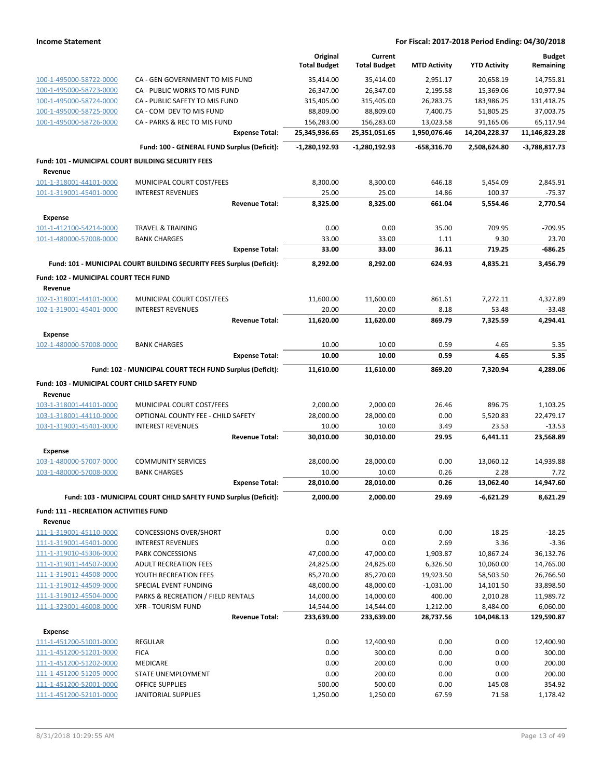|                                                    |                                                                       | Original<br><b>Total Budget</b> | Current<br><b>Total Budget</b> | <b>MTD Activity</b> | <b>YTD Activity</b> | <b>Budget</b><br>Remaining |
|----------------------------------------------------|-----------------------------------------------------------------------|---------------------------------|--------------------------------|---------------------|---------------------|----------------------------|
| 100-1-495000-58722-0000                            | CA - GEN GOVERNMENT TO MIS FUND                                       | 35,414.00                       | 35,414.00                      | 2,951.17            | 20,658.19           | 14,755.81                  |
| 100-1-495000-58723-0000                            | CA - PUBLIC WORKS TO MIS FUND                                         | 26,347.00                       | 26,347.00                      | 2,195.58            | 15,369.06           | 10,977.94                  |
| 100-1-495000-58724-0000                            | CA - PUBLIC SAFETY TO MIS FUND                                        | 315,405.00                      | 315,405.00                     | 26,283.75           | 183,986.25          | 131,418.75                 |
| 100-1-495000-58725-0000                            | CA - COM DEV TO MIS FUND                                              | 88,809.00                       | 88,809.00                      | 7,400.75            | 51,805.25           | 37,003.75                  |
| 100-1-495000-58726-0000                            | CA - PARKS & REC TO MIS FUND                                          | 156,283.00                      | 156,283.00                     | 13,023.58           | 91,165.06           | 65,117.94                  |
|                                                    | <b>Expense Total:</b>                                                 | 25,345,936.65                   | 25,351,051.65                  | 1,950,076.46        | 14,204,228.37       | 11,146,823.28              |
|                                                    | Fund: 100 - GENERAL FUND Surplus (Deficit):                           | $-1,280,192.93$                 | -1,280,192.93                  | -658,316.70         | 2,508,624.80        | -3,788,817.73              |
| Fund: 101 - MUNICIPAL COURT BUILDING SECURITY FEES |                                                                       |                                 |                                |                     |                     |                            |
| Revenue<br>101-1-318001-44101-0000                 |                                                                       |                                 |                                |                     |                     |                            |
| 101-1-319001-45401-0000                            | MUNICIPAL COURT COST/FEES<br><b>INTEREST REVENUES</b>                 | 8,300.00<br>25.00               | 8,300.00<br>25.00              | 646.18<br>14.86     | 5,454.09<br>100.37  | 2,845.91<br>$-75.37$       |
|                                                    | <b>Revenue Total:</b>                                                 | 8,325.00                        | 8,325.00                       | 661.04              | 5,554.46            | 2,770.54                   |
|                                                    |                                                                       |                                 |                                |                     |                     |                            |
| Expense<br>101-1-412100-54214-0000                 | <b>TRAVEL &amp; TRAINING</b>                                          | 0.00                            | 0.00                           | 35.00               | 709.95              | -709.95                    |
| 101-1-480000-57008-0000                            | <b>BANK CHARGES</b>                                                   | 33.00                           | 33.00                          | 1.11                | 9.30                | 23.70                      |
|                                                    | <b>Expense Total:</b>                                                 | 33.00                           | 33.00                          | 36.11               | 719.25              | -686.25                    |
|                                                    | Fund: 101 - MUNICIPAL COURT BUILDING SECURITY FEES Surplus (Deficit): | 8,292.00                        | 8,292.00                       | 624.93              | 4,835.21            | 3,456.79                   |
| Fund: 102 - MUNICIPAL COURT TECH FUND              |                                                                       |                                 |                                |                     |                     |                            |
| Revenue                                            |                                                                       |                                 |                                |                     |                     |                            |
| 102-1-318001-44101-0000<br>102-1-319001-45401-0000 | MUNICIPAL COURT COST/FEES<br><b>INTEREST REVENUES</b>                 | 11,600.00<br>20.00              | 11,600.00<br>20.00             | 861.61<br>8.18      | 7,272.11<br>53.48   | 4,327.89<br>$-33.48$       |
|                                                    | <b>Revenue Total:</b>                                                 | 11,620.00                       | 11,620.00                      | 869.79              | 7,325.59            | 4,294.41                   |
| Expense                                            |                                                                       |                                 |                                |                     |                     |                            |
| 102-1-480000-57008-0000                            | <b>BANK CHARGES</b>                                                   | 10.00                           | 10.00                          | 0.59                | 4.65                | 5.35                       |
|                                                    | <b>Expense Total:</b>                                                 | 10.00                           | 10.00                          | 0.59                | 4.65                | 5.35                       |
|                                                    | Fund: 102 - MUNICIPAL COURT TECH FUND Surplus (Deficit):              | 11,610.00                       | 11,610.00                      | 869.20              | 7,320.94            | 4,289.06                   |
| Fund: 103 - MUNICIPAL COURT CHILD SAFETY FUND      |                                                                       |                                 |                                |                     |                     |                            |
| Revenue                                            |                                                                       |                                 |                                |                     |                     |                            |
| 103-1-318001-44101-0000                            | MUNICIPAL COURT COST/FEES                                             | 2,000.00                        | 2,000.00                       | 26.46               | 896.75              | 1,103.25                   |
| 103-1-318001-44110-0000                            | OPTIONAL COUNTY FEE - CHILD SAFETY                                    | 28,000.00                       | 28,000.00                      | 0.00                | 5,520.83            | 22,479.17                  |
| 103-1-319001-45401-0000                            | <b>INTEREST REVENUES</b>                                              | 10.00                           | 10.00                          | 3.49                | 23.53               | $-13.53$                   |
|                                                    | <b>Revenue Total:</b>                                                 | 30,010.00                       | 30,010.00                      | 29.95               | 6,441.11            | 23,568.89                  |
| Expense                                            |                                                                       |                                 |                                |                     |                     |                            |
| 103-1-480000-57007-0000                            | <b>COMMUNITY SERVICES</b>                                             | 28,000.00                       | 28,000.00                      | 0.00                | 13,060.12           | 14,939.88                  |
| 103-1-480000-57008-0000                            | <b>BANK CHARGES</b>                                                   | 10.00                           | 10.00                          | 0.26                | 2.28                | 7.72                       |
|                                                    | <b>Expense Total:</b>                                                 | 28,010.00                       | 28,010.00                      | 0.26                | 13,062.40           | 14,947.60                  |
|                                                    | Fund: 103 - MUNICIPAL COURT CHILD SAFETY FUND Surplus (Deficit):      | 2,000.00                        | 2,000.00                       | 29.69               | -6,621.29           | 8,621.29                   |
| <b>Fund: 111 - RECREATION ACTIVITIES FUND</b>      |                                                                       |                                 |                                |                     |                     |                            |
| Revenue                                            |                                                                       |                                 |                                |                     |                     |                            |
| 111-1-319001-45110-0000<br>111-1-319001-45401-0000 | <b>CONCESSIONS OVER/SHORT</b><br><b>INTEREST REVENUES</b>             | 0.00<br>0.00                    | 0.00<br>0.00                   | 0.00<br>2.69        | 18.25<br>3.36       | $-18.25$<br>$-3.36$        |
| 111-1-319010-45306-0000                            | PARK CONCESSIONS                                                      | 47,000.00                       | 47,000.00                      | 1,903.87            | 10,867.24           | 36,132.76                  |
| 111-1-319011-44507-0000                            | <b>ADULT RECREATION FEES</b>                                          | 24,825.00                       | 24,825.00                      | 6,326.50            | 10,060.00           | 14,765.00                  |
| 111-1-319011-44508-0000                            | YOUTH RECREATION FEES                                                 | 85,270.00                       | 85,270.00                      | 19,923.50           | 58,503.50           | 26,766.50                  |
| 111-1-319012-44509-0000                            | SPECIAL EVENT FUNDING                                                 | 48,000.00                       | 48,000.00                      | $-1,031.00$         | 14,101.50           | 33,898.50                  |
| 111-1-319012-45504-0000                            | PARKS & RECREATION / FIELD RENTALS                                    | 14,000.00                       | 14,000.00                      | 400.00              | 2,010.28            | 11,989.72                  |
| 111-1-323001-46008-0000                            | <b>XFR - TOURISM FUND</b>                                             | 14,544.00                       | 14,544.00                      | 1,212.00            | 8,484.00            | 6,060.00                   |
|                                                    | <b>Revenue Total:</b>                                                 | 233,639.00                      | 233,639.00                     | 28,737.56           | 104,048.13          | 129,590.87                 |
| <b>Expense</b>                                     |                                                                       |                                 |                                |                     |                     |                            |
| 111-1-451200-51001-0000                            | <b>REGULAR</b>                                                        | 0.00                            | 12,400.90                      | 0.00                | 0.00                | 12,400.90                  |
| 111-1-451200-51201-0000                            | <b>FICA</b>                                                           | 0.00                            | 300.00                         | 0.00                | 0.00                | 300.00                     |
| 111-1-451200-51202-0000                            | MEDICARE                                                              | 0.00                            | 200.00                         | 0.00                | 0.00                | 200.00                     |
| 111-1-451200-51205-0000                            | STATE UNEMPLOYMENT                                                    | 0.00                            | 200.00                         | 0.00                | 0.00                | 200.00                     |
| 111-1-451200-52001-0000<br>111-1-451200-52101-0000 | <b>OFFICE SUPPLIES</b><br><b>JANITORIAL SUPPLIES</b>                  | 500.00<br>1,250.00              | 500.00<br>1,250.00             | 0.00<br>67.59       | 145.08<br>71.58     | 354.92<br>1,178.42         |
|                                                    |                                                                       |                                 |                                |                     |                     |                            |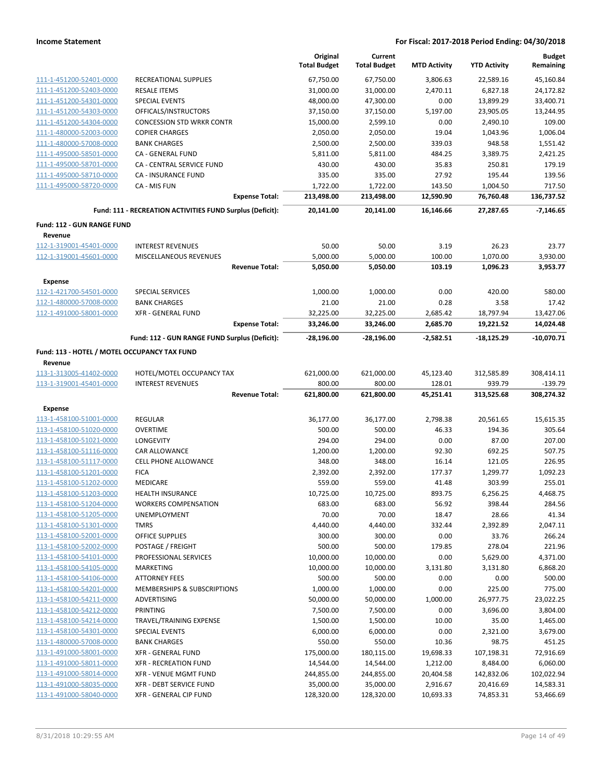|                                                    |                                                           | Original<br><b>Total Budget</b> | Current<br><b>Total Budget</b> | <b>MTD Activity</b>  | <b>YTD Activity</b>    | <b>Budget</b><br>Remaining |
|----------------------------------------------------|-----------------------------------------------------------|---------------------------------|--------------------------------|----------------------|------------------------|----------------------------|
| 111-1-451200-52401-0000                            | <b>RECREATIONAL SUPPLIES</b>                              | 67,750.00                       | 67,750.00                      | 3,806.63             | 22,589.16              | 45,160.84                  |
| 111-1-451200-52403-0000                            | <b>RESALE ITEMS</b>                                       | 31,000.00                       | 31,000.00                      | 2,470.11             | 6,827.18               | 24,172.82                  |
| 111-1-451200-54301-0000                            | <b>SPECIAL EVENTS</b>                                     | 48,000.00                       | 47,300.00                      | 0.00                 | 13,899.29              | 33,400.71                  |
| 111-1-451200-54303-0000                            | OFFICALS/INSTRUCTORS                                      | 37,150.00                       | 37,150.00                      | 5,197.00             | 23,905.05              | 13,244.95                  |
| 111-1-451200-54304-0000                            | <b>CONCESSION STD WRKR CONTR</b>                          | 15,000.00                       | 2,599.10                       | 0.00                 | 2,490.10               | 109.00                     |
| 111-1-480000-52003-0000                            | <b>COPIER CHARGES</b>                                     | 2,050.00                        | 2,050.00                       | 19.04                | 1,043.96               | 1,006.04                   |
| 111-1-480000-57008-0000                            | <b>BANK CHARGES</b>                                       | 2,500.00                        | 2,500.00                       | 339.03               | 948.58                 | 1,551.42                   |
| 111-1-495000-58501-0000                            | CA - GENERAL FUND                                         | 5,811.00                        | 5,811.00                       | 484.25               | 3,389.75               | 2,421.25                   |
| 111-1-495000-58701-0000                            | CA - CENTRAL SERVICE FUND                                 | 430.00                          | 430.00                         | 35.83                | 250.81                 | 179.19                     |
| 111-1-495000-58710-0000                            | <b>CA - INSURANCE FUND</b>                                | 335.00                          | 335.00                         | 27.92                | 195.44                 | 139.56                     |
| 111-1-495000-58720-0000                            | CA - MIS FUN                                              | 1,722.00                        | 1,722.00                       | 143.50               | 1,004.50               | 717.50                     |
|                                                    | <b>Expense Total:</b>                                     | 213,498.00                      | 213,498.00                     | 12,590.90            | 76,760.48              | 136,737.52                 |
|                                                    | Fund: 111 - RECREATION ACTIVITIES FUND Surplus (Deficit): | 20,141.00                       | 20,141.00                      | 16,146.66            | 27,287.65              | $-7,146.65$                |
| Fund: 112 - GUN RANGE FUND                         |                                                           |                                 |                                |                      |                        |                            |
| Revenue                                            |                                                           |                                 |                                |                      |                        |                            |
| 112-1-319001-45401-0000                            | <b>INTEREST REVENUES</b>                                  | 50.00                           | 50.00                          | 3.19                 | 26.23                  | 23.77                      |
| 112-1-319001-45601-0000                            | MISCELLANEOUS REVENUES                                    | 5,000.00                        | 5,000.00                       | 100.00               | 1,070.00               | 3,930.00                   |
|                                                    | <b>Revenue Total:</b>                                     | 5,050.00                        | 5,050.00                       | 103.19               | 1,096.23               | 3,953.77                   |
| <b>Expense</b>                                     |                                                           |                                 |                                |                      |                        |                            |
| 112-1-421700-54501-0000                            | SPECIAL SERVICES                                          | 1,000.00                        | 1,000.00                       | 0.00                 | 420.00                 | 580.00                     |
| 112-1-480000-57008-0000                            | <b>BANK CHARGES</b>                                       | 21.00                           | 21.00                          | 0.28                 | 3.58                   | 17.42                      |
| 112-1-491000-58001-0000                            | <b>XFR - GENERAL FUND</b><br><b>Expense Total:</b>        | 32,225.00<br>33,246.00          | 32,225.00<br>33,246.00         | 2,685.42<br>2,685.70 | 18,797.94<br>19,221.52 | 13,427.06<br>14,024.48     |
|                                                    | Fund: 112 - GUN RANGE FUND Surplus (Deficit):             | $-28,196.00$                    | $-28,196.00$                   | $-2,582.51$          | $-18,125.29$           | $-10,070.71$               |
| Fund: 113 - HOTEL / MOTEL OCCUPANCY TAX FUND       |                                                           |                                 |                                |                      |                        |                            |
| Revenue                                            |                                                           |                                 |                                |                      |                        |                            |
| 113-1-313005-41402-0000                            | HOTEL/MOTEL OCCUPANCY TAX                                 | 621,000.00                      | 621,000.00                     | 45,123.40            | 312,585.89             | 308,414.11                 |
| 113-1-319001-45401-0000                            | <b>INTEREST REVENUES</b>                                  | 800.00                          | 800.00                         | 128.01               | 939.79                 | $-139.79$                  |
|                                                    | <b>Revenue Total:</b>                                     | 621,800.00                      | 621,800.00                     | 45,251.41            | 313,525.68             | 308,274.32                 |
| <b>Expense</b>                                     |                                                           |                                 |                                |                      |                        |                            |
| 113-1-458100-51001-0000                            | <b>REGULAR</b>                                            | 36,177.00                       | 36,177.00                      | 2,798.38             | 20,561.65              | 15,615.35                  |
| 113-1-458100-51020-0000                            | <b>OVERTIME</b>                                           | 500.00                          | 500.00                         | 46.33                | 194.36                 | 305.64                     |
| 113-1-458100-51021-0000                            | <b>LONGEVITY</b>                                          | 294.00                          | 294.00                         | 0.00                 | 87.00                  | 207.00                     |
| 113-1-458100-51116-0000                            | CAR ALLOWANCE                                             | 1,200.00                        | 1,200.00                       | 92.30                | 692.25                 | 507.75                     |
| 113-1-458100-51117-0000                            | CELL PHONE ALLOWANCE                                      | 348.00                          | 348.00                         | 16.14                | 121.05                 | 226.95                     |
| 113-1-458100-51201-0000                            | <b>FICA</b>                                               | 2,392.00                        | 2,392.00                       | 177.37               | 1,299.77               | 1,092.23                   |
| 113-1-458100-51202-0000                            | MEDICARE<br><b>HEALTH INSURANCE</b>                       | 559.00<br>10,725.00             | 559.00<br>10,725.00            | 41.48<br>893.75      | 303.99<br>6,256.25     | 255.01<br>4,468.75         |
| 113-1-458100-51203-0000<br>113-1-458100-51204-0000 | <b>WORKERS COMPENSATION</b>                               | 683.00                          | 683.00                         | 56.92                | 398.44                 | 284.56                     |
| 113-1-458100-51205-0000                            | UNEMPLOYMENT                                              | 70.00                           | 70.00                          | 18.47                | 28.66                  | 41.34                      |
| 113-1-458100-51301-0000                            | <b>TMRS</b>                                               | 4,440.00                        | 4,440.00                       | 332.44               | 2,392.89               | 2,047.11                   |
| 113-1-458100-52001-0000                            | <b>OFFICE SUPPLIES</b>                                    | 300.00                          | 300.00                         | 0.00                 | 33.76                  | 266.24                     |
| 113-1-458100-52002-0000                            | POSTAGE / FREIGHT                                         | 500.00                          | 500.00                         | 179.85               | 278.04                 | 221.96                     |
| 113-1-458100-54101-0000                            | PROFESSIONAL SERVICES                                     | 10,000.00                       | 10,000.00                      | 0.00                 | 5,629.00               | 4,371.00                   |
| 113-1-458100-54105-0000                            | MARKETING                                                 | 10,000.00                       | 10,000.00                      | 3,131.80             | 3,131.80               | 6,868.20                   |
| 113-1-458100-54106-0000                            | <b>ATTORNEY FEES</b>                                      | 500.00                          | 500.00                         | 0.00                 | 0.00                   | 500.00                     |
| 113-1-458100-54201-0000                            | <b>MEMBERSHIPS &amp; SUBSCRIPTIONS</b>                    | 1,000.00                        | 1,000.00                       | 0.00                 | 225.00                 | 775.00                     |
| 113-1-458100-54211-0000                            | ADVERTISING                                               | 50,000.00                       | 50,000.00                      | 1,000.00             | 26,977.75              | 23,022.25                  |
| 113-1-458100-54212-0000                            | PRINTING                                                  | 7,500.00                        | 7,500.00                       | 0.00                 | 3,696.00               | 3,804.00                   |
| 113-1-458100-54214-0000                            | TRAVEL/TRAINING EXPENSE                                   | 1,500.00                        | 1,500.00                       | 10.00                | 35.00                  | 1,465.00                   |
| 113-1-458100-54301-0000                            | SPECIAL EVENTS                                            | 6,000.00                        | 6,000.00                       | 0.00                 | 2,321.00               | 3,679.00                   |
| 113-1-480000-57008-0000                            | <b>BANK CHARGES</b>                                       | 550.00                          | 550.00                         | 10.36                | 98.75                  | 451.25                     |
| 113-1-491000-58001-0000                            | XFR - GENERAL FUND                                        | 175,000.00                      | 180,115.00                     | 19,698.33            | 107,198.31             | 72,916.69                  |
| 113-1-491000-58011-0000                            | <b>XFR - RECREATION FUND</b>                              | 14,544.00                       | 14,544.00                      | 1,212.00             | 8,484.00               | 6,060.00                   |
| 113-1-491000-58014-0000                            | XFR - VENUE MGMT FUND                                     | 244,855.00                      | 244,855.00                     | 20,404.58            | 142,832.06             | 102,022.94                 |
| 113-1-491000-58035-0000                            | <b>XFR - DEBT SERVICE FUND</b>                            | 35,000.00                       | 35,000.00                      | 2,916.67             | 20,416.69              | 14,583.31                  |
| 113-1-491000-58040-0000                            | XFR - GENERAL CIP FUND                                    | 128,320.00                      | 128,320.00                     | 10,693.33            | 74,853.31              | 53,466.69                  |
|                                                    |                                                           |                                 |                                |                      |                        |                            |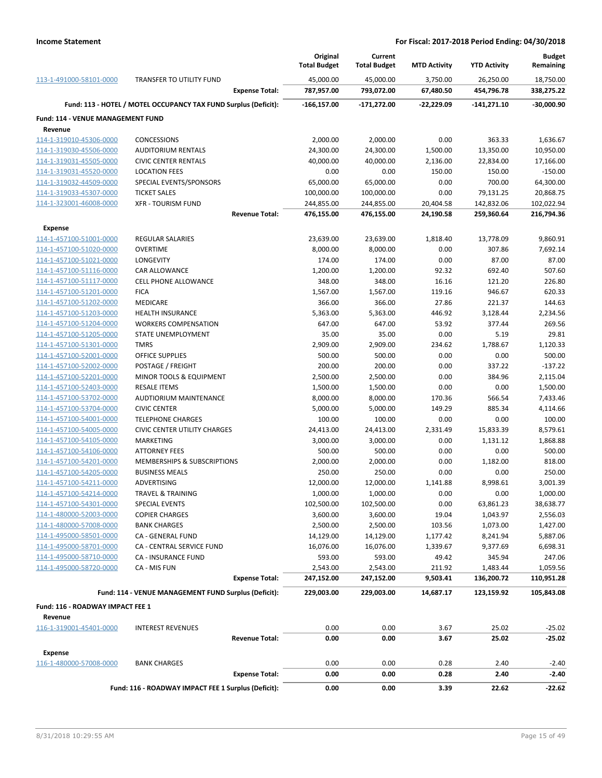|                                   |                                                                 | Original<br><b>Total Budget</b> | Current<br><b>Total Budget</b> | <b>MTD Activity</b> | <b>YTD Activity</b>   | <b>Budget</b><br>Remaining |
|-----------------------------------|-----------------------------------------------------------------|---------------------------------|--------------------------------|---------------------|-----------------------|----------------------------|
| 113-1-491000-58101-0000           | TRANSFER TO UTILITY FUND                                        | 45,000.00                       | 45,000.00                      | 3,750.00            | 26,250.00             | 18,750.00                  |
|                                   | <b>Expense Total:</b>                                           | 787,957.00                      | 793,072.00                     | 67,480.50           | 454,796.78            | 338,275.22                 |
|                                   | Fund: 113 - HOTEL / MOTEL OCCUPANCY TAX FUND Surplus (Deficit): | $-166, 157.00$                  | -171,272.00                    | $-22,229.09$        | $-141,271.10$         | $-30,000.90$               |
| Fund: 114 - VENUE MANAGEMENT FUND |                                                                 |                                 |                                |                     |                       |                            |
| Revenue                           |                                                                 |                                 |                                |                     |                       |                            |
| 114-1-319010-45306-0000           | <b>CONCESSIONS</b>                                              | 2,000.00                        | 2,000.00                       | 0.00                | 363.33                | 1,636.67                   |
| 114-1-319030-45506-0000           | <b>AUDITORIUM RENTALS</b>                                       | 24,300.00                       | 24,300.00                      | 1,500.00            | 13,350.00             | 10,950.00                  |
| 114-1-319031-45505-0000           | <b>CIVIC CENTER RENTALS</b>                                     | 40,000.00                       | 40,000.00                      | 2,136.00            | 22,834.00             | 17,166.00                  |
| 114-1-319031-45520-0000           | <b>LOCATION FEES</b>                                            | 0.00                            | 0.00                           | 150.00              | 150.00                | $-150.00$                  |
| 114-1-319032-44509-0000           | SPECIAL EVENTS/SPONSORS                                         | 65,000.00                       | 65,000.00                      | 0.00                | 700.00                | 64,300.00                  |
| 114-1-319033-45307-0000           | <b>TICKET SALES</b>                                             | 100,000.00                      | 100,000.00                     | 0.00                | 79,131.25             | 20,868.75                  |
| 114-1-323001-46008-0000           | <b>XFR - TOURISM FUND</b>                                       | 244,855.00                      | 244,855.00                     | 20,404.58           | 142,832.06            | 102,022.94                 |
|                                   | <b>Revenue Total:</b>                                           | 476,155.00                      | 476,155.00                     | 24,190.58           | 259,360.64            | 216,794.36                 |
| Expense                           |                                                                 |                                 |                                |                     |                       |                            |
| 114-1-457100-51001-0000           | <b>REGULAR SALARIES</b>                                         | 23,639.00                       | 23,639.00                      | 1,818.40            | 13,778.09             | 9,860.91                   |
| 114-1-457100-51020-0000           | OVERTIME                                                        | 8,000.00                        | 8,000.00                       | 0.00                | 307.86                | 7,692.14                   |
| 114-1-457100-51021-0000           | <b>LONGEVITY</b>                                                | 174.00                          | 174.00                         | 0.00                | 87.00                 | 87.00                      |
| 114-1-457100-51116-0000           | <b>CAR ALLOWANCE</b>                                            | 1,200.00                        | 1,200.00                       | 92.32               | 692.40                | 507.60                     |
| 114-1-457100-51117-0000           | <b>CELL PHONE ALLOWANCE</b>                                     | 348.00                          | 348.00                         | 16.16               | 121.20                | 226.80                     |
| 114-1-457100-51201-0000           | <b>FICA</b>                                                     | 1,567.00                        | 1,567.00                       | 119.16              | 946.67                | 620.33                     |
| 114-1-457100-51202-0000           | <b>MEDICARE</b>                                                 | 366.00                          | 366.00                         | 27.86               | 221.37                | 144.63                     |
| 114-1-457100-51203-0000           | <b>HEALTH INSURANCE</b>                                         | 5,363.00                        | 5,363.00                       | 446.92              | 3,128.44              | 2,234.56                   |
| 114-1-457100-51204-0000           | <b>WORKERS COMPENSATION</b>                                     | 647.00                          | 647.00                         | 53.92               | 377.44                | 269.56                     |
| 114-1-457100-51205-0000           | STATE UNEMPLOYMENT                                              | 35.00                           | 35.00                          | 0.00                | 5.19                  | 29.81                      |
| 114-1-457100-51301-0000           | <b>TMRS</b>                                                     | 2,909.00                        | 2,909.00                       | 234.62              | 1,788.67              | 1,120.33                   |
| 114-1-457100-52001-0000           | <b>OFFICE SUPPLIES</b>                                          | 500.00                          | 500.00                         | 0.00                | 0.00                  | 500.00                     |
| 114-1-457100-52002-0000           | POSTAGE / FREIGHT                                               | 200.00                          | 200.00                         | 0.00                | 337.22                | $-137.22$                  |
| 114-1-457100-52201-0000           | MINOR TOOLS & EQUIPMENT                                         | 2,500.00                        | 2,500.00                       | 0.00                | 384.96                | 2,115.04                   |
| 114-1-457100-52403-0000           | <b>RESALE ITEMS</b>                                             | 1,500.00                        | 1,500.00                       | 0.00                | 0.00                  | 1,500.00                   |
| 114-1-457100-53702-0000           | AUDTIORIUM MAINTENANCE                                          | 8,000.00                        | 8,000.00                       | 170.36              | 566.54                | 7,433.46                   |
| 114-1-457100-53704-0000           | <b>CIVIC CENTER</b>                                             | 5,000.00                        | 5,000.00                       | 149.29              | 885.34                | 4,114.66                   |
| 114-1-457100-54001-0000           | <b>TELEPHONE CHARGES</b>                                        | 100.00                          | 100.00                         | 0.00                | 0.00                  | 100.00                     |
| 114-1-457100-54005-0000           | <b>CIVIC CENTER UTILITY CHARGES</b>                             |                                 |                                |                     |                       |                            |
| 114-1-457100-54105-0000           | <b>MARKETING</b>                                                | 24,413.00<br>3,000.00           | 24,413.00<br>3,000.00          | 2,331.49<br>0.00    | 15,833.39<br>1,131.12 | 8,579.61<br>1,868.88       |
| 114-1-457100-54106-0000           | <b>ATTORNEY FEES</b>                                            | 500.00                          |                                | 0.00                |                       | 500.00                     |
| 114-1-457100-54201-0000           |                                                                 |                                 | 500.00                         |                     | 0.00                  |                            |
|                                   | MEMBERSHIPS & SUBSCRIPTIONS                                     | 2,000.00                        | 2,000.00                       | 0.00                | 1,182.00              | 818.00                     |
| 114-1-457100-54205-0000           | <b>BUSINESS MEALS</b>                                           | 250.00                          | 250.00                         | 0.00                | 0.00                  | 250.00                     |
| 114-1-457100-54211-0000           | ADVERTISING                                                     | 12,000.00                       | 12,000.00                      | 1,141.88            | 8,998.61              | 3,001.39                   |
| 114-1-457100-54214-0000           | TRAVEL & TRAINING                                               | 1,000.00                        | 1,000.00                       | 0.00                | 0.00                  | 1,000.00                   |
| 114-1-457100-54301-0000           | SPECIAL EVENTS                                                  | 102,500.00                      | 102,500.00                     | 0.00                | 63,861.23             | 38,638.77                  |
| 114-1-480000-52003-0000           | <b>COPIER CHARGES</b>                                           | 3,600.00                        | 3,600.00                       | 19.04               | 1,043.97              | 2,556.03                   |
| 114-1-480000-57008-0000           | <b>BANK CHARGES</b>                                             | 2,500.00                        | 2,500.00                       | 103.56              | 1,073.00              | 1,427.00                   |
| 114-1-495000-58501-0000           | CA - GENERAL FUND                                               | 14,129.00                       | 14,129.00                      | 1,177.42            | 8,241.94              | 5,887.06                   |
| 114-1-495000-58701-0000           | CA - CENTRAL SERVICE FUND                                       | 16,076.00                       | 16,076.00                      | 1,339.67            | 9,377.69              | 6,698.31                   |
| 114-1-495000-58710-0000           | CA - INSURANCE FUND                                             | 593.00                          | 593.00                         | 49.42               | 345.94                | 247.06                     |
| 114-1-495000-58720-0000           | CA - MIS FUN                                                    | 2,543.00                        | 2,543.00                       | 211.92              | 1,483.44              | 1,059.56                   |
|                                   | <b>Expense Total:</b>                                           | 247,152.00                      | 247,152.00                     | 9,503.41            | 136,200.72            | 110,951.28                 |
|                                   | Fund: 114 - VENUE MANAGEMENT FUND Surplus (Deficit):            | 229,003.00                      | 229,003.00                     | 14,687.17           | 123,159.92            | 105,843.08                 |
| Fund: 116 - ROADWAY IMPACT FEE 1  |                                                                 |                                 |                                |                     |                       |                            |
| Revenue                           |                                                                 |                                 |                                |                     |                       |                            |
| 116-1-319001-45401-0000           | <b>INTEREST REVENUES</b>                                        | 0.00                            | 0.00                           | 3.67                | 25.02                 | $-25.02$                   |
|                                   | <b>Revenue Total:</b>                                           | 0.00                            | 0.00                           | 3.67                | 25.02                 | $-25.02$                   |
| <b>Expense</b>                    |                                                                 |                                 |                                |                     |                       |                            |
| 116-1-480000-57008-0000           | <b>BANK CHARGES</b>                                             | 0.00                            | 0.00                           | 0.28                | 2.40                  | $-2.40$                    |
|                                   | <b>Expense Total:</b>                                           | 0.00                            | 0.00                           | 0.28                | 2.40                  | $-2.40$                    |
|                                   | Fund: 116 - ROADWAY IMPACT FEE 1 Surplus (Deficit):             | 0.00                            | 0.00                           | 3.39                | 22.62                 | $-22.62$                   |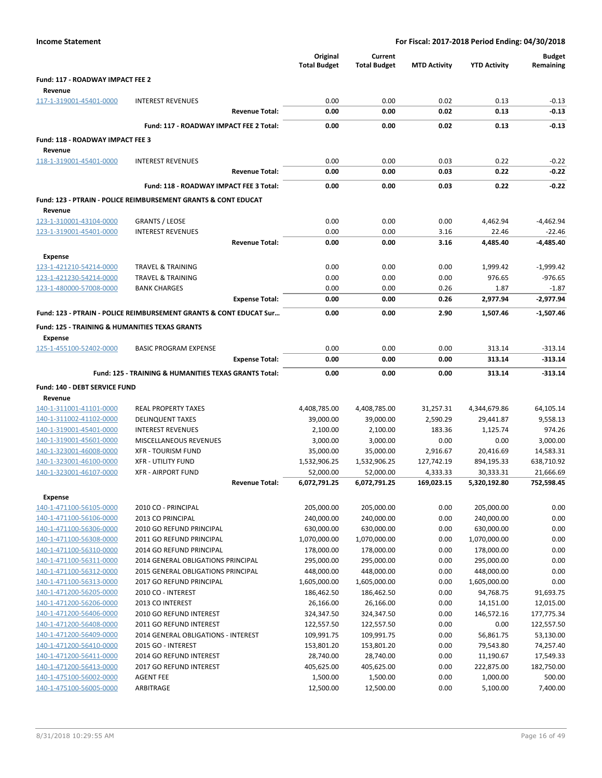| <b>Income Statement</b>                                   |                                                                           |                                 |                                | For Fiscal: 2017-2018 Period Ending: 04/30/2018 |                            |                            |
|-----------------------------------------------------------|---------------------------------------------------------------------------|---------------------------------|--------------------------------|-------------------------------------------------|----------------------------|----------------------------|
|                                                           |                                                                           | Original<br><b>Total Budget</b> | Current<br><b>Total Budget</b> | <b>MTD Activity</b>                             | <b>YTD Activity</b>        | <b>Budget</b><br>Remaining |
| Fund: 117 - ROADWAY IMPACT FEE 2                          |                                                                           |                                 |                                |                                                 |                            |                            |
| Revenue                                                   |                                                                           |                                 |                                |                                                 |                            |                            |
| 117-1-319001-45401-0000                                   | <b>INTEREST REVENUES</b>                                                  | 0.00                            | 0.00                           | 0.02                                            | 0.13                       | $-0.13$                    |
|                                                           | <b>Revenue Total:</b>                                                     | 0.00                            | 0.00                           | 0.02                                            | 0.13                       | $-0.13$                    |
|                                                           | Fund: 117 - ROADWAY IMPACT FEE 2 Total:                                   | 0.00                            | 0.00                           | 0.02                                            | 0.13                       | $-0.13$                    |
| Fund: 118 - ROADWAY IMPACT FEE 3                          |                                                                           |                                 |                                |                                                 |                            |                            |
| Revenue                                                   |                                                                           |                                 |                                |                                                 |                            |                            |
| 118-1-319001-45401-0000                                   | <b>INTEREST REVENUES</b>                                                  | 0.00                            | 0.00                           | 0.03                                            | 0.22                       | $-0.22$                    |
|                                                           | <b>Revenue Total:</b>                                                     | 0.00                            | 0.00                           | 0.03                                            | 0.22                       | $-0.22$                    |
|                                                           | Fund: 118 - ROADWAY IMPACT FEE 3 Total:                                   | 0.00                            | 0.00                           | 0.03                                            | 0.22                       | $-0.22$                    |
|                                                           | <b>Fund: 123 - PTRAIN - POLICE REIMBURSEMENT GRANTS &amp; CONT EDUCAT</b> |                                 |                                |                                                 |                            |                            |
| Revenue                                                   |                                                                           |                                 |                                |                                                 |                            |                            |
| 123-1-310001-43104-0000                                   | <b>GRANTS / LEOSE</b>                                                     | 0.00                            | 0.00                           | 0.00                                            | 4,462.94                   | $-4,462.94$                |
| 123-1-319001-45401-0000                                   | <b>INTEREST REVENUES</b>                                                  | 0.00                            | 0.00                           | 3.16                                            | 22.46                      | $-22.46$                   |
|                                                           | <b>Revenue Total:</b>                                                     | 0.00                            | 0.00                           | 3.16                                            | 4,485.40                   | -4,485.40                  |
| <b>Expense</b>                                            |                                                                           |                                 |                                |                                                 |                            |                            |
| 123-1-421210-54214-0000                                   | TRAVEL & TRAINING                                                         | 0.00                            | 0.00                           | 0.00                                            | 1,999.42                   | $-1,999.42$                |
| 123-1-421230-54214-0000                                   | <b>TRAVEL &amp; TRAINING</b>                                              | 0.00                            | 0.00                           | 0.00                                            | 976.65                     | $-976.65$                  |
| 123-1-480000-57008-0000                                   | <b>BANK CHARGES</b>                                                       | 0.00                            | 0.00                           | 0.26                                            | 1.87                       | $-1.87$                    |
|                                                           | <b>Expense Total:</b>                                                     | 0.00                            | 0.00                           | 0.26                                            | 2,977.94                   | $-2,977.94$                |
|                                                           | Fund: 123 - PTRAIN - POLICE REIMBURSEMENT GRANTS & CONT EDUCAT Sur        | 0.00                            | 0.00                           | 2.90                                            | 1,507.46                   | $-1.507.46$                |
| <b>Fund: 125 - TRAINING &amp; HUMANITIES TEXAS GRANTS</b> |                                                                           |                                 |                                |                                                 |                            |                            |
| <b>Expense</b>                                            |                                                                           |                                 |                                |                                                 |                            |                            |
| 125-1-455100-52402-0000                                   | <b>BASIC PROGRAM EXPENSE</b>                                              | 0.00                            | 0.00                           | 0.00                                            | 313.14                     | $-313.14$                  |
|                                                           | <b>Expense Total:</b>                                                     | 0.00                            | 0.00                           | 0.00                                            | 313.14                     | $-313.14$                  |
|                                                           | Fund: 125 - TRAINING & HUMANITIES TEXAS GRANTS Total:                     | 0.00                            | 0.00                           | 0.00                                            | 313.14                     | $-313.14$                  |
| <b>Fund: 140 - DEBT SERVICE FUND</b>                      |                                                                           |                                 |                                |                                                 |                            |                            |
| Revenue                                                   |                                                                           |                                 |                                |                                                 |                            |                            |
| 140-1-311001-41101-0000                                   | REAL PROPERTY TAXES                                                       | 4,408,785.00                    | 4,408,785.00                   | 31,257.31                                       | 4,344,679.86               | 64,105.14                  |
| 140-1-311002-41102-0000                                   | <b>DELINQUENT TAXES</b>                                                   | 39,000.00                       | 39,000.00                      | 2,590.29                                        | 29,441.87                  | 9,558.13                   |
| 140-1-319001-45401-0000                                   | <b>INTEREST REVENUES</b>                                                  | 2,100.00                        | 2,100.00                       | 183.36                                          | 1,125.74                   | 974.26                     |
| 140-1-319001-45601-0000                                   | MISCELLANEOUS REVENUES                                                    | 3,000.00                        | 3,000.00                       | 0.00                                            | 0.00                       | 3,000.00                   |
| 140-1-323001-46008-0000                                   | <b>XFR - TOURISM FUND</b>                                                 | 35,000.00                       | 35,000.00                      | 2,916.67                                        | 20,416.69                  | 14,583.31                  |
| 140-1-323001-46100-0000                                   | <b>XFR - UTILITY FUND</b>                                                 | 1,532,906.25                    | 1,532,906.25                   | 127,742.19                                      | 894,195.33                 | 638,710.92                 |
| 140-1-323001-46107-0000                                   | <b>XFR - AIRPORT FUND</b>                                                 | 52,000.00                       | 52,000.00                      | 4,333.33                                        | 30,333.31                  | 21,666.69                  |
|                                                           | <b>Revenue Total:</b>                                                     | 6,072,791.25                    | 6,072,791.25                   | 169,023.15                                      | 5,320,192.80               | 752,598.45                 |
| <b>Expense</b>                                            |                                                                           |                                 |                                |                                                 |                            |                            |
| 140-1-471100-56105-0000                                   | 2010 CO - PRINCIPAL                                                       | 205,000.00                      | 205,000.00                     | 0.00                                            | 205,000.00                 | 0.00                       |
| 140-1-471100-56106-0000                                   | 2013 CO PRINCIPAL                                                         | 240,000.00                      | 240,000.00                     | 0.00                                            | 240,000.00                 | 0.00                       |
| 140-1-471100-56306-0000                                   | 2010 GO REFUND PRINCIPAL                                                  | 630,000.00                      | 630,000.00                     | 0.00                                            | 630,000.00                 | 0.00                       |
| 140-1-471100-56308-0000                                   | 2011 GO REFUND PRINCIPAL                                                  | 1,070,000.00                    | 1,070,000.00                   | 0.00                                            | 1,070,000.00               | 0.00                       |
| 140-1-471100-56310-0000                                   | 2014 GO REFUND PRINCIPAL                                                  | 178,000.00                      | 178,000.00                     | 0.00                                            | 178,000.00                 | 0.00                       |
| 140-1-471100-56311-0000<br>140-1-471100-56312-0000        | 2014 GENERAL OBLIGATIONS PRINCIPAL<br>2015 GENERAL OBLIGATIONS PRINCIPAL  | 295,000.00                      | 295,000.00                     | 0.00                                            | 295,000.00                 | 0.00<br>0.00               |
| 140-1-471100-56313-0000                                   | 2017 GO REFUND PRINCIPAL                                                  | 448,000.00<br>1,605,000.00      | 448,000.00<br>1,605,000.00     | 0.00<br>0.00                                    | 448,000.00<br>1,605,000.00 | 0.00                       |
| 140-1-471200-56205-0000                                   | 2010 CO - INTEREST                                                        | 186,462.50                      | 186,462.50                     | 0.00                                            | 94,768.75                  | 91,693.75                  |
| 140-1-471200-56206-0000                                   | 2013 CO INTEREST                                                          | 26,166.00                       | 26,166.00                      | 0.00                                            | 14,151.00                  | 12,015.00                  |
| 140-1-471200-56406-0000                                   | 2010 GO REFUND INTEREST                                                   | 324,347.50                      | 324,347.50                     | 0.00                                            | 146,572.16                 | 177,775.34                 |
| 140-1-471200-56408-0000                                   | 2011 GO REFUND INTEREST                                                   | 122,557.50                      | 122,557.50                     | 0.00                                            | 0.00                       | 122,557.50                 |
| 140-1-471200-56409-0000                                   | 2014 GENERAL OBLIGATIONS - INTEREST                                       | 109,991.75                      | 109,991.75                     | 0.00                                            | 56,861.75                  | 53,130.00                  |
| 140-1-471200-56410-0000                                   | 2015 GO - INTEREST                                                        | 153,801.20                      | 153,801.20                     | 0.00                                            | 79,543.80                  | 74,257.40                  |
| 140-1-471200-56411-0000                                   | 2014 GO REFUND INTEREST                                                   | 28,740.00                       | 28,740.00                      | 0.00                                            | 11,190.67                  | 17,549.33                  |
| 140-1-471200-56413-0000                                   | 2017 GO REFUND INTEREST                                                   | 405,625.00                      | 405,625.00                     | 0.00                                            | 222,875.00                 | 182,750.00                 |
| 140-1-475100-56002-0000                                   | <b>AGENT FEE</b>                                                          | 1,500.00                        | 1,500.00                       | 0.00                                            | 1,000.00                   | 500.00                     |
| 140-1-475100-56005-0000                                   | ARBITRAGE                                                                 | 12,500.00                       | 12,500.00                      | 0.00                                            | 5,100.00                   | 7,400.00                   |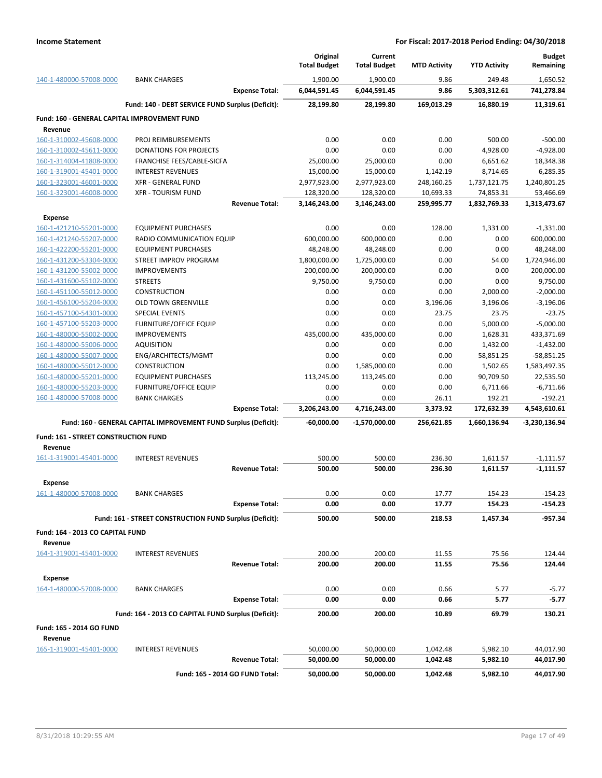|                                              |                                                                 | Original<br><b>Total Budget</b> | Current<br><b>Total Budget</b> | <b>MTD Activity</b>     | <b>YTD Activity</b>       | <b>Budget</b><br>Remaining |
|----------------------------------------------|-----------------------------------------------------------------|---------------------------------|--------------------------------|-------------------------|---------------------------|----------------------------|
| 140-1-480000-57008-0000                      | <b>BANK CHARGES</b>                                             | 1,900.00                        | 1,900.00                       | 9.86                    | 249.48                    | 1,650.52                   |
|                                              | <b>Expense Total:</b>                                           | 6,044,591.45                    | 6,044,591.45                   | 9.86                    | 5,303,312.61              | 741,278.84                 |
|                                              | Fund: 140 - DEBT SERVICE FUND Surplus (Deficit):                | 28,199.80                       | 28,199.80                      | 169,013.29              | 16,880.19                 | 11,319.61                  |
| Fund: 160 - GENERAL CAPITAL IMPROVEMENT FUND |                                                                 |                                 |                                |                         |                           |                            |
| Revenue                                      |                                                                 |                                 |                                |                         |                           |                            |
| 160-1-310002-45608-0000                      | PROJ REIMBURSEMENTS                                             | 0.00                            | 0.00                           | 0.00                    | 500.00                    | $-500.00$                  |
| 160-1-310002-45611-0000                      | <b>DONATIONS FOR PROJECTS</b>                                   | 0.00                            | 0.00                           | 0.00                    | 4,928.00                  | $-4,928.00$                |
| 160-1-314004-41808-0000                      | FRANCHISE FEES/CABLE-SICFA                                      | 25,000.00                       | 25,000.00                      | 0.00                    | 6,651.62                  | 18,348.38                  |
| 160-1-319001-45401-0000                      | <b>INTEREST REVENUES</b>                                        | 15,000.00                       | 15,000.00                      | 1,142.19                | 8,714.65                  | 6,285.35                   |
| 160-1-323001-46001-0000                      | <b>XFR - GENERAL FUND</b><br><b>XFR - TOURISM FUND</b>          | 2,977,923.00                    | 2,977,923.00                   | 248,160.25              | 1,737,121.75              | 1,240,801.25               |
| 160-1-323001-46008-0000                      | <b>Revenue Total:</b>                                           | 128,320.00<br>3,146,243.00      | 128,320.00<br>3,146,243.00     | 10,693.33<br>259,995.77 | 74,853.31<br>1,832,769.33 | 53,466.69<br>1,313,473.67  |
| <b>Expense</b>                               |                                                                 |                                 |                                |                         |                           |                            |
| 160-1-421210-55201-0000                      | <b>EQUIPMENT PURCHASES</b>                                      | 0.00                            | 0.00                           | 128.00                  | 1,331.00                  | $-1,331.00$                |
| 160-1-421240-55207-0000                      | RADIO COMMUNICATION EQUIP                                       | 600,000.00                      | 600,000.00                     | 0.00                    | 0.00                      | 600,000.00                 |
| 160-1-422200-55201-0000                      | <b>EQUIPMENT PURCHASES</b>                                      | 48,248.00                       | 48,248.00                      | 0.00                    | 0.00                      | 48,248.00                  |
| 160-1-431200-53304-0000                      | STREET IMPROV PROGRAM                                           | 1,800,000.00                    | 1,725,000.00                   | 0.00                    | 54.00                     | 1,724,946.00               |
| 160-1-431200-55002-0000                      | <b>IMPROVEMENTS</b>                                             | 200,000.00                      | 200,000.00                     | 0.00                    | 0.00                      | 200,000.00                 |
| 160-1-431600-55102-0000                      | <b>STREETS</b>                                                  | 9,750.00                        | 9,750.00                       | 0.00                    | 0.00                      | 9,750.00                   |
| 160-1-451100-55012-0000                      | <b>CONSTRUCTION</b>                                             | 0.00                            | 0.00                           | 0.00                    | 2,000.00                  | $-2,000.00$                |
| 160-1-456100-55204-0000                      | <b>OLD TOWN GREENVILLE</b>                                      | 0.00                            | 0.00                           | 3,196.06                | 3,196.06                  | $-3,196.06$                |
| 160-1-457100-54301-0000                      | <b>SPECIAL EVENTS</b>                                           | 0.00                            | 0.00                           | 23.75                   | 23.75                     | $-23.75$                   |
| 160-1-457100-55203-0000                      | <b>FURNITURE/OFFICE EQUIP</b>                                   | 0.00                            | 0.00                           | 0.00                    | 5,000.00                  | $-5,000.00$                |
| 160-1-480000-55002-0000                      | <b>IMPROVEMENTS</b>                                             | 435,000.00                      | 435,000.00                     | 0.00                    | 1,628.31                  | 433,371.69                 |
| 160-1-480000-55006-0000                      | <b>AQUISITION</b>                                               | 0.00                            | 0.00                           | 0.00                    | 1,432.00                  | $-1,432.00$                |
| 160-1-480000-55007-0000                      | ENG/ARCHITECTS/MGMT                                             | 0.00                            | 0.00                           | 0.00                    | 58,851.25                 | $-58,851.25$               |
| 160-1-480000-55012-0000                      | <b>CONSTRUCTION</b>                                             | 0.00                            | 1,585,000.00                   | 0.00                    | 1,502.65                  | 1,583,497.35               |
| 160-1-480000-55201-0000                      | <b>EQUIPMENT PURCHASES</b>                                      | 113,245.00                      | 113,245.00                     | 0.00                    | 90,709.50                 | 22,535.50                  |
| 160-1-480000-55203-0000                      | <b>FURNITURE/OFFICE EQUIP</b>                                   | 0.00                            | 0.00                           | 0.00                    | 6,711.66                  | $-6,711.66$                |
| 160-1-480000-57008-0000                      | <b>BANK CHARGES</b>                                             | 0.00                            | 0.00                           | 26.11                   | 192.21                    | $-192.21$                  |
|                                              | <b>Expense Total:</b>                                           | 3,206,243.00                    | 4,716,243.00                   | 3,373.92                | 172,632.39                | 4,543,610.61               |
|                                              | Fund: 160 - GENERAL CAPITAL IMPROVEMENT FUND Surplus (Deficit): | -60,000.00                      | -1,570,000.00                  | 256,621.85              | 1,660,136.94              | $-3,230,136.94$            |
| Fund: 161 - STREET CONSTRUCTION FUND         |                                                                 |                                 |                                |                         |                           |                            |
| Revenue                                      |                                                                 |                                 |                                |                         |                           |                            |
| 161-1-319001-45401-0000                      | <b>INTEREST REVENUES</b>                                        | 500.00                          | 500.00                         | 236.30                  | 1,611.57                  | $-1,111.57$                |
|                                              | <b>Revenue Total:</b>                                           | 500.00                          | 500.00                         | 236.30                  | 1,611.57                  | $-1,111.57$                |
| Expense                                      |                                                                 |                                 |                                |                         |                           |                            |
| 161-1-480000-57008-0000                      | <b>BANK CHARGES</b>                                             | 0.00                            | 0.00                           | 17.77                   | 154.23                    | $-154.23$                  |
|                                              | <b>Expense Total:</b>                                           | 0.00                            | 0.00                           | 17.77                   | 154.23                    | -154.23                    |
|                                              | Fund: 161 - STREET CONSTRUCTION FUND Surplus (Deficit):         | 500.00                          | 500.00                         | 218.53                  | 1,457.34                  | -957.34                    |
| Fund: 164 - 2013 CO CAPITAL FUND             |                                                                 |                                 |                                |                         |                           |                            |
| Revenue                                      |                                                                 |                                 |                                |                         |                           |                            |
| 164-1-319001-45401-0000                      | <b>INTEREST REVENUES</b>                                        | 200.00                          | 200.00                         | 11.55                   | 75.56                     | 124.44                     |
|                                              | <b>Revenue Total:</b>                                           | 200.00                          | 200.00                         | 11.55                   | 75.56                     | 124.44                     |
| <b>Expense</b>                               |                                                                 |                                 |                                |                         |                           |                            |
| 164-1-480000-57008-0000                      | <b>BANK CHARGES</b>                                             | 0.00                            | 0.00                           | 0.66                    | 5.77                      | $-5.77$                    |
|                                              | <b>Expense Total:</b>                                           | 0.00                            | 0.00                           | 0.66                    | 5.77                      | $-5.77$                    |
|                                              | Fund: 164 - 2013 CO CAPITAL FUND Surplus (Deficit):             | 200.00                          | 200.00                         | 10.89                   | 69.79                     | 130.21                     |
| Fund: 165 - 2014 GO FUND                     |                                                                 |                                 |                                |                         |                           |                            |
| Revenue                                      |                                                                 |                                 |                                |                         |                           |                            |
| 165-1-319001-45401-0000                      | <b>INTEREST REVENUES</b>                                        | 50,000.00                       | 50,000.00                      | 1,042.48                | 5,982.10                  | 44,017.90                  |
|                                              | <b>Revenue Total:</b>                                           | 50,000.00                       | 50,000.00                      | 1,042.48                | 5,982.10                  | 44,017.90                  |
|                                              | Fund: 165 - 2014 GO FUND Total:                                 | 50,000.00                       | 50,000.00                      | 1,042.48                | 5,982.10                  | 44,017.90                  |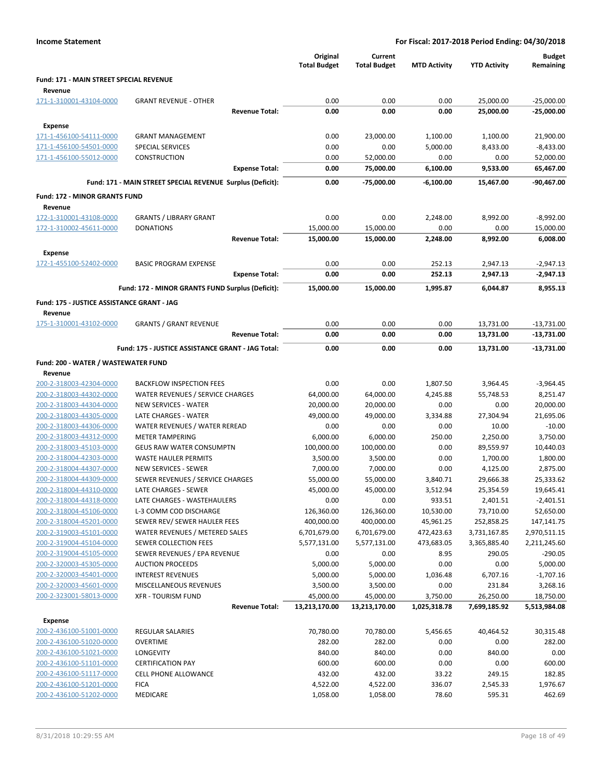| <b>Fund: 171 - MAIN STREET SPECIAL REVENUE</b><br>Revenue<br>171-1-310001-43104-0000<br>0.00<br>0.00<br>0.00<br>25,000.00<br><b>GRANT REVENUE - OTHER</b><br>0.00<br>0.00<br>0.00<br>25,000.00<br><b>Revenue Total:</b><br><b>Expense</b><br>171-1-456100-54111-0000<br>0.00<br>23,000.00<br><b>GRANT MANAGEMENT</b><br>1,100.00<br>1,100.00<br>171-1-456100-54501-0000<br><b>SPECIAL SERVICES</b><br>0.00<br>0.00<br>5,000.00<br>8,433.00<br>171-1-456100-55012-0000<br><b>CONSTRUCTION</b><br>0.00<br>52,000.00<br>0.00<br>0.00<br><b>Expense Total:</b><br>0.00<br>75,000.00<br>6,100.00<br>9,533.00<br>Fund: 171 - MAIN STREET SPECIAL REVENUE Surplus (Deficit):<br>0.00<br>-75,000.00<br>$-6,100.00$<br>15,467.00<br><b>Fund: 172 - MINOR GRANTS FUND</b><br>Revenue<br>172-1-310001-43108-0000<br><b>GRANTS / LIBRARY GRANT</b><br>0.00<br>0.00<br>8,992.00<br>2,248.00<br>172-1-310002-45611-0000<br><b>DONATIONS</b><br>15,000.00<br>15,000.00<br>0.00<br>0.00<br><b>Revenue Total:</b><br>15,000.00<br>15,000.00<br>2,248.00<br>8,992.00<br><b>Expense</b><br>172-1-455100-52402-0000<br><b>BASIC PROGRAM EXPENSE</b><br>0.00<br>0.00<br>252.13<br>2,947.13<br>252.13<br><b>Expense Total:</b><br>0.00<br>0.00<br>2,947.13<br>Fund: 172 - MINOR GRANTS FUND Surplus (Deficit):<br>15,000.00<br>15,000.00<br>1,995.87<br>6.044.87<br>Fund: 175 - JUSTICE ASSISTANCE GRANT - JAG<br>Revenue | $-25,000.00$<br>$-25,000.00$<br>21,900.00<br>$-8,433.00$<br>52,000.00<br>65,467.00<br>-90,467.00<br>$-8,992.00$<br>15,000.00<br>6,008.00<br>$-2,947.13$<br>$-2,947.13$<br>8,955.13<br>$-13,731.00$<br>-13,731.00 |
|-----------------------------------------------------------------------------------------------------------------------------------------------------------------------------------------------------------------------------------------------------------------------------------------------------------------------------------------------------------------------------------------------------------------------------------------------------------------------------------------------------------------------------------------------------------------------------------------------------------------------------------------------------------------------------------------------------------------------------------------------------------------------------------------------------------------------------------------------------------------------------------------------------------------------------------------------------------------------------------------------------------------------------------------------------------------------------------------------------------------------------------------------------------------------------------------------------------------------------------------------------------------------------------------------------------------------------------------------------------------------------------------------------|------------------------------------------------------------------------------------------------------------------------------------------------------------------------------------------------------------------|
|                                                                                                                                                                                                                                                                                                                                                                                                                                                                                                                                                                                                                                                                                                                                                                                                                                                                                                                                                                                                                                                                                                                                                                                                                                                                                                                                                                                                     |                                                                                                                                                                                                                  |
|                                                                                                                                                                                                                                                                                                                                                                                                                                                                                                                                                                                                                                                                                                                                                                                                                                                                                                                                                                                                                                                                                                                                                                                                                                                                                                                                                                                                     |                                                                                                                                                                                                                  |
|                                                                                                                                                                                                                                                                                                                                                                                                                                                                                                                                                                                                                                                                                                                                                                                                                                                                                                                                                                                                                                                                                                                                                                                                                                                                                                                                                                                                     |                                                                                                                                                                                                                  |
|                                                                                                                                                                                                                                                                                                                                                                                                                                                                                                                                                                                                                                                                                                                                                                                                                                                                                                                                                                                                                                                                                                                                                                                                                                                                                                                                                                                                     |                                                                                                                                                                                                                  |
|                                                                                                                                                                                                                                                                                                                                                                                                                                                                                                                                                                                                                                                                                                                                                                                                                                                                                                                                                                                                                                                                                                                                                                                                                                                                                                                                                                                                     |                                                                                                                                                                                                                  |
|                                                                                                                                                                                                                                                                                                                                                                                                                                                                                                                                                                                                                                                                                                                                                                                                                                                                                                                                                                                                                                                                                                                                                                                                                                                                                                                                                                                                     |                                                                                                                                                                                                                  |
|                                                                                                                                                                                                                                                                                                                                                                                                                                                                                                                                                                                                                                                                                                                                                                                                                                                                                                                                                                                                                                                                                                                                                                                                                                                                                                                                                                                                     |                                                                                                                                                                                                                  |
|                                                                                                                                                                                                                                                                                                                                                                                                                                                                                                                                                                                                                                                                                                                                                                                                                                                                                                                                                                                                                                                                                                                                                                                                                                                                                                                                                                                                     |                                                                                                                                                                                                                  |
|                                                                                                                                                                                                                                                                                                                                                                                                                                                                                                                                                                                                                                                                                                                                                                                                                                                                                                                                                                                                                                                                                                                                                                                                                                                                                                                                                                                                     |                                                                                                                                                                                                                  |
|                                                                                                                                                                                                                                                                                                                                                                                                                                                                                                                                                                                                                                                                                                                                                                                                                                                                                                                                                                                                                                                                                                                                                                                                                                                                                                                                                                                                     |                                                                                                                                                                                                                  |
|                                                                                                                                                                                                                                                                                                                                                                                                                                                                                                                                                                                                                                                                                                                                                                                                                                                                                                                                                                                                                                                                                                                                                                                                                                                                                                                                                                                                     |                                                                                                                                                                                                                  |
|                                                                                                                                                                                                                                                                                                                                                                                                                                                                                                                                                                                                                                                                                                                                                                                                                                                                                                                                                                                                                                                                                                                                                                                                                                                                                                                                                                                                     |                                                                                                                                                                                                                  |
|                                                                                                                                                                                                                                                                                                                                                                                                                                                                                                                                                                                                                                                                                                                                                                                                                                                                                                                                                                                                                                                                                                                                                                                                                                                                                                                                                                                                     |                                                                                                                                                                                                                  |
|                                                                                                                                                                                                                                                                                                                                                                                                                                                                                                                                                                                                                                                                                                                                                                                                                                                                                                                                                                                                                                                                                                                                                                                                                                                                                                                                                                                                     |                                                                                                                                                                                                                  |
|                                                                                                                                                                                                                                                                                                                                                                                                                                                                                                                                                                                                                                                                                                                                                                                                                                                                                                                                                                                                                                                                                                                                                                                                                                                                                                                                                                                                     |                                                                                                                                                                                                                  |
|                                                                                                                                                                                                                                                                                                                                                                                                                                                                                                                                                                                                                                                                                                                                                                                                                                                                                                                                                                                                                                                                                                                                                                                                                                                                                                                                                                                                     |                                                                                                                                                                                                                  |
|                                                                                                                                                                                                                                                                                                                                                                                                                                                                                                                                                                                                                                                                                                                                                                                                                                                                                                                                                                                                                                                                                                                                                                                                                                                                                                                                                                                                     |                                                                                                                                                                                                                  |
|                                                                                                                                                                                                                                                                                                                                                                                                                                                                                                                                                                                                                                                                                                                                                                                                                                                                                                                                                                                                                                                                                                                                                                                                                                                                                                                                                                                                     |                                                                                                                                                                                                                  |
|                                                                                                                                                                                                                                                                                                                                                                                                                                                                                                                                                                                                                                                                                                                                                                                                                                                                                                                                                                                                                                                                                                                                                                                                                                                                                                                                                                                                     |                                                                                                                                                                                                                  |
|                                                                                                                                                                                                                                                                                                                                                                                                                                                                                                                                                                                                                                                                                                                                                                                                                                                                                                                                                                                                                                                                                                                                                                                                                                                                                                                                                                                                     |                                                                                                                                                                                                                  |
| 175-1-310001-43102-0000<br><b>GRANTS / GRANT REVENUE</b><br>0.00<br>0.00<br>0.00<br>13,731.00<br>0.00<br>0.00<br>0.00<br><b>Revenue Total:</b><br>13,731.00                                                                                                                                                                                                                                                                                                                                                                                                                                                                                                                                                                                                                                                                                                                                                                                                                                                                                                                                                                                                                                                                                                                                                                                                                                         |                                                                                                                                                                                                                  |
|                                                                                                                                                                                                                                                                                                                                                                                                                                                                                                                                                                                                                                                                                                                                                                                                                                                                                                                                                                                                                                                                                                                                                                                                                                                                                                                                                                                                     |                                                                                                                                                                                                                  |
| Fund: 175 - JUSTICE ASSISTANCE GRANT - JAG Total:<br>0.00<br>0.00<br>0.00<br>13,731.00                                                                                                                                                                                                                                                                                                                                                                                                                                                                                                                                                                                                                                                                                                                                                                                                                                                                                                                                                                                                                                                                                                                                                                                                                                                                                                              | -13,731.00                                                                                                                                                                                                       |
| Fund: 200 - WATER / WASTEWATER FUND                                                                                                                                                                                                                                                                                                                                                                                                                                                                                                                                                                                                                                                                                                                                                                                                                                                                                                                                                                                                                                                                                                                                                                                                                                                                                                                                                                 |                                                                                                                                                                                                                  |
| Revenue<br>200-2-318003-42304-0000<br><b>BACKFLOW INSPECTION FEES</b><br>0.00<br>0.00<br>1,807.50<br>3,964.45                                                                                                                                                                                                                                                                                                                                                                                                                                                                                                                                                                                                                                                                                                                                                                                                                                                                                                                                                                                                                                                                                                                                                                                                                                                                                       | $-3,964.45$                                                                                                                                                                                                      |
| 200-2-318003-44302-0000<br>WATER REVENUES / SERVICE CHARGES<br>64,000.00<br>64,000.00<br>4,245.88<br>55,748.53                                                                                                                                                                                                                                                                                                                                                                                                                                                                                                                                                                                                                                                                                                                                                                                                                                                                                                                                                                                                                                                                                                                                                                                                                                                                                      | 8,251.47                                                                                                                                                                                                         |
| 200-2-318003-44304-0000<br><b>NEW SERVICES - WATER</b><br>20,000.00<br>20,000.00<br>0.00<br>0.00                                                                                                                                                                                                                                                                                                                                                                                                                                                                                                                                                                                                                                                                                                                                                                                                                                                                                                                                                                                                                                                                                                                                                                                                                                                                                                    | 20,000.00                                                                                                                                                                                                        |
| LATE CHARGES - WATER<br>49,000.00<br>200-2-318003-44305-0000<br>49,000.00<br>3,334.88<br>27,304.94                                                                                                                                                                                                                                                                                                                                                                                                                                                                                                                                                                                                                                                                                                                                                                                                                                                                                                                                                                                                                                                                                                                                                                                                                                                                                                  | 21,695.06                                                                                                                                                                                                        |
| 200-2-318003-44306-0000<br>WATER REVENUES / WATER REREAD<br>0.00<br>0.00<br>0.00<br>10.00                                                                                                                                                                                                                                                                                                                                                                                                                                                                                                                                                                                                                                                                                                                                                                                                                                                                                                                                                                                                                                                                                                                                                                                                                                                                                                           | $-10.00$                                                                                                                                                                                                         |
| 200-2-318003-44312-0000<br>6,000.00<br>250.00<br><b>METER TAMPERING</b><br>6,000.00<br>2,250.00                                                                                                                                                                                                                                                                                                                                                                                                                                                                                                                                                                                                                                                                                                                                                                                                                                                                                                                                                                                                                                                                                                                                                                                                                                                                                                     | 3,750.00                                                                                                                                                                                                         |
| 200-2-318003-45103-0000<br><b>GEUS RAW WATER CONSUMPTN</b><br>100,000.00<br>100,000.00<br>0.00<br>89,559.97                                                                                                                                                                                                                                                                                                                                                                                                                                                                                                                                                                                                                                                                                                                                                                                                                                                                                                                                                                                                                                                                                                                                                                                                                                                                                         | 10,440.03                                                                                                                                                                                                        |
| 200-2-318004-42303-0000<br>3,500.00<br>0.00<br>1,700.00<br><b>WASTE HAULER PERMITS</b><br>3,500.00                                                                                                                                                                                                                                                                                                                                                                                                                                                                                                                                                                                                                                                                                                                                                                                                                                                                                                                                                                                                                                                                                                                                                                                                                                                                                                  | 1,800.00                                                                                                                                                                                                         |
| <b>NEW SERVICES - SEWER</b><br>7,000.00<br>7,000.00<br>0.00<br>200-2-318004-44307-0000<br>4,125.00                                                                                                                                                                                                                                                                                                                                                                                                                                                                                                                                                                                                                                                                                                                                                                                                                                                                                                                                                                                                                                                                                                                                                                                                                                                                                                  | 2,875.00                                                                                                                                                                                                         |
| 200-2-318004-44309-0000<br>SEWER REVENUES / SERVICE CHARGES<br>55,000.00<br>55,000.00<br>3,840.71<br>29,666.38                                                                                                                                                                                                                                                                                                                                                                                                                                                                                                                                                                                                                                                                                                                                                                                                                                                                                                                                                                                                                                                                                                                                                                                                                                                                                      | 25,333.62                                                                                                                                                                                                        |
| LATE CHARGES - SEWER<br>45,000.00<br>45,000.00<br>3,512.94<br>25,354.59<br>200-2-318004-44310-0000<br>200-2-318004-44318-0000<br>0.00<br>0.00<br>2,401.51<br>LATE CHARGES - WASTEHAULERS<br>933.51                                                                                                                                                                                                                                                                                                                                                                                                                                                                                                                                                                                                                                                                                                                                                                                                                                                                                                                                                                                                                                                                                                                                                                                                  | 19,645.41<br>$-2,401.51$                                                                                                                                                                                         |
| 73,710.00<br>200-2-318004-45106-0000<br>L-3 COMM COD DISCHARGE<br>126,360.00<br>126,360.00<br>10,530.00                                                                                                                                                                                                                                                                                                                                                                                                                                                                                                                                                                                                                                                                                                                                                                                                                                                                                                                                                                                                                                                                                                                                                                                                                                                                                             | 52,650.00                                                                                                                                                                                                        |
| 200-2-318004-45201-0000<br>SEWER REV/ SEWER HAULER FEES<br>400,000.00<br>400,000.00<br>45,961.25<br>252,858.25                                                                                                                                                                                                                                                                                                                                                                                                                                                                                                                                                                                                                                                                                                                                                                                                                                                                                                                                                                                                                                                                                                                                                                                                                                                                                      | 147,141.75                                                                                                                                                                                                       |
| 200-2-319003-45101-0000<br>WATER REVENUES / METERED SALES<br>6,701,679.00<br>6,701,679.00<br>472,423.63<br>3,731,167.85                                                                                                                                                                                                                                                                                                                                                                                                                                                                                                                                                                                                                                                                                                                                                                                                                                                                                                                                                                                                                                                                                                                                                                                                                                                                             | 2,970,511.15                                                                                                                                                                                                     |
| 200-2-319004-45104-0000<br>SEWER COLLECTION FEES<br>5,577,131.00<br>5,577,131.00<br>473,683.05<br>3,365,885.40                                                                                                                                                                                                                                                                                                                                                                                                                                                                                                                                                                                                                                                                                                                                                                                                                                                                                                                                                                                                                                                                                                                                                                                                                                                                                      | 2,211,245.60                                                                                                                                                                                                     |
| 200-2-319004-45105-0000<br>SEWER REVENUES / EPA REVENUE<br>0.00<br>0.00<br>8.95<br>290.05                                                                                                                                                                                                                                                                                                                                                                                                                                                                                                                                                                                                                                                                                                                                                                                                                                                                                                                                                                                                                                                                                                                                                                                                                                                                                                           | $-290.05$                                                                                                                                                                                                        |
| 200-2-320003-45305-0000<br><b>AUCTION PROCEEDS</b><br>5,000.00<br>5,000.00<br>0.00<br>0.00                                                                                                                                                                                                                                                                                                                                                                                                                                                                                                                                                                                                                                                                                                                                                                                                                                                                                                                                                                                                                                                                                                                                                                                                                                                                                                          | 5,000.00                                                                                                                                                                                                         |
| <b>INTEREST REVENUES</b><br>5,000.00<br>5,000.00<br>1,036.48<br>6,707.16<br>200-2-320003-45401-0000                                                                                                                                                                                                                                                                                                                                                                                                                                                                                                                                                                                                                                                                                                                                                                                                                                                                                                                                                                                                                                                                                                                                                                                                                                                                                                 | $-1,707.16$                                                                                                                                                                                                      |
| 200-2-320003-45601-0000<br>MISCELLANEOUS REVENUES<br>3,500.00<br>3,500.00<br>0.00<br>231.84                                                                                                                                                                                                                                                                                                                                                                                                                                                                                                                                                                                                                                                                                                                                                                                                                                                                                                                                                                                                                                                                                                                                                                                                                                                                                                         | 3,268.16                                                                                                                                                                                                         |
| 200-2-323001-58013-0000<br><b>XFR - TOURISM FUND</b><br>45,000.00<br>45,000.00<br>3,750.00<br>26,250.00<br><b>Revenue Total:</b>                                                                                                                                                                                                                                                                                                                                                                                                                                                                                                                                                                                                                                                                                                                                                                                                                                                                                                                                                                                                                                                                                                                                                                                                                                                                    | 18,750.00                                                                                                                                                                                                        |
| 13,213,170.00<br>13,213,170.00<br>1,025,318.78<br>7,699,185.92                                                                                                                                                                                                                                                                                                                                                                                                                                                                                                                                                                                                                                                                                                                                                                                                                                                                                                                                                                                                                                                                                                                                                                                                                                                                                                                                      | 5,513,984.08                                                                                                                                                                                                     |
| <b>Expense</b>                                                                                                                                                                                                                                                                                                                                                                                                                                                                                                                                                                                                                                                                                                                                                                                                                                                                                                                                                                                                                                                                                                                                                                                                                                                                                                                                                                                      |                                                                                                                                                                                                                  |
| 200-2-436100-51001-0000<br>REGULAR SALARIES<br>70,780.00<br>70,780.00<br>5,456.65<br>40,464.52<br>200-2-436100-51020-0000                                                                                                                                                                                                                                                                                                                                                                                                                                                                                                                                                                                                                                                                                                                                                                                                                                                                                                                                                                                                                                                                                                                                                                                                                                                                           | 30,315.48                                                                                                                                                                                                        |
| <b>OVERTIME</b><br>282.00<br>282.00<br>0.00<br>0.00<br>200-2-436100-51021-0000<br><b>LONGEVITY</b><br>840.00<br>840.00<br>0.00<br>840.00                                                                                                                                                                                                                                                                                                                                                                                                                                                                                                                                                                                                                                                                                                                                                                                                                                                                                                                                                                                                                                                                                                                                                                                                                                                            | 282.00<br>0.00                                                                                                                                                                                                   |
| 600.00<br>600.00<br>0.00<br>0.00<br>200-2-436100-51101-0000<br><b>CERTIFICATION PAY</b>                                                                                                                                                                                                                                                                                                                                                                                                                                                                                                                                                                                                                                                                                                                                                                                                                                                                                                                                                                                                                                                                                                                                                                                                                                                                                                             | 600.00                                                                                                                                                                                                           |
| 432.00<br>432.00<br>200-2-436100-51117-0000<br><b>CELL PHONE ALLOWANCE</b><br>33.22<br>249.15                                                                                                                                                                                                                                                                                                                                                                                                                                                                                                                                                                                                                                                                                                                                                                                                                                                                                                                                                                                                                                                                                                                                                                                                                                                                                                       | 182.85                                                                                                                                                                                                           |
| 200-2-436100-51201-0000<br><b>FICA</b><br>4,522.00<br>4,522.00<br>336.07<br>2,545.33                                                                                                                                                                                                                                                                                                                                                                                                                                                                                                                                                                                                                                                                                                                                                                                                                                                                                                                                                                                                                                                                                                                                                                                                                                                                                                                | 1,976.67                                                                                                                                                                                                         |
| 200-2-436100-51202-0000<br>MEDICARE<br>1,058.00<br>1,058.00<br>78.60<br>595.31                                                                                                                                                                                                                                                                                                                                                                                                                                                                                                                                                                                                                                                                                                                                                                                                                                                                                                                                                                                                                                                                                                                                                                                                                                                                                                                      | 462.69                                                                                                                                                                                                           |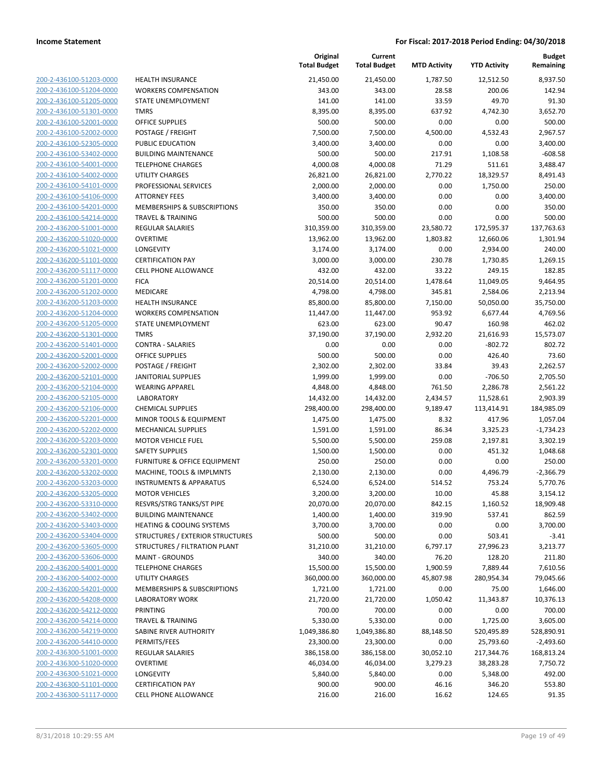200-2-436100-51203-0000 200-2-436100-51204-0000 200-2-436100-51205-0000 200-2-436100-51301-0000 200-2-436100-52001-0000 200-2-436100-52002-0000 200-2-436100-52305-0000 200-2-436100-53402-0000 200-2-436100-54001-0000 200-2-436100-54002-0000 200-2-436100-54101-0000 200-2-436100-54106-0000 200-2-436100-54201-0000 200-2-436100-54214-0000 200-2-436200-51001-0000 200-2-436200-51020-0000 200-2-436200-51021-0000 200-2-436200-51101-0000 200-2-436200-51117-0000 200-2-436200-51201-0000 200-2-436200-51202-0000 200-2-436200-51203-0000 200-2-436200-51204-0000 200-2-436200-51205-0000 200-2-436200-51301-0000 200-2-436200-51401-0000 200-2-436200-52001-0000 200-2-436200-52002-0000 200-2-436200-52101-0000 200-2-436200-52104-0000 200-2-436200-52105-0000 200-2-436200-52106-0000 200-2-436200-52201-0000 200-2-436200-52202-0000 200-2-436200-52203-0000 200-2-436200-52301-0000 200-2-436200-53201-0000 200-2-436200-53202-0000 200-2-436200-53203-0000 200-2-436200-53205-0000 200-2-436200-53310-0000 200-2-436200-53402-0000 200-2-436200-53403-0000 200-2-436200-53404-0000 200-2-436200-53605-0000 200-2-436200-53606-0000 200-2-436200-54001-0000 200-2-436200-54002-0000 200-2-436200-54201-0000 200-2-436200-54208-0000 200-2-436200-54212-0000 200-2-436200-54214-0000 200-2-436200-54219-0000 200-2-436200-54410-0000 200-2-436300-51001-0000 200-2-436300-51020-0000 200-2-436300-51021-0000 200-2-436300-51101-0000 200-2-436300-51117-0000

|                                                         | Original<br><b>Total Budget</b> | Current               |                     |                      | <b>Budget</b><br>Remaining |
|---------------------------------------------------------|---------------------------------|-----------------------|---------------------|----------------------|----------------------------|
|                                                         |                                 | <b>Total Budget</b>   | <b>MTD Activity</b> | <b>YTD Activity</b>  |                            |
| <b>HEALTH INSURANCE</b>                                 | 21,450.00                       | 21,450.00             | 1,787.50            | 12,512.50            | 8,937.50                   |
| <b>WORKERS COMPENSATION</b>                             | 343.00                          | 343.00                | 28.58               | 200.06               | 142.94                     |
| STATE UNEMPLOYMENT                                      | 141.00                          | 141.00                | 33.59               | 49.70                | 91.30                      |
| <b>TMRS</b>                                             | 8,395.00                        | 8,395.00              | 637.92              | 4,742.30             | 3,652.70                   |
| <b>OFFICE SUPPLIES</b>                                  | 500.00                          | 500.00                | 0.00                | 0.00                 | 500.00                     |
| POSTAGE / FREIGHT                                       | 7,500.00                        | 7,500.00              | 4,500.00            | 4,532.43             | 2,967.57                   |
| PUBLIC EDUCATION                                        | 3,400.00                        | 3,400.00              | 0.00                | 0.00                 | 3,400.00                   |
| <b>BUILDING MAINTENANCE</b>                             | 500.00                          | 500.00                | 217.91              | 1,108.58             | $-608.58$                  |
| <b>TELEPHONE CHARGES</b>                                | 4,000.08                        | 4,000.08              | 71.29               | 511.61               | 3,488.47                   |
| <b>UTILITY CHARGES</b>                                  | 26,821.00                       | 26,821.00             | 2,770.22            | 18,329.57            | 8,491.43                   |
| PROFESSIONAL SERVICES                                   | 2,000.00                        | 2,000.00              | 0.00                | 1,750.00             | 250.00                     |
| <b>ATTORNEY FEES</b>                                    | 3,400.00                        | 3,400.00              | 0.00                | 0.00                 | 3,400.00                   |
| MEMBERSHIPS & SUBSCRIPTIONS                             | 350.00                          | 350.00                | 0.00                | 0.00                 | 350.00                     |
| <b>TRAVEL &amp; TRAINING</b>                            | 500.00                          | 500.00                | 0.00                | 0.00                 | 500.00                     |
| REGULAR SALARIES                                        | 310,359.00                      | 310,359.00            | 23,580.72           | 172,595.37           | 137,763.63                 |
| <b>OVERTIME</b>                                         | 13,962.00                       | 13,962.00             | 1,803.82            | 12,660.06            | 1,301.94                   |
| LONGEVITY                                               | 3,174.00                        | 3,174.00              | 0.00                | 2,934.00             | 240.00                     |
| <b>CERTIFICATION PAY</b>                                | 3,000.00                        | 3,000.00              | 230.78              | 1,730.85             | 1,269.15                   |
| <b>CELL PHONE ALLOWANCE</b>                             | 432.00                          | 432.00                | 33.22               | 249.15               | 182.85                     |
| <b>FICA</b>                                             | 20,514.00                       | 20,514.00             | 1,478.64            | 11,049.05            | 9,464.95                   |
| MEDICARE                                                | 4,798.00                        | 4,798.00              | 345.81              | 2,584.06             | 2,213.94                   |
| <b>HEALTH INSURANCE</b>                                 | 85,800.00                       | 85,800.00             | 7,150.00            | 50,050.00            | 35,750.00                  |
| <b>WORKERS COMPENSATION</b>                             | 11,447.00                       | 11,447.00             | 953.92              | 6,677.44             | 4,769.56                   |
| <b>STATE UNEMPLOYMENT</b>                               | 623.00                          | 623.00                | 90.47               | 160.98               | 462.02                     |
| <b>TMRS</b>                                             | 37,190.00                       | 37,190.00             | 2,932.20            | 21,616.93            | 15,573.07                  |
| <b>CONTRA - SALARIES</b>                                | 0.00                            | 0.00                  | 0.00                | $-802.72$            | 802.72                     |
| <b>OFFICE SUPPLIES</b>                                  | 500.00                          | 500.00                | 0.00                | 426.40               | 73.60                      |
| POSTAGE / FREIGHT                                       | 2,302.00                        | 2,302.00              | 33.84               | 39.43                | 2,262.57                   |
| JANITORIAL SUPPLIES                                     | 1,999.00                        | 1,999.00              | 0.00                | $-706.50$            | 2,705.50                   |
| <b>WEARING APPAREL</b>                                  | 4,848.00                        | 4,848.00              | 761.50              | 2,286.78             | 2,561.22                   |
| <b>LABORATORY</b>                                       | 14,432.00                       | 14,432.00             | 2,434.57            | 11,528.61            | 2,903.39                   |
| <b>CHEMICAL SUPPLIES</b>                                | 298,400.00                      | 298,400.00            | 9,189.47            | 113,414.91<br>417.96 | 184,985.09                 |
| MINOR TOOLS & EQUIPMENT                                 | 1,475.00                        | 1,475.00              | 8.32                |                      | 1,057.04                   |
| <b>MECHANICAL SUPPLIES</b><br><b>MOTOR VEHICLE FUEL</b> | 1,591.00                        | 1,591.00              | 86.34<br>259.08     | 3,325.23             | $-1,734.23$                |
| <b>SAFETY SUPPLIES</b>                                  | 5,500.00                        | 5,500.00              | 0.00                | 2,197.81<br>451.32   | 3,302.19                   |
| FURNITURE & OFFICE EQUIPMENT                            | 1,500.00<br>250.00              | 1,500.00<br>250.00    | 0.00                | 0.00                 | 1,048.68<br>250.00         |
| MACHINE, TOOLS & IMPLMNTS                               | 2,130.00                        |                       | 0.00                | 4,496.79             | $-2,366.79$                |
| <b>INSTRUMENTS &amp; APPARATUS</b>                      | 6,524.00                        | 2,130.00<br>6,524.00  | 514.52              | 753.24               | 5,770.76                   |
| <b>MOTOR VEHICLES</b>                                   |                                 |                       |                     |                      |                            |
| RESVRS/STRG TANKS/ST PIPE                               | 3,200.00<br>20,070.00           | 3,200.00<br>20,070.00 | 10.00<br>842.15     | 45.88<br>1,160.52    | 3,154.12<br>18,909.48      |
| <b>BUILDING MAINTENANCE</b>                             | 1,400.00                        | 1,400.00              | 319.90              | 537.41               | 862.59                     |
| <b>HEATING &amp; COOLING SYSTEMS</b>                    | 3,700.00                        | 3,700.00              | 0.00                | 0.00                 | 3,700.00                   |
| <b>STRUCTURES / EXTERIOR STRUCTURES</b>                 | 500.00                          | 500.00                | 0.00                | 503.41               | $-3.41$                    |
| STRUCTURES / FILTRATION PLANT                           | 31,210.00                       | 31,210.00             | 6,797.17            | 27,996.23            | 3,213.77                   |
| <b>MAINT - GROUNDS</b>                                  | 340.00                          | 340.00                | 76.20               | 128.20               | 211.80                     |
| <b>TELEPHONE CHARGES</b>                                | 15,500.00                       | 15,500.00             | 1,900.59            | 7,889.44             | 7,610.56                   |
| UTILITY CHARGES                                         | 360,000.00                      | 360,000.00            | 45,807.98           | 280,954.34           | 79,045.66                  |
| MEMBERSHIPS & SUBSCRIPTIONS                             | 1,721.00                        | 1,721.00              | 0.00                | 75.00                | 1,646.00                   |
| <b>LABORATORY WORK</b>                                  | 21,720.00                       | 21,720.00             | 1,050.42            | 11,343.87            | 10,376.13                  |
| PRINTING                                                | 700.00                          | 700.00                | 0.00                | 0.00                 | 700.00                     |
| <b>TRAVEL &amp; TRAINING</b>                            | 5,330.00                        | 5,330.00              | 0.00                | 1,725.00             | 3,605.00                   |
| SABINE RIVER AUTHORITY                                  | 1,049,386.80                    | 1,049,386.80          | 88,148.50           | 520,495.89           | 528,890.91                 |
| PERMITS/FEES                                            | 23,300.00                       | 23,300.00             | 0.00                | 25,793.60            | $-2,493.60$                |
| REGULAR SALARIES                                        | 386,158.00                      | 386,158.00            | 30,052.10           | 217,344.76           | 168,813.24                 |
| <b>OVERTIME</b>                                         | 46,034.00                       | 46,034.00             | 3,279.23            | 38,283.28            | 7,750.72                   |
| LONGEVITY                                               | 5,840.00                        | 5,840.00              | 0.00                | 5,348.00             | 492.00                     |
| <b>CERTIFICATION PAY</b>                                | 900.00                          | 900.00                | 46.16               | 346.20               | 553.80                     |
| CELL PHONE ALLOWANCE                                    | 216.00                          | 216.00                | 16.62               | 124.65               | 91.35                      |
|                                                         |                                 |                       |                     |                      |                            |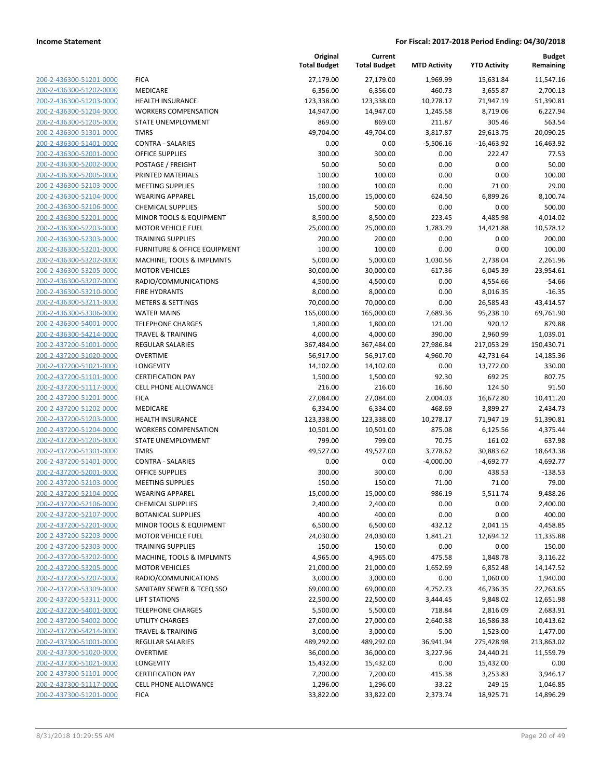**Current**

**Original**

**Budget Remaining**

|                                                    |                                                   | <b>Total Budget</b> | <b>Total Budget</b> | <b>MTD Activity</b> | <b>YTD Activity</b> | Remaining          |
|----------------------------------------------------|---------------------------------------------------|---------------------|---------------------|---------------------|---------------------|--------------------|
| 200-2-436300-51201-0000                            | <b>FICA</b>                                       | 27,179.00           | 27,179.00           | 1,969.99            | 15,631.84           | 11,547.16          |
| 200-2-436300-51202-0000                            | MEDICARE                                          | 6,356.00            | 6,356.00            | 460.73              | 3,655.87            | 2,700.13           |
| 200-2-436300-51203-0000                            | <b>HEALTH INSURANCE</b>                           | 123,338.00          | 123,338.00          | 10,278.17           | 71,947.19           | 51,390.81          |
| 200-2-436300-51204-0000                            | <b>WORKERS COMPENSATION</b>                       | 14,947.00           | 14,947.00           | 1,245.58            | 8,719.06            | 6,227.94           |
| 200-2-436300-51205-0000                            | STATE UNEMPLOYMENT                                | 869.00              | 869.00              | 211.87              | 305.46              | 563.54             |
| 200-2-436300-51301-0000                            | <b>TMRS</b>                                       | 49,704.00           | 49,704.00           | 3,817.87            | 29,613.75           | 20,090.25          |
| 200-2-436300-51401-0000                            | <b>CONTRA - SALARIES</b>                          | 0.00                | 0.00                | $-5,506.16$         | $-16,463.92$        | 16,463.92          |
| 200-2-436300-52001-0000                            | <b>OFFICE SUPPLIES</b>                            | 300.00              | 300.00              | 0.00                | 222.47              | 77.53              |
| 200-2-436300-52002-0000                            | POSTAGE / FREIGHT                                 | 50.00               | 50.00               | 0.00                | 0.00                | 50.00              |
| 200-2-436300-52005-0000                            | PRINTED MATERIALS                                 | 100.00              | 100.00              | 0.00                | 0.00                | 100.00             |
| 200-2-436300-52103-0000                            | <b>MEETING SUPPLIES</b>                           | 100.00              | 100.00              | 0.00                | 71.00               | 29.00              |
| 200-2-436300-52104-0000                            | <b>WEARING APPAREL</b>                            | 15,000.00           | 15,000.00           | 624.50              | 6,899.26            | 8,100.74           |
| 200-2-436300-52106-0000                            | <b>CHEMICAL SUPPLIES</b>                          | 500.00              | 500.00              | 0.00                | 0.00                | 500.00             |
| 200-2-436300-52201-0000                            | MINOR TOOLS & EQUIPMENT                           | 8,500.00            | 8,500.00            | 223.45              | 4,485.98            | 4,014.02           |
| 200-2-436300-52203-0000                            | <b>MOTOR VEHICLE FUEL</b>                         | 25,000.00           | 25,000.00           | 1,783.79            | 14,421.88           | 10,578.12          |
| 200-2-436300-52303-0000                            | <b>TRAINING SUPPLIES</b>                          | 200.00              | 200.00              | 0.00                | 0.00                | 200.00             |
| 200-2-436300-53201-0000                            | <b>FURNITURE &amp; OFFICE EQUIPMENT</b>           | 100.00              | 100.00              | 0.00                | 0.00                | 100.00             |
| 200-2-436300-53202-0000                            | MACHINE, TOOLS & IMPLMNTS                         | 5,000.00            | 5,000.00            | 1,030.56            | 2,738.04            | 2,261.96           |
| 200-2-436300-53205-0000                            | <b>MOTOR VEHICLES</b>                             | 30,000.00           | 30,000.00           | 617.36              | 6,045.39            | 23,954.61          |
| 200-2-436300-53207-0000                            | RADIO/COMMUNICATIONS                              | 4,500.00            | 4,500.00            | 0.00                | 4,554.66            | $-54.66$           |
| 200-2-436300-53210-0000                            | <b>FIRE HYDRANTS</b>                              | 8,000.00            | 8,000.00            | 0.00                | 8,016.35            | $-16.35$           |
| 200-2-436300-53211-0000                            | <b>METERS &amp; SETTINGS</b>                      | 70,000.00           | 70,000.00           | 0.00                | 26,585.43           | 43,414.57          |
| 200-2-436300-53306-0000                            | <b>WATER MAINS</b>                                | 165,000.00          | 165,000.00          | 7,689.36            | 95,238.10           | 69,761.90          |
| 200-2-436300-54001-0000                            | <b>TELEPHONE CHARGES</b>                          | 1,800.00            | 1,800.00            | 121.00              | 920.12              | 879.88             |
| 200-2-436300-54214-0000                            | <b>TRAVEL &amp; TRAINING</b>                      | 4,000.00            | 4,000.00            | 390.00              | 2,960.99            | 1,039.01           |
| 200-2-437200-51001-0000                            | <b>REGULAR SALARIES</b>                           | 367,484.00          | 367,484.00          | 27,986.84           | 217,053.29          | 150,430.71         |
| 200-2-437200-51020-0000                            | <b>OVERTIME</b>                                   | 56,917.00           | 56,917.00           | 4,960.70            | 42,731.64           | 14,185.36          |
| 200-2-437200-51021-0000                            | <b>LONGEVITY</b>                                  | 14,102.00           | 14,102.00           | 0.00                | 13,772.00           | 330.00             |
| 200-2-437200-51101-0000                            | <b>CERTIFICATION PAY</b>                          | 1,500.00            | 1,500.00            | 92.30               | 692.25              | 807.75             |
| 200-2-437200-51117-0000                            | CELL PHONE ALLOWANCE                              | 216.00              | 216.00              | 16.60               | 124.50              | 91.50              |
| 200-2-437200-51201-0000                            | <b>FICA</b>                                       | 27,084.00           | 27,084.00           | 2,004.03            | 16,672.80           | 10,411.20          |
| 200-2-437200-51202-0000<br>200-2-437200-51203-0000 | MEDICARE                                          | 6,334.00            | 6,334.00            | 468.69              | 3,899.27            | 2,434.73           |
| 200-2-437200-51204-0000                            | <b>HEALTH INSURANCE</b>                           | 123,338.00          | 123,338.00          | 10,278.17<br>875.08 | 71,947.19           | 51,390.81          |
| 200-2-437200-51205-0000                            | <b>WORKERS COMPENSATION</b><br>STATE UNEMPLOYMENT | 10,501.00<br>799.00 | 10,501.00<br>799.00 | 70.75               | 6,125.56<br>161.02  | 4,375.44<br>637.98 |
| 200-2-437200-51301-0000                            | <b>TMRS</b>                                       | 49,527.00           | 49,527.00           | 3,778.62            | 30,883.62           | 18,643.38          |
| 200-2-437200-51401-0000                            | <b>CONTRA - SALARIES</b>                          | 0.00                | 0.00                | $-4,000.00$         | $-4,692.77$         | 4,692.77           |
| 200-2-437200-52001-0000                            | <b>OFFICE SUPPLIES</b>                            | 300.00              | 300.00              | 0.00                | 438.53              | $-138.53$          |
| 200-2-437200-52103-0000                            | <b>MEETING SUPPLIES</b>                           | 150.00              | 150.00              | 71.00               | 71.00               | 79.00              |
| 200-2-437200-52104-0000                            | <b>WEARING APPAREL</b>                            | 15,000.00           | 15,000.00           | 986.19              | 5,511.74            | 9,488.26           |
| 200-2-437200-52106-0000                            | <b>CHEMICAL SUPPLIES</b>                          | 2,400.00            | 2,400.00            | 0.00                | 0.00                | 2,400.00           |
| 200-2-437200-52107-0000                            | <b>BOTANICAL SUPPLIES</b>                         | 400.00              | 400.00              | 0.00                | 0.00                | 400.00             |
| 200-2-437200-52201-0000                            | MINOR TOOLS & EQUIPMENT                           | 6,500.00            | 6,500.00            | 432.12              | 2,041.15            | 4,458.85           |
| 200-2-437200-52203-0000                            | <b>MOTOR VEHICLE FUEL</b>                         | 24,030.00           | 24,030.00           | 1,841.21            | 12,694.12           | 11,335.88          |
| 200-2-437200-52303-0000                            | <b>TRAINING SUPPLIES</b>                          | 150.00              | 150.00              | 0.00                | 0.00                | 150.00             |
| 200-2-437200-53202-0000                            | MACHINE, TOOLS & IMPLMNTS                         | 4,965.00            | 4,965.00            | 475.58              | 1,848.78            | 3,116.22           |
| 200-2-437200-53205-0000                            | <b>MOTOR VEHICLES</b>                             | 21,000.00           | 21,000.00           | 1,652.69            | 6,852.48            | 14,147.52          |
| 200-2-437200-53207-0000                            | RADIO/COMMUNICATIONS                              | 3,000.00            | 3,000.00            | 0.00                | 1,060.00            | 1,940.00           |
| 200-2-437200-53309-0000                            | SANITARY SEWER & TCEQ SSO                         | 69,000.00           | 69,000.00           | 4,752.73            | 46,736.35           | 22,263.65          |
| 200-2-437200-53311-0000                            | <b>LIFT STATIONS</b>                              | 22,500.00           | 22,500.00           | 3,444.45            | 9,848.02            | 12,651.98          |
| 200-2-437200-54001-0000                            | <b>TELEPHONE CHARGES</b>                          | 5,500.00            | 5,500.00            | 718.84              | 2,816.09            | 2,683.91           |
| 200-2-437200-54002-0000                            | <b>UTILITY CHARGES</b>                            | 27,000.00           | 27,000.00           | 2,640.38            | 16,586.38           | 10,413.62          |
| 200-2-437200-54214-0000                            | <b>TRAVEL &amp; TRAINING</b>                      | 3,000.00            | 3,000.00            | $-5.00$             | 1,523.00            | 1,477.00           |
| 200-2-437300-51001-0000                            | <b>REGULAR SALARIES</b>                           | 489,292.00          | 489,292.00          | 36,941.94           | 275,428.98          | 213,863.02         |
| 200-2-437300-51020-0000                            | <b>OVERTIME</b>                                   | 36,000.00           | 36,000.00           | 3,227.96            | 24,440.21           | 11,559.79          |
| 200-2-437300-51021-0000                            | <b>LONGEVITY</b>                                  | 15,432.00           | 15,432.00           | 0.00                | 15,432.00           | 0.00               |
| 200-2-437300-51101-0000                            | <b>CERTIFICATION PAY</b>                          | 7,200.00            | 7,200.00            | 415.38              | 3,253.83            | 3,946.17           |
| 200-2-437300-51117-0000                            | CELL PHONE ALLOWANCE                              | 1,296.00            | 1,296.00            | 33.22               | 249.15              | 1,046.85           |
| 200-2-437300-51201-0000                            | <b>FICA</b>                                       | 33,822.00           | 33,822.00           | 2,373.74            | 18,925.71           | 14,896.29          |
|                                                    |                                                   |                     |                     |                     |                     |                    |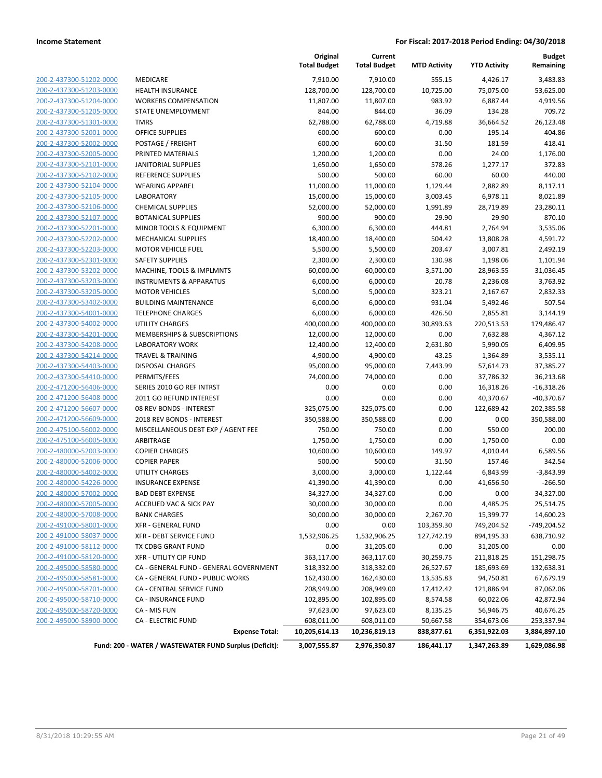|                         |                                                        | Original<br><b>Total Budget</b> | Current<br><b>Total Budget</b> | <b>MTD Activity</b> | <b>YTD Activity</b> | Budget<br>Remaining |
|-------------------------|--------------------------------------------------------|---------------------------------|--------------------------------|---------------------|---------------------|---------------------|
| 200-2-437300-51202-0000 | <b>MEDICARE</b>                                        | 7,910.00                        | 7,910.00                       | 555.15              | 4,426.17            | 3,483.83            |
| 200-2-437300-51203-0000 | <b>HEALTH INSURANCE</b>                                | 128,700.00                      | 128,700.00                     | 10,725.00           | 75,075.00           | 53,625.00           |
| 200-2-437300-51204-0000 | <b>WORKERS COMPENSATION</b>                            | 11,807.00                       | 11,807.00                      | 983.92              | 6,887.44            | 4,919.56            |
| 200-2-437300-51205-0000 | STATE UNEMPLOYMENT                                     | 844.00                          | 844.00                         | 36.09               | 134.28              | 709.72              |
| 200-2-437300-51301-0000 | <b>TMRS</b>                                            | 62,788.00                       | 62,788.00                      | 4,719.88            | 36,664.52           | 26,123.48           |
| 200-2-437300-52001-0000 | <b>OFFICE SUPPLIES</b>                                 | 600.00                          | 600.00                         | 0.00                | 195.14              | 404.86              |
| 200-2-437300-52002-0000 | POSTAGE / FREIGHT                                      | 600.00                          | 600.00                         | 31.50               | 181.59              | 418.41              |
| 200-2-437300-52005-0000 | PRINTED MATERIALS                                      | 1,200.00                        | 1,200.00                       | 0.00                | 24.00               | 1,176.00            |
| 200-2-437300-52101-0000 | <b>JANITORIAL SUPPLIES</b>                             | 1,650.00                        | 1,650.00                       | 578.26              | 1,277.17            | 372.83              |
| 200-2-437300-52102-0000 | <b>REFERENCE SUPPLIES</b>                              | 500.00                          | 500.00                         | 60.00               | 60.00               | 440.00              |
| 200-2-437300-52104-0000 | <b>WEARING APPAREL</b>                                 | 11,000.00                       | 11,000.00                      | 1,129.44            | 2,882.89            | 8,117.11            |
| 200-2-437300-52105-0000 | <b>LABORATORY</b>                                      | 15,000.00                       | 15,000.00                      | 3,003.45            | 6,978.11            | 8,021.89            |
| 200-2-437300-52106-0000 | <b>CHEMICAL SUPPLIES</b>                               | 52,000.00                       | 52,000.00                      | 1,991.89            | 28,719.89           | 23,280.11           |
| 200-2-437300-52107-0000 | <b>BOTANICAL SUPPLIES</b>                              | 900.00                          | 900.00                         | 29.90               | 29.90               | 870.10              |
| 200-2-437300-52201-0000 | MINOR TOOLS & EQUIPMENT                                | 6,300.00                        | 6,300.00                       | 444.81              | 2,764.94            | 3,535.06            |
| 200-2-437300-52202-0000 | <b>MECHANICAL SUPPLIES</b>                             | 18,400.00                       | 18,400.00                      | 504.42              | 13,808.28           | 4,591.72            |
| 200-2-437300-52203-0000 | <b>MOTOR VEHICLE FUEL</b>                              | 5,500.00                        | 5,500.00                       | 203.47              | 3,007.81            | 2,492.19            |
| 200-2-437300-52301-0000 | SAFETY SUPPLIES                                        | 2,300.00                        | 2,300.00                       | 130.98              | 1,198.06            | 1,101.94            |
| 200-2-437300-53202-0000 | MACHINE, TOOLS & IMPLMNTS                              | 60,000.00                       | 60,000.00                      | 3,571.00            | 28,963.55           | 31,036.45           |
| 200-2-437300-53203-0000 | <b>INSTRUMENTS &amp; APPARATUS</b>                     | 6,000.00                        | 6,000.00                       | 20.78               | 2,236.08            | 3,763.92            |
| 200-2-437300-53205-0000 | <b>MOTOR VEHICLES</b>                                  | 5,000.00                        | 5,000.00                       | 323.21              | 2,167.67            | 2,832.33            |
| 200-2-437300-53402-0000 | <b>BUILDING MAINTENANCE</b>                            | 6,000.00                        | 6,000.00                       | 931.04              | 5,492.46            | 507.54              |
| 200-2-437300-54001-0000 | <b>TELEPHONE CHARGES</b>                               | 6,000.00                        | 6,000.00                       | 426.50              | 2,855.81            | 3,144.19            |
| 200-2-437300-54002-0000 | <b>UTILITY CHARGES</b>                                 | 400,000.00                      | 400,000.00                     | 30,893.63           | 220,513.53          | 179,486.47          |
| 200-2-437300-54201-0000 | MEMBERSHIPS & SUBSCRIPTIONS                            | 12,000.00                       | 12,000.00                      | 0.00                | 7,632.88            | 4,367.12            |
| 200-2-437300-54208-0000 | LABORATORY WORK                                        | 12,400.00                       | 12,400.00                      | 2,631.80            | 5,990.05            | 6,409.95            |
| 200-2-437300-54214-0000 | <b>TRAVEL &amp; TRAINING</b>                           | 4,900.00                        | 4,900.00                       | 43.25               | 1,364.89            | 3,535.11            |
| 200-2-437300-54403-0000 | <b>DISPOSAL CHARGES</b>                                | 95,000.00                       | 95,000.00                      | 7,443.99            | 57,614.73           | 37,385.27           |
| 200-2-437300-54410-0000 | PERMITS/FEES                                           | 74,000.00                       | 74,000.00                      | 0.00                | 37,786.32           | 36,213.68           |
| 200-2-471200-56406-0000 | SERIES 2010 GO REF INTRST                              | 0.00                            | 0.00                           | 0.00                | 16,318.26           | $-16,318.26$        |
| 200-2-471200-56408-0000 | 2011 GO REFUND INTEREST                                | 0.00                            | 0.00                           | 0.00                | 40,370.67           | $-40,370.67$        |
| 200-2-471200-56607-0000 | 08 REV BONDS - INTEREST                                | 325,075.00                      | 325,075.00                     | 0.00                | 122,689.42          | 202,385.58          |
| 200-2-471200-56609-0000 | 2018 REV BONDS - INTEREST                              | 350,588.00                      | 350,588.00                     | 0.00                | 0.00                | 350,588.00          |
| 200-2-475100-56002-0000 | MISCELLANEOUS DEBT EXP / AGENT FEE                     | 750.00                          | 750.00                         | 0.00                | 550.00              | 200.00              |
| 200-2-475100-56005-0000 | ARBITRAGE                                              | 1,750.00                        | 1,750.00                       | 0.00                | 1,750.00            | 0.00                |
| 200-2-480000-52003-0000 | <b>COPIER CHARGES</b>                                  | 10,600.00                       | 10,600.00                      | 149.97              | 4,010.44            | 6,589.56            |
| 200-2-480000-52006-0000 | <b>COPIER PAPER</b>                                    | 500.00                          | 500.00                         | 31.50               | 157.46              | 342.54              |
| 200-2-480000-54002-0000 | UTILITY CHARGES                                        | 3,000.00                        | 3,000.00                       | 1,122.44            | 6,843.99            | $-3,843.99$         |
| 200-2-480000-54226-0000 | <b>INSURANCE EXPENSE</b>                               | 41,390.00                       | 41,390.00                      | 0.00                | 41,656.50           | $-266.50$           |
| 200-2-480000-57002-0000 | <b>BAD DEBT EXPENSE</b>                                | 34,327.00                       | 34,327.00                      | 0.00                | 0.00                | 34,327.00           |
| 200-2-480000-57005-0000 | <b>ACCRUED VAC &amp; SICK PAY</b>                      | 30,000.00                       | 30,000.00                      | 0.00                | 4,485.25            | 25,514.75           |
| 200-2-480000-57008-0000 | <b>BANK CHARGES</b>                                    | 30,000.00                       | 30,000.00                      | 2,267.70            | 15,399.77           | 14,600.23           |
| 200-2-491000-58001-0000 | <b>XFR - GENERAL FUND</b>                              | 0.00                            | 0.00                           | 103,359.30          | 749,204.52          | -749,204.52         |
| 200-2-491000-58037-0000 | XFR - DEBT SERVICE FUND                                | 1,532,906.25                    | 1,532,906.25                   | 127,742.19          | 894,195.33          | 638,710.92          |
| 200-2-491000-58112-0000 | TX CDBG GRANT FUND                                     | 0.00                            | 31,205.00                      | 0.00                | 31,205.00           | 0.00                |
| 200-2-491000-58120-0000 | XFR - UTILITY CIP FUND                                 | 363,117.00                      | 363,117.00                     | 30,259.75           | 211,818.25          | 151,298.75          |
| 200-2-495000-58580-0000 | CA - GENERAL FUND - GENERAL GOVERNMENT                 | 318,332.00                      | 318,332.00                     | 26,527.67           | 185,693.69          | 132,638.31          |
| 200-2-495000-58581-0000 | CA - GENERAL FUND - PUBLIC WORKS                       | 162,430.00                      | 162,430.00                     | 13,535.83           | 94,750.81           | 67,679.19           |
| 200-2-495000-58701-0000 | CA - CENTRAL SERVICE FUND                              | 208,949.00                      | 208,949.00                     | 17,412.42           | 121,886.94          | 87,062.06           |
| 200-2-495000-58710-0000 | <b>CA - INSURANCE FUND</b>                             | 102,895.00                      | 102,895.00                     | 8,574.58            | 60,022.06           | 42,872.94           |
| 200-2-495000-58720-0000 | CA - MIS FUN                                           | 97,623.00                       | 97,623.00                      | 8,135.25            | 56,946.75           | 40,676.25           |
| 200-2-495000-58900-0000 | <b>CA - ELECTRIC FUND</b>                              | 608,011.00                      | 608,011.00                     | 50,667.58           | 354,673.06          | 253,337.94          |
|                         | <b>Expense Total:</b>                                  | 10,205,614.13                   | 10,236,819.13                  | 838,877.61          | 6,351,922.03        | 3,884,897.10        |
|                         | Fund: 200 - WATER / WASTEWATER FUND Surplus (Deficit): | 3,007,555.87                    | 2,976,350.87                   | 186,441.17          | 1,347,263.89        | 1,629,086.98        |
|                         |                                                        |                                 |                                |                     |                     |                     |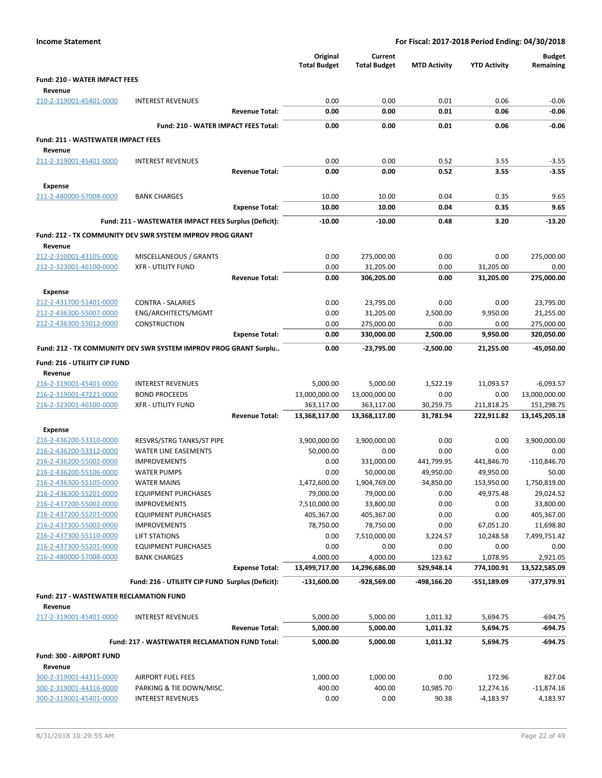|                                                    |                                                                  |                       | Original<br><b>Total Budget</b> | Current<br><b>Total Budget</b> | <b>MTD Activity</b> | <b>YTD Activity</b> | <b>Budget</b><br>Remaining |
|----------------------------------------------------|------------------------------------------------------------------|-----------------------|---------------------------------|--------------------------------|---------------------|---------------------|----------------------------|
| <b>Fund: 210 - WATER IMPACT FEES</b>               |                                                                  |                       |                                 |                                |                     |                     |                            |
| Revenue                                            |                                                                  |                       |                                 |                                |                     |                     |                            |
| 210-2-319001-45401-0000                            | <b>INTEREST REVENUES</b>                                         |                       | 0.00                            | 0.00                           | 0.01                | 0.06                | $-0.06$                    |
|                                                    |                                                                  | <b>Revenue Total:</b> | 0.00                            | 0.00                           | 0.01                | 0.06                | -0.06                      |
|                                                    | Fund: 210 - WATER IMPACT FEES Total:                             |                       | 0.00                            | 0.00                           | 0.01                | 0.06                | $-0.06$                    |
| <b>Fund: 211 - WASTEWATER IMPACT FEES</b>          |                                                                  |                       |                                 |                                |                     |                     |                            |
| Revenue                                            |                                                                  |                       |                                 |                                |                     |                     |                            |
| 211-2-319001-45401-0000                            | <b>INTEREST REVENUES</b>                                         |                       | 0.00                            | 0.00                           | 0.52                | 3.55                | $-3.55$                    |
|                                                    |                                                                  | <b>Revenue Total:</b> | 0.00                            | 0.00                           | 0.52                | 3.55                | $-3.55$                    |
| <b>Expense</b>                                     |                                                                  |                       |                                 |                                |                     |                     |                            |
| 211-2-480000-57008-0000                            | <b>BANK CHARGES</b>                                              |                       | 10.00                           | 10.00                          | 0.04                | 0.35                | 9.65                       |
|                                                    |                                                                  | <b>Expense Total:</b> | 10.00                           | 10.00                          | 0.04                | 0.35                | 9.65                       |
|                                                    |                                                                  |                       |                                 |                                |                     |                     |                            |
|                                                    | Fund: 211 - WASTEWATER IMPACT FEES Surplus (Deficit):            |                       | $-10.00$                        | $-10.00$                       | 0.48                | 3.20                | $-13.20$                   |
|                                                    | Fund: 212 - TX COMMUNITY DEV SWR SYSTEM IMPROV PROG GRANT        |                       |                                 |                                |                     |                     |                            |
| Revenue                                            |                                                                  |                       |                                 |                                |                     |                     |                            |
| 212-2-310001-43105-0000                            | MISCELLANEOUS / GRANTS                                           |                       | 0.00                            | 275,000.00                     | 0.00                | 0.00                | 275,000.00                 |
| 212-2-323001-46100-0000                            | <b>XFR - UTILITY FUND</b>                                        |                       | 0.00                            | 31,205.00                      | 0.00                | 31,205.00           | 0.00<br>275.000.00         |
|                                                    |                                                                  | <b>Revenue Total:</b> | 0.00                            | 306,205.00                     | 0.00                | 31,205.00           |                            |
| <b>Expense</b>                                     |                                                                  |                       |                                 |                                |                     |                     |                            |
| 212-2-431700-51401-0000                            | <b>CONTRA - SALARIES</b>                                         |                       | 0.00                            | 23,795.00                      | 0.00                | 0.00                | 23,795.00                  |
| 212-2-436300-55007-0000                            | ENG/ARCHITECTS/MGMT                                              |                       | 0.00                            | 31,205.00                      | 2,500.00            | 9,950.00            | 21,255.00                  |
| 212-2-436300-55012-0000                            | <b>CONSTRUCTION</b>                                              |                       | 0.00                            | 275,000.00                     | 0.00                | 0.00                | 275,000.00                 |
|                                                    |                                                                  | <b>Expense Total:</b> | 0.00                            | 330,000.00                     | 2,500.00            | 9,950.00            | 320,050.00                 |
|                                                    | Fund: 212 - TX COMMUNITY DEV SWR SYSTEM IMPROV PROG GRANT Surplu |                       | 0.00                            | -23,795.00                     | $-2,500.00$         | 21,255.00           | -45,050.00                 |
| Fund: 216 - UTILIITY CIP FUND                      |                                                                  |                       |                                 |                                |                     |                     |                            |
| Revenue                                            |                                                                  |                       |                                 |                                |                     |                     |                            |
| 216-2-319001-45401-0000                            | <b>INTEREST REVENUES</b>                                         |                       | 5,000.00                        | 5,000.00                       | 1,522.19            | 11,093.57           | $-6,093.57$                |
| 216-2-319001-47221-0000                            | <b>BOND PROCEEDS</b>                                             |                       | 13,000,000.00                   | 13,000,000.00                  | 0.00                | 0.00                | 13,000,000.00              |
| 216-2-323001-46100-0000                            | <b>XFR - UTILITY FUND</b>                                        |                       | 363,117.00                      | 363,117.00                     | 30,259.75           | 211,818.25          | 151,298.75                 |
|                                                    |                                                                  | <b>Revenue Total:</b> | 13,368,117.00                   | 13,368,117.00                  | 31,781.94           | 222,911.82          | 13,145,205.18              |
| <b>Expense</b>                                     |                                                                  |                       |                                 |                                |                     |                     |                            |
| 216-2-436200-53310-0000                            | RESVRS/STRG TANKS/ST PIPE                                        |                       | 3,900,000.00                    | 3,900,000.00                   | 0.00                | 0.00                | 3,900,000.00               |
| 216-2-436200-53312-0000                            | WATER LINE EASEMENTS                                             |                       | 50,000.00                       | 0.00                           | 0.00                | 0.00                | 0.00                       |
| 216-2-436200-55002-0000                            | <b>IMPROVEMENTS</b>                                              |                       | 0.00                            | 331,000.00                     | 441,799.95          | 441,846.70          | $-110,846.70$              |
| 216-2-436200-55106-0000                            | <b>WATER PUMPS</b>                                               |                       | 0.00                            | 50,000.00                      | 49,950.00           | 49,950.00           | 50.00                      |
| 216-2-436300-55105-0000                            | <b>WATER MAINS</b>                                               |                       | 1,472,600.00                    | 1,904,769.00                   | 34,850.00           | 153,950.00          | 1,750,819.00               |
| 216-2-436300-55201-0000                            | <b>EQUIPMENT PURCHASES</b>                                       |                       | 79,000.00                       | 79,000.00                      | 0.00                | 49,975.48           | 29,024.52                  |
| 216-2-437200-55002-0000                            | <b>IMPROVEMENTS</b>                                              |                       | 7,510,000.00                    | 33,800.00                      | 0.00                | 0.00                | 33,800.00                  |
| 216-2-437200-55201-0000<br>216-2-437300-55002-0000 | <b>EQUIPMENT PURCHASES</b><br><b>IMPROVEMENTS</b>                |                       | 405,367.00<br>78,750.00         | 405,367.00<br>78,750.00        | 0.00<br>0.00        | 0.00<br>67,051.20   | 405,367.00<br>11,698.80    |
| 216-2-437300-55110-0000                            | <b>LIFT STATIONS</b>                                             |                       | 0.00                            | 7,510,000.00                   | 3,224.57            | 10,248.58           | 7,499,751.42               |
| 216-2-437300-55201-0000                            | <b>EQUIPMENT PURCHASES</b>                                       |                       | 0.00                            | 0.00                           | 0.00                | 0.00                | 0.00                       |
| 216-2-480000-57008-0000                            | <b>BANK CHARGES</b>                                              |                       | 4,000.00                        | 4,000.00                       | 123.62              | 1,078.95            | 2,921.05                   |
|                                                    |                                                                  | <b>Expense Total:</b> | 13,499,717.00                   | 14,296,686.00                  | 529,948.14          | 774,100.91          | 13,522,585.09              |
|                                                    | Fund: 216 - UTILIITY CIP FUND Surplus (Deficit):                 |                       | $-131,600.00$                   | -928,569.00                    | -498,166.20         | -551,189.09         | -377,379.91                |
|                                                    |                                                                  |                       |                                 |                                |                     |                     |                            |
| <b>Fund: 217 - WASTEWATER RECLAMATION FUND</b>     |                                                                  |                       |                                 |                                |                     |                     |                            |
| Revenue<br>217-2-319001-45401-0000                 | <b>INTEREST REVENUES</b>                                         |                       | 5,000.00                        | 5,000.00                       | 1,011.32            | 5,694.75            | $-694.75$                  |
|                                                    |                                                                  | <b>Revenue Total:</b> | 5,000.00                        | 5,000.00                       | 1,011.32            | 5,694.75            | $-694.75$                  |
|                                                    |                                                                  |                       |                                 |                                |                     |                     |                            |
|                                                    | Fund: 217 - WASTEWATER RECLAMATION FUND Total:                   |                       | 5,000.00                        | 5,000.00                       | 1,011.32            | 5,694.75            | $-694.75$                  |
| Fund: 300 - AIRPORT FUND                           |                                                                  |                       |                                 |                                |                     |                     |                            |
| Revenue                                            |                                                                  |                       |                                 |                                |                     |                     |                            |
| 300-2-319001-44315-0000                            | <b>AIRPORT FUEL FEES</b>                                         |                       | 1,000.00                        | 1,000.00                       | 0.00                | 172.96              | 827.04                     |
| 300-2-319001-44316-0000<br>300-2-319001-45401-0000 | PARKING & TIE DOWN/MISC.<br><b>INTEREST REVENUES</b>             |                       | 400.00<br>0.00                  | 400.00<br>0.00                 | 10,985.70<br>90.38  | 12,274.16           | $-11,874.16$<br>4,183.97   |
|                                                    |                                                                  |                       |                                 |                                |                     | $-4,183.97$         |                            |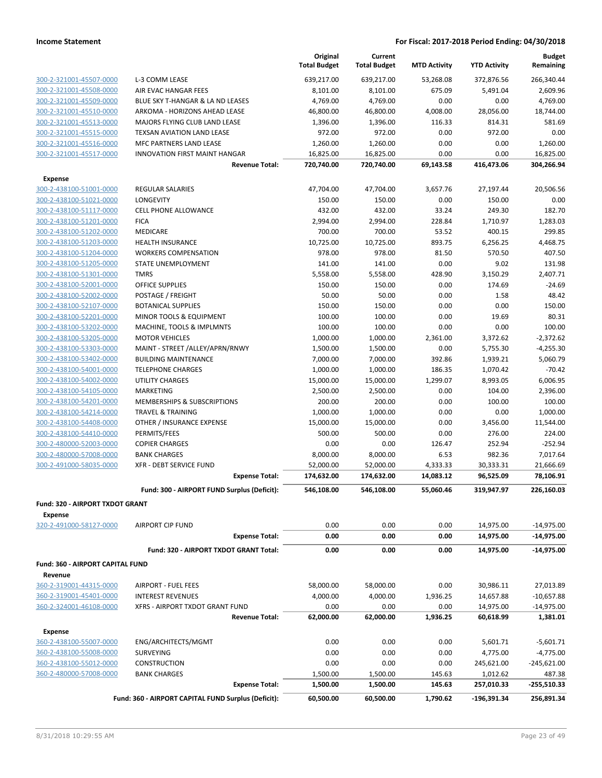|                                         |                                                     | Original<br><b>Total Budget</b> | Current<br><b>Total Budget</b> | <b>MTD Activity</b> | <b>YTD Activity</b> | <b>Budget</b><br>Remaining |
|-----------------------------------------|-----------------------------------------------------|---------------------------------|--------------------------------|---------------------|---------------------|----------------------------|
|                                         |                                                     |                                 |                                |                     |                     |                            |
| 300-2-321001-45507-0000                 | L-3 COMM LEASE                                      | 639,217.00                      | 639,217.00                     | 53,268.08           | 372,876.56          | 266,340.44                 |
| 300-2-321001-45508-0000                 | AIR EVAC HANGAR FEES                                | 8,101.00                        | 8,101.00                       | 675.09              | 5,491.04            | 2,609.96                   |
| 300-2-321001-45509-0000                 | BLUE SKY T-HANGAR & LA ND LEASES                    | 4,769.00                        | 4,769.00                       | 0.00                | 0.00                | 4,769.00                   |
| 300-2-321001-45510-0000                 | ARKOMA - HORIZONS AHEAD LEASE                       | 46,800.00                       | 46,800.00                      | 4,008.00            | 28,056.00           | 18,744.00                  |
| 300-2-321001-45513-0000                 | MAJORS FLYING CLUB LAND LEASE                       | 1,396.00                        | 1,396.00                       | 116.33              | 814.31              | 581.69                     |
| 300-2-321001-45515-0000                 | TEXSAN AVIATION LAND LEASE                          | 972.00                          | 972.00                         | 0.00                | 972.00              | 0.00                       |
| 300-2-321001-45516-0000                 | MFC PARTNERS LAND LEASE                             | 1,260.00                        | 1,260.00                       | 0.00                | 0.00                | 1,260.00                   |
| 300-2-321001-45517-0000                 | <b>INNOVATION FIRST MAINT HANGAR</b>                | 16,825.00                       | 16,825.00                      | 0.00                | 0.00                | 16,825.00                  |
|                                         | <b>Revenue Total:</b>                               | 720,740.00                      | 720,740.00                     | 69,143.58           | 416,473.06          | 304,266.94                 |
| Expense                                 |                                                     |                                 |                                |                     |                     |                            |
| 300-2-438100-51001-0000                 | <b>REGULAR SALARIES</b>                             | 47,704.00                       | 47,704.00                      | 3,657.76            | 27,197.44           | 20,506.56                  |
| 300-2-438100-51021-0000                 | LONGEVITY                                           | 150.00                          | 150.00                         | 0.00                | 150.00              | 0.00                       |
| 300-2-438100-51117-0000                 | <b>CELL PHONE ALLOWANCE</b>                         | 432.00                          | 432.00                         | 33.24               | 249.30              | 182.70                     |
| 300-2-438100-51201-0000                 | <b>FICA</b>                                         | 2,994.00                        | 2,994.00                       | 228.84              | 1,710.97            | 1,283.03                   |
| 300-2-438100-51202-0000                 | MEDICARE                                            | 700.00                          | 700.00                         | 53.52               | 400.15              | 299.85                     |
| 300-2-438100-51203-0000                 | <b>HEALTH INSURANCE</b>                             | 10,725.00                       | 10,725.00                      | 893.75              | 6,256.25            | 4,468.75                   |
| 300-2-438100-51204-0000                 | <b>WORKERS COMPENSATION</b>                         | 978.00                          | 978.00                         | 81.50               | 570.50              | 407.50                     |
| 300-2-438100-51205-0000                 | STATE UNEMPLOYMENT                                  | 141.00                          | 141.00                         | 0.00                | 9.02                | 131.98                     |
| 300-2-438100-51301-0000                 | <b>TMRS</b>                                         | 5,558.00                        | 5,558.00                       | 428.90              | 3,150.29            | 2,407.71                   |
| 300-2-438100-52001-0000                 | <b>OFFICE SUPPLIES</b>                              | 150.00                          | 150.00                         | 0.00                | 174.69              | $-24.69$                   |
| 300-2-438100-52002-0000                 | POSTAGE / FREIGHT                                   | 50.00                           | 50.00                          | 0.00                | 1.58                | 48.42                      |
| 300-2-438100-52107-0000                 | <b>BOTANICAL SUPPLIES</b>                           | 150.00                          | 150.00                         | 0.00                | 0.00                | 150.00                     |
| 300-2-438100-52201-0000                 | MINOR TOOLS & EQUIPMENT                             | 100.00                          | 100.00                         | 0.00                | 19.69               | 80.31                      |
| 300-2-438100-53202-0000                 | MACHINE, TOOLS & IMPLMNTS                           | 100.00                          | 100.00                         | 0.00                | 0.00                | 100.00                     |
| 300-2-438100-53205-0000                 | <b>MOTOR VEHICLES</b>                               | 1,000.00                        | 1,000.00                       | 2,361.00            | 3,372.62            | $-2,372.62$                |
| 300-2-438100-53303-0000                 | MAINT - STREET /ALLEY/APRN/RNWY                     | 1,500.00                        | 1,500.00                       | 0.00                | 5,755.30            | $-4,255.30$                |
| 300-2-438100-53402-0000                 | <b>BUILDING MAINTENANCE</b>                         | 7,000.00                        | 7,000.00                       | 392.86              | 1,939.21            | 5,060.79                   |
| 300-2-438100-54001-0000                 | <b>TELEPHONE CHARGES</b>                            | 1,000.00                        | 1,000.00                       | 186.35              | 1,070.42            | $-70.42$                   |
| 300-2-438100-54002-0000                 | UTILITY CHARGES                                     | 15,000.00                       | 15,000.00                      | 1,299.07            | 8,993.05            | 6,006.95                   |
| 300-2-438100-54105-0000                 | MARKETING                                           | 2,500.00                        | 2,500.00                       | 0.00                | 104.00              | 2,396.00                   |
| 300-2-438100-54201-0000                 | <b>MEMBERSHIPS &amp; SUBSCRIPTIONS</b>              | 200.00                          | 200.00                         | 0.00                | 100.00              | 100.00                     |
| 300-2-438100-54214-0000                 | <b>TRAVEL &amp; TRAINING</b>                        | 1,000.00                        | 1,000.00                       | 0.00                | 0.00                | 1,000.00                   |
| 300-2-438100-54408-0000                 | OTHER / INSURANCE EXPENSE                           | 15,000.00                       | 15,000.00                      | 0.00                | 3,456.00            | 11,544.00                  |
| 300-2-438100-54410-0000                 | PERMITS/FEES                                        | 500.00                          | 500.00                         | 0.00                | 276.00              | 224.00                     |
| 300-2-480000-52003-0000                 | <b>COPIER CHARGES</b>                               | 0.00                            | 0.00                           | 126.47              | 252.94              | $-252.94$                  |
| 300-2-480000-57008-0000                 | <b>BANK CHARGES</b>                                 | 8,000.00                        | 8,000.00                       | 6.53                | 982.36              | 7,017.64                   |
| 300-2-491000-58035-0000                 | <b>XFR - DEBT SERVICE FUND</b>                      | 52,000.00                       | 52,000.00                      | 4,333.33            | 30,333.31           | 21,666.69                  |
|                                         | <b>Expense Total:</b>                               | 174,632.00                      | 174,632.00                     | 14,083.12           | 96,525.09           | 78,106.91                  |
|                                         | Fund: 300 - AIRPORT FUND Surplus (Deficit):         | 546,108.00                      | 546,108.00                     | 55,060.46           | 319,947.97          | 226,160.03                 |
| <b>Fund: 320 - AIRPORT TXDOT GRANT</b>  |                                                     |                                 |                                |                     |                     |                            |
| <b>Expense</b>                          |                                                     |                                 |                                |                     |                     |                            |
| 320-2-491000-58127-0000                 | <b>AIRPORT CIP FUND</b>                             | 0.00                            | 0.00                           | 0.00                | 14,975.00           | $-14,975.00$               |
|                                         | <b>Expense Total:</b>                               | 0.00                            | 0.00                           | 0.00                | 14,975.00           | $-14,975.00$               |
|                                         | Fund: 320 - AIRPORT TXDOT GRANT Total:              | 0.00                            | 0.00                           | 0.00                | 14,975.00           | $-14,975.00$               |
|                                         |                                                     |                                 |                                |                     |                     |                            |
| <b>Fund: 360 - AIRPORT CAPITAL FUND</b> |                                                     |                                 |                                |                     |                     |                            |
| Revenue                                 |                                                     |                                 |                                |                     |                     |                            |
| 360-2-319001-44315-0000                 | <b>AIRPORT - FUEL FEES</b>                          | 58,000.00                       | 58,000.00                      | 0.00                | 30,986.11           | 27,013.89                  |
| 360-2-319001-45401-0000                 | <b>INTEREST REVENUES</b>                            | 4,000.00                        | 4,000.00                       | 1,936.25            | 14,657.88           | $-10,657.88$               |
| 360-2-324001-46108-0000                 | XFRS - AIRPORT TXDOT GRANT FUND                     | 0.00                            | 0.00                           | 0.00                | 14,975.00           | $-14,975.00$               |
|                                         | <b>Revenue Total:</b>                               | 62,000.00                       | 62,000.00                      | 1,936.25            | 60,618.99           | 1,381.01                   |
| <b>Expense</b>                          |                                                     |                                 |                                |                     |                     |                            |
| 360-2-438100-55007-0000                 | ENG/ARCHITECTS/MGMT                                 | 0.00                            | 0.00                           | 0.00                | 5,601.71            | $-5,601.71$                |
| 360-2-438100-55008-0000                 | <b>SURVEYING</b>                                    | 0.00                            | 0.00                           | 0.00                | 4,775.00            | $-4,775.00$                |
| 360-2-438100-55012-0000                 | <b>CONSTRUCTION</b>                                 | 0.00                            | 0.00                           | 0.00                | 245,621.00          | $-245,621.00$              |
| 360-2-480000-57008-0000                 | <b>BANK CHARGES</b>                                 | 1,500.00                        | 1,500.00                       | 145.63              | 1,012.62            | 487.38                     |
|                                         | <b>Expense Total:</b>                               | 1,500.00                        | 1,500.00                       | 145.63              | 257,010.33          | -255,510.33                |
|                                         | Fund: 360 - AIRPORT CAPITAL FUND Surplus (Deficit): | 60,500.00                       | 60,500.00                      | 1,790.62            | -196,391.34         | 256,891.34                 |
|                                         |                                                     |                                 |                                |                     |                     |                            |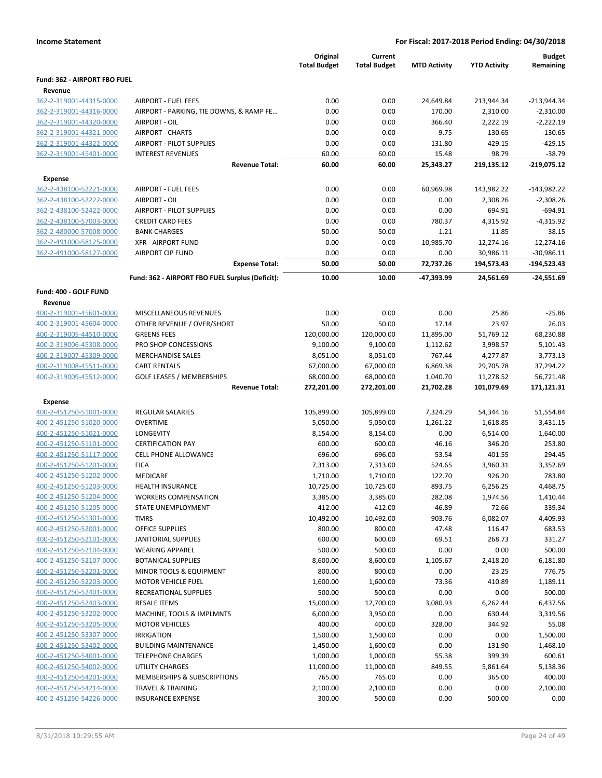|                              |                                                 | Original<br><b>Total Budget</b> | Current<br><b>Total Budget</b> | <b>MTD Activity</b> | <b>YTD Activity</b> | <b>Budget</b><br>Remaining |
|------------------------------|-------------------------------------------------|---------------------------------|--------------------------------|---------------------|---------------------|----------------------------|
| Fund: 362 - AIRPORT FBO FUEL |                                                 |                                 |                                |                     |                     |                            |
| Revenue                      |                                                 |                                 |                                |                     |                     |                            |
| 362-2-319001-44315-0000      | <b>AIRPORT - FUEL FEES</b>                      | 0.00                            | 0.00                           | 24,649.84           | 213,944.34          | $-213,944.34$              |
| 362-2-319001-44316-0000      | AIRPORT - PARKING, TIE DOWNS, & RAMP FE         | 0.00                            | 0.00                           | 170.00              | 2,310.00            | $-2,310.00$                |
| 362-2-319001-44320-0000      | AIRPORT - OIL                                   | 0.00                            | 0.00                           | 366.40              | 2,222.19            | $-2,222.19$                |
| 362-2-319001-44321-0000      | <b>AIRPORT - CHARTS</b>                         | 0.00                            | 0.00                           | 9.75                | 130.65              | $-130.65$                  |
| 362-2-319001-44322-0000      | <b>AIRPORT - PILOT SUPPLIES</b>                 | 0.00                            | 0.00                           | 131.80              | 429.15              | $-429.15$                  |
| 362-2-319001-45401-0000      | <b>INTEREST REVENUES</b>                        | 60.00                           | 60.00                          | 15.48               | 98.79               | $-38.79$                   |
|                              | <b>Revenue Total:</b>                           | 60.00                           | 60.00                          | 25,343.27           | 219,135.12          | $-219,075.12$              |
| <b>Expense</b>               |                                                 |                                 |                                |                     |                     |                            |
| 362-2-438100-52221-0000      | <b>AIRPORT - FUEL FEES</b>                      | 0.00                            | 0.00                           | 60,969.98           | 143,982.22          | $-143,982.22$              |
| 362-2-438100-52222-0000      | AIRPORT - OIL                                   | 0.00                            | 0.00                           | 0.00                | 2,308.26            | $-2,308.26$                |
| 362-2-438100-52422-0000      | <b>AIRPORT - PILOT SUPPLIES</b>                 | 0.00                            | 0.00                           | 0.00                | 694.91              | $-694.91$                  |
| 362-2-438100-57003-0000      | <b>CREDIT CARD FEES</b>                         | 0.00                            | 0.00                           | 780.37              | 4,315.92            | $-4,315.92$                |
| 362-2-480000-57008-0000      | <b>BANK CHARGES</b>                             | 50.00                           | 50.00                          | 1.21                | 11.85               | 38.15                      |
| 362-2-491000-58125-0000      | <b>XFR - AIRPORT FUND</b>                       | 0.00                            | 0.00                           | 10,985.70           | 12,274.16           | $-12,274.16$               |
| 362-2-491000-58127-0000      | <b>AIRPORT CIP FUND</b>                         | 0.00                            | 0.00                           | 0.00                | 30,986.11           | $-30,986.11$               |
|                              | <b>Expense Total:</b>                           | 50.00                           | 50.00                          | 72,737.26           | 194,573.43          | $-194,523.43$              |
|                              | Fund: 362 - AIRPORT FBO FUEL Surplus (Deficit): | 10.00                           | 10.00                          | -47,393.99          | 24,561.69           | $-24,551.69$               |
| Fund: 400 - GOLF FUND        |                                                 |                                 |                                |                     |                     |                            |
| Revenue                      |                                                 |                                 |                                |                     |                     |                            |
| 400-2-319001-45601-0000      | MISCELLANEOUS REVENUES                          | 0.00                            | 0.00                           | 0.00                | 25.86               | $-25.86$                   |
| 400-2-319001-45604-0000      | OTHER REVENUE / OVER/SHORT                      | 50.00                           | 50.00                          | 17.14               | 23.97               | 26.03                      |
| 400-2-319005-44510-0000      | <b>GREENS FEES</b>                              | 120,000.00                      | 120,000.00                     | 11,895.00           | 51,769.12           | 68,230.88                  |
| 400-2-319006-45308-0000      | PRO SHOP CONCESSIONS                            | 9,100.00                        | 9,100.00                       | 1,112.62            | 3,998.57            | 5,101.43                   |
| 400-2-319007-45309-0000      | <b>MERCHANDISE SALES</b>                        | 8,051.00                        | 8,051.00                       | 767.44              | 4,277.87            | 3,773.13                   |
| 400-2-319008-45511-0000      | <b>CART RENTALS</b>                             | 67,000.00                       | 67,000.00                      | 6,869.38            | 29,705.78           | 37,294.22                  |
| 400-2-319009-45512-0000      | <b>GOLF LEASES / MEMBERSHIPS</b>                | 68,000.00                       | 68,000.00                      | 1,040.70            | 11,278.52           | 56,721.48                  |
|                              | <b>Revenue Total:</b>                           | 272,201.00                      | 272,201.00                     | 21,702.28           | 101,079.69          | 171,121.31                 |
| <b>Expense</b>               |                                                 |                                 |                                |                     |                     |                            |
| 400-2-451250-51001-0000      | <b>REGULAR SALARIES</b>                         | 105,899.00                      | 105,899.00                     | 7,324.29            | 54,344.16           | 51,554.84                  |
| 400-2-451250-51020-0000      | <b>OVERTIME</b>                                 | 5,050.00                        | 5,050.00                       | 1,261.22            | 1,618.85            | 3,431.15                   |
| 400-2-451250-51021-0000      | LONGEVITY                                       | 8,154.00                        | 8,154.00                       | 0.00                | 6,514.00            | 1,640.00                   |
| 400-2-451250-51101-0000      | <b>CERTIFICATION PAY</b>                        | 600.00                          | 600.00                         | 46.16               | 346.20              | 253.80                     |
| 400-2-451250-51117-0000      | <b>CELL PHONE ALLOWANCE</b>                     | 696.00                          | 696.00                         | 53.54               | 401.55              | 294.45                     |
| 400-2-451250-51201-0000      | <b>FICA</b>                                     | 7,313.00                        | 7,313.00                       | 524.65              | 3,960.31            | 3,352.69                   |
| 400-2-451250-51202-0000      | MEDICARE                                        | 1,710.00                        | 1,710.00                       | 122.70              | 926.20              | 783.80                     |
| 400-2-451250-51203-0000      | <b>HEALTH INSURANCE</b>                         | 10,725.00                       | 10,725.00                      | 893.75              | 6,256.25            | 4,468.75                   |
| 400-2-451250-51204-0000      | <b>WORKERS COMPENSATION</b>                     | 3,385.00                        | 3,385.00                       | 282.08              | 1,974.56            | 1,410.44                   |
| 400-2-451250-51205-0000      | STATE UNEMPLOYMENT                              | 412.00                          | 412.00                         | 46.89               | 72.66               | 339.34                     |
| 400-2-451250-51301-0000      | <b>TMRS</b>                                     | 10,492.00                       | 10,492.00                      | 903.76              | 6,082.07            | 4,409.93                   |
| 400-2-451250-52001-0000      | <b>OFFICE SUPPLIES</b>                          | 800.00                          | 800.00                         | 47.48               | 116.47              | 683.53                     |
| 400-2-451250-52101-0000      | <b>JANITORIAL SUPPLIES</b>                      | 600.00                          | 600.00                         | 69.51               | 268.73              | 331.27                     |
| 400-2-451250-52104-0000      | <b>WEARING APPAREL</b>                          | 500.00                          | 500.00                         | 0.00                | 0.00                | 500.00                     |
| 400-2-451250-52107-0000      | <b>BOTANICAL SUPPLIES</b>                       | 8,600.00                        | 8,600.00                       | 1,105.67            | 2,418.20            | 6,181.80                   |
| 400-2-451250-52201-0000      | MINOR TOOLS & EQUIPMENT                         | 800.00                          | 800.00                         | 0.00                | 23.25               | 776.75                     |
| 400-2-451250-52203-0000      | <b>MOTOR VEHICLE FUEL</b>                       | 1,600.00                        | 1,600.00                       | 73.36               | 410.89              | 1,189.11                   |
| 400-2-451250-52401-0000      | RECREATIONAL SUPPLIES                           | 500.00                          | 500.00                         | 0.00                | 0.00                | 500.00                     |
| 400-2-451250-52403-0000      | <b>RESALE ITEMS</b>                             | 15,000.00                       | 12,700.00                      | 3,080.93            | 6,262.44            | 6,437.56                   |
| 400-2-451250-53202-0000      | MACHINE, TOOLS & IMPLMNTS                       | 6,000.00                        | 3,950.00                       | 0.00                | 630.44              | 3,319.56                   |
| 400-2-451250-53205-0000      | <b>MOTOR VEHICLES</b>                           | 400.00                          | 400.00                         | 328.00              | 344.92              | 55.08                      |
| 400-2-451250-53307-0000      | <b>IRRIGATION</b>                               | 1,500.00                        | 1,500.00                       | 0.00                | 0.00                | 1,500.00                   |
| 400-2-451250-53402-0000      | <b>BUILDING MAINTENANCE</b>                     | 1,450.00                        | 1,600.00                       | 0.00                | 131.90              | 1,468.10                   |
| 400-2-451250-54001-0000      | <b>TELEPHONE CHARGES</b>                        | 1,000.00                        | 1,000.00                       | 55.38               | 399.39              | 600.61                     |
| 400-2-451250-54002-0000      | <b>UTILITY CHARGES</b>                          | 11,000.00                       | 11,000.00                      | 849.55              | 5,861.64            | 5,138.36                   |
| 400-2-451250-54201-0000      | <b>MEMBERSHIPS &amp; SUBSCRIPTIONS</b>          | 765.00                          | 765.00                         | 0.00                | 365.00              | 400.00                     |
| 400-2-451250-54214-0000      | <b>TRAVEL &amp; TRAINING</b>                    | 2,100.00                        | 2,100.00                       | 0.00                | 0.00                | 2,100.00                   |
| 400-2-451250-54226-0000      | <b>INSURANCE EXPENSE</b>                        | 300.00                          | 500.00                         | 0.00                | 500.00              | 0.00                       |
|                              |                                                 |                                 |                                |                     |                     |                            |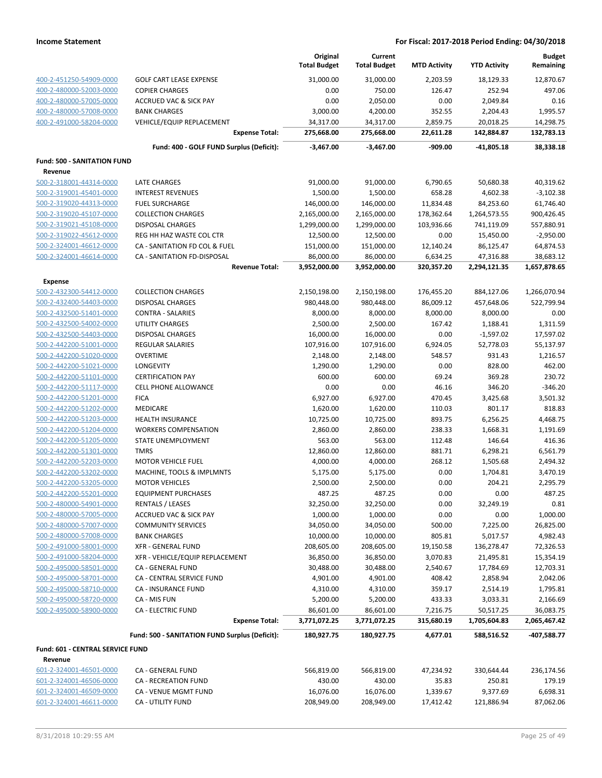|                                                    |                                                      | Original<br><b>Total Budget</b> | Current<br><b>Total Budget</b> | <b>MTD Activity</b> | <b>YTD Activity</b>     | <b>Budget</b><br>Remaining |
|----------------------------------------------------|------------------------------------------------------|---------------------------------|--------------------------------|---------------------|-------------------------|----------------------------|
| 400-2-451250-54909-0000                            | <b>GOLF CART LEASE EXPENSE</b>                       | 31,000.00                       | 31,000.00                      | 2,203.59            | 18,129.33               | 12,870.67                  |
| 400-2-480000-52003-0000                            | <b>COPIER CHARGES</b>                                | 0.00                            | 750.00                         | 126.47              | 252.94                  | 497.06                     |
| 400-2-480000-57005-0000                            | <b>ACCRUED VAC &amp; SICK PAY</b>                    | 0.00                            | 2,050.00                       | 0.00                | 2,049.84                | 0.16                       |
| 400-2-480000-57008-0000                            | <b>BANK CHARGES</b>                                  | 3,000.00                        | 4,200.00                       | 352.55              | 2,204.43                | 1,995.57                   |
| 400-2-491000-58204-0000                            | VEHICLE/EQUIP REPLACEMENT                            | 34,317.00                       | 34,317.00                      | 2,859.75            | 20,018.25               | 14,298.75                  |
|                                                    | <b>Expense Total:</b>                                | 275,668.00                      | 275,668.00                     | 22,611.28           | 142,884.87              | 132,783.13                 |
|                                                    | Fund: 400 - GOLF FUND Surplus (Deficit):             | $-3,467.00$                     | $-3,467.00$                    | $-909.00$           | $-41,805.18$            | 38,338.18                  |
| <b>Fund: 500 - SANITATION FUND</b>                 |                                                      |                                 |                                |                     |                         |                            |
| Revenue                                            |                                                      |                                 |                                |                     |                         |                            |
| 500-2-318001-44314-0000                            | <b>LATE CHARGES</b>                                  | 91,000.00                       | 91,000.00                      | 6,790.65            | 50,680.38               | 40,319.62                  |
| 500-2-319001-45401-0000                            | <b>INTEREST REVENUES</b>                             | 1,500.00                        | 1,500.00                       | 658.28              | 4,602.38                | $-3,102.38$                |
| 500-2-319020-44313-0000                            | <b>FUEL SURCHARGE</b>                                | 146,000.00                      | 146,000.00                     | 11,834.48           | 84,253.60               | 61,746.40                  |
| 500-2-319020-45107-0000                            | <b>COLLECTION CHARGES</b><br><b>DISPOSAL CHARGES</b> | 2,165,000.00                    | 2,165,000.00                   | 178,362.64          | 1,264,573.55            | 900,426.45<br>557,880.91   |
| 500-2-319021-45108-0000<br>500-2-319022-45612-0000 | REG HH HAZ WASTE COL CTR                             | 1,299,000.00<br>12,500.00       | 1,299,000.00<br>12,500.00      | 103,936.66<br>0.00  | 741,119.09<br>15,450.00 | $-2,950.00$                |
| 500-2-324001-46612-0000                            | CA - SANITATION FD COL & FUEL                        | 151,000.00                      | 151,000.00                     | 12,140.24           | 86,125.47               | 64,874.53                  |
| 500-2-324001-46614-0000                            | CA - SANITATION FD-DISPOSAL                          | 86,000.00                       | 86,000.00                      | 6,634.25            | 47,316.88               | 38,683.12                  |
|                                                    | <b>Revenue Total:</b>                                | 3,952,000.00                    | 3,952,000.00                   | 320,357.20          | 2,294,121.35            | 1,657,878.65               |
| <b>Expense</b>                                     |                                                      |                                 |                                |                     |                         |                            |
| 500-2-432300-54412-0000                            | <b>COLLECTION CHARGES</b>                            | 2,150,198.00                    | 2,150,198.00                   | 176,455.20          | 884,127.06              | 1,266,070.94               |
| 500-2-432400-54403-0000                            | <b>DISPOSAL CHARGES</b>                              | 980,448.00                      | 980,448.00                     | 86,009.12           | 457,648.06              | 522,799.94                 |
| 500-2-432500-51401-0000                            | <b>CONTRA - SALARIES</b>                             | 8,000.00                        | 8,000.00                       | 8,000.00            | 8,000.00                | 0.00                       |
| 500-2-432500-54002-0000                            | UTILITY CHARGES                                      | 2,500.00                        | 2,500.00                       | 167.42              | 1,188.41                | 1,311.59                   |
| 500-2-432500-54403-0000                            | <b>DISPOSAL CHARGES</b>                              | 16,000.00                       | 16,000.00                      | 0.00                | $-1,597.02$             | 17,597.02                  |
| 500-2-442200-51001-0000                            | <b>REGULAR SALARIES</b>                              | 107,916.00                      | 107,916.00                     | 6,924.05            | 52,778.03               | 55,137.97                  |
| 500-2-442200-51020-0000                            | <b>OVERTIME</b>                                      | 2,148.00                        | 2,148.00                       | 548.57              | 931.43                  | 1,216.57                   |
| 500-2-442200-51021-0000                            | LONGEVITY                                            | 1,290.00                        | 1,290.00                       | 0.00                | 828.00                  | 462.00                     |
| 500-2-442200-51101-0000                            | <b>CERTIFICATION PAY</b>                             | 600.00                          | 600.00                         | 69.24               | 369.28                  | 230.72                     |
| 500-2-442200-51117-0000                            | CELL PHONE ALLOWANCE                                 | 0.00                            | 0.00                           | 46.16               | 346.20                  | $-346.20$                  |
| 500-2-442200-51201-0000                            | <b>FICA</b>                                          | 6,927.00                        | 6,927.00                       | 470.45              | 3,425.68                | 3,501.32                   |
| 500-2-442200-51202-0000                            | <b>MEDICARE</b>                                      | 1,620.00                        | 1,620.00                       | 110.03              | 801.17                  | 818.83                     |
| 500-2-442200-51203-0000                            | <b>HEALTH INSURANCE</b>                              | 10,725.00                       | 10,725.00                      | 893.75              | 6,256.25                | 4,468.75                   |
| 500-2-442200-51204-0000                            | <b>WORKERS COMPENSATION</b>                          | 2,860.00                        | 2,860.00                       | 238.33              | 1,668.31                | 1,191.69                   |
| 500-2-442200-51205-0000                            | STATE UNEMPLOYMENT                                   | 563.00                          | 563.00                         | 112.48              | 146.64                  | 416.36                     |
| 500-2-442200-51301-0000                            | <b>TMRS</b>                                          | 12,860.00                       | 12,860.00                      | 881.71              | 6,298.21                | 6,561.79                   |
| 500-2-442200-52203-0000                            | <b>MOTOR VEHICLE FUEL</b>                            | 4,000.00                        | 4,000.00                       | 268.12              | 1,505.68                | 2,494.32                   |
| 500-2-442200-53202-0000                            | MACHINE, TOOLS & IMPLMNTS                            | 5,175.00                        | 5,175.00                       | 0.00                | 1,704.81                | 3,470.19                   |
| 500-2-442200-53205-0000                            | <b>MOTOR VEHICLES</b>                                | 2,500.00                        | 2,500.00                       | 0.00                | 204.21                  | 2,295.79                   |
| 500-2-442200-55201-0000                            | EQUIPMENT PURCHASES                                  | 487.25                          | 487.25                         | 0.00                | 0.00                    | 487.25                     |
| 500-2-480000-54901-0000                            | <b>RENTALS / LEASES</b>                              | 32,250.00                       | 32,250.00                      | 0.00                | 32,249.19               | 0.81                       |
| 500-2-480000-57005-0000                            | <b>ACCRUED VAC &amp; SICK PAY</b>                    | 1,000.00                        | 1,000.00                       | 0.00                | 0.00                    | 1,000.00                   |
| 500-2-480000-57007-0000                            | <b>COMMUNITY SERVICES</b>                            | 34,050.00                       | 34,050.00                      | 500.00              | 7,225.00                | 26,825.00                  |
| 500-2-480000-57008-0000                            | <b>BANK CHARGES</b>                                  | 10,000.00                       | 10,000.00                      | 805.81              | 5,017.57                | 4,982.43                   |
| 500-2-491000-58001-0000                            | XFR - GENERAL FUND                                   | 208,605.00                      | 208,605.00                     | 19,150.58           | 136,278.47              | 72,326.53                  |
| 500-2-491000-58204-0000                            | XFR - VEHICLE/EQUIP REPLACEMENT                      | 36,850.00                       | 36,850.00                      | 3,070.83            | 21,495.81               | 15,354.19                  |
| 500-2-495000-58501-0000                            | CA - GENERAL FUND                                    | 30,488.00                       | 30,488.00                      | 2,540.67            | 17,784.69               | 12,703.31                  |
| 500-2-495000-58701-0000                            | CA - CENTRAL SERVICE FUND                            | 4,901.00                        | 4,901.00                       | 408.42              | 2,858.94                | 2,042.06                   |
| 500-2-495000-58710-0000                            | <b>CA - INSURANCE FUND</b>                           | 4,310.00                        | 4,310.00                       | 359.17              | 2,514.19                | 1,795.81                   |
| 500-2-495000-58720-0000                            | CA - MIS FUN                                         | 5,200.00                        | 5,200.00                       | 433.33              | 3,033.31                | 2,166.69                   |
| 500-2-495000-58900-0000                            | <b>CA - ELECTRIC FUND</b>                            | 86,601.00                       | 86,601.00                      | 7,216.75            | 50,517.25               | 36,083.75                  |
|                                                    | <b>Expense Total:</b>                                | 3,771,072.25                    | 3,771,072.25                   | 315,680.19          | 1,705,604.83            | 2,065,467.42               |
|                                                    | Fund: 500 - SANITATION FUND Surplus (Deficit):       | 180,927.75                      | 180,927.75                     | 4,677.01            | 588,516.52              | -407,588.77                |
| Fund: 601 - CENTRAL SERVICE FUND                   |                                                      |                                 |                                |                     |                         |                            |
| Revenue                                            |                                                      |                                 |                                |                     |                         |                            |
| 601-2-324001-46501-0000                            | CA - GENERAL FUND                                    | 566,819.00                      | 566,819.00                     | 47,234.92           | 330,644.44              | 236,174.56                 |
| 601-2-324001-46506-0000                            | CA - RECREATION FUND                                 | 430.00                          | 430.00                         | 35.83               | 250.81                  | 179.19                     |
| 601-2-324001-46509-0000                            | CA - VENUE MGMT FUND                                 | 16,076.00                       | 16,076.00                      | 1,339.67            | 9,377.69                | 6,698.31                   |
| 601-2-324001-46611-0000                            | CA - UTILITY FUND                                    | 208,949.00                      | 208,949.00                     | 17,412.42           | 121,886.94              | 87,062.06                  |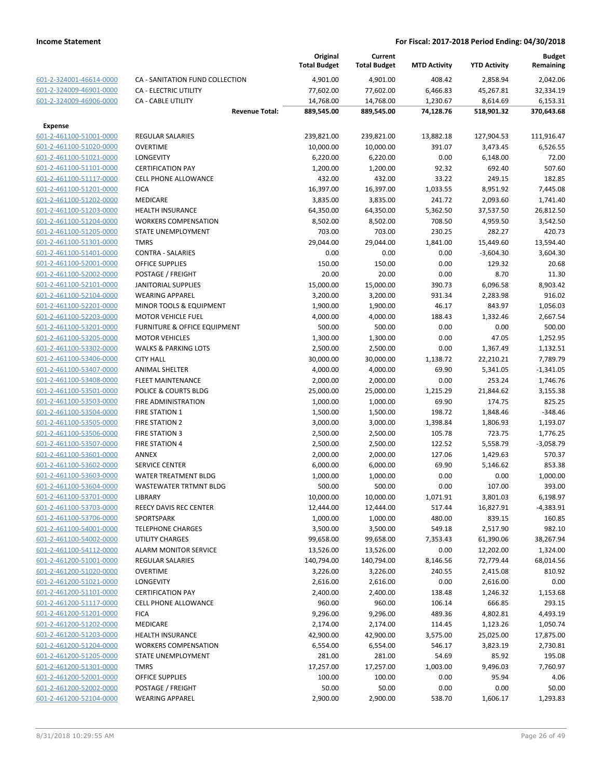|                                                    |                                           | Original<br><b>Total Budget</b> | Current<br><b>Total Budget</b> | <b>MTD Activity</b> | <b>YTD Activity</b>   | <b>Budget</b><br>Remaining |
|----------------------------------------------------|-------------------------------------------|---------------------------------|--------------------------------|---------------------|-----------------------|----------------------------|
| 601-2-324001-46614-0000                            | CA - SANITATION FUND COLLECTION           | 4,901.00                        | 4,901.00                       | 408.42              | 2,858.94              | 2,042.06                   |
| 601-2-324009-46901-0000                            | <b>CA - ELECTRIC UTILITY</b>              | 77,602.00                       | 77,602.00                      | 6,466.83            | 45,267.81             | 32,334.19                  |
| 601-2-324009-46906-0000                            | <b>CA - CABLE UTILITY</b>                 | 14,768.00                       | 14,768.00                      | 1,230.67            | 8,614.69              | 6,153.31                   |
|                                                    | <b>Revenue Total:</b>                     | 889,545.00                      | 889,545.00                     | 74,128.76           | 518,901.32            | 370,643.68                 |
| <b>Expense</b>                                     |                                           |                                 |                                |                     |                       |                            |
| 601-2-461100-51001-0000                            | <b>REGULAR SALARIES</b>                   | 239,821.00                      | 239,821.00                     | 13,882.18           | 127,904.53            | 111,916.47                 |
| 601-2-461100-51020-0000                            | <b>OVERTIME</b>                           | 10,000.00                       | 10,000.00                      | 391.07              | 3,473.45              | 6,526.55                   |
| 601-2-461100-51021-0000                            | <b>LONGEVITY</b>                          | 6,220.00                        | 6,220.00                       | 0.00                | 6,148.00              | 72.00                      |
| 601-2-461100-51101-0000                            | <b>CERTIFICATION PAY</b>                  | 1,200.00                        | 1,200.00                       | 92.32               | 692.40                | 507.60                     |
| 601-2-461100-51117-0000                            | <b>CELL PHONE ALLOWANCE</b>               | 432.00                          | 432.00                         | 33.22               | 249.15                | 182.85                     |
| 601-2-461100-51201-0000                            | <b>FICA</b>                               | 16,397.00                       | 16,397.00                      | 1,033.55            | 8,951.92              | 7,445.08                   |
| 601-2-461100-51202-0000                            | <b>MEDICARE</b>                           | 3,835.00                        | 3,835.00                       | 241.72              | 2,093.60              | 1,741.40                   |
| 601-2-461100-51203-0000                            | <b>HEALTH INSURANCE</b>                   | 64,350.00                       | 64,350.00                      | 5,362.50            | 37,537.50             | 26,812.50                  |
| 601-2-461100-51204-0000                            | <b>WORKERS COMPENSATION</b>               | 8,502.00                        | 8,502.00                       | 708.50              | 4,959.50              | 3,542.50                   |
| 601-2-461100-51205-0000                            | STATE UNEMPLOYMENT                        | 703.00                          | 703.00                         | 230.25              | 282.27                | 420.73                     |
| 601-2-461100-51301-0000                            | <b>TMRS</b>                               | 29,044.00                       | 29,044.00                      | 1,841.00            | 15,449.60             | 13,594.40                  |
| 601-2-461100-51401-0000                            | <b>CONTRA - SALARIES</b>                  | 0.00                            | 0.00                           | 0.00                | $-3,604.30$           | 3,604.30                   |
| 601-2-461100-52001-0000                            | <b>OFFICE SUPPLIES</b>                    | 150.00                          | 150.00                         | 0.00                | 129.32                | 20.68                      |
| 601-2-461100-52002-0000                            | POSTAGE / FREIGHT                         | 20.00                           | 20.00                          | 0.00                | 8.70                  | 11.30                      |
| 601-2-461100-52101-0000                            | <b>JANITORIAL SUPPLIES</b>                | 15,000.00                       | 15,000.00                      | 390.73              | 6,096.58              | 8,903.42                   |
| 601-2-461100-52104-0000                            | <b>WEARING APPAREL</b>                    | 3,200.00                        | 3,200.00                       | 931.34              | 2,283.98              | 916.02                     |
| 601-2-461100-52201-0000                            | <b>MINOR TOOLS &amp; EQUIPMENT</b>        | 1,900.00                        | 1,900.00                       | 46.17               | 843.97                | 1,056.03                   |
| 601-2-461100-52203-0000                            | <b>MOTOR VEHICLE FUEL</b>                 | 4,000.00                        | 4,000.00                       | 188.43              | 1,332.46              | 2,667.54                   |
| 601-2-461100-53201-0000                            | FURNITURE & OFFICE EQUIPMENT              | 500.00                          | 500.00                         | 0.00                | 0.00                  | 500.00                     |
| 601-2-461100-53205-0000                            | <b>MOTOR VEHICLES</b>                     | 1,300.00                        | 1,300.00                       | 0.00                | 47.05                 | 1,252.95                   |
| 601-2-461100-53302-0000                            | <b>WALKS &amp; PARKING LOTS</b>           | 2,500.00                        | 2,500.00                       | 0.00                | 1,367.49              | 1,132.51                   |
| 601-2-461100-53406-0000<br>601-2-461100-53407-0000 | <b>CITY HALL</b><br><b>ANIMAL SHELTER</b> | 30,000.00                       | 30,000.00<br>4,000.00          | 1,138.72<br>69.90   | 22,210.21<br>5,341.05 | 7,789.79<br>$-1,341.05$    |
| 601-2-461100-53408-0000                            | <b>FLEET MAINTENANCE</b>                  | 4,000.00<br>2,000.00            | 2,000.00                       | 0.00                | 253.24                | 1,746.76                   |
| 601-2-461100-53501-0000                            | POLICE & COURTS BLDG                      | 25,000.00                       | 25,000.00                      | 1,215.29            | 21,844.62             | 3,155.38                   |
| 601-2-461100-53503-0000                            | FIRE ADMINISTRATION                       | 1,000.00                        | 1,000.00                       | 69.90               | 174.75                | 825.25                     |
| 601-2-461100-53504-0000                            | <b>FIRE STATION 1</b>                     | 1,500.00                        | 1,500.00                       | 198.72              | 1,848.46              | $-348.46$                  |
| 601-2-461100-53505-0000                            | <b>FIRE STATION 2</b>                     | 3,000.00                        | 3,000.00                       | 1,398.84            | 1,806.93              | 1,193.07                   |
| 601-2-461100-53506-0000                            | <b>FIRE STATION 3</b>                     | 2,500.00                        | 2,500.00                       | 105.78              | 723.75                | 1,776.25                   |
| 601-2-461100-53507-0000                            | <b>FIRE STATION 4</b>                     | 2,500.00                        | 2,500.00                       | 122.52              | 5,558.79              | $-3,058.79$                |
| 601-2-461100-53601-0000                            | <b>ANNEX</b>                              | 2,000.00                        | 2,000.00                       | 127.06              | 1,429.63              | 570.37                     |
| 601-2-461100-53602-0000                            | <b>SERVICE CENTER</b>                     | 6,000.00                        | 6,000.00                       | 69.90               | 5,146.62              | 853.38                     |
| 601-2-461100-53603-0000                            | <b>WATER TREATMENT BLDG</b>               | 1,000.00                        | 1,000.00                       | 0.00                | 0.00                  | 1,000.00                   |
| 601-2-461100-53604-0000                            | <b>WASTEWATER TRTMNT BLDG</b>             | 500.00                          | 500.00                         | 0.00                | 107.00                | 393.00                     |
| 601-2-461100-53701-0000                            | LIBRARY                                   | 10,000.00                       | 10,000.00                      | 1,071.91            | 3,801.03              | 6,198.97                   |
| 601-2-461100-53703-0000                            | REECY DAVIS REC CENTER                    | 12,444.00                       | 12,444.00                      | 517.44              | 16,827.91             | $-4,383.91$                |
| 601-2-461100-53706-0000                            | SPORTSPARK                                | 1,000.00                        | 1,000.00                       | 480.00              | 839.15                | 160.85                     |
| 601-2-461100-54001-0000                            | <b>TELEPHONE CHARGES</b>                  | 3,500.00                        | 3,500.00                       | 549.18              | 2,517.90              | 982.10                     |
| 601-2-461100-54002-0000                            | UTILITY CHARGES                           | 99,658.00                       | 99,658.00                      | 7,353.43            | 61,390.06             | 38,267.94                  |
| 601-2-461100-54112-0000                            | <b>ALARM MONITOR SERVICE</b>              | 13,526.00                       | 13,526.00                      | 0.00                | 12,202.00             | 1,324.00                   |
| 601-2-461200-51001-0000                            | <b>REGULAR SALARIES</b>                   | 140,794.00                      | 140,794.00                     | 8,146.56            | 72,779.44             | 68,014.56                  |
| 601-2-461200-51020-0000                            | <b>OVERTIME</b>                           | 3,226.00                        | 3,226.00                       | 240.55              | 2,415.08              | 810.92                     |
| 601-2-461200-51021-0000                            | <b>LONGEVITY</b>                          | 2,616.00                        | 2,616.00                       | 0.00                | 2,616.00              | 0.00                       |
| 601-2-461200-51101-0000                            | <b>CERTIFICATION PAY</b>                  | 2,400.00                        | 2,400.00                       | 138.48              | 1,246.32              | 1,153.68                   |
| 601-2-461200-51117-0000                            | <b>CELL PHONE ALLOWANCE</b>               | 960.00                          | 960.00                         | 106.14              | 666.85                | 293.15                     |
| 601-2-461200-51201-0000                            | <b>FICA</b>                               | 9,296.00                        | 9,296.00                       | 489.36              | 4,802.81              | 4,493.19                   |
| 601-2-461200-51202-0000                            | <b>MEDICARE</b>                           | 2,174.00                        | 2,174.00                       | 114.45              | 1,123.26              | 1,050.74                   |
| 601-2-461200-51203-0000                            | <b>HEALTH INSURANCE</b>                   | 42,900.00                       | 42,900.00                      | 3,575.00            | 25,025.00             | 17,875.00                  |
| 601-2-461200-51204-0000                            | <b>WORKERS COMPENSATION</b>               | 6,554.00                        | 6,554.00                       | 546.17              | 3,823.19              | 2,730.81                   |
| 601-2-461200-51205-0000                            | STATE UNEMPLOYMENT                        | 281.00                          | 281.00                         | 54.69               | 85.92                 | 195.08                     |
| 601-2-461200-51301-0000                            | <b>TMRS</b>                               | 17,257.00                       | 17,257.00                      | 1,003.00            | 9,496.03              | 7,760.97                   |
| 601-2-461200-52001-0000                            | <b>OFFICE SUPPLIES</b>                    | 100.00                          | 100.00                         | 0.00                | 95.94                 | 4.06                       |
| 601-2-461200-52002-0000                            | POSTAGE / FREIGHT                         | 50.00                           | 50.00                          | 0.00                | 0.00                  | 50.00                      |
| 601-2-461200-52104-0000                            | <b>WEARING APPAREL</b>                    | 2,900.00                        | 2,900.00                       | 538.70              | 1,606.17              | 1,293.83                   |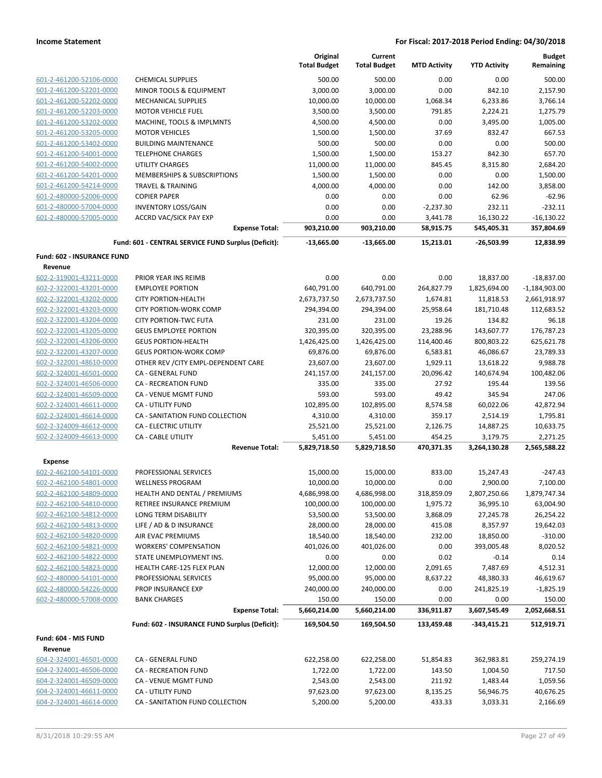|                                                    |                                                           | Original<br><b>Total Budget</b> | Current<br><b>Total Budget</b> | <b>MTD Activity</b>   | <b>YTD Activity</b>     | <b>Budget</b><br>Remaining |
|----------------------------------------------------|-----------------------------------------------------------|---------------------------------|--------------------------------|-----------------------|-------------------------|----------------------------|
| 601-2-461200-52106-0000                            | <b>CHEMICAL SUPPLIES</b>                                  | 500.00                          | 500.00                         | 0.00                  | 0.00                    | 500.00                     |
| 601-2-461200-52201-0000                            | MINOR TOOLS & EQUIPMENT                                   | 3,000.00                        | 3,000.00                       | 0.00                  | 842.10                  | 2,157.90                   |
| 601-2-461200-52202-0000                            | <b>MECHANICAL SUPPLIES</b>                                | 10,000.00                       | 10,000.00                      | 1,068.34              | 6,233.86                | 3,766.14                   |
| 601-2-461200-52203-0000                            | <b>MOTOR VEHICLE FUEL</b>                                 | 3,500.00                        | 3,500.00                       | 791.85                | 2,224.21                | 1,275.79                   |
| 601-2-461200-53202-0000                            | MACHINE, TOOLS & IMPLMNTS                                 | 4,500.00                        | 4,500.00                       | 0.00                  | 3,495.00                | 1,005.00                   |
| 601-2-461200-53205-0000                            | <b>MOTOR VEHICLES</b>                                     | 1,500.00                        | 1,500.00                       | 37.69                 | 832.47                  | 667.53                     |
| 601-2-461200-53402-0000                            | <b>BUILDING MAINTENANCE</b>                               | 500.00                          | 500.00                         | 0.00                  | 0.00                    | 500.00                     |
| 601-2-461200-54001-0000                            | <b>TELEPHONE CHARGES</b>                                  | 1,500.00                        | 1,500.00                       | 153.27                | 842.30                  | 657.70                     |
| 601-2-461200-54002-0000                            | <b>UTILITY CHARGES</b>                                    | 11,000.00                       | 11,000.00                      | 845.45                | 8,315.80                | 2,684.20                   |
| 601-2-461200-54201-0000                            | MEMBERSHIPS & SUBSCRIPTIONS                               | 1,500.00                        | 1,500.00                       | 0.00                  | 0.00                    | 1,500.00                   |
| 601-2-461200-54214-0000                            | <b>TRAVEL &amp; TRAINING</b>                              | 4,000.00                        | 4,000.00                       | 0.00                  | 142.00                  | 3,858.00                   |
| 601-2-480000-52006-0000                            | <b>COPIER PAPER</b>                                       | 0.00                            | 0.00                           | 0.00                  | 62.96                   | $-62.96$                   |
| 601-2-480000-57004-0000                            | <b>INVENTORY LOSS/GAIN</b>                                | 0.00                            | 0.00                           | $-2,237.30$           | 232.11                  | $-232.11$                  |
| 601-2-480000-57005-0000                            | <b>ACCRD VAC/SICK PAY EXP</b><br><b>Expense Total:</b>    | 0.00<br>903,210.00              | 0.00<br>903,210.00             | 3,441.78<br>58,915.75 | 16,130.22<br>545,405.31 | $-16,130.22$<br>357,804.69 |
|                                                    |                                                           |                                 |                                |                       |                         |                            |
|                                                    | Fund: 601 - CENTRAL SERVICE FUND Surplus (Deficit):       | $-13,665.00$                    | $-13,665.00$                   | 15,213.01             | $-26,503.99$            | 12,838.99                  |
| <b>Fund: 602 - INSURANCE FUND</b><br>Revenue       |                                                           |                                 |                                |                       |                         |                            |
| 602-2-319001-43211-0000                            | PRIOR YEAR INS REIMB                                      | 0.00                            | 0.00                           | 0.00                  | 18,837.00               | $-18,837.00$               |
| 602-2-322001-43201-0000                            | <b>EMPLOYEE PORTION</b>                                   | 640,791.00                      | 640,791.00                     | 264,827.79            | 1,825,694.00            | $-1,184,903.00$            |
| 602-2-322001-43202-0000                            | <b>CITY PORTION-HEALTH</b>                                | 2,673,737.50                    | 2,673,737.50                   | 1,674.81              | 11,818.53               | 2,661,918.97               |
| 602-2-322001-43203-0000                            | <b>CITY PORTION-WORK COMP</b>                             | 294,394.00                      | 294,394.00                     | 25,958.64             | 181,710.48              | 112,683.52                 |
| 602-2-322001-43204-0000                            | <b>CITY PORTION-TWC FUTA</b>                              | 231.00                          | 231.00                         | 19.26                 | 134.82                  | 96.18                      |
| 602-2-322001-43205-0000                            | <b>GEUS EMPLOYEE PORTION</b>                              | 320,395.00                      | 320,395.00                     | 23,288.96             | 143,607.77              | 176,787.23                 |
| 602-2-322001-43206-0000                            | <b>GEUS PORTION-HEALTH</b>                                | 1,426,425.00                    | 1,426,425.00                   | 114,400.46            | 800,803.22              | 625,621.78                 |
| 602-2-322001-43207-0000                            | <b>GEUS PORTION-WORK COMP</b>                             | 69,876.00                       | 69,876.00                      | 6,583.81              | 46,086.67               | 23,789.33                  |
| 602-2-322001-48610-0000                            | OTHER REV / CITY EMPL-DEPENDENT CARE                      | 23,607.00                       | 23,607.00                      | 1,929.11              | 13,618.22               | 9,988.78                   |
| 602-2-324001-46501-0000                            | CA - GENERAL FUND                                         | 241,157.00                      | 241,157.00                     | 20,096.42             | 140,674.94              | 100,482.06                 |
| 602-2-324001-46506-0000                            | <b>CA - RECREATION FUND</b>                               | 335.00                          | 335.00                         | 27.92                 | 195.44                  | 139.56                     |
| 602-2-324001-46509-0000                            | CA - VENUE MGMT FUND                                      | 593.00                          | 593.00                         | 49.42                 | 345.94                  | 247.06                     |
| 602-2-324001-46611-0000                            | <b>CA - UTILITY FUND</b>                                  | 102,895.00                      | 102,895.00                     | 8,574.58              | 60,022.06               | 42,872.94                  |
| 602-2-324001-46614-0000                            | CA - SANITATION FUND COLLECTION                           | 4,310.00                        | 4,310.00                       | 359.17                | 2,514.19                | 1,795.81                   |
| 602-2-324009-46612-0000<br>602-2-324009-46613-0000 | <b>CA - ELECTRIC UTILITY</b><br><b>CA - CABLE UTILITY</b> | 25,521.00<br>5,451.00           | 25,521.00<br>5,451.00          | 2,126.75<br>454.25    | 14,887.25<br>3,179.75   | 10,633.75<br>2,271.25      |
|                                                    | <b>Revenue Total:</b>                                     | 5,829,718.50                    | 5,829,718.50                   | 470,371.35            | 3,264,130.28            | 2,565,588.22               |
| <b>Expense</b>                                     |                                                           |                                 |                                |                       |                         |                            |
| 602-2-462100-54101-0000                            | PROFESSIONAL SERVICES                                     | 15,000.00                       | 15,000.00                      | 833.00                | 15,247.43               | $-247.43$                  |
| 602-2-462100-54801-0000                            | <b>WELLNESS PROGRAM</b>                                   | 10,000.00                       | 10,000.00                      | 0.00                  | 2,900.00                | 7,100.00                   |
| 602-2-462100-54809-0000                            | HEALTH AND DENTAL / PREMIUMS                              | 4,686,998.00                    | 4,686,998.00                   | 318,859.09            | 2,807,250.66            | 1,879,747.34               |
| 602-2-462100-54810-0000                            | RETIREE INSURANCE PREMIUM                                 | 100,000.00                      | 100,000.00                     | 1,975.72              | 36,995.10               | 63,004.90                  |
| 602-2-462100-54812-0000                            | LONG TERM DISABILITY                                      | 53,500.00                       | 53,500.00                      | 3,868.09              | 27,245.78               | 26,254.22                  |
| 602-2-462100-54813-0000                            | LIFE / AD & D INSURANCE                                   | 28,000.00                       | 28,000.00                      | 415.08                | 8,357.97                | 19,642.03                  |
| 602-2-462100-54820-0000                            | AIR EVAC PREMIUMS                                         | 18,540.00                       | 18,540.00                      | 232.00                | 18,850.00               | $-310.00$                  |
| 602-2-462100-54821-0000                            | <b>WORKERS' COMPENSATION</b>                              | 401,026.00                      | 401,026.00                     | 0.00                  | 393,005.48              | 8,020.52                   |
| 602-2-462100-54822-0000                            | STATE UNEMPLOYMENT INS.                                   | 0.00                            | 0.00                           | 0.02                  | $-0.14$                 | 0.14                       |
| 602-2-462100-54823-0000                            | HEALTH CARE-125 FLEX PLAN                                 | 12,000.00                       | 12,000.00                      | 2,091.65              | 7,487.69                | 4,512.31                   |
| 602-2-480000-54101-0000                            | PROFESSIONAL SERVICES                                     | 95,000.00                       | 95,000.00                      | 8,637.22              | 48,380.33<br>241,825.19 | 46,619.67                  |
| 602-2-480000-54226-0000<br>602-2-480000-57008-0000 | PROP INSURANCE EXP<br><b>BANK CHARGES</b>                 | 240,000.00<br>150.00            | 240,000.00<br>150.00           | 0.00<br>0.00          | 0.00                    | $-1,825.19$<br>150.00      |
|                                                    | <b>Expense Total:</b>                                     | 5,660,214.00                    | 5,660,214.00                   | 336,911.87            | 3,607,545.49            | 2,052,668.51               |
|                                                    | Fund: 602 - INSURANCE FUND Surplus (Deficit):             | 169,504.50                      | 169,504.50                     | 133,459.48            | -343,415.21             | 512,919.71                 |
| Fund: 604 - MIS FUND                               |                                                           |                                 |                                |                       |                         |                            |
| Revenue                                            |                                                           |                                 |                                |                       |                         |                            |
| 604-2-324001-46501-0000                            | CA - GENERAL FUND                                         | 622,258.00                      | 622,258.00                     | 51,854.83             | 362,983.81              | 259,274.19                 |
| 604-2-324001-46506-0000                            | CA - RECREATION FUND                                      | 1,722.00                        | 1,722.00                       | 143.50                | 1,004.50                | 717.50                     |
| 604-2-324001-46509-0000                            | CA - VENUE MGMT FUND                                      | 2,543.00                        | 2,543.00                       | 211.92                | 1,483.44                | 1,059.56                   |
| 604-2-324001-46611-0000                            | CA - UTILITY FUND                                         | 97,623.00                       | 97,623.00                      | 8,135.25              | 56,946.75               | 40,676.25                  |
| 604-2-324001-46614-0000                            | CA - SANITATION FUND COLLECTION                           | 5,200.00                        | 5,200.00                       | 433.33                | 3,033.31                | 2,166.69                   |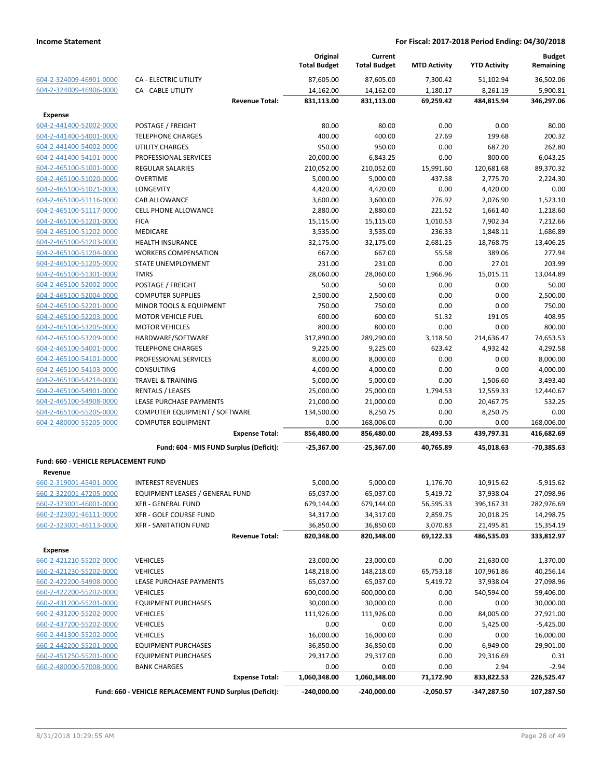|                                                    |                                                         | Original<br><b>Total Budget</b> | Current<br><b>Total Budget</b> | <b>MTD Activity</b> | <b>YTD Activity</b> | <b>Budget</b><br>Remaining |
|----------------------------------------------------|---------------------------------------------------------|---------------------------------|--------------------------------|---------------------|---------------------|----------------------------|
| 604-2-324009-46901-0000                            | <b>CA - ELECTRIC UTILITY</b>                            | 87,605.00                       | 87,605.00                      | 7,300.42            | 51,102.94           | 36,502.06                  |
| 604-2-324009-46906-0000                            | <b>CA - CABLE UTILITY</b>                               | 14,162.00                       | 14,162.00                      | 1,180.17            | 8,261.19            | 5,900.81                   |
|                                                    | <b>Revenue Total:</b>                                   | 831,113.00                      | 831,113.00                     | 69,259.42           | 484,815.94          | 346,297.06                 |
| <b>Expense</b>                                     |                                                         |                                 |                                |                     |                     |                            |
| 604-2-441400-52002-0000                            | POSTAGE / FREIGHT                                       | 80.00                           | 80.00                          | 0.00                | 0.00                | 80.00                      |
| 604-2-441400-54001-0000                            | <b>TELEPHONE CHARGES</b>                                | 400.00                          | 400.00                         | 27.69               | 199.68              | 200.32                     |
| 604-2-441400-54002-0000                            | <b>UTILITY CHARGES</b>                                  | 950.00                          | 950.00                         | 0.00                | 687.20              | 262.80                     |
| 604-2-441400-54101-0000                            | PROFESSIONAL SERVICES                                   | 20,000.00                       | 6,843.25                       | 0.00                | 800.00              | 6,043.25                   |
| 604-2-465100-51001-0000                            | <b>REGULAR SALARIES</b>                                 | 210,052.00                      | 210,052.00                     | 15,991.60           | 120,681.68          | 89,370.32                  |
| 604-2-465100-51020-0000                            | <b>OVERTIME</b>                                         | 5,000.00                        | 5,000.00                       | 437.38              | 2,775.70            | 2,224.30                   |
| 604-2-465100-51021-0000                            | LONGEVITY                                               | 4,420.00                        | 4,420.00                       | 0.00                | 4,420.00            | 0.00                       |
| 604-2-465100-51116-0000                            | <b>CAR ALLOWANCE</b>                                    | 3,600.00                        | 3,600.00                       | 276.92              | 2,076.90            | 1,523.10                   |
| 604-2-465100-51117-0000                            | <b>CELL PHONE ALLOWANCE</b>                             | 2,880.00                        | 2,880.00                       | 221.52              | 1,661.40            | 1,218.60                   |
| 604-2-465100-51201-0000                            | <b>FICA</b>                                             | 15,115.00                       | 15,115.00                      | 1,010.53            | 7,902.34            | 7,212.66                   |
| 604-2-465100-51202-0000                            | MEDICARE                                                | 3,535.00                        | 3,535.00                       | 236.33              | 1,848.11            | 1,686.89                   |
| 604-2-465100-51203-0000                            | <b>HEALTH INSURANCE</b>                                 | 32,175.00                       | 32,175.00                      | 2,681.25            | 18,768.75           | 13,406.25                  |
| 604-2-465100-51204-0000                            | <b>WORKERS COMPENSATION</b>                             | 667.00                          | 667.00                         | 55.58               | 389.06              | 277.94                     |
| 604-2-465100-51205-0000                            | STATE UNEMPLOYMENT                                      | 231.00                          | 231.00                         | 0.00                | 27.01               | 203.99                     |
| 604-2-465100-51301-0000                            | <b>TMRS</b>                                             | 28,060.00                       | 28,060.00                      | 1,966.96            | 15,015.11           | 13,044.89                  |
| 604-2-465100-52002-0000                            | POSTAGE / FREIGHT                                       | 50.00                           | 50.00                          | 0.00                | 0.00                | 50.00                      |
| 604-2-465100-52004-0000                            | <b>COMPUTER SUPPLIES</b>                                | 2,500.00                        | 2,500.00                       | 0.00                | 0.00                | 2,500.00                   |
| 604-2-465100-52201-0000                            | MINOR TOOLS & EQUIPMENT                                 | 750.00                          | 750.00                         | 0.00                | 0.00                | 750.00                     |
| 604-2-465100-52203-0000                            | <b>MOTOR VEHICLE FUEL</b>                               | 600.00                          | 600.00                         | 51.32               | 191.05              | 408.95                     |
| 604-2-465100-53205-0000                            | <b>MOTOR VEHICLES</b>                                   | 800.00                          | 800.00                         | 0.00                | 0.00                | 800.00                     |
| 604-2-465100-53209-0000<br>604-2-465100-54001-0000 | HARDWARE/SOFTWARE                                       | 317,890.00                      | 289,290.00                     | 3,118.50<br>623.42  | 214,636.47          | 74,653.53                  |
| 604-2-465100-54101-0000                            | <b>TELEPHONE CHARGES</b><br>PROFESSIONAL SERVICES       | 9,225.00<br>8,000.00            | 9,225.00<br>8,000.00           | 0.00                | 4,932.42<br>0.00    | 4,292.58<br>8,000.00       |
| 604-2-465100-54103-0000                            | CONSULTING                                              | 4,000.00                        | 4,000.00                       | 0.00                | 0.00                | 4,000.00                   |
| 604-2-465100-54214-0000                            | <b>TRAVEL &amp; TRAINING</b>                            | 5,000.00                        | 5,000.00                       | 0.00                | 1,506.60            | 3,493.40                   |
| 604-2-465100-54901-0000                            | RENTALS / LEASES                                        | 25,000.00                       | 25,000.00                      | 1,794.53            | 12,559.33           | 12,440.67                  |
| 604-2-465100-54908-0000                            | LEASE PURCHASE PAYMENTS                                 | 21,000.00                       | 21,000.00                      | 0.00                | 20,467.75           | 532.25                     |
| 604-2-465100-55205-0000                            | COMPUTER EQUIPMENT / SOFTWARE                           | 134,500.00                      | 8,250.75                       | 0.00                | 8,250.75            | 0.00                       |
| 604-2-480000-55205-0000                            | <b>COMPUTER EQUIPMENT</b>                               | 0.00                            | 168,006.00                     | 0.00                | 0.00                | 168,006.00                 |
|                                                    | <b>Expense Total:</b>                                   | 856,480.00                      | 856,480.00                     | 28,493.53           | 439,797.31          | 416,682.69                 |
|                                                    | Fund: 604 - MIS FUND Surplus (Deficit):                 | -25,367.00                      | -25,367.00                     | 40,765.89           | 45,018.63           | -70,385.63                 |
| Fund: 660 - VEHICLE REPLACEMENT FUND               |                                                         |                                 |                                |                     |                     |                            |
| Revenue                                            |                                                         |                                 |                                |                     |                     |                            |
| 660-2-319001-45401-0000                            | <b>INTEREST REVENUES</b>                                | 5,000.00                        | 5,000.00                       | 1,176.70            | 10,915.62           | $-5,915.62$                |
| 660-2-322001-47205-0000                            | EQUIPMENT LEASES / GENERAL FUND                         | 65,037.00                       | 65,037.00                      | 5,419.72            | 37,938.04           | 27,098.96                  |
| 660-2-323001-46001-0000                            | <b>XFR - GENERAL FUND</b>                               | 679,144.00                      | 679,144.00                     | 56,595.33           | 396,167.31          | 282,976.69                 |
| 660-2-323001-46111-0000                            | XFR - GOLF COURSE FUND                                  | 34,317.00                       | 34,317.00                      | 2,859.75            | 20,018.25           | 14,298.75                  |
| 660-2-323001-46113-0000                            | <b>XFR - SANITATION FUND</b>                            | 36,850.00                       | 36,850.00                      | 3,070.83            | 21,495.81           | 15,354.19                  |
|                                                    | <b>Revenue Total:</b>                                   | 820,348.00                      | 820,348.00                     | 69,122.33           | 486,535.03          | 333,812.97                 |
|                                                    |                                                         |                                 |                                |                     |                     |                            |
| <b>Expense</b>                                     |                                                         |                                 |                                |                     |                     |                            |
| 660-2-421210-55202-0000                            | <b>VEHICLES</b>                                         | 23,000.00                       | 23,000.00                      | 0.00                | 21,630.00           | 1,370.00                   |
| 660-2-421230-55202-0000<br>660-2-422200-54908-0000 | <b>VEHICLES</b>                                         | 148,218.00<br>65,037.00         | 148,218.00                     | 65,753.18           | 107,961.86          | 40,256.14                  |
| 660-2-422200-55202-0000                            | LEASE PURCHASE PAYMENTS<br><b>VEHICLES</b>              | 600,000.00                      | 65,037.00<br>600,000.00        | 5,419.72<br>0.00    | 37,938.04           | 27,098.96<br>59,406.00     |
| 660-2-431200-55201-0000                            |                                                         |                                 |                                |                     | 540,594.00          |                            |
| 660-2-431200-55202-0000                            | <b>EQUIPMENT PURCHASES</b><br><b>VEHICLES</b>           | 30,000.00<br>111,926.00         | 30,000.00<br>111,926.00        | 0.00<br>0.00        | 0.00<br>84,005.00   | 30,000.00<br>27,921.00     |
| 660-2-437200-55202-0000                            | <b>VEHICLES</b>                                         | 0.00                            | 0.00                           | 0.00                | 5,425.00            | $-5,425.00$                |
| 660-2-441300-55202-0000                            | <b>VEHICLES</b>                                         | 16,000.00                       | 16,000.00                      | 0.00                | 0.00                | 16,000.00                  |
| 660-2-442200-55201-0000                            | <b>EQUIPMENT PURCHASES</b>                              | 36,850.00                       | 36,850.00                      | 0.00                | 6,949.00            | 29,901.00                  |
| 660-2-451250-55201-0000                            | <b>EQUIPMENT PURCHASES</b>                              | 29,317.00                       | 29,317.00                      | 0.00                | 29,316.69           | 0.31                       |
| 660-2-480000-57008-0000                            | <b>BANK CHARGES</b>                                     | 0.00                            | 0.00                           | 0.00                | 2.94                | $-2.94$                    |
|                                                    | <b>Expense Total:</b>                                   | 1,060,348.00                    | 1,060,348.00                   | 71,172.90           | 833,822.53          | 226,525.47                 |
|                                                    | Fund: 660 - VEHICLE REPLACEMENT FUND Surplus (Deficit): | -240,000.00                     | $-240,000.00$                  | $-2,050.57$         | -347,287.50         | 107,287.50                 |
|                                                    |                                                         |                                 |                                |                     |                     |                            |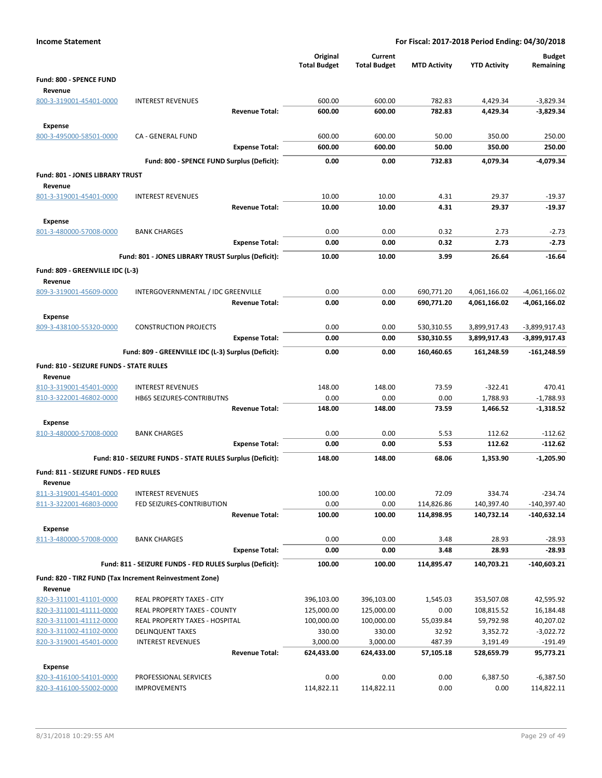| <b>Income Statement</b>                                 |                                                            |                                 |                                |                     | For Fiscal: 2017-2018 Period Ending: 04/30/2018 |                            |
|---------------------------------------------------------|------------------------------------------------------------|---------------------------------|--------------------------------|---------------------|-------------------------------------------------|----------------------------|
|                                                         |                                                            | Original<br><b>Total Budget</b> | Current<br><b>Total Budget</b> | <b>MTD Activity</b> | <b>YTD Activity</b>                             | <b>Budget</b><br>Remaining |
| Fund: 800 - SPENCE FUND                                 |                                                            |                                 |                                |                     |                                                 |                            |
| Revenue                                                 |                                                            |                                 |                                |                     |                                                 |                            |
| 800-3-319001-45401-0000                                 | <b>INTEREST REVENUES</b>                                   | 600.00                          | 600.00                         | 782.83              | 4,429.34                                        | $-3,829.34$                |
|                                                         | <b>Revenue Total:</b>                                      | 600.00                          | 600.00                         | 782.83              | 4,429.34                                        | $-3,829.34$                |
| Expense                                                 |                                                            |                                 |                                |                     |                                                 |                            |
| 800-3-495000-58501-0000                                 | CA - GENERAL FUND                                          | 600.00                          | 600.00                         | 50.00               | 350.00                                          | 250.00                     |
|                                                         | <b>Expense Total:</b>                                      | 600.00                          | 600.00                         | 50.00               | 350.00                                          | 250.00                     |
|                                                         | Fund: 800 - SPENCE FUND Surplus (Deficit):                 | 0.00                            | 0.00                           | 732.83              | 4,079.34                                        | $-4.079.34$                |
| Fund: 801 - JONES LIBRARY TRUST                         |                                                            |                                 |                                |                     |                                                 |                            |
| Revenue                                                 |                                                            |                                 |                                |                     |                                                 |                            |
| 801-3-319001-45401-0000                                 | <b>INTEREST REVENUES</b>                                   | 10.00                           | 10.00                          | 4.31                | 29.37                                           | $-19.37$                   |
|                                                         | <b>Revenue Total:</b>                                      | 10.00                           | 10.00                          | 4.31                | 29.37                                           | $-19.37$                   |
| <b>Expense</b>                                          |                                                            |                                 |                                |                     |                                                 |                            |
| 801-3-480000-57008-0000                                 | <b>BANK CHARGES</b>                                        | 0.00                            | 0.00                           | 0.32                | 2.73                                            | $-2.73$                    |
|                                                         | <b>Expense Total:</b>                                      | 0.00                            | 0.00                           | 0.32                | 2.73                                            | $-2.73$                    |
|                                                         | Fund: 801 - JONES LIBRARY TRUST Surplus (Deficit):         | 10.00                           | 10.00                          | 3.99                | 26.64                                           | $-16.64$                   |
| Fund: 809 - GREENVILLE IDC (L-3)                        |                                                            |                                 |                                |                     |                                                 |                            |
| Revenue                                                 |                                                            |                                 |                                |                     |                                                 |                            |
| 809-3-319001-45609-0000                                 | INTERGOVERNMENTAL / IDC GREENVILLE                         | 0.00                            | 0.00                           | 690,771.20          | 4,061,166.02                                    | $-4,061,166.02$            |
|                                                         | <b>Revenue Total:</b>                                      | 0.00                            | 0.00                           | 690,771.20          | 4,061,166.02                                    | -4,061,166.02              |
| <b>Expense</b>                                          |                                                            |                                 |                                |                     |                                                 |                            |
| 809-3-438100-55320-0000                                 | <b>CONSTRUCTION PROJECTS</b>                               | 0.00                            | 0.00                           | 530,310.55          | 3,899,917.43                                    | -3,899,917.43              |
|                                                         | <b>Expense Total:</b>                                      | 0.00                            | 0.00                           | 530,310.55          | 3,899,917.43                                    | -3,899,917.43              |
|                                                         | Fund: 809 - GREENVILLE IDC (L-3) Surplus (Deficit):        | 0.00                            | 0.00                           | 160,460.65          | 161,248.59                                      | $-161,248.59$              |
| <b>Fund: 810 - SEIZURE FUNDS - STATE RULES</b>          |                                                            |                                 |                                |                     |                                                 |                            |
| Revenue                                                 |                                                            |                                 |                                |                     |                                                 |                            |
| 810-3-319001-45401-0000                                 | <b>INTEREST REVENUES</b>                                   | 148.00                          | 148.00                         | 73.59               | $-322.41$                                       | 470.41                     |
| 810-3-322001-46802-0000                                 | HB65 SEIZURES-CONTRIBUTNS                                  | 0.00                            | 0.00                           | 0.00                | 1,788.93                                        | $-1,788.93$                |
|                                                         | <b>Revenue Total:</b>                                      | 148.00                          | 148.00                         | 73.59               | 1,466.52                                        | -1,318.52                  |
| <b>Expense</b>                                          |                                                            |                                 |                                |                     |                                                 |                            |
| 810-3-480000-57008-0000                                 | <b>BANK CHARGES</b>                                        | 0.00                            | 0.00                           | 5.53                | 112.62                                          | $-112.62$                  |
|                                                         | <b>Expense Total:</b>                                      | 0.00                            | 0.00                           | 5.53                | 112.62                                          | -112.62                    |
|                                                         | Fund: 810 - SEIZURE FUNDS - STATE RULES Surplus (Deficit): | 148.00                          | 148.00                         | 68.06               | 1,353.90                                        | $-1,205.90$                |
| Fund: 811 - SEIZURE FUNDS - FED RULES                   |                                                            |                                 |                                |                     |                                                 |                            |
| Revenue                                                 |                                                            |                                 |                                |                     |                                                 |                            |
| 811-3-319001-45401-0000                                 | <b>INTEREST REVENUES</b>                                   | 100.00                          | 100.00                         | 72.09               | 334.74                                          | $-234.74$                  |
| 811-3-322001-46803-0000                                 | FED SEIZURES-CONTRIBUTION                                  | 0.00                            | 0.00                           | 114,826.86          | 140,397.40                                      | $-140,397.40$              |
|                                                         | <b>Revenue Total:</b>                                      | 100.00                          | 100.00                         | 114,898.95          | 140,732.14                                      | -140,632.14                |
| Expense                                                 |                                                            |                                 |                                |                     |                                                 |                            |
| 811-3-480000-57008-0000                                 | <b>BANK CHARGES</b>                                        | 0.00                            | 0.00                           | 3.48                | 28.93                                           | $-28.93$                   |
|                                                         | <b>Expense Total:</b>                                      | 0.00                            | 0.00                           | 3.48                | 28.93                                           | $-28.93$                   |
|                                                         | Fund: 811 - SEIZURE FUNDS - FED RULES Surplus (Deficit):   | 100.00                          | 100.00                         | 114,895.47          | 140,703.21                                      | $-140,603.21$              |
| Fund: 820 - TIRZ FUND (Tax Increment Reinvestment Zone) |                                                            |                                 |                                |                     |                                                 |                            |
| Revenue                                                 |                                                            |                                 |                                |                     |                                                 |                            |
| 820-3-311001-41101-0000                                 | REAL PROPERTY TAXES - CITY                                 | 396,103.00                      | 396,103.00                     | 1,545.03            | 353,507.08                                      | 42,595.92                  |
| 820-3-311001-41111-0000                                 | <b>REAL PROPERTY TAXES - COUNTY</b>                        | 125,000.00                      | 125,000.00                     | 0.00                | 108,815.52                                      | 16,184.48                  |
| 820-3-311001-41112-0000<br>820-3-311002-41102-0000      | REAL PROPERTY TAXES - HOSPITAL<br><b>DELINQUENT TAXES</b>  | 100,000.00<br>330.00            | 100,000.00<br>330.00           | 55,039.84<br>32.92  | 59,792.98<br>3,352.72                           | 40,207.02<br>$-3,022.72$   |
| 820-3-319001-45401-0000                                 | <b>INTEREST REVENUES</b>                                   | 3,000.00                        | 3,000.00                       | 487.39              | 3,191.49                                        | $-191.49$                  |
|                                                         | <b>Revenue Total:</b>                                      | 624,433.00                      | 624,433.00                     | 57,105.18           | 528,659.79                                      | 95,773.21                  |
| <b>Expense</b>                                          |                                                            |                                 |                                |                     |                                                 |                            |
| 820-3-416100-54101-0000                                 | PROFESSIONAL SERVICES                                      | 0.00                            | 0.00                           | 0.00                | 6,387.50                                        | $-6,387.50$                |
| 820-3-416100-55002-0000                                 | <b>IMPROVEMENTS</b>                                        | 114,822.11                      | 114,822.11                     | 0.00                | 0.00                                            | 114,822.11                 |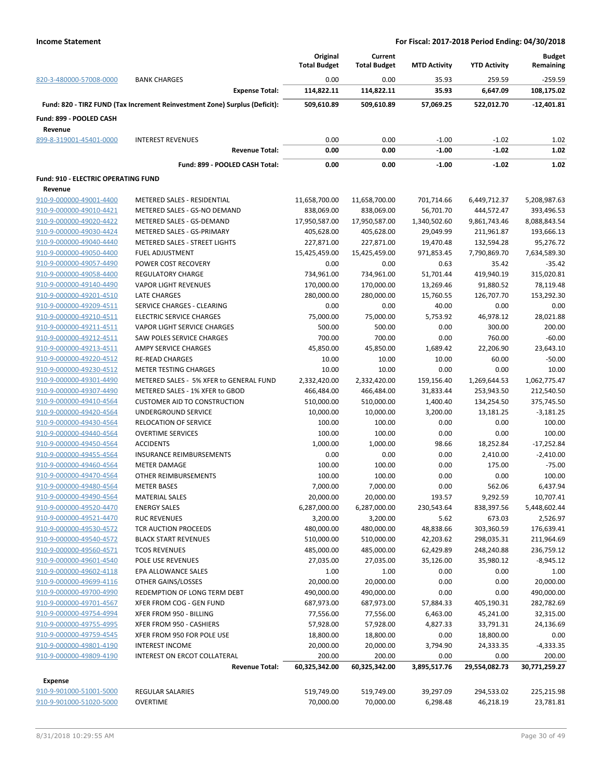|                                     |                                                                            | Original<br>Current |                     |                     | <b>Budget</b>       |               |
|-------------------------------------|----------------------------------------------------------------------------|---------------------|---------------------|---------------------|---------------------|---------------|
|                                     |                                                                            | <b>Total Budget</b> | <b>Total Budget</b> | <b>MTD Activity</b> | <b>YTD Activity</b> | Remaining     |
| 820-3-480000-57008-0000             | <b>BANK CHARGES</b>                                                        | 0.00                | 0.00                | 35.93               | 259.59              | -259.59       |
|                                     | <b>Expense Total:</b>                                                      | 114,822.11          | 114,822.11          | 35.93               | 6,647.09            | 108,175.02    |
|                                     | Fund: 820 - TIRZ FUND (Tax Increment Reinvestment Zone) Surplus (Deficit): | 509,610.89          | 509,610.89          | 57,069.25           | 522,012.70          | $-12,401.81$  |
|                                     |                                                                            |                     |                     |                     |                     |               |
| Fund: 899 - POOLED CASH<br>Revenue  |                                                                            |                     |                     |                     |                     |               |
| 899-8-319001-45401-0000             | <b>INTEREST REVENUES</b>                                                   | 0.00                | 0.00                | $-1.00$             | $-1.02$             | 1.02          |
|                                     | <b>Revenue Total:</b>                                                      | 0.00                | 0.00                | $-1.00$             | $-1.02$             | 1.02          |
|                                     | Fund: 899 - POOLED CASH Total:                                             | 0.00                | 0.00                | $-1.00$             | $-1.02$             | 1.02          |
|                                     |                                                                            |                     |                     |                     |                     |               |
| Fund: 910 - ELECTRIC OPERATING FUND |                                                                            |                     |                     |                     |                     |               |
| Revenue                             |                                                                            |                     |                     |                     |                     |               |
| 910-9-000000-49001-4400             | METERED SALES - RESIDENTIAL                                                | 11,658,700.00       | 11,658,700.00       | 701,714.66          | 6,449,712.37        | 5,208,987.63  |
| 910-9-000000-49010-4421             | METERED SALES - GS-NO DEMAND                                               | 838,069.00          | 838,069.00          | 56,701.70           | 444,572.47          | 393,496.53    |
| 910-9-000000-49020-4422             | METERED SALES - GS-DEMAND                                                  | 17,950,587.00       | 17,950,587.00       | 1,340,502.60        | 9,861,743.46        | 8,088,843.54  |
| 910-9-000000-49030-4424             | METERED SALES - GS-PRIMARY                                                 | 405,628.00          | 405,628.00          | 29,049.99           | 211,961.87          | 193,666.13    |
| 910-9-000000-49040-4440             | METERED SALES - STREET LIGHTS                                              | 227,871.00          | 227,871.00          | 19,470.48           | 132,594.28          | 95,276.72     |
| 910-9-000000-49050-4400             | <b>FUEL ADJUSTMENT</b>                                                     | 15,425,459.00       | 15,425,459.00       | 971,853.45          | 7,790,869.70        | 7,634,589.30  |
| 910-9-000000-49057-4490             | POWER COST RECOVERY                                                        | 0.00                | 0.00                | 0.63                | 35.42               | $-35.42$      |
| 910-9-000000-49058-4400             | <b>REGULATORY CHARGE</b>                                                   | 734,961.00          | 734,961.00          | 51,701.44           | 419,940.19          | 315,020.81    |
| 910-9-000000-49140-4490             | <b>VAPOR LIGHT REVENUES</b>                                                | 170,000.00          | 170,000.00          | 13,269.46           | 91,880.52           | 78,119.48     |
| 910-9-000000-49201-4510             | LATE CHARGES                                                               | 280,000.00          | 280,000.00          | 15,760.55           | 126,707.70          | 153,292.30    |
| 910-9-000000-49209-4511             | SERVICE CHARGES - CLEARING                                                 | 0.00                | 0.00                | 40.00               | 0.00                | 0.00          |
| 910-9-000000-49210-4511             | <b>ELECTRIC SERVICE CHARGES</b>                                            | 75,000.00           | 75,000.00           | 5,753.92            | 46,978.12           | 28,021.88     |
| 910-9-000000-49211-4511             | <b>VAPOR LIGHT SERVICE CHARGES</b>                                         | 500.00              | 500.00              | 0.00                | 300.00              | 200.00        |
| 910-9-000000-49212-4511             | <b>SAW POLES SERVICE CHARGES</b>                                           | 700.00              | 700.00              | 0.00                | 760.00              | $-60.00$      |
| 910-9-000000-49213-4511             | AMPY SERVICE CHARGES                                                       | 45,850.00           | 45,850.00           | 1,689.42            | 22,206.90           | 23,643.10     |
| 910-9-000000-49220-4512             | <b>RE-READ CHARGES</b>                                                     | 10.00               | 10.00               | 10.00               | 60.00               | $-50.00$      |
|                                     |                                                                            |                     |                     |                     |                     |               |
| 910-9-000000-49230-4512             | <b>METER TESTING CHARGES</b>                                               | 10.00               | 10.00               | 0.00                | 0.00                | 10.00         |
| 910-9-000000-49301-4490             | METERED SALES - 5% XFER to GENERAL FUND                                    | 2,332,420.00        | 2,332,420.00        | 159,156.40          | 1,269,644.53        | 1,062,775.47  |
| 910-9-000000-49307-4490             | METERED SALES - 1% XFER to GBOD                                            | 466,484.00          | 466,484.00          | 31,833.44           | 253,943.50          | 212,540.50    |
| 910-9-000000-49410-4564             | <b>CUSTOMER AID TO CONSTRUCTION</b>                                        | 510,000.00          | 510,000.00          | 1,400.40            | 134,254.50          | 375,745.50    |
| 910-9-000000-49420-4564             | UNDERGROUND SERVICE                                                        | 10,000.00           | 10,000.00           | 3,200.00            | 13,181.25           | $-3,181.25$   |
| 910-9-000000-49430-4564             | <b>RELOCATION OF SERVICE</b>                                               | 100.00              | 100.00              | 0.00                | 0.00                | 100.00        |
| 910-9-000000-49440-4564             | <b>OVERTIME SERVICES</b>                                                   | 100.00              | 100.00              | 0.00                | 0.00                | 100.00        |
| 910-9-000000-49450-4564             | <b>ACCIDENTS</b>                                                           | 1,000.00            | 1,000.00            | 98.66               | 18,252.84           | $-17,252.84$  |
| 910-9-000000-49455-4564             | <b>INSURANCE REIMBURSEMENTS</b>                                            | 0.00                | 0.00                | 0.00                | 2,410.00            | $-2,410.00$   |
| 910-9-000000-49460-4564             | <b>METER DAMAGE</b>                                                        | 100.00              | 100.00              | 0.00                | 175.00              | $-75.00$      |
| 910-9-000000-49470-4564             | OTHER REIMBURSEMENTS                                                       | 100.00              | 100.00              | 0.00                | 0.00                | 100.00        |
| 910-9-000000-49480-4564             | <b>METER BASES</b>                                                         | 7,000.00            | 7,000.00            | 0.00                | 562.06              | 6,437.94      |
| 910-9-000000-49490-4564             | <b>MATERIAL SALES</b>                                                      | 20,000.00           | 20,000.00           | 193.57              | 9,292.59            | 10,707.41     |
| 910-9-000000-49520-4470             | <b>ENERGY SALES</b>                                                        | 6,287,000.00        | 6,287,000.00        | 230,543.64          | 838,397.56          | 5,448,602.44  |
| 910-9-000000-49521-4470             | <b>RUC REVENUES</b>                                                        | 3,200.00            | 3,200.00            | 5.62                | 673.03              | 2,526.97      |
| 910-9-000000-49530-4572             | TCR AUCTION PROCEEDS                                                       | 480,000.00          | 480,000.00          | 48,838.66           | 303,360.59          | 176,639.41    |
| 910-9-000000-49540-4572             | <b>BLACK START REVENUES</b>                                                | 510,000.00          | 510,000.00          | 42,203.62           | 298,035.31          |               |
| 910-9-000000-49560-4571             |                                                                            |                     |                     |                     |                     | 211,964.69    |
|                                     | <b>TCOS REVENUES</b>                                                       | 485,000.00          | 485,000.00          | 62,429.89           | 248,240.88          | 236,759.12    |
| 910-9-000000-49601-4540             | <b>POLE USE REVENUES</b>                                                   | 27,035.00           | 27,035.00           | 35,126.00           | 35,980.12           | $-8,945.12$   |
| 910-9-000000-49602-4118             | EPA ALLOWANCE SALES                                                        | 1.00                | 1.00                | 0.00                | 0.00                | 1.00          |
| 910-9-000000-49699-4116             | OTHER GAINS/LOSSES                                                         | 20,000.00           | 20,000.00           | 0.00                | 0.00                | 20,000.00     |
| 910-9-000000-49700-4990             | REDEMPTION OF LONG TERM DEBT                                               | 490,000.00          | 490,000.00          | 0.00                | 0.00                | 490,000.00    |
| 910-9-000000-49701-4567             | XFER FROM COG - GEN FUND                                                   | 687,973.00          | 687,973.00          | 57,884.33           | 405,190.31          | 282,782.69    |
| 910-9-000000-49754-4994             | XFER FROM 950 - BILLING                                                    | 77,556.00           | 77,556.00           | 6,463.00            | 45,241.00           | 32,315.00     |
| 910-9-000000-49755-4995             | XFER FROM 950 - CASHIERS                                                   | 57,928.00           | 57,928.00           | 4,827.33            | 33,791.31           | 24,136.69     |
| 910-9-000000-49759-4545             | XFER FROM 950 FOR POLE USE                                                 | 18,800.00           | 18,800.00           | 0.00                | 18,800.00           | 0.00          |
| 910-9-000000-49801-4190             | <b>INTEREST INCOME</b>                                                     | 20,000.00           | 20,000.00           | 3,794.90            | 24,333.35           | $-4,333.35$   |
| 910-9-000000-49809-4190             | INTEREST ON ERCOT COLLATERAL                                               | 200.00              | 200.00              | 0.00                | 0.00                | 200.00        |
|                                     | <b>Revenue Total:</b>                                                      | 60,325,342.00       | 60,325,342.00       | 3,895,517.76        | 29,554,082.73       | 30,771,259.27 |
| <b>Expense</b>                      |                                                                            |                     |                     |                     |                     |               |
| 910-9-901000-51001-5000             | REGULAR SALARIES                                                           | 519,749.00          | 519,749.00          | 39,297.09           | 294,533.02          | 225,215.98    |
| 910-9-901000-51020-5000             | <b>OVERTIME</b>                                                            | 70,000.00           | 70,000.00           | 6,298.48            | 46,218.19           | 23,781.81     |
|                                     |                                                                            |                     |                     |                     |                     |               |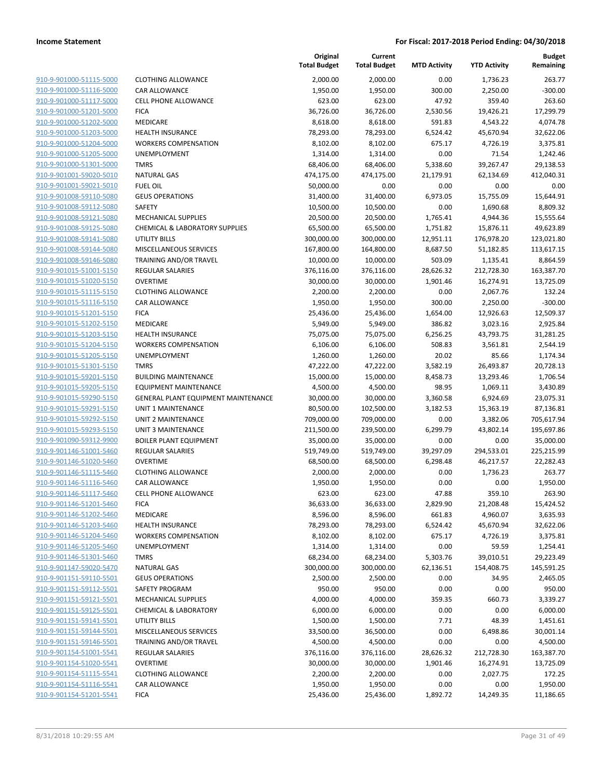| 910-9-901000-51115-5000                                                       |
|-------------------------------------------------------------------------------|
| 910-9-901000-51116-5000                                                       |
| 910-9-901000-51117-5000                                                       |
| <u>910-9-901000-51201-5000</u>                                                |
| 910-9-901000-51202-5000                                                       |
| 910-9-901000-51203-5000                                                       |
| 910-9-901000-51204-5000                                                       |
| 910-9-901000-51205-5000                                                       |
| <u>910-9-901000-51301-5000</u>                                                |
| 910-9-901001-59020-5010                                                       |
| 910-9-901001-59021-5010                                                       |
| 910-9-901008-59110-5080                                                       |
| 910-9-901008-59112-5080                                                       |
| <u>910-9-901008-59121-5080</u>                                                |
| 910-9-901008-59125-5080                                                       |
| 910-9-901008-59141-5080                                                       |
| 910-9-901008-59144-5080                                                       |
| <u>910-9-901008-59146-5080</u>                                                |
| <u>910-9-901015-51001-5150</u>                                                |
| 910-9-901015-51020-5150                                                       |
| 910-9-901015-51115-5150                                                       |
| 910-9-901015-51116-5150                                                       |
| 910-9-901015-51201-5150                                                       |
| <u>910-9-901015-51202-5150</u>                                                |
| 910-9-901015-51203-5150                                                       |
| 910-9-901015-51204-5150                                                       |
| 910-9-901015-51205-5150                                                       |
| <u>910-9-901015-51301-5150</u>                                                |
| <u>910-9-901015-59201-5150</u>                                                |
| 910-9-901015-59205-5150                                                       |
| 910-9-901015-59290-5150                                                       |
| 910-9-901015-59291-5150                                                       |
| <u>910-9-901015-59292-5150</u>                                                |
| <u>910-9-901015-59293-5150</u>                                                |
| 910-9-901090-59312-9900                                                       |
| 910-9-901146-51001-<br>-5460                                                  |
| 910-9-901146-51020-5460                                                       |
| 910-9-901146-51115-5460                                                       |
| <u>910-9-901146-51116-5460</u>                                                |
| 910-9-901146-51117-5460                                                       |
| 910-9-901146-51201-5460                                                       |
| 910-9-901146-51202-5460                                                       |
| 910-9-901146-51203-5460                                                       |
| 910-9-901146-51204-5460                                                       |
| 910-9-901146-51205-5460                                                       |
| 910-9-901146-51301-5460                                                       |
| 910-9-901147-59020-5470                                                       |
| 910-9-901151-59110-5501                                                       |
| 910-9-901151-59112-5501                                                       |
| 910-9-901151-59121-5501                                                       |
| 910-9-901151-59125-5501                                                       |
| 910-9-901151-59141-5501                                                       |
| 910-9-901151-59144-5501                                                       |
|                                                                               |
|                                                                               |
|                                                                               |
|                                                                               |
| 910-9-901151-59146-5501<br>910-9-901154-51001-5541<br>910-9-901154-51020-5541 |
| 910-9-901154-51115-5541                                                       |
| 910-9-901154-51116-5541<br>910-9-901154-51201-5541                            |

|                                                    |                                           | Original<br><b>Total Budget</b> | Current<br><b>Total Budget</b> | <b>MTD Activity</b> | <b>YTD Activity</b>   | <b>Budget</b><br>Remaining |
|----------------------------------------------------|-------------------------------------------|---------------------------------|--------------------------------|---------------------|-----------------------|----------------------------|
| 910-9-901000-51115-5000                            | <b>CLOTHING ALLOWANCE</b>                 | 2,000.00                        | 2,000.00                       | 0.00                | 1,736.23              | 263.77                     |
| 910-9-901000-51116-5000                            | CAR ALLOWANCE                             | 1,950.00                        | 1,950.00                       | 300.00              | 2,250.00              | $-300.00$                  |
| 910-9-901000-51117-5000                            | CELL PHONE ALLOWANCE                      | 623.00                          | 623.00                         | 47.92               | 359.40                | 263.60                     |
| 910-9-901000-51201-5000                            | <b>FICA</b>                               | 36,726.00                       | 36,726.00                      | 2,530.56            | 19,426.21             | 17,299.79                  |
| 910-9-901000-51202-5000                            | <b>MEDICARE</b>                           | 8,618.00                        | 8,618.00                       | 591.83              | 4,543.22              | 4,074.78                   |
| 910-9-901000-51203-5000                            | <b>HEALTH INSURANCE</b>                   | 78,293.00                       | 78,293.00                      | 6,524.42            | 45,670.94             | 32,622.06                  |
| 910-9-901000-51204-5000                            | <b>WORKERS COMPENSATION</b>               | 8,102.00                        | 8,102.00                       | 675.17              | 4,726.19              | 3,375.81                   |
| 910-9-901000-51205-5000                            | UNEMPLOYMENT                              | 1,314.00                        | 1,314.00                       | 0.00                | 71.54                 | 1,242.46                   |
| 910-9-901000-51301-5000                            | <b>TMRS</b>                               | 68,406.00                       | 68,406.00                      | 5,338.60            | 39,267.47             | 29,138.53                  |
| 910-9-901001-59020-5010                            | <b>NATURAL GAS</b>                        | 474,175.00                      | 474,175.00                     | 21,179.91           | 62,134.69             | 412,040.31                 |
| 910-9-901001-59021-5010                            | <b>FUEL OIL</b>                           | 50,000.00                       | 0.00                           | 0.00                | 0.00                  | 0.00                       |
| 910-9-901008-59110-5080                            | <b>GEUS OPERATIONS</b>                    | 31,400.00                       | 31,400.00                      | 6,973.05            | 15,755.09             | 15,644.91                  |
| 910-9-901008-59112-5080                            | SAFETY                                    | 10,500.00                       | 10,500.00                      | 0.00                | 1,690.68              | 8,809.32                   |
| 910-9-901008-59121-5080                            | <b>MECHANICAL SUPPLIES</b>                | 20,500.00                       | 20,500.00                      | 1,765.41            | 4,944.36              | 15,555.64                  |
| 910-9-901008-59125-5080                            | <b>CHEMICAL &amp; LABORATORY SUPPLIES</b> | 65,500.00                       | 65,500.00                      | 1,751.82            | 15,876.11             | 49,623.89                  |
| 910-9-901008-59141-5080                            | <b>UTILITY BILLS</b>                      | 300,000.00                      | 300,000.00                     | 12,951.11           | 176,978.20            | 123,021.80                 |
| 910-9-901008-59144-5080                            | MISCELLANEOUS SERVICES                    | 167,800.00                      | 164,800.00                     | 8,687.50            | 51,182.85             | 113,617.15                 |
| 910-9-901008-59146-5080                            | TRAINING AND/OR TRAVEL                    | 10,000.00                       | 10,000.00                      | 503.09              | 1,135.41              | 8,864.59                   |
| 910-9-901015-51001-5150                            | <b>REGULAR SALARIES</b>                   | 376,116.00                      | 376,116.00                     | 28,626.32           | 212,728.30            | 163,387.70                 |
| 910-9-901015-51020-5150                            | <b>OVERTIME</b>                           | 30,000.00                       | 30,000.00                      | 1,901.46            | 16,274.91             | 13,725.09                  |
| 910-9-901015-51115-5150                            | <b>CLOTHING ALLOWANCE</b>                 | 2,200.00                        | 2,200.00                       | 0.00                | 2,067.76              | 132.24                     |
| 910-9-901015-51116-5150                            | CAR ALLOWANCE                             | 1,950.00                        | 1,950.00<br>25,436.00          | 300.00              | 2,250.00              | $-300.00$                  |
| 910-9-901015-51201-5150<br>910-9-901015-51202-5150 | <b>FICA</b>                               | 25,436.00                       |                                | 1,654.00            | 12,926.63             | 12,509.37                  |
| 910-9-901015-51203-5150                            | MEDICARE<br><b>HEALTH INSURANCE</b>       | 5,949.00<br>75,075.00           | 5,949.00<br>75,075.00          | 386.82<br>6,256.25  | 3,023.16<br>43,793.75 | 2,925.84<br>31,281.25      |
| 910-9-901015-51204-5150                            | <b>WORKERS COMPENSATION</b>               | 6,106.00                        | 6,106.00                       | 508.83              | 3,561.81              | 2,544.19                   |
| 910-9-901015-51205-5150                            | UNEMPLOYMENT                              | 1,260.00                        | 1,260.00                       | 20.02               | 85.66                 | 1,174.34                   |
| 910-9-901015-51301-5150                            | <b>TMRS</b>                               | 47,222.00                       | 47,222.00                      | 3,582.19            | 26,493.87             | 20,728.13                  |
| 910-9-901015-59201-5150                            | <b>BUILDING MAINTENANCE</b>               | 15,000.00                       | 15,000.00                      | 8,458.73            | 13,293.46             | 1,706.54                   |
| 910-9-901015-59205-5150                            | <b>EQUIPMENT MAINTENANCE</b>              | 4,500.00                        | 4,500.00                       | 98.95               | 1,069.11              | 3,430.89                   |
| 910-9-901015-59290-5150                            | GENERAL PLANT EQUIPMENT MAINTENANCE       | 30,000.00                       | 30,000.00                      | 3,360.58            | 6,924.69              | 23,075.31                  |
| 910-9-901015-59291-5150                            | UNIT 1 MAINTENANCE                        | 80,500.00                       | 102,500.00                     | 3,182.53            | 15,363.19             | 87,136.81                  |
| 910-9-901015-59292-5150                            | UNIT 2 MAINTENANCE                        | 709,000.00                      | 709,000.00                     | 0.00                | 3,382.06              | 705,617.94                 |
| 910-9-901015-59293-5150                            | UNIT 3 MAINTENANCE                        | 211,500.00                      | 239,500.00                     | 6,299.79            | 43,802.14             | 195,697.86                 |
| 910-9-901090-59312-9900                            | <b>BOILER PLANT EQUIPMENT</b>             | 35,000.00                       | 35,000.00                      | 0.00                | 0.00                  | 35,000.00                  |
| 910-9-901146-51001-5460                            | <b>REGULAR SALARIES</b>                   | 519,749.00                      | 519,749.00                     | 39,297.09           | 294,533.01            | 225,215.99                 |
| 910-9-901146-51020-5460                            | <b>OVERTIME</b>                           | 68,500.00                       | 68,500.00                      | 6,298.48            | 46,217.57             | 22,282.43                  |
| 910-9-901146-51115-5460                            | <b>CLOTHING ALLOWANCE</b>                 | 2,000.00                        | 2,000.00                       | 0.00                | 1,736.23              | 263.77                     |
| 910-9-901146-51116-5460                            | CAR ALLOWANCE                             | 1,950.00                        | 1,950.00                       | 0.00                | 0.00                  | 1,950.00                   |
| 910-9-901146-51117-5460                            | CELL PHONE ALLOWANCE                      | 623.00                          | 623.00                         | 47.88               | 359.10                | 263.90                     |
| 910-9-901146-51201-5460                            | <b>FICA</b>                               | 36,633.00                       | 36,633.00                      | 2,829.90            | 21,208.48             | 15,424.52                  |
| 910-9-901146-51202-5460                            | <b>MEDICARE</b>                           | 8,596.00                        | 8,596.00                       | 661.83              | 4,960.07              | 3,635.93                   |
| 910-9-901146-51203-5460                            | HEALTH INSURANCE                          | 78,293.00                       | 78,293.00                      | 6,524.42            | 45,670.94             | 32,622.06                  |
| 910-9-901146-51204-5460                            | <b>WORKERS COMPENSATION</b>               | 8,102.00                        | 8,102.00                       | 675.17              | 4,726.19              | 3,375.81                   |
| 910-9-901146-51205-5460                            | UNEMPLOYMENT                              | 1,314.00                        | 1,314.00                       | 0.00                | 59.59                 | 1,254.41                   |
| 910-9-901146-51301-5460                            | <b>TMRS</b>                               | 68,234.00                       | 68,234.00                      | 5,303.76            | 39,010.51             | 29,223.49                  |
| 910-9-901147-59020-5470                            | <b>NATURAL GAS</b>                        | 300,000.00                      | 300,000.00                     | 62,136.51           | 154,408.75            | 145,591.25                 |
| 910-9-901151-59110-5501                            | <b>GEUS OPERATIONS</b>                    | 2,500.00                        | 2,500.00                       | 0.00                | 34.95                 | 2,465.05                   |
| 910-9-901151-59112-5501                            | SAFETY PROGRAM                            | 950.00                          | 950.00                         | 0.00                | 0.00                  | 950.00                     |
| 910-9-901151-59121-5501                            | MECHANICAL SUPPLIES                       | 4,000.00                        | 4,000.00                       | 359.35              | 660.73                | 3,339.27                   |
| 910-9-901151-59125-5501                            | <b>CHEMICAL &amp; LABORATORY</b>          | 6,000.00                        | 6,000.00                       | 0.00                | 0.00                  | 6,000.00                   |
| 910-9-901151-59141-5501                            | UTILITY BILLS                             | 1,500.00                        | 1,500.00                       | 7.71                | 48.39                 | 1,451.61                   |
| 910-9-901151-59144-5501                            | MISCELLANEOUS SERVICES                    | 33,500.00                       | 36,500.00                      | 0.00                | 6,498.86              | 30,001.14                  |
| 910-9-901151-59146-5501                            | TRAINING AND/OR TRAVEL                    | 4,500.00                        | 4,500.00                       | 0.00                | 0.00                  | 4,500.00                   |
| 910-9-901154-51001-5541                            | <b>REGULAR SALARIES</b>                   | 376,116.00                      | 376,116.00                     | 28,626.32           | 212,728.30            | 163,387.70                 |
| 910-9-901154-51020-5541                            | <b>OVERTIME</b>                           | 30,000.00                       | 30,000.00                      | 1,901.46            | 16,274.91             | 13,725.09                  |
| 910-9-901154-51115-5541                            | <b>CLOTHING ALLOWANCE</b>                 | 2,200.00                        | 2,200.00                       | 0.00                | 2,027.75              | 172.25                     |
| 910-9-901154-51116-5541                            | CAR ALLOWANCE                             | 1,950.00                        | 1,950.00                       | 0.00                | 0.00                  | 1,950.00                   |
| 910-9-901154-51201-5541                            | <b>FICA</b>                               | 25,436.00                       | 25,436.00                      | 1,892.72            | 14,249.35             | 11,186.65                  |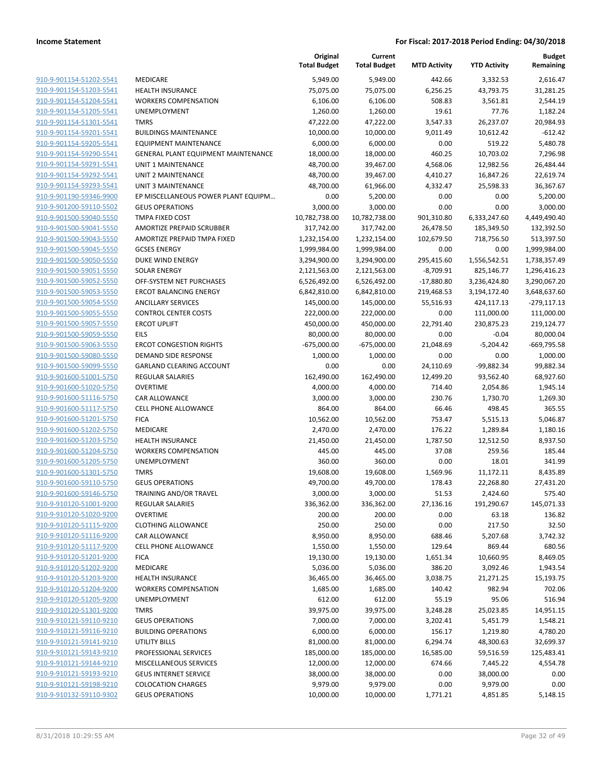|                                                    |                                                    | Original<br><b>Total Budget</b> | Current<br><b>Total Budget</b> | <b>MTD Activity</b> | <b>YTD Activity</b> | <b>Budget</b><br>Remaining |
|----------------------------------------------------|----------------------------------------------------|---------------------------------|--------------------------------|---------------------|---------------------|----------------------------|
| 910-9-901154-51202-5541                            | MEDICARE                                           | 5,949.00                        | 5,949.00                       | 442.66              | 3,332.53            | 2,616.47                   |
| 910-9-901154-51203-5541                            | HEALTH INSURANCE                                   | 75,075.00                       | 75,075.00                      | 6,256.25            | 43,793.75           | 31,281.25                  |
| 910-9-901154-51204-5541                            | <b>WORKERS COMPENSATION</b>                        | 6,106.00                        | 6,106.00                       | 508.83              | 3,561.81            | 2,544.19                   |
| 910-9-901154-51205-5541                            | UNEMPLOYMENT                                       | 1,260.00                        | 1,260.00                       | 19.61               | 77.76               | 1,182.24                   |
| 910-9-901154-51301-5541                            | <b>TMRS</b>                                        | 47,222.00                       | 47,222.00                      | 3,547.33            | 26,237.07           | 20,984.93                  |
| 910-9-901154-59201-5541                            | <b>BUILDINGS MAINTENANCE</b>                       | 10,000.00                       | 10,000.00                      | 9,011.49            | 10,612.42           | $-612.42$                  |
| 910-9-901154-59205-5541                            | <b>EQUIPMENT MAINTENANCE</b>                       | 6,000.00                        | 6,000.00                       | 0.00                | 519.22              | 5,480.78                   |
| 910-9-901154-59290-5541                            | GENERAL PLANT EQUIPMENT MAINTENANCE                | 18,000.00                       | 18,000.00                      | 460.25              | 10,703.02           | 7,296.98                   |
| 910-9-901154-59291-5541                            | UNIT 1 MAINTENANCE                                 | 48,700.00                       | 39,467.00                      | 4,568.06            | 12,982.56           | 26,484.44                  |
| 910-9-901154-59292-5541                            | UNIT 2 MAINTENANCE                                 | 48,700.00                       | 39,467.00                      | 4,410.27            | 16,847.26           | 22,619.74                  |
| 910-9-901154-59293-5541                            | <b>UNIT 3 MAINTENANCE</b>                          | 48,700.00                       | 61,966.00                      | 4,332.47            | 25,598.33           | 36,367.67                  |
| 910-9-901190-59346-9900                            | EP MISCELLANEOUS POWER PLANT EQUIPM                | 0.00                            | 5,200.00                       | 0.00                | 0.00                | 5,200.00                   |
| 910-9-901200-59110-5502                            | <b>GEUS OPERATIONS</b>                             | 3,000.00                        | 3,000.00                       | 0.00                | 0.00                | 3,000.00                   |
| 910-9-901500-59040-5550                            | TMPA FIXED COST                                    | 10,782,738.00                   | 10,782,738.00                  | 901,310.80          | 6,333,247.60        | 4,449,490.40               |
| 910-9-901500-59041-5550                            | AMORTIZE PREPAID SCRUBBER                          | 317,742.00                      | 317,742.00                     | 26,478.50           | 185,349.50          | 132,392.50                 |
| 910-9-901500-59043-5550                            | AMORTIZE PREPAID TMPA FIXED                        | 1,232,154.00                    | 1,232,154.00                   | 102,679.50          | 718,756.50          | 513,397.50                 |
| 910-9-901500-59045-5550                            | <b>GCSES ENERGY</b>                                | 1,999,984.00                    | 1,999,984.00                   | 0.00                | 0.00                | 1,999,984.00               |
| 910-9-901500-59050-5550                            | DUKE WIND ENERGY                                   | 3,294,900.00                    | 3,294,900.00                   | 295,415.60          | 1,556,542.51        | 1,738,357.49               |
| 910-9-901500-59051-5550                            | <b>SOLAR ENERGY</b>                                | 2,121,563.00                    | 2,121,563.00                   | $-8,709.91$         | 825,146.77          | 1,296,416.23               |
| 910-9-901500-59052-5550                            | OFF-SYSTEM NET PURCHASES                           | 6,526,492.00                    | 6,526,492.00                   | $-17,880.80$        | 3,236,424.80        | 3,290,067.20               |
| 910-9-901500-59053-5550                            | <b>ERCOT BALANCING ENERGY</b>                      | 6,842,810.00                    | 6,842,810.00                   | 219,468.53          | 3,194,172.40        | 3,648,637.60               |
| 910-9-901500-59054-5550                            | <b>ANCILLARY SERVICES</b>                          | 145,000.00                      | 145,000.00                     | 55,516.93           | 424,117.13          | $-279,117.13$              |
| 910-9-901500-59055-5550                            | <b>CONTROL CENTER COSTS</b>                        | 222,000.00                      | 222,000.00                     | 0.00                | 111,000.00          | 111,000.00                 |
| 910-9-901500-59057-5550                            | <b>ERCOT UPLIFT</b>                                | 450,000.00                      | 450,000.00                     | 22,791.40           | 230,875.23          | 219,124.77                 |
| 910-9-901500-59059-5550                            | <b>EILS</b>                                        | 80,000.00                       | 80,000.00                      | 0.00                | $-0.04$             | 80,000.04                  |
| 910-9-901500-59063-5550                            | <b>ERCOT CONGESTION RIGHTS</b>                     | $-675,000.00$                   | $-675,000.00$                  | 21,048.69           | $-5,204.42$         | -669,795.58                |
| 910-9-901500-59080-5550                            | DEMAND SIDE RESPONSE                               | 1,000.00                        | 1,000.00                       | 0.00                | 0.00                | 1,000.00                   |
| 910-9-901500-59099-5550                            | <b>GARLAND CLEARING ACCOUNT</b>                    | 0.00                            | 0.00                           | 24,110.69           | -99,882.34          | 99,882.34                  |
| 910-9-901600-51001-5750                            | <b>REGULAR SALARIES</b>                            | 162,490.00                      | 162,490.00                     | 12,499.20           | 93,562.40           | 68,927.60                  |
| 910-9-901600-51020-5750                            | <b>OVERTIME</b>                                    | 4,000.00                        | 4,000.00                       | 714.40              | 2,054.86            | 1,945.14                   |
| 910-9-901600-51116-5750                            | CAR ALLOWANCE                                      | 3,000.00                        | 3,000.00                       | 230.76              | 1,730.70            | 1,269.30                   |
| 910-9-901600-51117-5750                            | CELL PHONE ALLOWANCE                               | 864.00                          | 864.00                         | 66.46               | 498.45              | 365.55                     |
| 910-9-901600-51201-5750                            | <b>FICA</b>                                        | 10,562.00                       | 10,562.00                      | 753.47              | 5,515.13            | 5,046.87                   |
| 910-9-901600-51202-5750                            | MEDICARE                                           | 2,470.00                        | 2,470.00                       | 176.22              | 1,289.84            | 1,180.16                   |
| 910-9-901600-51203-5750                            | <b>HEALTH INSURANCE</b>                            | 21,450.00                       | 21,450.00                      | 1,787.50            | 12,512.50           | 8,937.50                   |
| 910-9-901600-51204-5750                            | <b>WORKERS COMPENSATION</b>                        | 445.00                          | 445.00                         | 37.08               | 259.56              | 185.44                     |
| 910-9-901600-51205-5750                            | UNEMPLOYMENT                                       | 360.00                          | 360.00                         | 0.00                | 18.01               | 341.99                     |
| 910-9-901600-51301-5750                            | <b>TMRS</b>                                        | 19,608.00                       | 19,608.00                      | 1,569.96            | 11,172.11           | 8,435.89                   |
| 910-9-901600-59110-5750                            | <b>GEUS OPERATIONS</b>                             | 49,700.00                       | 49,700.00                      | 178.43              | 22,268.80           | 27,431.20                  |
| 910-9-901600-59146-5750                            | TRAINING AND/OR TRAVEL                             | 3,000.00                        | 3,000.00                       | 51.53               | 2,424.60            | 575.40                     |
| 910-9-910120-51001-9200                            | REGULAR SALARIES<br><b>OVERTIME</b>                | 336,362.00                      | 336,362.00                     | 27,136.16           | 191,290.67          | 145,071.33                 |
| 910-9-910120-51020-9200                            |                                                    | 200.00                          | 200.00                         | 0.00                | 63.18               | 136.82                     |
| 910-9-910120-51115-9200<br>910-9-910120-51116-9200 | <b>CLOTHING ALLOWANCE</b>                          | 250.00                          | 250.00                         | 0.00                | 217.50              | 32.50                      |
|                                                    | CAR ALLOWANCE                                      | 8,950.00                        | 8,950.00                       | 688.46              | 5,207.68            | 3,742.32                   |
| 910-9-910120-51117-9200<br>910-9-910120-51201-9200 | CELL PHONE ALLOWANCE                               | 1,550.00                        | 1,550.00                       | 129.64              | 869.44              | 680.56                     |
|                                                    | <b>FICA</b>                                        | 19,130.00                       | 19,130.00                      | 1,651.34            | 10,660.95           | 8,469.05                   |
| 910-9-910120-51202-9200<br>910-9-910120-51203-9200 | MEDICARE                                           | 5,036.00                        | 5,036.00                       | 386.20              | 3,092.46            | 1,943.54                   |
| 910-9-910120-51204-9200                            | HEALTH INSURANCE                                   | 36,465.00                       | 36,465.00                      | 3,038.75            | 21,271.25           | 15,193.75                  |
|                                                    | <b>WORKERS COMPENSATION</b><br><b>UNEMPLOYMENT</b> | 1,685.00                        | 1,685.00                       | 140.42              | 982.94              | 702.06                     |
| 910-9-910120-51205-9200                            |                                                    | 612.00                          | 612.00                         | 55.19               | 95.06               | 516.94                     |
| 910-9-910120-51301-9200                            | <b>TMRS</b>                                        | 39,975.00                       | 39,975.00                      | 3,248.28            | 25,023.85           | 14,951.15                  |
| 910-9-910121-59110-9210                            | <b>GEUS OPERATIONS</b>                             | 7,000.00                        | 7,000.00                       | 3,202.41            | 5,451.79            | 1,548.21                   |
| 910-9-910121-59116-9210                            | <b>BUILDING OPERATIONS</b>                         | 6,000.00                        | 6,000.00                       | 156.17              | 1,219.80            | 4,780.20                   |
| 910-9-910121-59141-9210                            | <b>UTILITY BILLS</b>                               | 81,000.00                       | 81,000.00                      | 6,294.74            | 48,300.63           | 32,699.37                  |
| 910-9-910121-59143-9210                            | PROFESSIONAL SERVICES                              | 185,000.00                      | 185,000.00                     | 16,585.00           | 59,516.59           | 125,483.41                 |
| 910-9-910121-59144-9210                            | MISCELLANEOUS SERVICES                             | 12,000.00                       | 12,000.00                      | 674.66              | 7,445.22            | 4,554.78                   |
| 910-9-910121-59193-9210                            | <b>GEUS INTERNET SERVICE</b>                       | 38,000.00                       | 38,000.00                      | 0.00                | 38,000.00           | 0.00                       |
| 910-9-910121-59198-9210                            | <b>COLOCATION CHARGES</b>                          | 9,979.00                        | 9,979.00                       | 0.00                | 9,979.00            | 0.00                       |
| 910-9-910132-59110-9302                            | <b>GEUS OPERATIONS</b>                             | 10,000.00                       | 10,000.00                      | 1,771.21            | 4,851.85            | 5,148.15                   |
|                                                    |                                                    |                                 |                                |                     |                     |                            |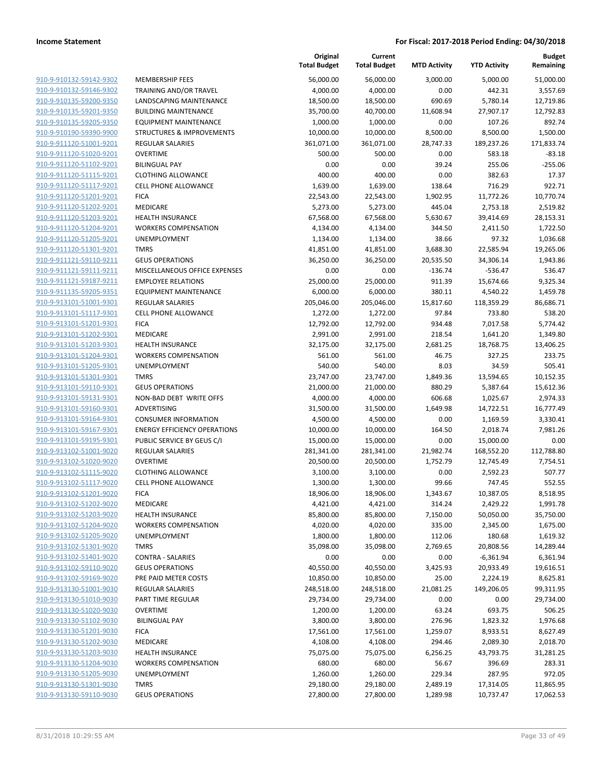|                         |                                      | Original<br><b>Total Budget</b> | Current<br><b>Total Budget</b> | <b>MTD Activity</b> | <b>YTD Activity</b> | <b>Budget</b><br>Remaining |
|-------------------------|--------------------------------------|---------------------------------|--------------------------------|---------------------|---------------------|----------------------------|
| 910-9-910132-59142-9302 | <b>MEMBERSHIP FEES</b>               | 56,000.00                       | 56,000.00                      | 3,000.00            | 5,000.00            | 51,000.00                  |
| 910-9-910132-59146-9302 | <b>TRAINING AND/OR TRAVEL</b>        | 4,000.00                        | 4,000.00                       | 0.00                | 442.31              | 3,557.69                   |
| 910-9-910135-59200-9350 | LANDSCAPING MAINTENANCE              | 18,500.00                       | 18,500.00                      | 690.69              | 5,780.14            | 12,719.86                  |
| 910-9-910135-59201-9350 | <b>BUILDING MAINTENANCE</b>          | 35,700.00                       | 40,700.00                      | 11,608.94           | 27,907.17           | 12,792.83                  |
| 910-9-910135-59205-9350 | <b>EQUIPMENT MAINTENANCE</b>         | 1,000.00                        | 1,000.00                       | 0.00                | 107.26              | 892.74                     |
| 910-9-910190-59390-9900 | <b>STRUCTURES &amp; IMPROVEMENTS</b> | 10,000.00                       | 10,000.00                      | 8,500.00            | 8,500.00            | 1,500.00                   |
| 910-9-911120-51001-9201 | REGULAR SALARIES                     | 361,071.00                      | 361,071.00                     | 28,747.33           | 189,237.26          | 171,833.74                 |
| 910-9-911120-51020-9201 | <b>OVERTIME</b>                      | 500.00                          | 500.00                         | 0.00                | 583.18              | $-83.18$                   |
| 910-9-911120-51102-9201 | <b>BILINGUAL PAY</b>                 | 0.00                            | 0.00                           | 39.24               | 255.06              | $-255.06$                  |
| 910-9-911120-51115-9201 | <b>CLOTHING ALLOWANCE</b>            | 400.00                          | 400.00                         | 0.00                | 382.63              | 17.37                      |
| 910-9-911120-51117-9201 | <b>CELL PHONE ALLOWANCE</b>          | 1,639.00                        | 1,639.00                       | 138.64              | 716.29              | 922.71                     |
| 910-9-911120-51201-9201 | <b>FICA</b>                          | 22,543.00                       | 22,543.00                      | 1,902.95            | 11,772.26           | 10,770.74                  |
| 910-9-911120-51202-9201 | <b>MEDICARE</b>                      | 5,273.00                        | 5,273.00                       | 445.04              | 2,753.18            | 2,519.82                   |
| 910-9-911120-51203-9201 | <b>HEALTH INSURANCE</b>              | 67,568.00                       | 67,568.00                      | 5,630.67            | 39,414.69           | 28,153.31                  |
| 910-9-911120-51204-9201 | <b>WORKERS COMPENSATION</b>          | 4,134.00                        | 4,134.00                       | 344.50              | 2,411.50            | 1,722.50                   |
| 910-9-911120-51205-9201 | UNEMPLOYMENT                         | 1,134.00                        | 1,134.00                       | 38.66               | 97.32               | 1,036.68                   |
| 910-9-911120-51301-9201 | <b>TMRS</b>                          | 41,851.00                       | 41,851.00                      | 3,688.30            | 22,585.94           | 19,265.06                  |
| 910-9-911121-59110-9211 | <b>GEUS OPERATIONS</b>               | 36,250.00                       | 36,250.00                      | 20,535.50           | 34,306.14           | 1,943.86                   |
| 910-9-911121-59111-9211 | MISCELLANEOUS OFFICE EXPENSES        | 0.00                            | 0.00                           | $-136.74$           | -536.47             | 536.47                     |
| 910-9-911121-59187-9211 | <b>EMPLOYEE RELATIONS</b>            | 25,000.00                       | 25,000.00                      | 911.39              | 15,674.66           | 9,325.34                   |
| 910-9-911135-59205-9351 | <b>EQUIPMENT MAINTENANCE</b>         | 6,000.00                        | 6,000.00                       | 380.11              | 4,540.22            | 1,459.78                   |
| 910-9-913101-51001-9301 | REGULAR SALARIES                     | 205,046.00                      | 205,046.00                     | 15,817.60           | 118,359.29          | 86,686.71                  |
| 910-9-913101-51117-9301 | <b>CELL PHONE ALLOWANCE</b>          | 1,272.00                        | 1,272.00                       | 97.84               | 733.80              | 538.20                     |
| 910-9-913101-51201-9301 | <b>FICA</b>                          | 12,792.00                       | 12,792.00                      | 934.48              | 7,017.58            | 5,774.42                   |
| 910-9-913101-51202-9301 | <b>MEDICARE</b>                      | 2,991.00                        | 2,991.00                       | 218.54              | 1,641.20            | 1,349.80                   |
| 910-9-913101-51203-9301 | <b>HEALTH INSURANCE</b>              | 32,175.00                       | 32,175.00                      | 2,681.25            | 18,768.75           | 13,406.25                  |
| 910-9-913101-51204-9301 | <b>WORKERS COMPENSATION</b>          | 561.00                          | 561.00                         | 46.75               | 327.25              | 233.75                     |
| 910-9-913101-51205-9301 | UNEMPLOYMENT                         | 540.00                          | 540.00                         | 8.03                | 34.59               | 505.41                     |
| 910-9-913101-51301-9301 | <b>TMRS</b>                          | 23,747.00                       | 23,747.00                      | 1,849.36            | 13,594.65           | 10,152.35                  |
| 910-9-913101-59110-9301 | <b>GEUS OPERATIONS</b>               | 21,000.00                       | 21,000.00                      | 880.29              | 5,387.64            | 15,612.36                  |
| 910-9-913101-59131-9301 | NON-BAD DEBT WRITE OFFS              | 4,000.00                        | 4,000.00                       | 606.68              | 1,025.67            | 2,974.33                   |
| 910-9-913101-59160-9301 | ADVERTISING                          | 31,500.00                       | 31,500.00                      | 1,649.98            | 14,722.51           | 16,777.49                  |
| 910-9-913101-59164-9301 | <b>CONSUMER INFORMATION</b>          | 4,500.00                        | 4,500.00                       | 0.00                | 1,169.59            | 3,330.41                   |
| 910-9-913101-59167-9301 | <b>ENERGY EFFICIENCY OPERATIONS</b>  | 10,000.00                       | 10,000.00                      | 164.50              | 2,018.74            | 7,981.26                   |
| 910-9-913101-59195-9301 | PUBLIC SERVICE BY GEUS C/I           | 15,000.00                       | 15,000.00                      | 0.00                | 15,000.00           | 0.00                       |
| 910-9-913102-51001-9020 | <b>REGULAR SALARIES</b>              | 281,341.00                      | 281,341.00                     | 21,982.74           | 168,552.20          | 112,788.80                 |
| 910-9-913102-51020-9020 | <b>OVERTIME</b>                      | 20,500.00                       | 20,500.00                      | 1,752.79            | 12,745.49           | 7,754.51                   |
| 910-9-913102-51115-9020 | <b>CLOTHING ALLOWANCE</b>            | 3,100.00                        | 3,100.00                       | 0.00                | 2,592.23            | 507.77                     |
| 910-9-913102-51117-9020 | <b>CELL PHONE ALLOWANCE</b>          | 1,300.00                        | 1,300.00                       | 99.66               | 747.45              | 552.55                     |
| 910-9-913102-51201-9020 | <b>FICA</b>                          | 18,906.00                       | 18,906.00                      | 1,343.67            | 10,387.05           | 8,518.95                   |
| 910-9-913102-51202-9020 | MEDICARE                             | 4,421.00                        | 4,421.00                       | 314.24              | 2,429.22            | 1,991.78                   |
| 910-9-913102-51203-9020 | <b>HEALTH INSURANCE</b>              | 85,800.00                       | 85,800.00                      | 7,150.00            | 50,050.00           | 35,750.00                  |
| 910-9-913102-51204-9020 | <b>WORKERS COMPENSATION</b>          | 4,020.00                        | 4,020.00                       | 335.00              | 2,345.00            | 1,675.00                   |
| 910-9-913102-51205-9020 | UNEMPLOYMENT                         | 1,800.00                        | 1,800.00                       | 112.06              | 180.68              | 1,619.32                   |
| 910-9-913102-51301-9020 | <b>TMRS</b>                          | 35,098.00                       | 35,098.00                      | 2,769.65            | 20,808.56           | 14,289.44                  |
| 910-9-913102-51401-9020 | <b>CONTRA - SALARIES</b>             | 0.00                            | 0.00                           | 0.00                | $-6,361.94$         | 6,361.94                   |
| 910-9-913102-59110-9020 | <b>GEUS OPERATIONS</b>               | 40,550.00                       | 40,550.00                      | 3,425.93            | 20,933.49           | 19,616.51                  |
| 910-9-913102-59169-9020 | PRE PAID METER COSTS                 | 10,850.00                       | 10,850.00                      | 25.00               | 2,224.19            | 8,625.81                   |
| 910-9-913130-51001-9030 | REGULAR SALARIES                     | 248,518.00                      | 248,518.00                     | 21,081.25           | 149,206.05          | 99,311.95                  |
| 910-9-913130-51010-9030 | PART TIME REGULAR                    | 29,734.00                       | 29,734.00                      | 0.00                | 0.00                | 29,734.00                  |
| 910-9-913130-51020-9030 | <b>OVERTIME</b>                      | 1,200.00                        | 1,200.00                       | 63.24               | 693.75              | 506.25                     |
| 910-9-913130-51102-9030 | <b>BILINGUAL PAY</b>                 | 3,800.00                        | 3,800.00                       | 276.96              | 1,823.32            | 1,976.68                   |
| 910-9-913130-51201-9030 | <b>FICA</b>                          | 17,561.00                       | 17,561.00                      | 1,259.07            | 8,933.51            | 8,627.49                   |
| 910-9-913130-51202-9030 | MEDICARE                             | 4,108.00                        | 4,108.00                       | 294.46              | 2,089.30            | 2,018.70                   |
| 910-9-913130-51203-9030 | <b>HEALTH INSURANCE</b>              | 75,075.00                       | 75,075.00                      | 6,256.25            | 43,793.75           | 31,281.25                  |
| 910-9-913130-51204-9030 | <b>WORKERS COMPENSATION</b>          | 680.00                          | 680.00                         | 56.67               | 396.69              | 283.31                     |
| 910-9-913130-51205-9030 | UNEMPLOYMENT                         | 1,260.00                        | 1,260.00                       | 229.34              | 287.95              | 972.05                     |
| 910-9-913130-51301-9030 | <b>TMRS</b>                          | 29,180.00                       | 29,180.00                      | 2,489.19            | 17,314.05           | 11,865.95                  |
| 910-9-913130-59110-9030 | <b>GEUS OPERATIONS</b>               | 27,800.00                       | 27,800.00                      | 1,289.98            | 10,737.47           | 17,062.53                  |
|                         |                                      |                                 |                                |                     |                     |                            |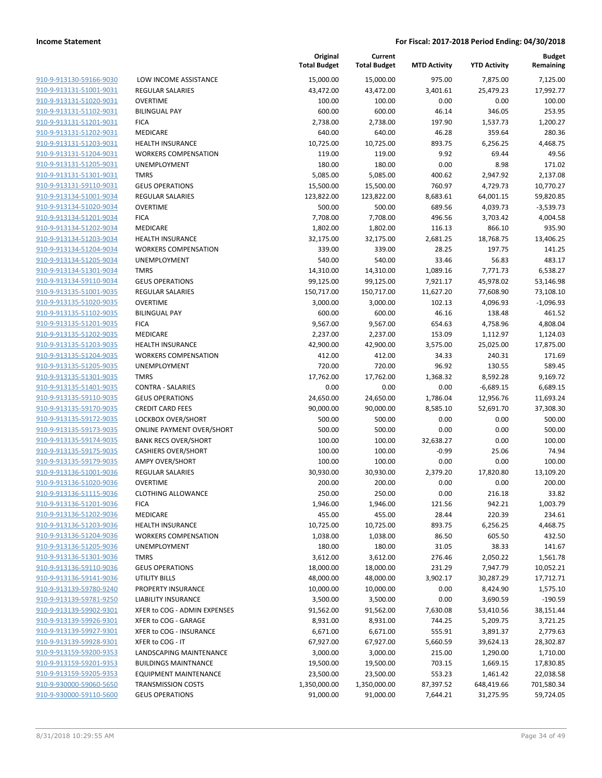| 910-9-913130-59166-9030        |
|--------------------------------|
| 910-9-913131-51001-9031        |
| 910-9-913131-51020-9031        |
| 910-9-913131-51102-9031        |
| 910-9-913131-51201-9031        |
| 910-9-913131-51202-9031        |
| 910-9-913131-51203-9031        |
| 910-9-913131-51204-9031        |
| 910-9-913131-51205-9031        |
| 910-9-913131-51301-9031        |
| 910-9-913131-59110-9031        |
| 910-9-913134-51001-9034        |
| 910-9-913134-51020-9034        |
| 910-9-913134-51201-9034        |
|                                |
| <u>910-9-913134-51202-9034</u> |
| 910-9-913134-51203-9034        |
| 910-9-913134-51204-9034        |
| 910-9-913134-51205-9034        |
| 910-9-913134-51301-9034        |
| <u>910-9-913134-59110-9034</u> |
| 910-9-913135-51001-9035        |
| 910-9-913135-51020-9035        |
| 910-9-913135-51102-9035        |
| 910-9-913135-51201-9035        |
| 910-9-913135-51202-9035        |
| 910-9-913135-51203-9035        |
| 910-9-913135-51204-9035        |
| 910-9-913135-51205-9035        |
| 910-9-913135-51301-9035        |
|                                |
| <u>910-9-913135-51401-9035</u> |
| 910-9-913135-59110-9035        |
| 910-9-913135-59170-9035        |
| 910-9-913135-59172-9035        |
| 910-9-913135-59173-9035        |
| <u>910-9-913135-59174-9035</u> |
| 910-9-913135-59175-9035        |
| 910-9-913135-59179-9035        |
| 910-9-913136-51001-9036        |
| 910-9-913136-51020-9036        |
| 910-9-913136-51115-9036        |
| 910-9-913136-51201-9036        |
| 910-9-913136-51202-9036        |
| 910-9-913136-51203-9036        |
| 910-9-913136-51204-9036        |
| 910-9-913136-51205-9036        |
|                                |
| <u>910-9-913136-51301-9036</u> |
| 910-9-913136-59110-9036        |
| 910-9-913136-59141-9036        |
| 910-9-913139-59780-9240        |
| <u>910-9-913139-59781-9250</u> |
| 910-9-913139-59902-9301        |
| 910-9-913139-59926-9301        |
| 910-9-913139-59927-9301        |
| <u>910-9-913139-59928-9301</u> |
| <u>910-9-913159-59200-9353</u> |
| <u>910-9-913159-59201-9353</u> |
| <u>910-9-913159-59205-9353</u> |
| <u>910-9-930000-59060-5650</u> |
| 910-9-930000-59110-5600        |
|                                |

| LOW INCOME ASSISTANCE                                |
|------------------------------------------------------|
| <b>REGULAR SALARIES</b>                              |
| <b>OVERTIME</b>                                      |
| <b>BILINGUAL PAY</b>                                 |
| <b>FICA</b>                                          |
| <b>MEDICARE</b>                                      |
| <b>HEALTH INSURANCE</b>                              |
| <b>WORKERS COMPENSATION</b>                          |
| <b>UNEMPLOYMENT</b>                                  |
| <b>TMRS</b>                                          |
| <b>GEUS OPERATIONS</b>                               |
| <b>REGULAR SALARIES</b>                              |
| <b>OVERTIME</b>                                      |
| <b>FICA</b>                                          |
| <b>MEDICARE</b>                                      |
| <b>HEALTH INSURANCE</b>                              |
| <b>WORKERS COMPENSATION</b>                          |
| <b>UNEMPLOYMENT</b>                                  |
| <b>TMRS</b>                                          |
| <b>GEUS OPERATIONS</b>                               |
| <b>REGULAR SALARIES</b>                              |
| <b>OVERTIME</b>                                      |
| <b>BILINGUAL PAY</b>                                 |
| <b>FICA</b>                                          |
| <b>MEDICARE</b>                                      |
| <b>HEALTH INSURANCE</b>                              |
| <b>WORKERS COMPENSATION</b>                          |
| <b>UNEMPLOYMENT</b>                                  |
| <b>TMRS</b>                                          |
| <b>CONTRA - SALARIES</b>                             |
| <b>GEUS OPERATIONS</b>                               |
| <b>CREDIT CARD FEES</b>                              |
| LOCKBOX OVER/SHORT                                   |
| <b>ONLINE PAYMENT OVER/SHORT</b>                     |
| <b>BANK RECS OVER/SHORT</b>                          |
| <b>CASHIERS OVER/SHORT</b><br><b>AMPY OVER/SHORT</b> |
| <b>REGULAR SALARIES</b>                              |
| <b>OVERTIME</b>                                      |
| <b>CLOTHING ALLOWANCE</b>                            |
| <b>FICA</b>                                          |
| MEDICARE                                             |
| <b>HEALTH INSURANCE</b>                              |
| <b>WORKERS COMPENSATION</b>                          |
| <b>UNEMPLOYMENT</b>                                  |
| <b>TMRS</b>                                          |
| <b>GEUS OPERATIONS</b>                               |
| UTILITY BILLS                                        |
| <b>PROPERTY INSURANCE</b>                            |
| <b>LIABILITY INSURANCE</b>                           |
| XFER to COG - ADMIN EXPENSES                         |
| XFER to COG - GARAGE                                 |
| XFER to COG - INSURANCE                              |
| XFER to COG - IT                                     |
| LANDSCAPING MAINTENANCE                              |
| <b>BUILDINGS MAINTNANCE</b>                          |
| <b>EQUIPMENT MAINTENANCE</b>                         |
| <b>TRANSMISSION COSTS</b>                            |
| <b>GEUS OPERATIONS</b>                               |

|                                                    |                                                   | Original<br><b>Total Budget</b> | Current<br><b>Total Budget</b> | <b>MTD Activity</b>  | <b>YTD Activity</b>   | <b>Budget</b><br>Remaining |
|----------------------------------------------------|---------------------------------------------------|---------------------------------|--------------------------------|----------------------|-----------------------|----------------------------|
| 910-9-913130-59166-9030                            | LOW INCOME ASSISTANCE                             | 15,000.00                       | 15,000.00                      | 975.00               | 7,875.00              | 7,125.00                   |
| 910-9-913131-51001-9031                            | <b>REGULAR SALARIES</b>                           | 43,472.00                       | 43,472.00                      | 3,401.61             | 25,479.23             | 17,992.77                  |
| 910-9-913131-51020-9031                            | <b>OVERTIME</b>                                   | 100.00                          | 100.00                         | 0.00                 | 0.00                  | 100.00                     |
| 910-9-913131-51102-9031                            | <b>BILINGUAL PAY</b>                              | 600.00                          | 600.00                         | 46.14                | 346.05                | 253.95                     |
| 910-9-913131-51201-9031                            | <b>FICA</b>                                       | 2,738.00                        | 2,738.00                       | 197.90               | 1,537.73              | 1,200.27                   |
| 910-9-913131-51202-9031                            | MEDICARE                                          | 640.00                          | 640.00                         | 46.28                | 359.64                | 280.36                     |
| 910-9-913131-51203-9031                            | <b>HEALTH INSURANCE</b>                           | 10,725.00                       | 10,725.00                      | 893.75               | 6,256.25              | 4,468.75                   |
| 910-9-913131-51204-9031                            | <b>WORKERS COMPENSATION</b>                       | 119.00                          | 119.00                         | 9.92                 | 69.44                 | 49.56                      |
| 910-9-913131-51205-9031                            | UNEMPLOYMENT                                      | 180.00                          | 180.00                         | 0.00                 | 8.98                  | 171.02                     |
| 910-9-913131-51301-9031                            | <b>TMRS</b>                                       | 5,085.00                        | 5,085.00                       | 400.62               | 2,947.92              | 2,137.08                   |
| 910-9-913131-59110-9031                            | <b>GEUS OPERATIONS</b>                            | 15,500.00                       | 15,500.00                      | 760.97               | 4,729.73              | 10,770.27                  |
| 910-9-913134-51001-9034                            | <b>REGULAR SALARIES</b>                           | 123,822.00                      | 123,822.00                     | 8,683.61             | 64,001.15             | 59,820.85                  |
| 910-9-913134-51020-9034                            | <b>OVERTIME</b>                                   | 500.00                          | 500.00                         | 689.56               | 4,039.73              | $-3,539.73$                |
| 910-9-913134-51201-9034                            | <b>FICA</b>                                       | 7,708.00                        | 7,708.00                       | 496.56               | 3,703.42              | 4,004.58                   |
| 910-9-913134-51202-9034                            | MEDICARE                                          | 1,802.00                        | 1,802.00                       | 116.13               | 866.10                | 935.90                     |
| 910-9-913134-51203-9034                            | <b>HEALTH INSURANCE</b>                           | 32,175.00                       | 32,175.00                      | 2,681.25             | 18,768.75             | 13,406.25                  |
| 910-9-913134-51204-9034                            | <b>WORKERS COMPENSATION</b>                       | 339.00                          | 339.00                         | 28.25                | 197.75                | 141.25                     |
| 910-9-913134-51205-9034                            | UNEMPLOYMENT                                      | 540.00                          | 540.00                         | 33.46                | 56.83                 | 483.17                     |
| 910-9-913134-51301-9034                            | <b>TMRS</b>                                       | 14,310.00                       | 14,310.00<br>99,125.00         | 1,089.16<br>7,921.17 | 7,771.73<br>45,978.02 | 6,538.27                   |
| 910-9-913134-59110-9034<br>910-9-913135-51001-9035 | <b>GEUS OPERATIONS</b><br><b>REGULAR SALARIES</b> | 99,125.00<br>150,717.00         | 150,717.00                     | 11,627.20            | 77,608.90             | 53,146.98<br>73,108.10     |
| 910-9-913135-51020-9035                            | <b>OVERTIME</b>                                   | 3,000.00                        | 3,000.00                       | 102.13               | 4,096.93              | $-1,096.93$                |
| 910-9-913135-51102-9035                            | <b>BILINGUAL PAY</b>                              | 600.00                          | 600.00                         | 46.16                | 138.48                | 461.52                     |
| 910-9-913135-51201-9035                            | <b>FICA</b>                                       | 9,567.00                        | 9,567.00                       | 654.63               | 4,758.96              | 4,808.04                   |
| 910-9-913135-51202-9035                            | MEDICARE                                          | 2,237.00                        | 2,237.00                       | 153.09               | 1,112.97              | 1,124.03                   |
| 910-9-913135-51203-9035                            | <b>HEALTH INSURANCE</b>                           | 42,900.00                       | 42,900.00                      | 3,575.00             | 25,025.00             | 17,875.00                  |
| 910-9-913135-51204-9035                            | <b>WORKERS COMPENSATION</b>                       | 412.00                          | 412.00                         | 34.33                | 240.31                | 171.69                     |
| 910-9-913135-51205-9035                            | UNEMPLOYMENT                                      | 720.00                          | 720.00                         | 96.92                | 130.55                | 589.45                     |
| 910-9-913135-51301-9035                            | <b>TMRS</b>                                       | 17,762.00                       | 17,762.00                      | 1,368.32             | 8,592.28              | 9,169.72                   |
| 910-9-913135-51401-9035                            | <b>CONTRA - SALARIES</b>                          | 0.00                            | 0.00                           | 0.00                 | $-6,689.15$           | 6,689.15                   |
| 910-9-913135-59110-9035                            | <b>GEUS OPERATIONS</b>                            | 24,650.00                       | 24,650.00                      | 1,786.04             | 12,956.76             | 11,693.24                  |
| 910-9-913135-59170-9035                            | <b>CREDIT CARD FEES</b>                           | 90,000.00                       | 90,000.00                      | 8,585.10             | 52,691.70             | 37,308.30                  |
| 910-9-913135-59172-9035                            | LOCKBOX OVER/SHORT                                | 500.00                          | 500.00                         | 0.00                 | 0.00                  | 500.00                     |
| 910-9-913135-59173-9035                            | <b>ONLINE PAYMENT OVER/SHORT</b>                  | 500.00                          | 500.00                         | 0.00                 | 0.00                  | 500.00                     |
| 910-9-913135-59174-9035                            | <b>BANK RECS OVER/SHORT</b>                       | 100.00                          | 100.00                         | 32,638.27            | 0.00                  | 100.00                     |
| 910-9-913135-59175-9035                            | <b>CASHIERS OVER/SHORT</b>                        | 100.00                          | 100.00                         | $-0.99$              | 25.06                 | 74.94                      |
| 910-9-913135-59179-9035                            | <b>AMPY OVER/SHORT</b>                            | 100.00                          | 100.00                         | 0.00                 | 0.00                  | 100.00                     |
| 910-9-913136-51001-9036                            | REGULAR SALARIES                                  | 30,930.00                       | 30,930.00                      | 2,379.20             | 17,820.80             | 13,109.20                  |
| 910-9-913136-51020-9036                            | <b>OVERTIME</b>                                   | 200.00                          | 200.00                         | 0.00                 | 0.00                  | 200.00                     |
| 910-9-913136-51115-9036                            | CLOTHING ALLOWANCE                                | 250.00                          | 250.00                         | 0.00                 | 216.18                | 33.82                      |
| 910-9-913136-51201-9036                            | <b>FICA</b>                                       | 1,946.00                        | 1,946.00                       | 121.56               | 942.21                | 1,003.79                   |
| 910-9-913136-51202-9036                            | MEDICARE                                          | 455.00                          | 455.00                         | 28.44                | 220.39                | 234.61                     |
| 910-9-913136-51203-9036                            | <b>HEALTH INSURANCE</b>                           | 10,725.00                       | 10,725.00                      | 893.75               | 6,256.25              | 4,468.75                   |
| 910-9-913136-51204-9036                            | <b>WORKERS COMPENSATION</b>                       | 1,038.00                        | 1,038.00                       | 86.50                | 605.50                | 432.50                     |
| 910-9-913136-51205-9036                            | UNEMPLOYMENT                                      | 180.00                          | 180.00                         | 31.05                | 38.33                 | 141.67                     |
| 910-9-913136-51301-9036                            | <b>TMRS</b>                                       | 3,612.00                        | 3,612.00                       | 276.46               | 2,050.22              | 1,561.78                   |
| 910-9-913136-59110-9036                            | <b>GEUS OPERATIONS</b>                            | 18,000.00                       | 18,000.00                      | 231.29               | 7,947.79              | 10,052.21                  |
| 910-9-913136-59141-9036                            | UTILITY BILLS                                     | 48,000.00                       | 48,000.00                      | 3,902.17             | 30,287.29             | 17,712.71                  |
| 910-9-913139-59780-9240                            | PROPERTY INSURANCE                                | 10,000.00                       | 10,000.00                      | 0.00                 | 8,424.90              | 1,575.10                   |
| 910-9-913139-59781-9250                            | <b>LIABILITY INSURANCE</b>                        | 3,500.00                        | 3,500.00                       | 0.00                 | 3,690.59              | $-190.59$                  |
| 910-9-913139-59902-9301                            | XFER to COG - ADMIN EXPENSES                      | 91,562.00                       | 91,562.00                      | 7,630.08             | 53,410.56             | 38,151.44                  |
| 910-9-913139-59926-9301                            | XFER to COG - GARAGE                              | 8,931.00                        | 8,931.00                       | 744.25               | 5,209.75              | 3,721.25                   |
| 910-9-913139-59927-9301                            | XFER to COG - INSURANCE                           | 6,671.00                        | 6,671.00                       | 555.91               | 3,891.37              | 2,779.63                   |
| 910-9-913139-59928-9301                            | XFER to COG - IT                                  | 67,927.00                       | 67,927.00                      | 5,660.59             | 39,624.13             | 28,302.87                  |
| 910-9-913159-59200-9353                            | LANDSCAPING MAINTENANCE                           | 3,000.00                        | 3,000.00                       | 215.00               | 1,290.00              | 1,710.00                   |
| 910-9-913159-59201-9353                            | <b>BUILDINGS MAINTNANCE</b>                       | 19,500.00                       | 19,500.00                      | 703.15               | 1,669.15              | 17,830.85                  |
| 910-9-913159-59205-9353                            | <b>EQUIPMENT MAINTENANCE</b>                      | 23,500.00                       | 23,500.00                      | 553.23               | 1,461.42              | 22,038.58                  |
| 910-9-930000-59060-5650                            | <b>TRANSMISSION COSTS</b>                         | 1,350,000.00                    | 1,350,000.00                   | 87,397.52            | 648,419.66            | 701,580.34                 |
| 910-9-930000-59110-5600                            | <b>GEUS OPERATIONS</b>                            | 91,000.00                       | 91,000.00                      | 7,644.21             | 31,275.95             | 59,724.05                  |
|                                                    |                                                   |                                 |                                |                      |                       |                            |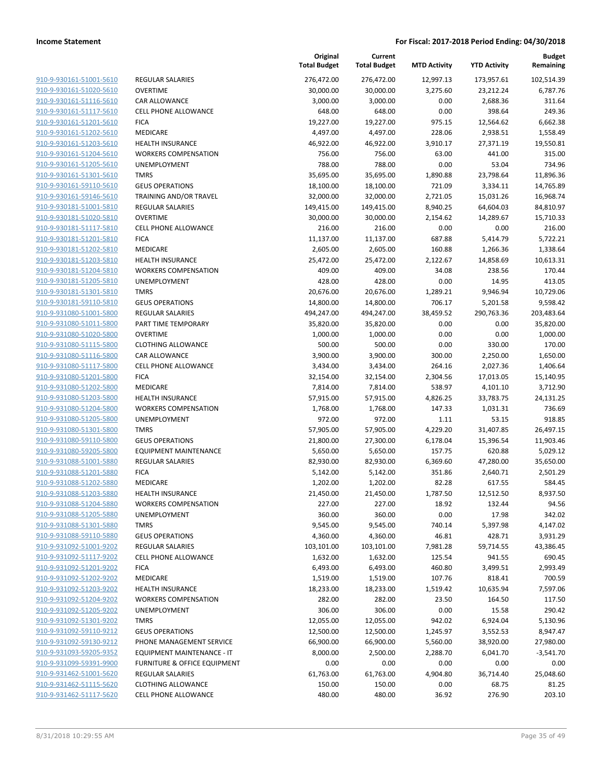|                         |                                         | Original<br><b>Total Budget</b> | Current<br><b>Total Budget</b> | <b>MTD Activity</b> | <b>YTD Activity</b> | <b>Budget</b><br>Remaining |
|-------------------------|-----------------------------------------|---------------------------------|--------------------------------|---------------------|---------------------|----------------------------|
| 910-9-930161-51001-5610 | REGULAR SALARIES                        | 276,472.00                      | 276,472.00                     | 12,997.13           | 173,957.61          | 102,514.39                 |
| 910-9-930161-51020-5610 | <b>OVERTIME</b>                         | 30,000.00                       | 30,000.00                      | 3,275.60            | 23,212.24           | 6,787.76                   |
| 910-9-930161-51116-5610 | CAR ALLOWANCE                           | 3,000.00                        | 3,000.00                       | 0.00                | 2,688.36            | 311.64                     |
| 910-9-930161-51117-5610 | CELL PHONE ALLOWANCE                    | 648.00                          | 648.00                         | 0.00                | 398.64              | 249.36                     |
| 910-9-930161-51201-5610 | <b>FICA</b>                             | 19,227.00                       | 19,227.00                      | 975.15              | 12,564.62           | 6,662.38                   |
| 910-9-930161-51202-5610 | MEDICARE                                | 4,497.00                        | 4,497.00                       | 228.06              | 2,938.51            | 1,558.49                   |
| 910-9-930161-51203-5610 | <b>HEALTH INSURANCE</b>                 | 46,922.00                       | 46,922.00                      | 3,910.17            | 27,371.19           | 19,550.81                  |
| 910-9-930161-51204-5610 | <b>WORKERS COMPENSATION</b>             | 756.00                          | 756.00                         | 63.00               | 441.00              | 315.00                     |
| 910-9-930161-51205-5610 | UNEMPLOYMENT                            | 788.00                          | 788.00                         | 0.00                | 53.04               | 734.96                     |
| 910-9-930161-51301-5610 | <b>TMRS</b>                             | 35,695.00                       | 35,695.00                      | 1,890.88            | 23,798.64           | 11,896.36                  |
| 910-9-930161-59110-5610 | <b>GEUS OPERATIONS</b>                  | 18,100.00                       | 18,100.00                      | 721.09              | 3,334.11            | 14,765.89                  |
| 910-9-930161-59146-5610 | TRAINING AND/OR TRAVEL                  | 32,000.00                       | 32,000.00                      | 2,721.05            | 15,031.26           | 16,968.74                  |
| 910-9-930181-51001-5810 | <b>REGULAR SALARIES</b>                 | 149,415.00                      | 149,415.00                     | 8,940.25            | 64,604.03           | 84,810.97                  |
| 910-9-930181-51020-5810 | <b>OVERTIME</b>                         | 30,000.00                       | 30,000.00                      | 2,154.62            | 14,289.67           | 15,710.33                  |
| 910-9-930181-51117-5810 | CELL PHONE ALLOWANCE                    | 216.00                          | 216.00                         | 0.00                | 0.00                | 216.00                     |
| 910-9-930181-51201-5810 | <b>FICA</b>                             | 11,137.00                       | 11,137.00                      | 687.88              | 5,414.79            | 5,722.21                   |
| 910-9-930181-51202-5810 | <b>MEDICARE</b>                         | 2,605.00                        | 2,605.00                       | 160.88              | 1,266.36            | 1,338.64                   |
| 910-9-930181-51203-5810 | <b>HEALTH INSURANCE</b>                 | 25,472.00                       | 25,472.00                      | 2,122.67            | 14,858.69           | 10,613.31                  |
| 910-9-930181-51204-5810 | <b>WORKERS COMPENSATION</b>             | 409.00                          | 409.00                         | 34.08               | 238.56              | 170.44                     |
| 910-9-930181-51205-5810 | UNEMPLOYMENT                            | 428.00                          | 428.00                         | 0.00                | 14.95               | 413.05                     |
| 910-9-930181-51301-5810 | <b>TMRS</b>                             | 20,676.00                       | 20,676.00                      | 1,289.21            | 9,946.94            | 10,729.06                  |
| 910-9-930181-59110-5810 | <b>GEUS OPERATIONS</b>                  | 14,800.00                       | 14,800.00                      | 706.17              | 5,201.58            | 9,598.42                   |
| 910-9-931080-51001-5800 | REGULAR SALARIES                        | 494,247.00                      | 494,247.00                     | 38,459.52           | 290,763.36          | 203,483.64                 |
| 910-9-931080-51011-5800 | PART TIME TEMPORARY                     | 35,820.00                       | 35,820.00                      | 0.00                | 0.00                | 35,820.00                  |
| 910-9-931080-51020-5800 | <b>OVERTIME</b>                         | 1,000.00                        | 1,000.00                       | 0.00                | 0.00                | 1,000.00                   |
| 910-9-931080-51115-5800 | <b>CLOTHING ALLOWANCE</b>               | 500.00                          | 500.00                         | 0.00                | 330.00              | 170.00                     |
| 910-9-931080-51116-5800 | CAR ALLOWANCE                           | 3,900.00                        | 3,900.00                       | 300.00              | 2,250.00            | 1,650.00                   |
| 910-9-931080-51117-5800 | <b>CELL PHONE ALLOWANCE</b>             | 3,434.00                        | 3,434.00                       | 264.16              | 2,027.36            | 1,406.64                   |
| 910-9-931080-51201-5800 | <b>FICA</b>                             | 32,154.00                       | 32,154.00                      | 2,304.56            | 17,013.05           | 15,140.95                  |
| 910-9-931080-51202-5800 | MEDICARE                                | 7,814.00                        | 7,814.00                       | 538.97              | 4,101.10            | 3,712.90                   |
| 910-9-931080-51203-5800 | <b>HEALTH INSURANCE</b>                 | 57,915.00                       | 57,915.00                      | 4,826.25            | 33,783.75           | 24,131.25                  |
| 910-9-931080-51204-5800 | <b>WORKERS COMPENSATION</b>             | 1,768.00                        | 1,768.00                       | 147.33              | 1,031.31            | 736.69                     |
| 910-9-931080-51205-5800 | UNEMPLOYMENT                            | 972.00                          | 972.00                         | 1.11                | 53.15               | 918.85                     |
| 910-9-931080-51301-5800 | <b>TMRS</b>                             | 57,905.00                       | 57,905.00                      | 4,229.20            | 31,407.85           | 26,497.15                  |
| 910-9-931080-59110-5800 | <b>GEUS OPERATIONS</b>                  | 21,800.00                       | 27,300.00                      | 6,178.04            | 15,396.54           | 11,903.46                  |
| 910-9-931080-59205-5800 | <b>EQUIPMENT MAINTENANCE</b>            | 5,650.00                        | 5,650.00                       | 157.75              | 620.88              | 5,029.12                   |
| 910-9-931088-51001-5880 | <b>REGULAR SALARIES</b>                 | 82,930.00                       | 82,930.00                      | 6,369.60            | 47,280.00           | 35,650.00                  |
| 910-9-931088-51201-5880 | <b>FICA</b>                             | 5,142.00                        | 5,142.00                       | 351.86              | 2,640.71            | 2,501.29                   |
| 910-9-931088-51202-5880 | MEDICARE                                | 1,202.00                        | 1,202.00                       | 82.28               | 617.55              | 584.45                     |
| 910-9-931088-51203-5880 | HEALTH INSURANCE                        | 21,450.00                       | 21,450.00                      | 1,787.50            | 12,512.50           | 8,937.50                   |
| 910-9-931088-51204-5880 | <b>WORKERS COMPENSATION</b>             | 227.00                          | 227.00                         | 18.92               | 132.44              | 94.56                      |
| 910-9-931088-51205-5880 | UNEMPLOYMENT                            | 360.00                          | 360.00                         | 0.00                | 17.98               | 342.02                     |
| 910-9-931088-51301-5880 | <b>TMRS</b>                             | 9,545.00                        | 9,545.00                       | 740.14              | 5,397.98            | 4,147.02                   |
| 910-9-931088-59110-5880 | <b>GEUS OPERATIONS</b>                  | 4,360.00                        | 4,360.00                       | 46.81               | 428.71              | 3,931.29                   |
| 910-9-931092-51001-9202 | REGULAR SALARIES                        | 103,101.00                      | 103,101.00                     | 7,981.28            | 59,714.55           | 43,386.45                  |
| 910-9-931092-51117-9202 | <b>CELL PHONE ALLOWANCE</b>             | 1,632.00                        | 1,632.00                       | 125.54              | 941.55              | 690.45                     |
| 910-9-931092-51201-9202 | <b>FICA</b>                             | 6,493.00                        | 6,493.00                       | 460.80              | 3,499.51            | 2,993.49                   |
| 910-9-931092-51202-9202 | MEDICARE                                | 1,519.00                        | 1,519.00                       | 107.76              | 818.41              | 700.59                     |
| 910-9-931092-51203-9202 | <b>HEALTH INSURANCE</b>                 | 18,233.00                       | 18,233.00                      | 1,519.42            | 10,635.94           | 7,597.06                   |
| 910-9-931092-51204-9202 | <b>WORKERS COMPENSATION</b>             | 282.00                          | 282.00                         | 23.50               | 164.50              | 117.50                     |
| 910-9-931092-51205-9202 | UNEMPLOYMENT                            | 306.00                          | 306.00                         | 0.00                | 15.58               | 290.42                     |
| 910-9-931092-51301-9202 | <b>TMRS</b>                             | 12,055.00                       | 12,055.00                      | 942.02              | 6,924.04            | 5,130.96                   |
| 910-9-931092-59110-9212 | <b>GEUS OPERATIONS</b>                  | 12,500.00                       | 12,500.00                      | 1,245.97            | 3,552.53            | 8,947.47                   |
| 910-9-931092-59130-9212 | PHONE MANAGEMENT SERVICE                | 66,900.00                       | 66,900.00                      | 5,560.00            | 38,920.00           | 27,980.00                  |
| 910-9-931093-59205-9352 | EQUIPMENT MAINTENANCE - IT              | 8,000.00                        | 2,500.00                       | 2,288.70            | 6,041.70            | $-3,541.70$                |
| 910-9-931099-59391-9900 | <b>FURNITURE &amp; OFFICE EQUIPMENT</b> | 0.00                            | 0.00                           | 0.00                | 0.00                | 0.00                       |
| 910-9-931462-51001-5620 | <b>REGULAR SALARIES</b>                 | 61,763.00                       | 61,763.00                      | 4,904.80            | 36,714.40           | 25,048.60                  |
| 910-9-931462-51115-5620 | <b>CLOTHING ALLOWANCE</b>               | 150.00                          | 150.00                         | 0.00                | 68.75               | 81.25                      |
| 910-9-931462-51117-5620 | CELL PHONE ALLOWANCE                    | 480.00                          | 480.00                         | 36.92               | 276.90              | 203.10                     |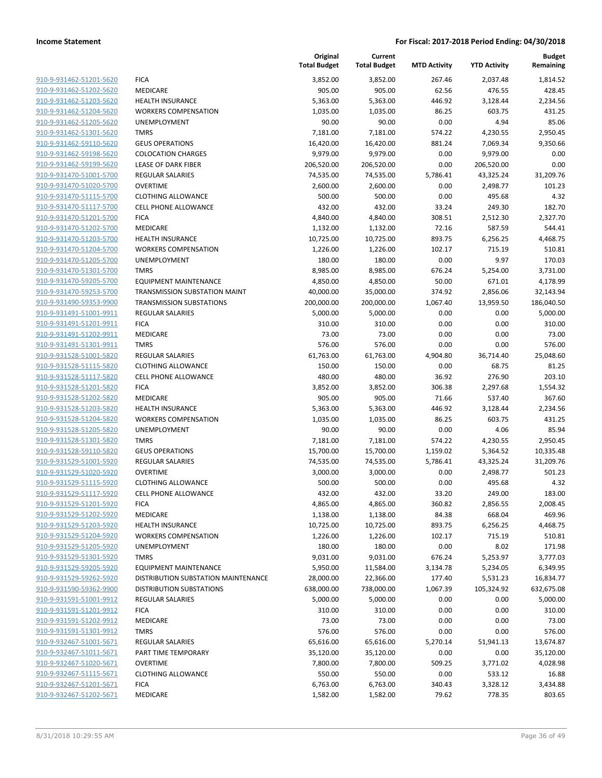|                         |                                     | Original<br><b>Total Budget</b> | Current<br><b>Total Budget</b> | <b>MTD Activity</b> | <b>YTD Activity</b> | <b>Budget</b><br>Remaining |
|-------------------------|-------------------------------------|---------------------------------|--------------------------------|---------------------|---------------------|----------------------------|
| 910-9-931462-51201-5620 | <b>FICA</b>                         | 3,852.00                        | 3,852.00                       | 267.46              | 2,037.48            | 1,814.52                   |
| 910-9-931462-51202-5620 | MEDICARE                            | 905.00                          | 905.00                         | 62.56               | 476.55              | 428.45                     |
| 910-9-931462-51203-5620 | <b>HEALTH INSURANCE</b>             | 5,363.00                        | 5,363.00                       | 446.92              | 3,128.44            | 2,234.56                   |
| 910-9-931462-51204-5620 | <b>WORKERS COMPENSATION</b>         | 1,035.00                        | 1,035.00                       | 86.25               | 603.75              | 431.25                     |
| 910-9-931462-51205-5620 | <b>UNEMPLOYMENT</b>                 | 90.00                           | 90.00                          | 0.00                | 4.94                | 85.06                      |
| 910-9-931462-51301-5620 | <b>TMRS</b>                         | 7,181.00                        | 7,181.00                       | 574.22              | 4,230.55            | 2,950.45                   |
| 910-9-931462-59110-5620 | <b>GEUS OPERATIONS</b>              | 16,420.00                       | 16,420.00                      | 881.24              | 7,069.34            | 9,350.66                   |
| 910-9-931462-59198-5620 | <b>COLOCATION CHARGES</b>           | 9,979.00                        | 9,979.00                       | 0.00                | 9,979.00            | 0.00                       |
| 910-9-931462-59199-5620 | <b>LEASE OF DARK FIBER</b>          | 206,520.00                      | 206,520.00                     | 0.00                | 206,520.00          | 0.00                       |
| 910-9-931470-51001-5700 | <b>REGULAR SALARIES</b>             | 74,535.00                       | 74,535.00                      | 5,786.41            | 43,325.24           | 31,209.76                  |
| 910-9-931470-51020-5700 | <b>OVERTIME</b>                     | 2,600.00                        | 2,600.00                       | 0.00                | 2,498.77            | 101.23                     |
| 910-9-931470-51115-5700 | <b>CLOTHING ALLOWANCE</b>           | 500.00                          | 500.00                         | 0.00                | 495.68              | 4.32                       |
| 910-9-931470-51117-5700 | <b>CELL PHONE ALLOWANCE</b>         | 432.00                          | 432.00                         | 33.24               | 249.30              | 182.70                     |
| 910-9-931470-51201-5700 | <b>FICA</b>                         | 4,840.00                        | 4,840.00                       | 308.51              | 2,512.30            | 2,327.70                   |
| 910-9-931470-51202-5700 | MEDICARE                            | 1,132.00                        | 1,132.00                       | 72.16               | 587.59              | 544.41                     |
| 910-9-931470-51203-5700 | <b>HEALTH INSURANCE</b>             | 10,725.00                       | 10,725.00                      | 893.75              | 6,256.25            | 4,468.75                   |
| 910-9-931470-51204-5700 | <b>WORKERS COMPENSATION</b>         | 1,226.00                        | 1,226.00                       | 102.17              | 715.19              | 510.81                     |
| 910-9-931470-51205-5700 | <b>UNEMPLOYMENT</b>                 | 180.00                          | 180.00                         | 0.00                | 9.97                | 170.03                     |
| 910-9-931470-51301-5700 | <b>TMRS</b>                         | 8,985.00                        | 8,985.00                       | 676.24              | 5,254.00            | 3,731.00                   |
| 910-9-931470-59205-5700 | <b>EQUIPMENT MAINTENANCE</b>        | 4,850.00                        | 4,850.00                       | 50.00               | 671.01              | 4,178.99                   |
| 910-9-931470-59253-5700 | TRANSMISSION SUBSTATION MAINT       | 40,000.00                       | 35,000.00                      | 374.92              | 2,856.06            | 32,143.94                  |
| 910-9-931490-59353-9900 | <b>TRANSMISSION SUBSTATIONS</b>     | 200,000.00                      | 200,000.00                     | 1,067.40            | 13,959.50           | 186,040.50                 |
| 910-9-931491-51001-9911 | REGULAR SALARIES                    | 5,000.00                        | 5,000.00                       | 0.00                | 0.00                | 5,000.00                   |
| 910-9-931491-51201-9911 | <b>FICA</b>                         | 310.00                          | 310.00                         | 0.00                | 0.00                | 310.00                     |
| 910-9-931491-51202-9911 | <b>MEDICARE</b>                     | 73.00                           | 73.00                          | 0.00                | 0.00                | 73.00                      |
| 910-9-931491-51301-9911 | <b>TMRS</b>                         | 576.00                          | 576.00                         | 0.00                | 0.00                | 576.00                     |
| 910-9-931528-51001-5820 | REGULAR SALARIES                    | 61,763.00                       | 61,763.00                      | 4,904.80            | 36,714.40           | 25,048.60                  |
| 910-9-931528-51115-5820 | <b>CLOTHING ALLOWANCE</b>           | 150.00                          | 150.00                         | 0.00                | 68.75               | 81.25                      |
| 910-9-931528-51117-5820 | <b>CELL PHONE ALLOWANCE</b>         | 480.00                          | 480.00                         | 36.92               | 276.90              | 203.10                     |
| 910-9-931528-51201-5820 | <b>FICA</b>                         | 3,852.00                        | 3,852.00                       | 306.38              | 2,297.68            | 1,554.32                   |
| 910-9-931528-51202-5820 | <b>MEDICARE</b>                     | 905.00                          | 905.00                         | 71.66               | 537.40              | 367.60                     |
| 910-9-931528-51203-5820 | HEALTH INSURANCE                    | 5,363.00                        | 5,363.00                       | 446.92              | 3,128.44            | 2,234.56                   |
| 910-9-931528-51204-5820 | <b>WORKERS COMPENSATION</b>         | 1,035.00                        | 1,035.00                       | 86.25               | 603.75              | 431.25                     |
| 910-9-931528-51205-5820 | UNEMPLOYMENT                        | 90.00                           | 90.00                          | 0.00                | 4.06                | 85.94                      |
| 910-9-931528-51301-5820 | <b>TMRS</b>                         | 7,181.00                        | 7,181.00                       | 574.22              | 4,230.55            | 2,950.45                   |
| 910-9-931528-59110-5820 | <b>GEUS OPERATIONS</b>              | 15,700.00                       | 15,700.00                      | 1,159.02            | 5,364.52            | 10,335.48                  |
| 910-9-931529-51001-5920 | REGULAR SALARIES                    | 74,535.00                       | 74,535.00                      | 5,786.41            | 43,325.24           | 31,209.76                  |
| 910-9-931529-51020-5920 | <b>OVERTIME</b>                     | 3,000.00                        | 3,000.00                       | 0.00                | 2,498.77            | 501.23                     |
| 910-9-931529-51115-5920 | <b>CLOTHING ALLOWANCE</b>           | 500.00                          | 500.00                         | 0.00                | 495.68              | 4.32                       |
| 910-9-931529-51117-5920 | <b>CELL PHONE ALLOWANCE</b>         | 432.00                          | 432.00                         | 33.20               | 249.00              | 183.00                     |
| 910-9-931529-51201-5920 | <b>FICA</b>                         | 4,865.00                        | 4,865.00                       | 360.82              | 2,856.55            | 2,008.45                   |
| 910-9-931529-51202-5920 | MEDICARE                            | 1,138.00                        | 1,138.00                       | 84.38               | 668.04              | 469.96                     |
| 910-9-931529-51203-5920 | <b>HEALTH INSURANCE</b>             | 10,725.00                       | 10,725.00                      | 893.75              | 6,256.25            | 4,468.75                   |
| 910-9-931529-51204-5920 | <b>WORKERS COMPENSATION</b>         | 1,226.00                        | 1,226.00                       | 102.17              | 715.19              | 510.81                     |
| 910-9-931529-51205-5920 | <b>UNEMPLOYMENT</b>                 | 180.00                          | 180.00                         | 0.00                | 8.02                | 171.98                     |
| 910-9-931529-51301-5920 | <b>TMRS</b>                         | 9,031.00                        | 9,031.00                       | 676.24              | 5,253.97            | 3,777.03                   |
| 910-9-931529-59205-5920 | <b>EQUIPMENT MAINTENANCE</b>        | 5,950.00                        | 11,584.00                      | 3,134.78            | 5,234.05            | 6,349.95                   |
| 910-9-931529-59262-5920 | DISTRIBUTION SUBSTATION MAINTENANCE | 28,000.00                       | 22,366.00                      | 177.40              | 5,531.23            | 16,834.77                  |
| 910-9-931590-59362-9900 | <b>DISTRIBUTION SUBSTATIONS</b>     | 638,000.00                      | 738,000.00                     | 1,067.39            | 105,324.92          | 632,675.08                 |
| 910-9-931591-51001-9912 | <b>REGULAR SALARIES</b>             | 5,000.00                        | 5,000.00                       | 0.00                | 0.00                | 5,000.00                   |
| 910-9-931591-51201-9912 | <b>FICA</b>                         | 310.00                          | 310.00                         | 0.00                | 0.00                | 310.00                     |
| 910-9-931591-51202-9912 | MEDICARE                            | 73.00                           | 73.00                          | 0.00                | 0.00                | 73.00                      |
| 910-9-931591-51301-9912 | <b>TMRS</b>                         | 576.00                          | 576.00                         | 0.00                | 0.00                | 576.00                     |
| 910-9-932467-51001-5671 | <b>REGULAR SALARIES</b>             | 65,616.00                       | 65,616.00                      | 5,270.14            | 51,941.13           | 13,674.87                  |
| 910-9-932467-51011-5671 | PART TIME TEMPORARY                 | 35,120.00                       | 35,120.00                      | 0.00                | 0.00                | 35,120.00                  |
| 910-9-932467-51020-5671 | <b>OVERTIME</b>                     | 7,800.00                        | 7,800.00                       | 509.25              | 3,771.02            | 4,028.98                   |
| 910-9-932467-51115-5671 | <b>CLOTHING ALLOWANCE</b>           | 550.00                          | 550.00                         | 0.00                | 533.12              | 16.88                      |
| 910-9-932467-51201-5671 | <b>FICA</b>                         | 6,763.00                        | 6,763.00                       | 340.43              | 3,328.12            | 3,434.88                   |
| 910-9-932467-51202-5671 | MEDICARE                            | 1,582.00                        | 1,582.00                       | 79.62               | 778.35              | 803.65                     |
|                         |                                     |                                 |                                |                     |                     |                            |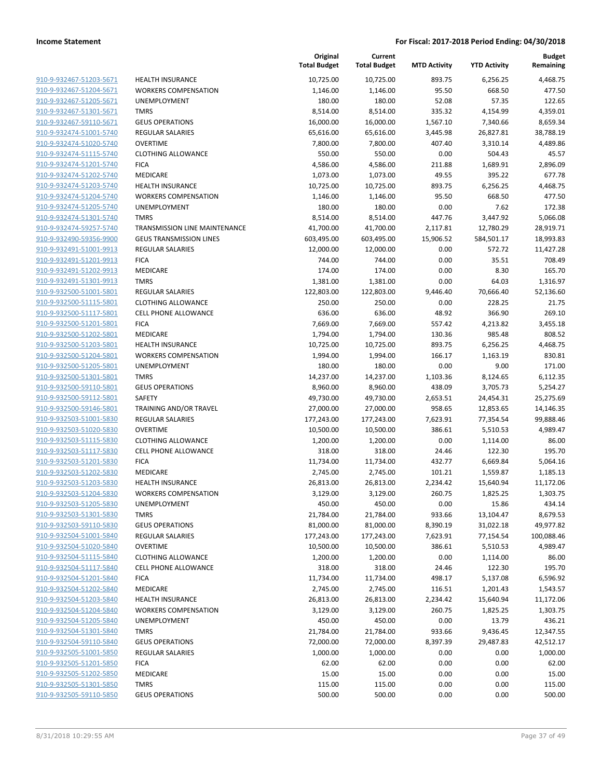| 910-9-932467-51203-5671        |
|--------------------------------|
| 910-9-932467-51204-5671        |
| 910-9-932467-51205-5671        |
| 910-9-932467-51301-5671        |
| 910-9-932467-59110-5671        |
| 910-9-932474-51001-5740        |
| 910-9-932474-51020-5740        |
| 910-9-932474-51115-5740        |
| 910-9-932474-51201-5740        |
| 910-9-932474-51202-5740        |
| <u>910-9-932474-51203-5740</u> |
| 910-9-932474-51204-5740        |
| 910-9-932474-51205-5740        |
| 910-9-932474-51301-5740        |
| 910-9-932474-59257-5740        |
| 910-9-932490-59356-9900        |
| 910-9-932491-51001-9913        |
| <u>910-9-932491-51201-9913</u> |
| <u>910-9-932491-51202-9913</u> |
| 910-9-932491-51301-9913        |
| 910-9-932500-51001-5801        |
| 910-9-932500-51115-5801        |
| 910-9-932500-51117-5801        |
| 910-9-932500-51201-5801        |
| <u>910-9-932500-51202-5801</u> |
| 910-9-932500-51203-5801        |
| 910-9-932500-51204-5801        |
| 910-9-932500-51205-5801        |
| 910-9-932500-51301-5801        |
| <u>910-9-932500-59110-5801</u> |
| 910-9-932500-59112-5801        |
| 910-9-932500-59146-5801        |
| 910-9-932503-51001-5830        |
| 910-9-932503-51020-5830        |
| <u>910-9-932503-51115-5830</u> |
| 910-9-932503-51117-5830        |
| 910-9-932503-51201-5830        |
| 910-9-932503-51202-5830        |
| <u>910-9-932503-51203-5830</u> |
| 910-9-932503-51204-5830        |
| 910-9-932503-51205-5830        |
| 910-9-932503-51301-5830        |
| 910-9-932503-59110-5830        |
| 910-9-932504-51001-5840        |
| <u>910-9-932504-51020-5840</u> |
| 910-9-932504-51115-5840        |
| 910-9-932504-51117-5840        |
| 910-9-932504-51201-5840        |
| 910-9-932504-51202-5840        |
| <u>910-9-932504-51203-5840</u> |
| 910-9-932504-51204-5840        |
| 910-9-932504-51205-5840        |
| 910-9-932504-51301-5840        |
| 910-9-932504-59110-5840        |
| <u>910-9-932505-51001-5850</u> |
| 910-9-932505-51201-5850        |
| 910-9-932505-51202-5850        |
| 910-9-932505-51301-5850        |
| <u>910-9-932505-59110-5850</u> |
|                                |

|                         |                                | Original<br><b>Total Budget</b> | Current<br><b>Total Budget</b> | <b>MTD Activity</b> | <b>YTD Activity</b> | <b>Budget</b><br>Remaining |
|-------------------------|--------------------------------|---------------------------------|--------------------------------|---------------------|---------------------|----------------------------|
| 910-9-932467-51203-5671 | <b>HEALTH INSURANCE</b>        | 10,725.00                       | 10,725.00                      | 893.75              | 6,256.25            | 4,468.75                   |
| 910-9-932467-51204-5671 | <b>WORKERS COMPENSATION</b>    | 1,146.00                        | 1,146.00                       | 95.50               | 668.50              | 477.50                     |
| 910-9-932467-51205-5671 | UNEMPLOYMENT                   | 180.00                          | 180.00                         | 52.08               | 57.35               | 122.65                     |
| 910-9-932467-51301-5671 | <b>TMRS</b>                    | 8,514.00                        | 8,514.00                       | 335.32              | 4,154.99            | 4,359.01                   |
| 910-9-932467-59110-5671 | <b>GEUS OPERATIONS</b>         | 16,000.00                       | 16,000.00                      | 1,567.10            | 7,340.66            | 8,659.34                   |
| 910-9-932474-51001-5740 | REGULAR SALARIES               | 65,616.00                       | 65,616.00                      | 3,445.98            | 26,827.81           | 38,788.19                  |
| 910-9-932474-51020-5740 | <b>OVERTIME</b>                | 7,800.00                        | 7,800.00                       | 407.40              | 3,310.14            | 4,489.86                   |
| 910-9-932474-51115-5740 | <b>CLOTHING ALLOWANCE</b>      | 550.00                          | 550.00                         | 0.00                | 504.43              | 45.57                      |
| 910-9-932474-51201-5740 | <b>FICA</b>                    | 4,586.00                        | 4,586.00                       | 211.88              | 1,689.91            | 2,896.09                   |
| 910-9-932474-51202-5740 | MEDICARE                       | 1,073.00                        | 1,073.00                       | 49.55               | 395.22              | 677.78                     |
| 910-9-932474-51203-5740 | <b>HEALTH INSURANCE</b>        | 10,725.00                       | 10,725.00                      | 893.75              | 6,256.25            | 4,468.75                   |
| 910-9-932474-51204-5740 | <b>WORKERS COMPENSATION</b>    | 1,146.00                        | 1,146.00                       | 95.50               | 668.50              | 477.50                     |
| 910-9-932474-51205-5740 | <b>UNEMPLOYMENT</b>            | 180.00                          | 180.00                         | 0.00                | 7.62                | 172.38                     |
| 910-9-932474-51301-5740 | <b>TMRS</b>                    | 8,514.00                        | 8,514.00                       | 447.76              | 3,447.92            | 5,066.08                   |
| 910-9-932474-59257-5740 | TRANSMISSION LINE MAINTENANCE  | 41,700.00                       | 41,700.00                      | 2,117.81            | 12,780.29           | 28,919.71                  |
| 910-9-932490-59356-9900 | <b>GEUS TRANSMISSION LINES</b> | 603,495.00                      | 603,495.00                     | 15,906.52           | 584,501.17          | 18,993.83                  |
| 910-9-932491-51001-9913 | REGULAR SALARIES               | 12,000.00                       | 12,000.00                      | 0.00                | 572.72              | 11,427.28                  |
| 910-9-932491-51201-9913 | <b>FICA</b>                    | 744.00                          | 744.00                         | 0.00                | 35.51               | 708.49                     |
| 910-9-932491-51202-9913 | <b>MEDICARE</b>                | 174.00                          | 174.00                         | 0.00                | 8.30                | 165.70                     |
| 910-9-932491-51301-9913 | <b>TMRS</b>                    | 1,381.00                        | 1,381.00                       | 0.00                | 64.03               | 1,316.97                   |
| 910-9-932500-51001-5801 | <b>REGULAR SALARIES</b>        | 122,803.00                      | 122,803.00                     | 9,446.40            | 70,666.40           | 52,136.60                  |
| 910-9-932500-51115-5801 | <b>CLOTHING ALLOWANCE</b>      | 250.00                          | 250.00                         | 0.00                | 228.25              | 21.75                      |
| 910-9-932500-51117-5801 | <b>CELL PHONE ALLOWANCE</b>    | 636.00                          | 636.00                         | 48.92               | 366.90              | 269.10                     |
| 910-9-932500-51201-5801 | <b>FICA</b>                    | 7,669.00                        | 7,669.00                       | 557.42              | 4,213.82            | 3,455.18                   |
| 910-9-932500-51202-5801 | <b>MEDICARE</b>                | 1,794.00                        | 1,794.00                       | 130.36              | 985.48              | 808.52                     |
| 910-9-932500-51203-5801 | <b>HEALTH INSURANCE</b>        | 10,725.00                       | 10,725.00                      | 893.75              | 6,256.25            | 4,468.75                   |
| 910-9-932500-51204-5801 | <b>WORKERS COMPENSATION</b>    | 1,994.00                        | 1,994.00                       | 166.17              | 1,163.19            | 830.81                     |
| 910-9-932500-51205-5801 | UNEMPLOYMENT                   | 180.00                          | 180.00                         | 0.00                | 9.00                | 171.00                     |
| 910-9-932500-51301-5801 | <b>TMRS</b>                    | 14,237.00                       | 14,237.00                      | 1,103.36            | 8,124.65            | 6,112.35                   |
| 910-9-932500-59110-5801 | <b>GEUS OPERATIONS</b>         | 8,960.00                        | 8,960.00                       | 438.09              | 3,705.73            | 5,254.27                   |
| 910-9-932500-59112-5801 | SAFETY                         | 49,730.00                       | 49,730.00                      | 2,653.51            | 24,454.31           | 25,275.69                  |
| 910-9-932500-59146-5801 | TRAINING AND/OR TRAVEL         | 27,000.00                       | 27,000.00                      | 958.65              | 12,853.65           | 14,146.35                  |
| 910-9-932503-51001-5830 | REGULAR SALARIES               | 177,243.00                      | 177,243.00                     | 7,623.91            | 77,354.54           | 99,888.46                  |
| 910-9-932503-51020-5830 | <b>OVERTIME</b>                | 10,500.00                       | 10,500.00                      | 386.61              | 5,510.53            | 4,989.47                   |
| 910-9-932503-51115-5830 | <b>CLOTHING ALLOWANCE</b>      | 1,200.00                        | 1,200.00                       | 0.00                | 1,114.00            | 86.00                      |
| 910-9-932503-51117-5830 | <b>CELL PHONE ALLOWANCE</b>    | 318.00                          | 318.00                         | 24.46               | 122.30              | 195.70                     |
| 910-9-932503-51201-5830 | <b>FICA</b>                    | 11,734.00                       | 11,734.00                      | 432.77              | 6,669.84            | 5,064.16                   |
| 910-9-932503-51202-5830 | MEDICARE                       | 2,745.00                        | 2,745.00                       | 101.21              | 1,559.87            | 1,185.13                   |
| 910-9-932503-51203-5830 | <b>HEALTH INSURANCE</b>        | 26,813.00                       | 26,813.00                      | 2,234.42            | 15,640.94           | 11,172.06                  |
| 910-9-932503-51204-5830 | <b>WORKERS COMPENSATION</b>    | 3,129.00                        | 3,129.00                       | 260.75              | 1,825.25            | 1,303.75                   |
| 910-9-932503-51205-5830 | UNEMPLOYMENT                   | 450.00                          | 450.00                         | 0.00                | 15.86               | 434.14                     |
| 910-9-932503-51301-5830 | <b>TMRS</b>                    | 21,784.00                       | 21,784.00                      | 933.66              | 13,104.47           | 8,679.53                   |
| 910-9-932503-59110-5830 | <b>GEUS OPERATIONS</b>         | 81,000.00                       | 81,000.00                      | 8,390.19            | 31,022.18           | 49,977.82                  |
| 910-9-932504-51001-5840 | REGULAR SALARIES               | 177,243.00                      | 177,243.00                     | 7,623.91            | 77,154.54           | 100,088.46                 |
| 910-9-932504-51020-5840 | <b>OVERTIME</b>                | 10,500.00                       | 10,500.00                      | 386.61              | 5,510.53            | 4,989.47                   |
| 910-9-932504-51115-5840 | <b>CLOTHING ALLOWANCE</b>      | 1,200.00                        | 1,200.00                       | 0.00                | 1,114.00            | 86.00                      |
| 910-9-932504-51117-5840 | CELL PHONE ALLOWANCE           | 318.00                          | 318.00                         | 24.46               | 122.30              | 195.70                     |
| 910-9-932504-51201-5840 | <b>FICA</b>                    | 11,734.00                       | 11,734.00                      | 498.17              | 5,137.08            | 6,596.92                   |
| 910-9-932504-51202-5840 | MEDICARE                       | 2,745.00                        | 2,745.00                       | 116.51              | 1,201.43            | 1,543.57                   |
| 910-9-932504-51203-5840 | <b>HEALTH INSURANCE</b>        | 26,813.00                       | 26,813.00                      | 2,234.42            | 15,640.94           | 11,172.06                  |
| 910-9-932504-51204-5840 | <b>WORKERS COMPENSATION</b>    | 3,129.00                        | 3,129.00                       | 260.75              | 1,825.25            | 1,303.75                   |
| 910-9-932504-51205-5840 | UNEMPLOYMENT                   | 450.00                          | 450.00                         | 0.00                | 13.79               | 436.21                     |
| 910-9-932504-51301-5840 | <b>TMRS</b>                    | 21,784.00                       | 21,784.00                      | 933.66              | 9,436.45            | 12,347.55                  |
| 910-9-932504-59110-5840 | <b>GEUS OPERATIONS</b>         | 72,000.00                       | 72,000.00                      | 8,397.39            | 29,487.83           | 42,512.17                  |
| 910-9-932505-51001-5850 | REGULAR SALARIES               | 1,000.00                        | 1,000.00                       | 0.00                | 0.00                | 1,000.00                   |
| 910-9-932505-51201-5850 | <b>FICA</b>                    | 62.00                           | 62.00                          | 0.00                | 0.00                | 62.00                      |
| 910-9-932505-51202-5850 | MEDICARE                       | 15.00                           | 15.00                          | 0.00                | 0.00                | 15.00                      |
| 910-9-932505-51301-5850 | <b>TMRS</b>                    | 115.00                          | 115.00                         | 0.00                | 0.00                | 115.00                     |
| 910-9-932505-59110-5850 | <b>GEUS OPERATIONS</b>         | 500.00                          | 500.00                         | 0.00                | 0.00                | 500.00                     |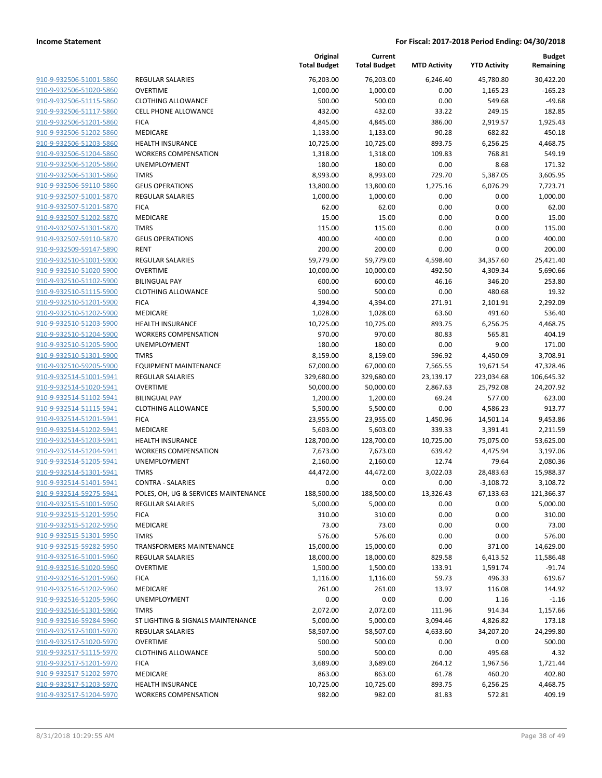**Current**

**Original**

**Budget Remaining**

|                                                    |                                         | <b>Total Budget</b>   | <b>Total Budget</b> | <b>MTD Activity</b> | <b>YTD Activity</b>      | Remaining              |
|----------------------------------------------------|-----------------------------------------|-----------------------|---------------------|---------------------|--------------------------|------------------------|
| 910-9-932506-51001-5860                            | <b>REGULAR SALARIES</b>                 | 76,203.00             | 76,203.00           | 6,246.40            | 45.780.80                | 30,422.20              |
| 910-9-932506-51020-5860                            | <b>OVERTIME</b>                         | 1,000.00              | 1,000.00            | 0.00                | 1,165.23                 | $-165.23$              |
| 910-9-932506-51115-5860                            | <b>CLOTHING ALLOWANCE</b>               | 500.00                | 500.00              | 0.00                | 549.68                   | $-49.68$               |
| 910-9-932506-51117-5860                            | <b>CELL PHONE ALLOWANCE</b>             | 432.00                | 432.00              | 33.22               | 249.15                   | 182.85                 |
| 910-9-932506-51201-5860                            | <b>FICA</b>                             | 4,845.00              | 4,845.00            | 386.00              | 2,919.57                 | 1,925.43               |
| 910-9-932506-51202-5860                            | <b>MEDICARE</b>                         | 1,133.00              | 1,133.00            | 90.28               | 682.82                   | 450.18                 |
| 910-9-932506-51203-5860                            | <b>HEALTH INSURANCE</b>                 | 10,725.00             | 10,725.00           | 893.75              | 6,256.25                 | 4,468.75               |
| 910-9-932506-51204-5860                            | <b>WORKERS COMPENSATION</b>             | 1,318.00              | 1,318.00            | 109.83              | 768.81                   | 549.19                 |
| 910-9-932506-51205-5860                            | UNEMPLOYMENT                            | 180.00                | 180.00              | 0.00                | 8.68                     | 171.32                 |
| 910-9-932506-51301-5860                            | <b>TMRS</b>                             | 8,993.00              | 8,993.00            | 729.70              | 5,387.05                 | 3,605.95               |
| 910-9-932506-59110-5860                            | <b>GEUS OPERATIONS</b>                  | 13,800.00             | 13,800.00           | 1,275.16            | 6,076.29                 | 7,723.71               |
| 910-9-932507-51001-5870                            | <b>REGULAR SALARIES</b>                 | 1,000.00              | 1,000.00            | 0.00                | 0.00                     | 1,000.00               |
| 910-9-932507-51201-5870                            | <b>FICA</b>                             | 62.00                 | 62.00               | 0.00                | 0.00                     | 62.00                  |
| 910-9-932507-51202-5870                            | MEDICARE                                | 15.00                 | 15.00               | 0.00                | 0.00                     | 15.00                  |
| 910-9-932507-51301-5870                            | <b>TMRS</b>                             | 115.00                | 115.00              | 0.00                | 0.00                     | 115.00                 |
| 910-9-932507-59110-5870                            | <b>GEUS OPERATIONS</b>                  | 400.00                | 400.00              | 0.00                | 0.00                     | 400.00                 |
| 910-9-932509-59147-5890                            | <b>RENT</b>                             | 200.00                | 200.00              | 0.00                | 0.00                     | 200.00                 |
| 910-9-932510-51001-5900                            | <b>REGULAR SALARIES</b>                 | 59,779.00             | 59,779.00           | 4,598.40            | 34,357.60                | 25,421.40              |
| 910-9-932510-51020-5900                            | <b>OVERTIME</b>                         | 10,000.00             | 10,000.00           | 492.50              | 4,309.34                 | 5,690.66               |
| 910-9-932510-51102-5900                            | <b>BILINGUAL PAY</b>                    | 600.00                | 600.00              | 46.16               | 346.20                   | 253.80                 |
| 910-9-932510-51115-5900                            | <b>CLOTHING ALLOWANCE</b>               | 500.00                | 500.00              | 0.00                | 480.68                   | 19.32                  |
| 910-9-932510-51201-5900                            | <b>FICA</b>                             | 4,394.00              | 4,394.00            | 271.91              | 2,101.91                 | 2,292.09               |
| 910-9-932510-51202-5900                            | MEDICARE                                | 1,028.00              | 1,028.00            | 63.60               | 491.60                   | 536.40                 |
| 910-9-932510-51203-5900                            | <b>HEALTH INSURANCE</b>                 | 10,725.00             | 10,725.00           | 893.75              | 6,256.25                 | 4,468.75               |
| 910-9-932510-51204-5900                            | <b>WORKERS COMPENSATION</b>             | 970.00                | 970.00              | 80.83               | 565.81                   | 404.19                 |
| 910-9-932510-51205-5900                            | UNEMPLOYMENT                            | 180.00                | 180.00              | 0.00                | 9.00                     | 171.00                 |
| 910-9-932510-51301-5900                            | <b>TMRS</b>                             | 8,159.00              | 8,159.00            | 596.92              | 4,450.09                 | 3,708.91               |
| 910-9-932510-59205-5900                            | EQUIPMENT MAINTENANCE                   | 67,000.00             | 67,000.00           | 7,565.55            | 19,671.54                | 47,328.46              |
| 910-9-932514-51001-5941                            | <b>REGULAR SALARIES</b>                 | 329,680.00            | 329,680.00          | 23,139.17           | 223,034.68               | 106,645.32             |
| 910-9-932514-51020-5941                            | <b>OVERTIME</b>                         | 50,000.00             | 50,000.00           | 2,867.63            | 25,792.08                | 24,207.92              |
| 910-9-932514-51102-5941                            | <b>BILINGUAL PAY</b>                    | 1,200.00              | 1,200.00            | 69.24               | 577.00                   | 623.00                 |
| 910-9-932514-51115-5941                            | <b>CLOTHING ALLOWANCE</b>               | 5,500.00              | 5,500.00            | 0.00                | 4,586.23                 | 913.77                 |
| 910-9-932514-51201-5941                            | <b>FICA</b>                             | 23,955.00             | 23,955.00           | 1,450.96            | 14,501.14                | 9,453.86               |
| 910-9-932514-51202-5941                            | MEDICARE                                | 5,603.00              | 5,603.00            | 339.33              | 3,391.41                 | 2,211.59               |
| 910-9-932514-51203-5941                            | HEALTH INSURANCE                        | 128,700.00            | 128,700.00          | 10,725.00           | 75,075.00                | 53,625.00              |
| 910-9-932514-51204-5941                            | <b>WORKERS COMPENSATION</b>             | 7,673.00              | 7,673.00            | 639.42              | 4,475.94                 | 3,197.06               |
| 910-9-932514-51205-5941<br>910-9-932514-51301-5941 | UNEMPLOYMENT                            | 2,160.00<br>44,472.00 | 2,160.00            | 12.74               | 79.64                    | 2,080.36<br>15,988.37  |
| 910-9-932514-51401-5941                            | <b>TMRS</b><br><b>CONTRA - SALARIES</b> |                       | 44,472.00           | 3,022.03            | 28,483.63                |                        |
| 910-9-932514-59275-5941                            | POLES, OH, UG & SERVICES MAINTENANCE    | 0.00<br>188,500.00    | 0.00<br>188,500.00  | 0.00<br>13,326.43   | $-3,108.72$<br>67,133.63 | 3,108.72<br>121,366.37 |
| 910-9-932515-51001-5950                            |                                         | 5,000.00              | 5,000.00            | 0.00                | 0.00                     | 5,000.00               |
| 910-9-932515-51201-5950                            | REGULAR SALARIES<br><b>FICA</b>         | 310.00                | 310.00              | 0.00                | 0.00                     | 310.00                 |
| 910-9-932515-51202-5950                            | MEDICARE                                | 73.00                 | 73.00               | 0.00                | 0.00                     | 73.00                  |
| 910-9-932515-51301-5950                            | <b>TMRS</b>                             | 576.00                | 576.00              | 0.00                | 0.00                     | 576.00                 |
| 910-9-932515-59282-5950                            | <b>TRANSFORMERS MAINTENANCE</b>         | 15,000.00             | 15,000.00           | 0.00                | 371.00                   | 14,629.00              |
| 910-9-932516-51001-5960                            | <b>REGULAR SALARIES</b>                 | 18,000.00             | 18,000.00           | 829.58              | 6,413.52                 | 11,586.48              |
| 910-9-932516-51020-5960                            | <b>OVERTIME</b>                         | 1,500.00              | 1,500.00            | 133.91              | 1,591.74                 | $-91.74$               |
| 910-9-932516-51201-5960                            | <b>FICA</b>                             | 1,116.00              | 1,116.00            | 59.73               | 496.33                   | 619.67                 |
| 910-9-932516-51202-5960                            | MEDICARE                                | 261.00                | 261.00              | 13.97               | 116.08                   | 144.92                 |
| 910-9-932516-51205-5960                            | UNEMPLOYMENT                            | 0.00                  | 0.00                | 0.00                | 1.16                     | $-1.16$                |
| 910-9-932516-51301-5960                            | <b>TMRS</b>                             | 2,072.00              | 2,072.00            | 111.96              | 914.34                   | 1,157.66               |
| 910-9-932516-59284-5960                            | ST LIGHTING & SIGNALS MAINTENANCE       | 5,000.00              | 5,000.00            | 3,094.46            | 4,826.82                 | 173.18                 |
| 910-9-932517-51001-5970                            | <b>REGULAR SALARIES</b>                 | 58,507.00             | 58,507.00           | 4,633.60            | 34,207.20                | 24,299.80              |
| 910-9-932517-51020-5970                            | <b>OVERTIME</b>                         | 500.00                | 500.00              | 0.00                | 0.00                     | 500.00                 |
| 910-9-932517-51115-5970                            | <b>CLOTHING ALLOWANCE</b>               | 500.00                | 500.00              | 0.00                | 495.68                   | 4.32                   |
| 910-9-932517-51201-5970                            | <b>FICA</b>                             | 3,689.00              | 3,689.00            | 264.12              | 1,967.56                 | 1,721.44               |
| 910-9-932517-51202-5970                            | MEDICARE                                | 863.00                | 863.00              | 61.78               | 460.20                   | 402.80                 |
| 910-9-932517-51203-5970                            | <b>HEALTH INSURANCE</b>                 | 10,725.00             | 10,725.00           | 893.75              | 6,256.25                 | 4,468.75               |
| 910-9-932517-51204-5970                            | <b>WORKERS COMPENSATION</b>             | 982.00                | 982.00              | 81.83               | 572.81                   | 409.19                 |
|                                                    |                                         |                       |                     |                     |                          |                        |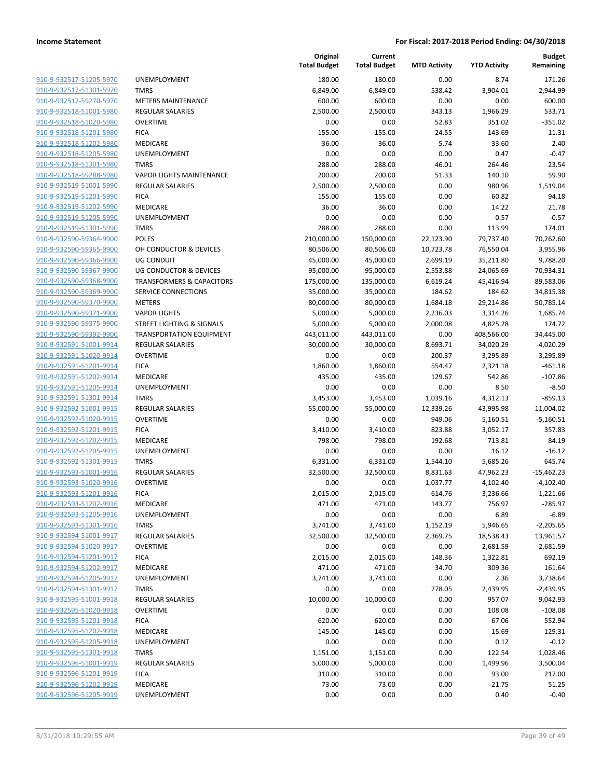| 910-9-932517-51205-5970        | ι                        |
|--------------------------------|--------------------------|
| 910-9-932517-51301-5970        |                          |
| 910-9-932517-59270-5970        | ľ                        |
| 910-9-932518-51001-5980        | f                        |
| 910-9-932518-51020-5980        | (                        |
| 910-9-932518-51201-5980        | f                        |
| 910-9-932518-51202-5980        | ľ                        |
| 910-9-932518-51205-5980        | ι                        |
| 910-9-932518-51301-5980        | Ī                        |
| 910-9-932518-59288-5980        | ١                        |
| 910-9-932519-51001-5990        | ŀ                        |
| 910-9-932519-51201-5990        | f                        |
| 910-9-932519-51202-5990        | ľ                        |
| 910-9-932519-51205-5990        | ι                        |
| 910-9-932519-51301-5990        | Ī                        |
| 910-9-932590-59364-9900        | ŀ                        |
| 910-9-932590-59365-9900        | $\overline{\phantom{a}}$ |
| 910-9-932590-59366-9900        | ι                        |
| 910-9-932590-59367-9900        | ι                        |
| 910-9-932590-59368-9900        | Ī                        |
| 910-9-932590-59369-9900        | í                        |
| 910-9-932590-59370-9900        | I                        |
| 910-9-932590-59371-9900        | ١                        |
| 910-9-932590-59375-9900        | í                        |
| 910-9-932590-59392-9900        |                          |
| 910-9-932591-51001-9914        | f                        |
| 910-9-932591-51020-9914        | $\overline{\phantom{a}}$ |
| 910-9-932591-51201-9914        | f                        |
| 910-9-932591-51202-9914        | ľ                        |
| 910-9-932591-51205-9914        | ι                        |
| 910-9-932591-51301-9914        | Ī                        |
| 910-9-932592-51001-9915        | f                        |
| 910-9-932592-51020-9915        | (                        |
| <u>910-9-932592-51201-9915</u> | ŀ                        |
| 910-9-932592-51202-9915        | I                        |
| 910-9-932592-51205-9915        | ι                        |
| 910-9-932592-51301-9915        | ī                        |
| 910-9-932593-51001-9916        | f                        |
| 910-9-932593-51020-9916        | I                        |
| 910-9-932593-51201-9916        | f                        |
| 910-9-932593-51202-9916        | I                        |
| 910-9-932593-51205-9916        | ι                        |
| 910-9-932593-51301-9916        |                          |
| 910-9-932594-51001-9917        | f                        |
| 910-9-932594-51020-9917        | (                        |
| 910-9-932594-51201-9917        | I                        |
| 910-9-932594-51202-9917        | I                        |
| 910-9-932594-51205-9917        | ι                        |
| 910-9-932594-51301-9917        |                          |
| 910-9-932595-51001-9918        | ł                        |
| 910-9-932595-51020-9918        | (                        |
| 910-9-932595-51201-9918        | f                        |
| 910-9-932595-51202-9918        | I                        |
| 910-9-932595-51205-9918        | ι                        |
| 910-9-932595-51301-9918        |                          |
| 910-9-932596-51001-9919        | I                        |
| 910-9-932596-51201-9919        | f                        |
| 910-9-932596-51202-9919        | I                        |
| 910-9-932596-51205-9919        | ι                        |

|                         |                                      | Original<br><b>Total Budget</b> | Current<br><b>Total Budget</b> | <b>MTD Activity</b> | <b>YTD Activity</b> | <b>Budget</b><br>Remaining |
|-------------------------|--------------------------------------|---------------------------------|--------------------------------|---------------------|---------------------|----------------------------|
| 910-9-932517-51205-5970 | UNEMPLOYMENT                         | 180.00                          | 180.00                         | 0.00                | 8.74                | 171.26                     |
| 910-9-932517-51301-5970 | <b>TMRS</b>                          | 6,849.00                        | 6,849.00                       | 538.42              | 3,904.01            | 2,944.99                   |
| 910-9-932517-59270-5970 | <b>METERS MAINTENANCE</b>            | 600.00                          | 600.00                         | 0.00                | 0.00                | 600.00                     |
| 910-9-932518-51001-5980 | REGULAR SALARIES                     | 2,500.00                        | 2,500.00                       | 343.13              | 1,966.29            | 533.71                     |
| 910-9-932518-51020-5980 | <b>OVERTIME</b>                      | 0.00                            | 0.00                           | 52.83               | 351.02              | $-351.02$                  |
| 910-9-932518-51201-5980 | <b>FICA</b>                          | 155.00                          | 155.00                         | 24.55               | 143.69              | 11.31                      |
| 910-9-932518-51202-5980 | MEDICARE                             | 36.00                           | 36.00                          | 5.74                | 33.60               | 2.40                       |
| 910-9-932518-51205-5980 | UNEMPLOYMENT                         | 0.00                            | 0.00                           | 0.00                | 0.47                | $-0.47$                    |
| 910-9-932518-51301-5980 | <b>TMRS</b>                          | 288.00                          | 288.00                         | 46.01               | 264.46              | 23.54                      |
| 910-9-932518-59288-5980 | VAPOR LIGHTS MAINTENANCE             | 200.00                          | 200.00                         | 51.33               | 140.10              | 59.90                      |
| 910-9-932519-51001-5990 | <b>REGULAR SALARIES</b>              | 2,500.00                        | 2,500.00                       | 0.00                | 980.96              | 1,519.04                   |
| 910-9-932519-51201-5990 | <b>FICA</b>                          | 155.00                          | 155.00                         | 0.00                | 60.82               | 94.18                      |
| 910-9-932519-51202-5990 | MEDICARE                             | 36.00                           | 36.00                          | 0.00                | 14.22               | 21.78                      |
| 910-9-932519-51205-5990 | UNEMPLOYMENT                         | 0.00                            | 0.00                           | 0.00                | 0.57                | $-0.57$                    |
| 910-9-932519-51301-5990 | <b>TMRS</b>                          | 288.00                          | 288.00                         | 0.00                | 113.99              | 174.01                     |
| 910-9-932590-59364-9900 | <b>POLES</b>                         | 210,000.00                      | 150,000.00                     | 22,123.90           | 79,737.40           | 70,262.60                  |
| 910-9-932590-59365-9900 | OH CONDUCTOR & DEVICES               | 80,506.00                       | 80,506.00                      | 10,723.78           | 76,550.04           | 3,955.96                   |
| 910-9-932590-59366-9900 | <b>UG CONDUIT</b>                    | 45,000.00                       | 45,000.00                      | 2,699.19            | 35,211.80           | 9,788.20                   |
| 910-9-932590-59367-9900 | UG CONDUCTOR & DEVICES               | 95,000.00                       | 95,000.00                      | 2,553.88            | 24,065.69           | 70,934.31                  |
| 910-9-932590-59368-9900 | <b>TRANSFORMERS &amp; CAPACITORS</b> | 175,000.00                      | 135,000.00                     | 6,619.24            | 45,416.94           | 89,583.06                  |
| 910-9-932590-59369-9900 | SERVICE CONNECTIONS                  | 35,000.00                       | 35,000.00                      | 184.62              | 184.62              | 34,815.38                  |
| 910-9-932590-59370-9900 | <b>METERS</b>                        | 80,000.00                       | 80,000.00                      | 1,684.18            | 29,214.86           | 50,785.14                  |
| 910-9-932590-59371-9900 | <b>VAPOR LIGHTS</b>                  | 5,000.00                        | 5,000.00                       | 2,236.03            | 3,314.26            | 1,685.74                   |
| 910-9-932590-59375-9900 | STREET LIGHTING & SIGNALS            | 5,000.00                        | 5,000.00                       | 2,000.08            | 4,825.28            | 174.72                     |
| 910-9-932590-59392-9900 | <b>TRANSPORTATION EQUIPMENT</b>      | 443,011.00                      | 443,011.00                     | 0.00                | 408,566.00          | 34,445.00                  |
| 910-9-932591-51001-9914 | <b>REGULAR SALARIES</b>              | 30,000.00                       | 30,000.00                      | 8,693.71            | 34,020.29           | $-4,020.29$                |
| 910-9-932591-51020-9914 | <b>OVERTIME</b>                      | 0.00                            | 0.00                           | 200.37              | 3,295.89            | $-3,295.89$                |
| 910-9-932591-51201-9914 | <b>FICA</b>                          | 1,860.00                        | 1,860.00                       | 554.47              | 2,321.18            | $-461.18$                  |
| 910-9-932591-51202-9914 | MEDICARE                             | 435.00                          | 435.00                         | 129.67              | 542.86              | $-107.86$                  |
| 910-9-932591-51205-9914 | UNEMPLOYMENT                         | 0.00                            | 0.00                           | 0.00                | 8.50                | $-8.50$                    |
| 910-9-932591-51301-9914 | <b>TMRS</b>                          | 3,453.00                        | 3,453.00                       | 1,039.16            | 4,312.13            | $-859.13$                  |
| 910-9-932592-51001-9915 | <b>REGULAR SALARIES</b>              | 55,000.00                       | 55,000.00                      | 12,339.26           | 43,995.98           | 11,004.02                  |
| 910-9-932592-51020-9915 | <b>OVERTIME</b>                      | 0.00                            | 0.00                           | 949.06              | 5,160.51            | $-5,160.51$                |
| 910-9-932592-51201-9915 | <b>FICA</b>                          | 3,410.00                        | 3,410.00                       | 823.88              | 3,052.17            | 357.83                     |
| 910-9-932592-51202-9915 | MEDICARE                             | 798.00                          | 798.00                         | 192.68              | 713.81              | 84.19                      |
| 910-9-932592-51205-9915 | UNEMPLOYMENT                         | 0.00                            | 0.00                           | 0.00                | 16.12               | $-16.12$                   |
| 910-9-932592-51301-9915 | <b>TMRS</b>                          | 6,331.00                        | 6,331.00                       | 1,544.10            | 5,685.26            | 645.74                     |
| 910-9-932593-51001-9916 | REGULAR SALARIES                     | 32,500.00                       | 32,500.00                      | 8,831.63            | 47,962.23           | $-15,462.23$               |
| 910-9-932593-51020-9916 | <b>OVERTIME</b>                      | 0.00                            | 0.00                           | 1,037.77            | 4,102.40            | $-4,102.40$                |
| 910-9-932593-51201-9916 | <b>FICA</b>                          | 2,015.00                        | 2,015.00                       | 614.76              | 3,236.66            | $-1,221.66$                |
| 910-9-932593-51202-9916 | <b>MEDICARE</b>                      | 471.00                          | 471.00                         | 143.77              | 756.97              | $-285.97$                  |
| 910-9-932593-51205-9916 | UNEMPLOYMENT                         | 0.00                            | 0.00                           | 0.00                | 6.89                | $-6.89$                    |
| 910-9-932593-51301-9916 | <b>TMRS</b>                          | 3,741.00                        | 3,741.00                       | 1,152.19            | 5,946.65            | $-2,205.65$                |
| 910-9-932594-51001-9917 | <b>REGULAR SALARIES</b>              | 32,500.00                       | 32,500.00                      | 2,369.75            | 18,538.43           | 13,961.57                  |
| 910-9-932594-51020-9917 | <b>OVERTIME</b>                      | 0.00                            | 0.00                           | 0.00                | 2,681.59            | $-2,681.59$                |
| 910-9-932594-51201-9917 | <b>FICA</b>                          | 2,015.00                        | 2,015.00                       | 148.36              | 1,322.81            | 692.19                     |
| 910-9-932594-51202-9917 | MEDICARE                             | 471.00                          | 471.00                         | 34.70               | 309.36              | 161.64                     |
| 910-9-932594-51205-9917 | <b>UNEMPLOYMENT</b>                  | 3,741.00                        | 3,741.00                       | 0.00                | 2.36                | 3,738.64                   |
| 910-9-932594-51301-9917 | <b>TMRS</b>                          | 0.00                            | 0.00                           | 278.05              | 2,439.95            | $-2,439.95$                |
| 910-9-932595-51001-9918 | <b>REGULAR SALARIES</b>              | 10,000.00                       | 10,000.00                      | 0.00                | 957.07              | 9,042.93                   |
| 910-9-932595-51020-9918 | <b>OVERTIME</b>                      | 0.00                            | 0.00                           | 0.00                | 108.08              | $-108.08$                  |
| 910-9-932595-51201-9918 | <b>FICA</b>                          | 620.00                          | 620.00                         | 0.00                | 67.06               | 552.94                     |
| 910-9-932595-51202-9918 | MEDICARE                             | 145.00                          | 145.00                         | 0.00                | 15.69               | 129.31                     |
| 910-9-932595-51205-9918 | UNEMPLOYMENT                         | 0.00                            | 0.00                           | 0.00                | 0.12                | $-0.12$                    |
| 910-9-932595-51301-9918 | <b>TMRS</b>                          | 1,151.00                        | 1,151.00                       | 0.00                | 122.54              | 1,028.46                   |
| 910-9-932596-51001-9919 | <b>REGULAR SALARIES</b>              | 5,000.00                        | 5,000.00                       | 0.00                | 1,499.96            | 3,500.04                   |
| 910-9-932596-51201-9919 | <b>FICA</b>                          | 310.00                          | 310.00                         | 0.00                | 93.00               | 217.00                     |
| 910-9-932596-51202-9919 | MEDICARE                             | 73.00                           | 73.00                          | 0.00                | 21.75               | 51.25                      |
| 910-9-932596-51205-9919 | UNEMPLOYMENT                         | 0.00                            | 0.00                           | 0.00                | 0.40                | $-0.40$                    |
|                         |                                      |                                 |                                |                     |                     |                            |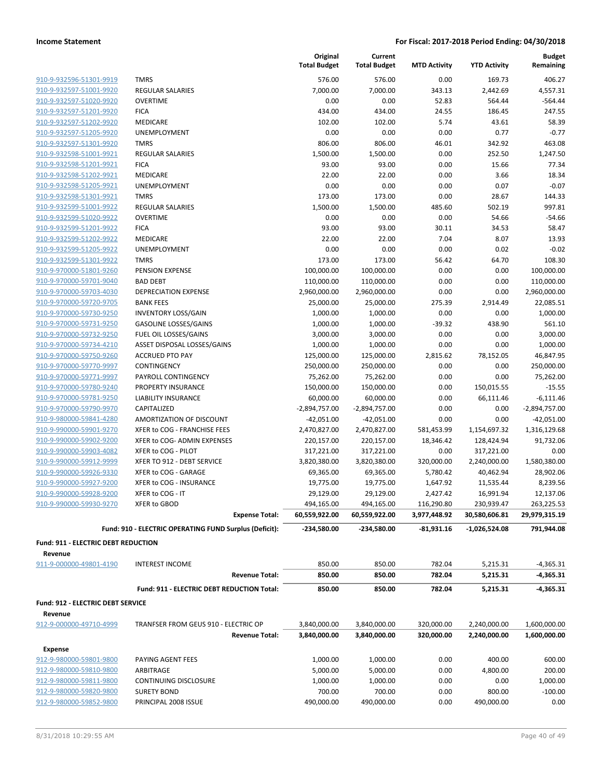| 910-9-932596-51301-9919        |
|--------------------------------|
| 910-9-932597-51001-9920        |
| 910-9-932597-51020-9920        |
| 910-9-932597-51201-9920        |
| 910-9-932597-51202-9920        |
| 910-9-932597-51205-9920        |
| 910-9-932597-51301-9920        |
| 910-9-932598-51001-9921        |
| 910-9-932598-51201-9921        |
| 910-9-932598-51202-9921        |
| 910-9-932598-51205-9921        |
| 910-9-932598-51301-9921        |
| <u>910-9-932599-51001-9922</u> |
| 910-9-932599-51020-9922        |
| 910-9-932599-51201-9922        |
| 910-9-932599-51202-9922        |
| 910-9-932599-51205-9922        |
| 910-9-932599-51301-9922        |
| <u>910-9-970000-51801-9260</u> |
| 910-9-970000-59701-9040        |
| 910-9-970000-59703-4030        |
| 910-9-970000-59720-9705        |
| <u>910-9-970000-59730-9250</u> |
| <u>910-9-970000-59731-9250</u> |
| 910-9-970000-59732-9250        |
| 910-9-970000-59734-4210        |
| 910-9-970000-59750-9260        |
| <u>910-9-970000-59770-9997</u> |
| 910-9-970000-59771-9997        |
| 910-9-970000-59780-9240        |
| 910-9-970000-59781-9250        |
| 910-9-970000-59790-9970        |
| <u>910-9-980000-59841-4280</u> |
| <u>910-9-990000-59901-9270</u> |
| 910-9-990000-59902-9200        |
| 910-9-990000-59903-4082        |
| 910-9-990000-59912-9999        |
| <u>910-9-990000-59926-9330</u> |
| <u>910-9-990000-59927-9200</u> |
| 910-9-990000-59928-9200        |
| 910-9-990000-59930-9270        |
|                                |

|                                          |                                                               | Original<br><b>Total Budget</b> | Current<br><b>Total Budget</b> | <b>MTD Activity</b>      | <b>YTD Activity</b>          | <b>Budget</b><br>Remaining   |
|------------------------------------------|---------------------------------------------------------------|---------------------------------|--------------------------------|--------------------------|------------------------------|------------------------------|
| 910-9-932596-51301-9919                  | <b>TMRS</b>                                                   | 576.00                          | 576.00                         | 0.00                     | 169.73                       | 406.27                       |
| 910-9-932597-51001-9920                  | <b>REGULAR SALARIES</b>                                       | 7,000.00                        | 7,000.00                       | 343.13                   | 2,442.69                     | 4,557.31                     |
| 910-9-932597-51020-9920                  | <b>OVERTIME</b>                                               | 0.00                            | 0.00                           | 52.83                    | 564.44                       | $-564.44$                    |
| 910-9-932597-51201-9920                  | <b>FICA</b>                                                   | 434.00                          | 434.00                         | 24.55                    | 186.45                       | 247.55                       |
| 910-9-932597-51202-9920                  | <b>MEDICARE</b>                                               | 102.00                          | 102.00                         | 5.74                     | 43.61                        | 58.39                        |
| 910-9-932597-51205-9920                  | UNEMPLOYMENT                                                  | 0.00                            | 0.00                           | 0.00                     | 0.77                         | $-0.77$                      |
| 910-9-932597-51301-9920                  | <b>TMRS</b>                                                   | 806.00                          | 806.00                         | 46.01                    | 342.92                       | 463.08                       |
| 910-9-932598-51001-9921                  | REGULAR SALARIES                                              | 1,500.00                        | 1,500.00                       | 0.00                     | 252.50                       | 1,247.50                     |
| 910-9-932598-51201-9921                  | <b>FICA</b>                                                   | 93.00                           | 93.00                          | 0.00                     | 15.66                        | 77.34                        |
| 910-9-932598-51202-9921                  | <b>MEDICARE</b>                                               | 22.00                           | 22.00                          | 0.00                     | 3.66                         | 18.34                        |
| 910-9-932598-51205-9921                  | UNEMPLOYMENT                                                  | 0.00                            | 0.00                           | 0.00                     | 0.07                         | $-0.07$                      |
| 910-9-932598-51301-9921                  | <b>TMRS</b>                                                   | 173.00                          | 173.00                         | 0.00                     | 28.67                        | 144.33                       |
| 910-9-932599-51001-9922                  | <b>REGULAR SALARIES</b>                                       | 1,500.00                        | 1,500.00                       | 485.60                   | 502.19                       | 997.81                       |
| 910-9-932599-51020-9922                  | <b>OVERTIME</b>                                               | 0.00                            | 0.00                           | 0.00                     | 54.66                        | $-54.66$                     |
| 910-9-932599-51201-9922                  | <b>FICA</b>                                                   | 93.00                           | 93.00                          | 30.11                    | 34.53                        | 58.47                        |
| 910-9-932599-51202-9922                  | <b>MEDICARE</b>                                               | 22.00                           | 22.00                          | 7.04                     | 8.07                         | 13.93                        |
| 910-9-932599-51205-9922                  | UNEMPLOYMENT                                                  | 0.00                            | 0.00                           | 0.00                     | 0.02                         | $-0.02$                      |
| 910-9-932599-51301-9922                  | <b>TMRS</b>                                                   | 173.00                          | 173.00                         | 56.42                    | 64.70                        | 108.30                       |
| 910-9-970000-51801-9260                  | PENSION EXPENSE                                               | 100,000.00                      | 100,000.00                     | 0.00                     | 0.00                         | 100,000.00                   |
| 910-9-970000-59701-9040                  | <b>BAD DEBT</b>                                               | 110,000.00                      | 110,000.00                     | 0.00                     | 0.00                         | 110,000.00                   |
| 910-9-970000-59703-4030                  | <b>DEPRECIATION EXPENSE</b>                                   | 2,960,000.00                    | 2,960,000.00                   | 0.00                     | 0.00                         | 2,960,000.00                 |
| 910-9-970000-59720-9705                  | <b>BANK FEES</b>                                              | 25,000.00                       | 25,000.00                      | 275.39                   | 2,914.49                     | 22,085.51                    |
| 910-9-970000-59730-9250                  | <b>INVENTORY LOSS/GAIN</b>                                    | 1,000.00                        | 1,000.00                       | 0.00                     | 0.00                         | 1,000.00                     |
| 910-9-970000-59731-9250                  | <b>GASOLINE LOSSES/GAINS</b>                                  | 1,000.00                        | 1,000.00                       | $-39.32$                 | 438.90                       | 561.10                       |
| 910-9-970000-59732-9250                  | FUEL OIL LOSSES/GAINS                                         | 3,000.00                        | 3,000.00                       | 0.00                     | 0.00                         | 3,000.00                     |
| 910-9-970000-59734-4210                  | ASSET DISPOSAL LOSSES/GAINS                                   | 1,000.00                        | 1,000.00                       | 0.00                     | 0.00                         | 1,000.00                     |
| 910-9-970000-59750-9260                  | <b>ACCRUED PTO PAY</b>                                        | 125,000.00                      | 125,000.00                     | 2,815.62                 | 78,152.05                    | 46,847.95                    |
| 910-9-970000-59770-9997                  | CONTINGENCY                                                   | 250,000.00                      | 250,000.00                     | 0.00                     | 0.00                         | 250,000.00                   |
| 910-9-970000-59771-9997                  | PAYROLL CONTINGENCY                                           | 75,262.00                       | 75,262.00                      | 0.00                     | 0.00                         | 75,262.00                    |
| 910-9-970000-59780-9240                  | PROPERTY INSURANCE                                            | 150,000.00                      | 150,000.00                     | 0.00                     | 150,015.55                   | $-15.55$                     |
| 910-9-970000-59781-9250                  | LIABILITY INSURANCE                                           | 60,000.00                       | 60,000.00                      | 0.00                     | 66,111.46                    | $-6,111.46$                  |
| 910-9-970000-59790-9970                  | CAPITALIZED                                                   | $-2,894,757.00$                 | $-2,894,757.00$                | 0.00                     | 0.00                         | $-2,894,757.00$              |
| 910-9-980000-59841-4280                  | AMORTIZATION OF DISCOUNT                                      | $-42,051.00$                    | $-42,051.00$                   | 0.00                     | 0.00                         | $-42,051.00$                 |
| 910-9-990000-59901-9270                  | XFER to COG - FRANCHISE FEES                                  | 2,470,827.00                    | 2,470,827.00                   | 581,453.99               | 1,154,697.32                 | 1,316,129.68                 |
| 910-9-990000-59902-9200                  | XFER to COG- ADMIN EXPENSES                                   | 220,157.00                      | 220,157.00                     | 18,346.42                | 128,424.94                   | 91,732.06                    |
| 910-9-990000-59903-4082                  | XFER to COG - PILOT                                           | 317,221.00                      | 317,221.00                     | 0.00                     | 317,221.00                   | 0.00                         |
| 910-9-990000-59912-9999                  | XFER TO 912 - DEBT SERVICE                                    | 3,820,380.00                    | 3,820,380.00                   | 320,000.00               | 2,240,000.00                 | 1,580,380.00                 |
| 910-9-990000-59926-9330                  | XFER to COG - GARAGE                                          | 69,365.00                       | 69,365.00                      | 5,780.42                 | 40,462.94                    | 28,902.06                    |
| 910-9-990000-59927-9200                  | XFER to COG - INSURANCE                                       | 19,775.00                       | 19,775.00                      | 1,647.92                 | 11,535.44                    | 8,239.56                     |
| 910-9-990000-59928-9200                  | XFER to COG - IT                                              | 29,129.00                       | 29,129.00                      | 2,427.42                 | 16,991.94                    | 12,137.06                    |
| 910-9-990000-59930-9270                  | XFER to GBOD                                                  | 494,165.00                      | 494,165.00                     | 116,290.80               | 230,939.47                   | 263,225.53                   |
|                                          | <b>Expense Total:</b>                                         | 60,559,922.00                   | 60,559,922.00                  | 3,977,448.92             | 30,580,606.81                | 29,979,315.19                |
|                                          | Fund: 910 - ELECTRIC OPERATING FUND Surplus (Deficit):        | $-234,580.00$                   | $-234,580.00$                  | $-81,931.16$             | $-1,026,524.08$              | 791,944.08                   |
| Fund: 911 - ELECTRIC DEBT REDUCTION      |                                                               |                                 |                                |                          |                              |                              |
| Revenue                                  |                                                               |                                 |                                |                          |                              |                              |
| 911-9-000000-49801-4190                  | <b>INTEREST INCOME</b>                                        | 850.00                          | 850.00                         | 782.04                   | 5,215.31                     | $-4,365.31$                  |
|                                          | <b>Revenue Total:</b>                                         | 850.00                          | 850.00                         | 782.04                   | 5,215.31                     | $-4,365.31$                  |
|                                          | Fund: 911 - ELECTRIC DEBT REDUCTION Total:                    | 850.00                          | 850.00                         | 782.04                   | 5,215.31                     | $-4,365.31$                  |
| <b>Fund: 912 - ELECTRIC DEBT SERVICE</b> |                                                               |                                 |                                |                          |                              |                              |
| Revenue                                  |                                                               |                                 |                                |                          |                              |                              |
| 912-9-000000-49710-4999                  | TRANFSER FROM GEUS 910 - ELECTRIC OP<br><b>Revenue Total:</b> | 3,840,000.00<br>3,840,000.00    | 3,840,000.00<br>3,840,000.00   | 320,000.00<br>320,000.00 | 2,240,000.00<br>2,240,000.00 | 1,600,000.00<br>1,600,000.00 |
| <b>Expense</b>                           |                                                               |                                 |                                |                          |                              |                              |
| 912-9-980000-59801-9800                  | PAYING AGENT FEES                                             | 1,000.00                        | 1,000.00                       | 0.00                     | 400.00                       | 600.00                       |
| 912-9-980000-59810-9800                  | ARBITRAGE                                                     | 5,000.00                        | 5,000.00                       | 0.00                     | 4,800.00                     | 200.00                       |
| 912-9-980000-59811-9800                  | CONTINUING DISCLOSURE                                         | 1,000.00                        | 1,000.00                       | 0.00                     | 0.00                         | 1,000.00                     |
| 912-9-980000-59820-9800                  | <b>SURETY BOND</b>                                            | 700.00                          | 700.00                         | 0.00                     | 800.00                       | $-100.00$                    |

912-9-980000-59852-9800 PRINCIPAL 2008 ISSUE 490,000.00 490,000.00 0.00 490,000.00 0.00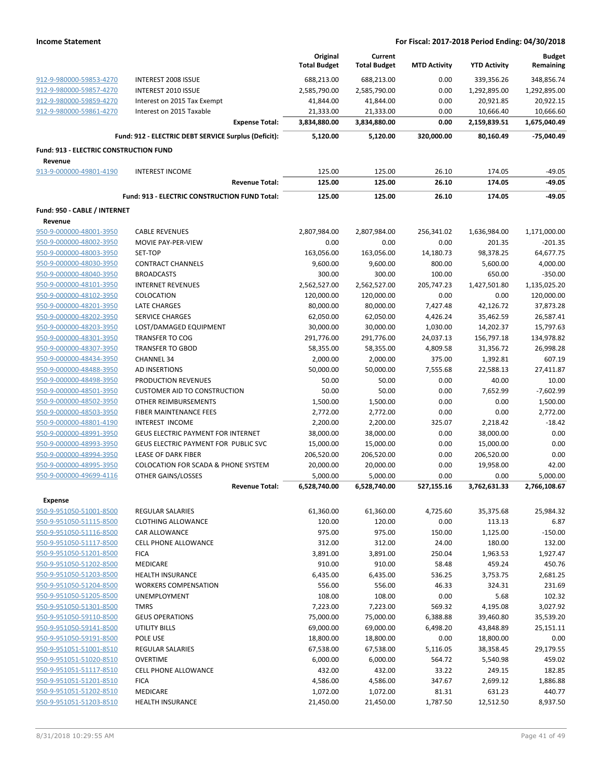|                                                    |                                                      | Original<br><b>Total Budget</b> | Current<br><b>Total Budget</b> | <b>MTD Activity</b> | <b>YTD Activity</b> | <b>Budget</b><br>Remaining |
|----------------------------------------------------|------------------------------------------------------|---------------------------------|--------------------------------|---------------------|---------------------|----------------------------|
| 912-9-980000-59853-4270                            | <b>INTEREST 2008 ISSUE</b>                           | 688,213.00                      | 688,213.00                     | 0.00                | 339,356.26          | 348,856.74                 |
| 912-9-980000-59857-4270                            | INTEREST 2010 ISSUE                                  | 2,585,790.00                    | 2,585,790.00                   | 0.00                | 1,292,895.00        | 1,292,895.00               |
| 912-9-980000-59859-4270                            | Interest on 2015 Tax Exempt                          | 41,844.00                       | 41,844.00                      | 0.00                | 20,921.85           | 20,922.15                  |
| 912-9-980000-59861-4270                            | Interest on 2015 Taxable                             | 21,333.00                       | 21,333.00                      | 0.00                | 10,666.40           | 10,666.60                  |
|                                                    | <b>Expense Total:</b>                                | 3,834,880.00                    | 3,834,880.00                   | 0.00                | 2,159,839.51        | 1,675,040.49               |
|                                                    | Fund: 912 - ELECTRIC DEBT SERVICE Surplus (Deficit): | 5,120.00                        | 5,120.00                       | 320,000.00          | 80,160.49           | -75,040.49                 |
| <b>Fund: 913 - ELECTRIC CONSTRUCTION FUND</b>      |                                                      |                                 |                                |                     |                     |                            |
| Revenue                                            |                                                      |                                 |                                |                     |                     |                            |
| 913-9-000000-49801-4190                            | <b>INTEREST INCOME</b>                               | 125.00                          | 125.00                         | 26.10               | 174.05              | $-49.05$                   |
|                                                    | <b>Revenue Total:</b>                                | 125.00                          | 125.00                         | 26.10               | 174.05              | -49.05                     |
|                                                    | Fund: 913 - ELECTRIC CONSTRUCTION FUND Total:        | 125.00                          | 125.00                         | 26.10               | 174.05              | $-49.05$                   |
| Fund: 950 - CABLE / INTERNET                       |                                                      |                                 |                                |                     |                     |                            |
| Revenue                                            |                                                      |                                 |                                |                     |                     |                            |
| 950-9-000000-48001-3950                            | <b>CABLE REVENUES</b>                                | 2,807,984.00                    | 2,807,984.00                   | 256,341.02          | 1,636,984.00        | 1,171,000.00               |
| 950-9-000000-48002-3950                            | <b>MOVIE PAY-PER-VIEW</b>                            | 0.00                            | 0.00                           | 0.00                | 201.35              | $-201.35$                  |
| 950-9-000000-48003-3950                            | SET-TOP                                              | 163,056.00                      | 163,056.00                     | 14,180.73           | 98,378.25           | 64.677.75                  |
| 950-9-000000-48030-3950                            | <b>CONTRACT CHANNELS</b>                             | 9,600.00                        | 9,600.00                       | 800.00              | 5,600.00            | 4,000.00                   |
| 950-9-000000-48040-3950                            | <b>BROADCASTS</b>                                    | 300.00                          | 300.00                         | 100.00              | 650.00              | $-350.00$                  |
| 950-9-000000-48101-3950                            | <b>INTERNET REVENUES</b>                             | 2,562,527.00                    | 2,562,527.00                   | 205,747.23          | 1,427,501.80        | 1,135,025.20               |
| 950-9-000000-48102-3950                            | COLOCATION                                           | 120,000.00                      | 120,000.00                     | 0.00                | 0.00                | 120,000.00                 |
| 950-9-000000-48201-3950                            | <b>LATE CHARGES</b>                                  | 80,000.00                       | 80,000.00                      | 7,427.48            | 42,126.72           | 37,873.28                  |
| 950-9-000000-48202-3950                            | <b>SERVICE CHARGES</b>                               | 62,050.00                       | 62,050.00                      | 4,426.24            | 35,462.59           | 26,587.41                  |
| 950-9-000000-48203-3950                            | LOST/DAMAGED EQUIPMENT                               | 30,000.00                       | 30,000.00                      | 1,030.00            | 14,202.37           | 15,797.63                  |
| 950-9-000000-48301-3950                            | <b>TRANSFER TO COG</b>                               | 291,776.00                      | 291,776.00                     | 24,037.13           | 156,797.18          | 134,978.82                 |
| 950-9-000000-48307-3950                            | <b>TRANSFER TO GBOD</b>                              | 58,355.00                       | 58,355.00                      | 4,809.58            | 31,356.72           | 26,998.28                  |
| 950-9-000000-48434-3950                            | <b>CHANNEL 34</b>                                    | 2,000.00                        | 2,000.00                       | 375.00              | 1,392.81            | 607.19                     |
| 950-9-000000-48488-3950                            | AD INSERTIONS                                        | 50,000.00                       | 50,000.00                      | 7,555.68            | 22,588.13           | 27,411.87                  |
| 950-9-000000-48498-3950                            | PRODUCTION REVENUES                                  | 50.00                           | 50.00                          | 0.00                | 40.00               | 10.00                      |
| 950-9-000000-48501-3950                            | <b>CUSTOMER AID TO CONSTRUCTION</b>                  | 50.00                           | 50.00                          | 0.00                | 7,652.99            | $-7,602.99$                |
| 950-9-000000-48502-3950                            | OTHER REIMBURSEMENTS                                 | 1,500.00                        | 1,500.00                       | 0.00                | 0.00                | 1,500.00                   |
| 950-9-000000-48503-3950                            | FIBER MAINTENANCE FEES<br><b>INTEREST INCOME</b>     | 2,772.00<br>2,200.00            | 2,772.00<br>2,200.00           | 0.00<br>325.07      | 0.00<br>2,218.42    | 2,772.00<br>$-18.42$       |
| 950-9-000000-48801-4190<br>950-9-000000-48991-3950 | GEUS ELECTRIC PAYMENT FOR INTERNET                   | 38,000.00                       | 38,000.00                      | 0.00                | 38,000.00           | 0.00                       |
| 950-9-000000-48993-3950                            | GEUS ELECTRIC PAYMENT FOR PUBLIC SVC                 | 15,000.00                       | 15,000.00                      | 0.00                | 15,000.00           | 0.00                       |
| 950-9-000000-48994-3950                            | LEASE OF DARK FIBER                                  | 206,520.00                      | 206,520.00                     | 0.00                | 206,520.00          | 0.00                       |
| 950-9-000000-48995-3950                            | <b>COLOCATION FOR SCADA &amp; PHONE SYSTEM</b>       | 20,000.00                       | 20,000.00                      | 0.00                | 19,958.00           | 42.00                      |
| 950-9-000000-49699-4116                            | OTHER GAINS/LOSSES                                   | 5,000.00                        | 5,000.00                       | 0.00                | 0.00                | 5,000.00                   |
|                                                    | <b>Revenue Total:</b>                                | 6,528,740.00                    | 6,528,740.00                   | 527,155.16          | 3,762,631.33        | 2,766,108.67               |
| <b>Expense</b>                                     |                                                      |                                 |                                |                     |                     |                            |
| 950-9-951050-51001-8500                            | <b>REGULAR SALARIES</b>                              | 61,360.00                       | 61,360.00                      | 4,725.60            | 35,375.68           | 25,984.32                  |
| 950-9-951050-51115-8500                            | <b>CLOTHING ALLOWANCE</b>                            | 120.00                          | 120.00                         | 0.00                | 113.13              | 6.87                       |
| 950-9-951050-51116-8500                            | CAR ALLOWANCE                                        | 975.00                          | 975.00                         | 150.00              | 1,125.00            | $-150.00$                  |
| 950-9-951050-51117-8500                            | <b>CELL PHONE ALLOWANCE</b>                          | 312.00                          | 312.00                         | 24.00               | 180.00              | 132.00                     |
| 950-9-951050-51201-8500                            | <b>FICA</b>                                          | 3,891.00                        | 3,891.00                       | 250.04              | 1,963.53            | 1,927.47                   |
| 950-9-951050-51202-8500                            | MEDICARE                                             | 910.00                          | 910.00                         | 58.48               | 459.24              | 450.76                     |
| 950-9-951050-51203-8500                            | <b>HEALTH INSURANCE</b>                              | 6,435.00                        | 6,435.00                       | 536.25              | 3,753.75            | 2,681.25                   |
| 950-9-951050-51204-8500                            | <b>WORKERS COMPENSATION</b>                          | 556.00                          | 556.00                         | 46.33               | 324.31              | 231.69                     |
| 950-9-951050-51205-8500                            | UNEMPLOYMENT                                         | 108.00                          | 108.00                         | 0.00                | 5.68                | 102.32                     |
| 950-9-951050-51301-8500                            | <b>TMRS</b>                                          | 7,223.00                        | 7,223.00                       | 569.32              | 4,195.08            | 3,027.92                   |
| 950-9-951050-59110-8500                            | <b>GEUS OPERATIONS</b>                               | 75,000.00                       | 75,000.00                      | 6,388.88            | 39,460.80           | 35,539.20                  |
| 950-9-951050-59141-8500                            | UTILITY BILLS                                        | 69,000.00                       | 69,000.00                      | 6,498.20            | 43,848.89           | 25,151.11                  |
| 950-9-951050-59191-8500                            | POLE USE                                             | 18,800.00                       | 18,800.00                      | 0.00                | 18,800.00           | 0.00                       |
| 950-9-951051-51001-8510                            | REGULAR SALARIES                                     | 67,538.00                       | 67,538.00                      | 5,116.05            | 38,358.45           | 29,179.55                  |
| 950-9-951051-51020-8510                            | <b>OVERTIME</b>                                      | 6,000.00                        | 6,000.00                       | 564.72              | 5,540.98            | 459.02                     |
| 950-9-951051-51117-8510                            | <b>CELL PHONE ALLOWANCE</b>                          | 432.00                          | 432.00                         | 33.22               | 249.15              | 182.85                     |
| 950-9-951051-51201-8510                            | <b>FICA</b>                                          | 4,586.00                        | 4,586.00                       | 347.67              | 2,699.12            | 1,886.88                   |
| 950-9-951051-51202-8510                            | MEDICARE                                             | 1,072.00                        | 1,072.00                       | 81.31               | 631.23              | 440.77                     |
| 950-9-951051-51203-8510                            | <b>HEALTH INSURANCE</b>                              | 21,450.00                       | 21,450.00                      | 1,787.50            | 12,512.50           | 8,937.50                   |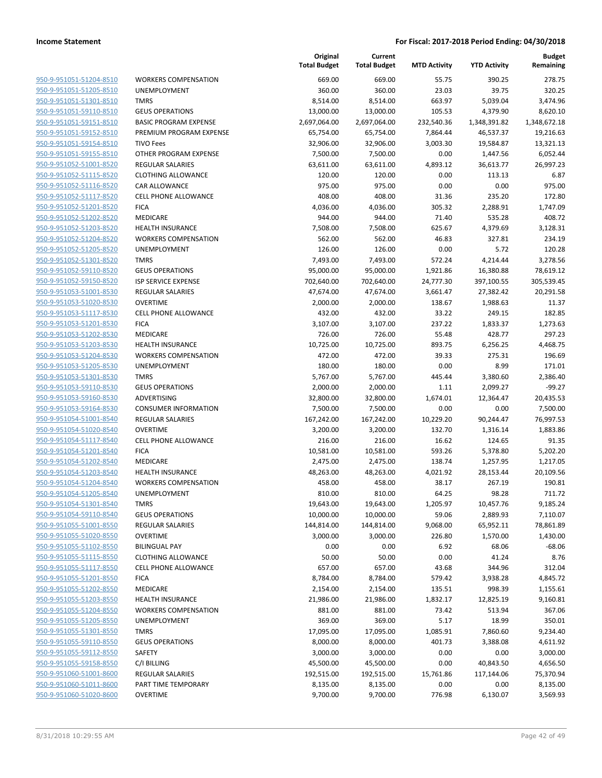|                                                    |                              | Original<br><b>Total Budget</b> | Current<br><b>Total Budget</b> | <b>MTD Activity</b> | <b>YTD Activity</b> | <b>Budget</b><br>Remaining |
|----------------------------------------------------|------------------------------|---------------------------------|--------------------------------|---------------------|---------------------|----------------------------|
| 950-9-951051-51204-8510                            | <b>WORKERS COMPENSATION</b>  | 669.00                          | 669.00                         | 55.75               | 390.25              | 278.75                     |
| 950-9-951051-51205-8510                            | <b>UNEMPLOYMENT</b>          | 360.00                          | 360.00                         | 23.03               | 39.75               | 320.25                     |
| 950-9-951051-51301-8510                            | <b>TMRS</b>                  | 8,514.00                        | 8,514.00                       | 663.97              | 5,039.04            | 3,474.96                   |
| 950-9-951051-59110-8510                            | <b>GEUS OPERATIONS</b>       | 13,000.00                       | 13,000.00                      | 105.53              | 4,379.90            | 8,620.10                   |
| 950-9-951051-59151-8510                            | <b>BASIC PROGRAM EXPENSE</b> | 2,697,064.00                    | 2,697,064.00                   | 232,540.36          | 1,348,391.82        | 1,348,672.18               |
| 950-9-951051-59152-8510                            | PREMIUM PROGRAM EXPENSE      | 65,754.00                       | 65,754.00                      | 7,864.44            | 46,537.37           | 19,216.63                  |
| 950-9-951051-59154-8510                            | <b>TIVO Fees</b>             | 32,906.00                       | 32,906.00                      | 3,003.30            | 19,584.87           | 13,321.13                  |
| 950-9-951051-59155-8510                            | OTHER PROGRAM EXPENSE        | 7,500.00                        | 7,500.00                       | 0.00                | 1,447.56            | 6,052.44                   |
| 950-9-951052-51001-8520                            | <b>REGULAR SALARIES</b>      | 63,611.00                       | 63,611.00                      | 4,893.12            | 36,613.77           | 26,997.23                  |
| 950-9-951052-51115-8520                            | <b>CLOTHING ALLOWANCE</b>    | 120.00                          | 120.00                         | 0.00                | 113.13              | 6.87                       |
| 950-9-951052-51116-8520                            | CAR ALLOWANCE                | 975.00                          | 975.00                         | 0.00                | 0.00                | 975.00                     |
| 950-9-951052-51117-8520                            | <b>CELL PHONE ALLOWANCE</b>  | 408.00                          | 408.00                         | 31.36               | 235.20              | 172.80                     |
| 950-9-951052-51201-8520                            | <b>FICA</b>                  | 4,036.00                        | 4,036.00                       | 305.32              | 2,288.91            | 1,747.09                   |
| 950-9-951052-51202-8520                            | MEDICARE                     | 944.00                          | 944.00                         | 71.40               | 535.28              | 408.72                     |
| 950-9-951052-51203-8520                            | <b>HEALTH INSURANCE</b>      | 7,508.00                        | 7,508.00                       | 625.67              | 4,379.69            | 3,128.31                   |
| 950-9-951052-51204-8520                            | <b>WORKERS COMPENSATION</b>  | 562.00                          | 562.00                         | 46.83               | 327.81              | 234.19                     |
| 950-9-951052-51205-8520                            | <b>UNEMPLOYMENT</b>          | 126.00                          | 126.00                         | 0.00                | 5.72                | 120.28                     |
| 950-9-951052-51301-8520                            | <b>TMRS</b>                  | 7,493.00                        | 7,493.00                       | 572.24              | 4,214.44            | 3,278.56                   |
| 950-9-951052-59110-8520                            | <b>GEUS OPERATIONS</b>       | 95,000.00                       | 95,000.00                      | 1,921.86            | 16,380.88           | 78,619.12                  |
| 950-9-951052-59150-8520                            | <b>ISP SERVICE EXPENSE</b>   | 702,640.00                      | 702,640.00                     | 24,777.30           | 397,100.55          | 305,539.45                 |
| 950-9-951053-51001-8530                            | <b>REGULAR SALARIES</b>      | 47,674.00                       | 47,674.00                      | 3,661.47            | 27,382.42           | 20,291.58                  |
| 950-9-951053-51020-8530                            | <b>OVERTIME</b>              | 2,000.00                        | 2,000.00                       | 138.67              | 1,988.63            | 11.37                      |
| 950-9-951053-51117-8530                            | <b>CELL PHONE ALLOWANCE</b>  | 432.00                          | 432.00                         | 33.22               | 249.15              | 182.85                     |
| 950-9-951053-51201-8530                            | <b>FICA</b>                  | 3,107.00                        | 3,107.00                       | 237.22              | 1,833.37            | 1,273.63                   |
| 950-9-951053-51202-8530                            | <b>MEDICARE</b>              | 726.00                          | 726.00                         | 55.48               | 428.77              | 297.23                     |
| 950-9-951053-51203-8530                            | <b>HEALTH INSURANCE</b>      | 10,725.00                       | 10,725.00                      | 893.75              | 6,256.25            | 4,468.75                   |
| 950-9-951053-51204-8530                            | <b>WORKERS COMPENSATION</b>  | 472.00                          | 472.00                         | 39.33               | 275.31              | 196.69                     |
| 950-9-951053-51205-8530                            | UNEMPLOYMENT                 | 180.00                          | 180.00                         | 0.00                | 8.99                | 171.01                     |
| 950-9-951053-51301-8530                            | <b>TMRS</b>                  | 5,767.00                        | 5,767.00                       | 445.44              | 3,380.60            | 2,386.40                   |
| 950-9-951053-59110-8530                            | <b>GEUS OPERATIONS</b>       | 2,000.00                        | 2,000.00                       | 1.11                | 2,099.27            | $-99.27$                   |
| 950-9-951053-59160-8530                            | ADVERTISING                  | 32,800.00                       | 32,800.00                      | 1,674.01            | 12,364.47           | 20,435.53                  |
| 950-9-951053-59164-8530                            | <b>CONSUMER INFORMATION</b>  | 7,500.00                        | 7,500.00                       | 0.00                | 0.00                | 7,500.00                   |
| 950-9-951054-51001-8540                            | REGULAR SALARIES             | 167,242.00                      | 167,242.00                     | 10,229.20           | 90,244.47           | 76,997.53                  |
| 950-9-951054-51020-8540                            | <b>OVERTIME</b>              | 3,200.00                        | 3,200.00                       | 132.70              | 1,316.14            | 1,883.86                   |
| 950-9-951054-51117-8540                            | <b>CELL PHONE ALLOWANCE</b>  | 216.00                          | 216.00                         | 16.62               | 124.65              | 91.35                      |
| 950-9-951054-51201-8540                            | <b>FICA</b>                  | 10,581.00                       | 10,581.00                      | 593.26              | 5,378.80            | 5,202.20                   |
| 950-9-951054-51202-8540                            | MEDICARE                     | 2,475.00                        | 2,475.00                       | 138.74              | 1,257.95            | 1,217.05                   |
| 950-9-951054-51203-8540                            | <b>HEALTH INSURANCE</b>      | 48,263.00                       | 48,263.00                      | 4,021.92            | 28,153.44           | 20,109.56                  |
| 950-9-951054-51204-8540                            | <b>WORKERS COMPENSATION</b>  | 458.00                          | 458.00                         | 38.17               | 267.19              | 190.81                     |
| 950-9-951054-51205-8540                            | UNEMPLOYMENT                 | 810.00                          | 810.00                         | 64.25               | 98.28               | 711.72                     |
| 950-9-951054-51301-8540                            | <b>TMRS</b>                  | 19,643.00                       | 19,643.00                      | 1,205.97            | 10,457.76           | 9,185.24                   |
| 950-9-951054-59110-8540                            | <b>GEUS OPERATIONS</b>       | 10,000.00                       | 10,000.00                      | 59.06               | 2,889.93            | 7,110.07                   |
| 950-9-951055-51001-8550                            | REGULAR SALARIES             | 144,814.00                      | 144,814.00                     | 9,068.00            | 65,952.11           | 78,861.89                  |
| 950-9-951055-51020-8550                            | <b>OVERTIME</b>              | 3,000.00                        | 3,000.00                       | 226.80              | 1,570.00            | 1,430.00                   |
| 950-9-951055-51102-8550                            | <b>BILINGUAL PAY</b>         | 0.00                            | 0.00                           | 6.92                | 68.06               | $-68.06$                   |
| 950-9-951055-51115-8550                            | <b>CLOTHING ALLOWANCE</b>    | 50.00                           | 50.00                          | 0.00                | 41.24               | 8.76                       |
| 950-9-951055-51117-8550<br>950-9-951055-51201-8550 | <b>CELL PHONE ALLOWANCE</b>  | 657.00                          | 657.00                         | 43.68               | 344.96              | 312.04                     |
| 950-9-951055-51202-8550                            | <b>FICA</b>                  | 8,784.00                        | 8,784.00                       | 579.42              | 3,938.28            | 4,845.72                   |
|                                                    | MEDICARE                     | 2,154.00                        | 2,154.00                       | 135.51              | 998.39              | 1,155.61                   |
| 950-9-951055-51203-8550                            | <b>HEALTH INSURANCE</b>      | 21,986.00                       | 21,986.00                      | 1,832.17            | 12,825.19           | 9,160.81                   |
| 950-9-951055-51204-8550                            | <b>WORKERS COMPENSATION</b>  | 881.00                          | 881.00                         | 73.42               | 513.94              | 367.06                     |
| 950-9-951055-51205-8550                            | UNEMPLOYMENT                 | 369.00                          | 369.00                         | 5.17                | 18.99               | 350.01                     |
| 950-9-951055-51301-8550                            | <b>TMRS</b>                  | 17,095.00                       | 17,095.00                      | 1,085.91            | 7,860.60            | 9,234.40                   |
| 950-9-951055-59110-8550                            | <b>GEUS OPERATIONS</b>       | 8,000.00                        | 8,000.00                       | 401.73              | 3,388.08            | 4,611.92                   |
| 950-9-951055-59112-8550                            | SAFETY                       | 3,000.00                        | 3,000.00                       | 0.00                | 0.00                | 3,000.00                   |
| 950-9-951055-59158-8550                            | C/I BILLING                  | 45,500.00                       | 45,500.00                      | 0.00                | 40,843.50           | 4,656.50                   |
| 950-9-951060-51001-8600                            | REGULAR SALARIES             | 192,515.00                      | 192,515.00                     | 15,761.86           | 117,144.06          | 75,370.94                  |
| 950-9-951060-51011-8600                            | PART TIME TEMPORARY          | 8,135.00                        | 8,135.00                       | 0.00                | 0.00                | 8,135.00                   |
| 950-9-951060-51020-8600                            | <b>OVERTIME</b>              | 9,700.00                        | 9,700.00                       | 776.98              | 6,130.07            | 3,569.93                   |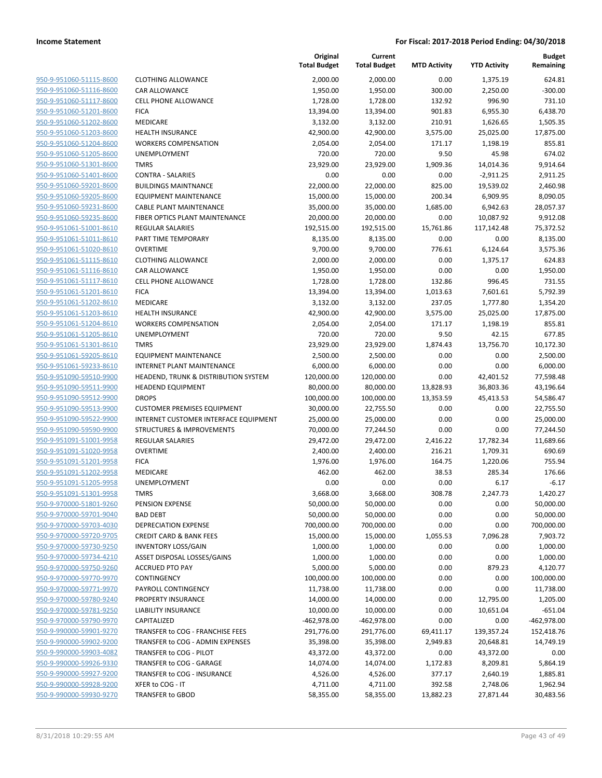| 950-9-951060-51115-8600                                          |  |
|------------------------------------------------------------------|--|
| 950-9-951060-51116-8600                                          |  |
| 950-9-951060-51117-8600                                          |  |
| 950-9-951060-51201-8600                                          |  |
| <u>950-9-951060-51202-8600</u>                                   |  |
| 950-9-951060-51203-8600                                          |  |
| 950-9-951060-51204-8600                                          |  |
| 950-9-951060-51205-8600                                          |  |
| 950-9-951060-51301-8600                                          |  |
| 950-9-951060-51401-8600                                          |  |
| 950-9-951060-59201-8600                                          |  |
| 950-9-951060-59205-8600                                          |  |
| 950-9-951060-59231-8600                                          |  |
| 950-9-951060-59235-8600                                          |  |
| <u>950-9-951061-51001-8610</u>                                   |  |
| 950-9-951061-51011-8610                                          |  |
| 950-9-951061-51020-8610                                          |  |
| <u>950-9-951061-51115-8610</u>                                   |  |
| 950-9-951061-51116-8610                                          |  |
| <u>950-9-951061-51117-8610</u><br>950-9-951061-51201-8610        |  |
| 950-9-951061-51202-8610                                          |  |
| <u>950-9-951061-51203-8610</u>                                   |  |
| 950-9-951061-51204-8610                                          |  |
| <u>950-9-951061-51205-8610</u>                                   |  |
| 950-9-951061-51301-8610                                          |  |
| 950-9-951061-59205-8610                                          |  |
| <u>950-9-951061-59233-8610</u>                                   |  |
| 950-9-951090-59510-9900                                          |  |
| 950-9-951090-59511-9900                                          |  |
| 950-9-951090-59512-9900                                          |  |
| 950-9-951090-59513-9900                                          |  |
| <u>950-9-951090-59522-9900</u>                                   |  |
| 950-9-951090-59590-9900                                          |  |
| 950-9-951091-51001-9958                                          |  |
| 950-9-951091-51020-9958                                          |  |
| 950-9-951091-51201-9958                                          |  |
| <u>950-9-951091-51202-9958</u>                                   |  |
| 950-9-951091-51205-9958                                          |  |
| 950-9-951091-51301-9958                                          |  |
| 950-9-970000-51801-9260                                          |  |
| 950-9-970000-59701-9040                                          |  |
| 950-9-970000-59703-4030                                          |  |
| 950-9-970000-59720-9705                                          |  |
| 950-9-970000-59730-9250                                          |  |
| 950-9-970000-59734-4210                                          |  |
| 950-9-970000-59750-9260                                          |  |
| <u>950-9-970000-59770-9970</u><br><u>950-9-970000-59771-9970</u> |  |
| <u>950-9-970000-59780-9240</u>                                   |  |
| 950-9-970000-59781-9250                                          |  |
| 950-9-970000-59790-9970                                          |  |
| <u>950-9-990000-59901-9270</u>                                   |  |
| <u>950-9-990000-59902-9200</u>                                   |  |
| 950-9-990000-59903-4082                                          |  |
| 950-9-990000-59926-9330                                          |  |
| 950-9-990000-59927-9200                                          |  |
| <u>950-9-990000-59928-9200</u>                                   |  |
| <u>950-9-990000-59930-9270</u>                                   |  |
|                                                                  |  |

|                                                    |                                       | Original<br><b>Total Budget</b> | Current<br><b>Total Budget</b> | <b>MTD Activity</b> | <b>YTD Activity</b> | <b>Budget</b><br>Remaining |
|----------------------------------------------------|---------------------------------------|---------------------------------|--------------------------------|---------------------|---------------------|----------------------------|
| 950-9-951060-51115-8600                            | <b>CLOTHING ALLOWANCE</b>             | 2,000.00                        | 2,000.00                       | 0.00                | 1,375.19            | 624.81                     |
| 950-9-951060-51116-8600                            | CAR ALLOWANCE                         | 1,950.00                        | 1,950.00                       | 300.00              | 2,250.00            | $-300.00$                  |
| 950-9-951060-51117-8600                            | <b>CELL PHONE ALLOWANCE</b>           | 1,728.00                        | 1,728.00                       | 132.92              | 996.90              | 731.10                     |
| 950-9-951060-51201-8600                            | <b>FICA</b>                           | 13,394.00                       | 13,394.00                      | 901.83              | 6,955.30            | 6,438.70                   |
| 950-9-951060-51202-8600                            | MEDICARE                              | 3,132.00                        | 3,132.00                       | 210.91              | 1,626.65            | 1,505.35                   |
| 950-9-951060-51203-8600                            | HEALTH INSURANCE                      | 42,900.00                       | 42,900.00                      | 3,575.00            | 25,025.00           | 17,875.00                  |
| 950-9-951060-51204-8600                            | <b>WORKERS COMPENSATION</b>           | 2,054.00                        | 2,054.00                       | 171.17              | 1,198.19            | 855.81                     |
| 950-9-951060-51205-8600                            | <b>UNEMPLOYMENT</b>                   | 720.00                          | 720.00                         | 9.50                | 45.98               | 674.02                     |
| 950-9-951060-51301-8600                            | <b>TMRS</b>                           | 23,929.00                       | 23,929.00                      | 1,909.36            | 14,014.36           | 9,914.64                   |
| 950-9-951060-51401-8600                            | <b>CONTRA - SALARIES</b>              | 0.00                            | 0.00                           | 0.00                | $-2,911.25$         | 2,911.25                   |
| 950-9-951060-59201-8600                            | <b>BUILDINGS MAINTNANCE</b>           | 22,000.00                       | 22,000.00                      | 825.00              | 19,539.02           | 2,460.98                   |
| 950-9-951060-59205-8600                            | <b>EQUIPMENT MAINTENANCE</b>          | 15,000.00                       | 15,000.00                      | 200.34              | 6,909.95            | 8,090.05                   |
| 950-9-951060-59231-8600                            | <b>CABLE PLANT MAINTENANCE</b>        | 35,000.00                       | 35,000.00                      | 1,685.00            | 6,942.63            | 28,057.37                  |
| 950-9-951060-59235-8600                            | FIBER OPTICS PLANT MAINTENANCE        | 20,000.00                       | 20,000.00                      | 0.00                | 10,087.92           | 9,912.08                   |
| 950-9-951061-51001-8610                            | REGULAR SALARIES                      | 192,515.00                      | 192,515.00                     | 15,761.86           | 117,142.48          | 75,372.52                  |
| 950-9-951061-51011-8610                            | PART TIME TEMPORARY                   | 8,135.00                        | 8,135.00                       | 0.00                | 0.00                | 8,135.00                   |
| 950-9-951061-51020-8610                            | <b>OVERTIME</b>                       | 9,700.00                        | 9,700.00                       | 776.61              | 6,124.64            | 3,575.36                   |
| 950-9-951061-51115-8610                            | <b>CLOTHING ALLOWANCE</b>             | 2,000.00                        | 2,000.00                       | 0.00                | 1,375.17            | 624.83                     |
| 950-9-951061-51116-8610                            | CAR ALLOWANCE                         | 1,950.00                        | 1,950.00                       | 0.00                | 0.00                | 1,950.00                   |
| 950-9-951061-51117-8610                            | <b>CELL PHONE ALLOWANCE</b>           | 1,728.00                        | 1,728.00                       | 132.86              | 996.45              | 731.55                     |
| 950-9-951061-51201-8610                            | <b>FICA</b>                           | 13,394.00                       | 13,394.00                      | 1,013.63            | 7,601.61            | 5,792.39                   |
| 950-9-951061-51202-8610                            | MEDICARE                              | 3,132.00                        | 3,132.00                       | 237.05              | 1,777.80            | 1,354.20                   |
| 950-9-951061-51203-8610                            | <b>HEALTH INSURANCE</b>               | 42,900.00                       | 42,900.00                      | 3,575.00            | 25,025.00           | 17,875.00                  |
| 950-9-951061-51204-8610                            | <b>WORKERS COMPENSATION</b>           | 2,054.00                        | 2,054.00                       | 171.17              | 1,198.19            | 855.81                     |
| 950-9-951061-51205-8610                            | <b>UNEMPLOYMENT</b>                   | 720.00                          | 720.00                         | 9.50                | 42.15               | 677.85                     |
| 950-9-951061-51301-8610                            | <b>TMRS</b>                           | 23,929.00                       | 23,929.00                      | 1,874.43            | 13,756.70           | 10,172.30                  |
| 950-9-951061-59205-8610                            | <b>EQUIPMENT MAINTENANCE</b>          | 2,500.00                        | 2,500.00                       | 0.00                | 0.00                | 2,500.00                   |
| 950-9-951061-59233-8610                            | <b>INTERNET PLANT MAINTENANCE</b>     | 6,000.00                        | 6,000.00                       | 0.00                | 0.00                | 6,000.00                   |
| 950-9-951090-59510-9900                            | HEADEND, TRUNK & DISTRIBUTION SYSTEM  | 120,000.00                      | 120,000.00                     | 0.00                | 42,401.52           | 77,598.48                  |
| 950-9-951090-59511-9900                            | <b>HEADEND EQUIPMENT</b>              | 80,000.00                       | 80,000.00                      | 13,828.93           | 36,803.36           | 43,196.64                  |
| 950-9-951090-59512-9900                            | <b>DROPS</b>                          | 100,000.00                      | 100,000.00                     | 13,353.59           | 45,413.53           | 54,586.47                  |
| 950-9-951090-59513-9900                            | <b>CUSTOMER PREMISES EQUIPMENT</b>    | 30,000.00                       | 22,755.50                      | 0.00                | 0.00                | 22,755.50                  |
| 950-9-951090-59522-9900                            | INTERNET CUSTOMER INTERFACE EQUIPMENT | 25,000.00                       | 25,000.00                      | 0.00                | 0.00                | 25,000.00                  |
| 950-9-951090-59590-9900                            | <b>STRUCTURES &amp; IMPROVEMENTS</b>  | 70,000.00                       | 77,244.50                      | 0.00                | 0.00                | 77,244.50                  |
| 950-9-951091-51001-9958                            | REGULAR SALARIES                      | 29,472.00                       | 29,472.00                      | 2,416.22            | 17,782.34           | 11,689.66                  |
| 950-9-951091-51020-9958<br>950-9-951091-51201-9958 | <b>OVERTIME</b>                       | 2,400.00                        | 2,400.00                       | 216.21              | 1,709.31            | 690.69                     |
| 950-9-951091-51202-9958                            | <b>FICA</b><br><b>MEDICARE</b>        | 1,976.00                        | 1,976.00                       | 164.75              | 1,220.06            | 755.94<br>176.66           |
| 950-9-951091-51205-9958                            | <b>UNEMPLOYMENT</b>                   | 462.00<br>0.00                  | 462.00<br>0.00                 | 38.53<br>0.00       | 285.34<br>6.17      | $-6.17$                    |
| 950-9-951091-51301-9958                            | TMRS                                  | 3,668.00                        | 3,668.00                       | 308.78              | 2,247.73            | 1,420.27                   |
| 950-9-970000-51801-9260                            | PENSION EXPENSE                       | 50,000.00                       | 50,000.00                      | 0.00                | 0.00                | 50,000.00                  |
| 950-9-970000-59701-9040                            | <b>BAD DEBT</b>                       | 50,000.00                       | 50,000.00                      | 0.00                | 0.00                | 50,000.00                  |
| 950-9-970000-59703-4030                            | <b>DEPRECIATION EXPENSE</b>           | 700,000.00                      | 700,000.00                     | 0.00                | 0.00                | 700,000.00                 |
| 950-9-970000-59720-9705                            | <b>CREDIT CARD &amp; BANK FEES</b>    | 15,000.00                       | 15,000.00                      | 1,055.53            | 7,096.28            | 7,903.72                   |
| 950-9-970000-59730-9250                            | <b>INVENTORY LOSS/GAIN</b>            | 1,000.00                        | 1,000.00                       | 0.00                | 0.00                | 1,000.00                   |
| 950-9-970000-59734-4210                            | ASSET DISPOSAL LOSSES/GAINS           | 1,000.00                        | 1,000.00                       | 0.00                | 0.00                | 1,000.00                   |
| 950-9-970000-59750-9260                            | <b>ACCRUED PTO PAY</b>                | 5,000.00                        | 5,000.00                       | 0.00                | 879.23              | 4,120.77                   |
| 950-9-970000-59770-9970                            | CONTINGENCY                           | 100,000.00                      | 100,000.00                     | 0.00                | 0.00                | 100,000.00                 |
| 950-9-970000-59771-9970                            | PAYROLL CONTINGENCY                   | 11,738.00                       | 11,738.00                      | 0.00                | 0.00                | 11,738.00                  |
| 950-9-970000-59780-9240                            | PROPERTY INSURANCE                    | 14,000.00                       | 14,000.00                      | 0.00                | 12,795.00           | 1,205.00                   |
| 950-9-970000-59781-9250                            | LIABILITY INSURANCE                   | 10,000.00                       | 10,000.00                      | 0.00                | 10,651.04           | $-651.04$                  |
| 950-9-970000-59790-9970                            | CAPITALIZED                           | $-462,978.00$                   | $-462,978.00$                  | 0.00                | 0.00                | -462,978.00                |
| 950-9-990000-59901-9270                            | TRANSFER to COG - FRANCHISE FEES      | 291,776.00                      | 291,776.00                     | 69,411.17           | 139,357.24          | 152,418.76                 |
| 950-9-990000-59902-9200                            | TRANSFER to COG - ADMIN EXPENSES      | 35,398.00                       | 35,398.00                      | 2,949.83            | 20,648.81           | 14,749.19                  |
| 950-9-990000-59903-4082                            | TRANSFER to COG - PILOT               | 43,372.00                       | 43,372.00                      | 0.00                | 43,372.00           | 0.00                       |
| 950-9-990000-59926-9330                            | TRANSFER to COG - GARAGE              | 14,074.00                       | 14,074.00                      | 1,172.83            | 8,209.81            | 5,864.19                   |
| 950-9-990000-59927-9200                            | TRANSFER to COG - INSURANCE           | 4,526.00                        | 4,526.00                       | 377.17              | 2,640.19            | 1,885.81                   |
| 950-9-990000-59928-9200                            | XFER to COG - IT                      | 4,711.00                        | 4,711.00                       | 392.58              | 2,748.06            | 1,962.94                   |
| 950-9-990000-59930-9270                            | TRANSFER to GBOD                      | 58,355.00                       | 58,355.00                      | 13,882.23           | 27,871.44           | 30,483.56                  |
|                                                    |                                       |                                 |                                |                     |                     |                            |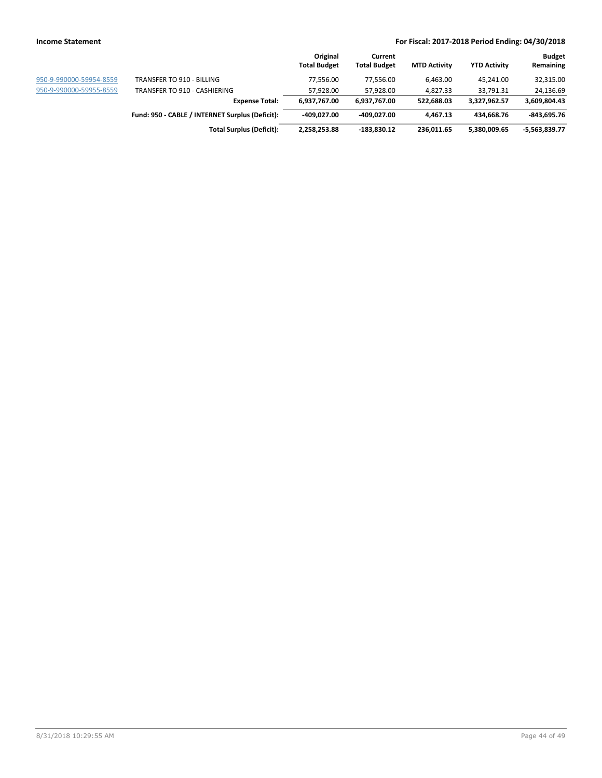|                         |                                                 | Original<br><b>Total Budget</b> | Current<br><b>Total Budget</b> | <b>MTD Activity</b> | <b>YTD Activity</b> | <b>Budget</b><br>Remaining |
|-------------------------|-------------------------------------------------|---------------------------------|--------------------------------|---------------------|---------------------|----------------------------|
| 950-9-990000-59954-8559 | TRANSFER TO 910 - BILLING                       | 77,556.00                       | 77.556.00                      | 6,463.00            | 45,241.00           | 32,315.00                  |
| 950-9-990000-59955-8559 | TRANSFER TO 910 - CASHIERING                    | 57.928.00                       | 57,928.00                      | 4,827.33            | 33,791.31           | 24,136.69                  |
|                         | <b>Expense Total:</b>                           | 6,937,767.00                    | 6,937,767.00                   | 522.688.03          | 3.327.962.57        | 3,609,804.43               |
|                         | Fund: 950 - CABLE / INTERNET Surplus (Deficit): | -409.027.00                     | -409.027.00                    | 4.467.13            | 434.668.76          | $-843,695.76$              |
|                         | <b>Total Surplus (Deficit):</b>                 | 2,258,253.88                    | $-183,830.12$                  | 236,011.65          | 5,380,009.65        | $-5,563,839.77$            |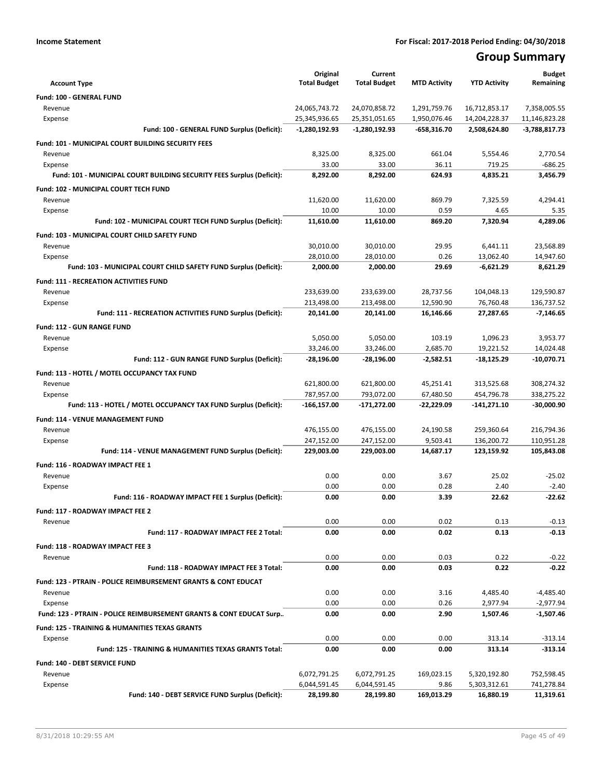# **Group Summary**

| <b>Account Type</b>                                                   | Original<br><b>Total Budget</b> | Current<br><b>Total Budget</b> | <b>MTD Activity</b> | <b>YTD Activity</b>          | <b>Budget</b><br>Remaining |
|-----------------------------------------------------------------------|---------------------------------|--------------------------------|---------------------|------------------------------|----------------------------|
| Fund: 100 - GENERAL FUND                                              |                                 |                                |                     |                              |                            |
| Revenue                                                               | 24,065,743.72                   | 24,070,858.72                  | 1,291,759.76        | 16,712,853.17                | 7,358,005.55               |
| Expense                                                               | 25,345,936.65                   | 25,351,051.65                  | 1,950,076.46        | 14,204,228.37                | 11,146,823.28              |
| Fund: 100 - GENERAL FUND Surplus (Deficit):                           | $-1,280,192.93$                 | $-1,280,192.93$                | $-658,316.70$       | 2,508,624.80                 | $-3,788,817.73$            |
| Fund: 101 - MUNICIPAL COURT BUILDING SECURITY FEES                    |                                 |                                |                     |                              |                            |
| Revenue                                                               | 8,325.00                        | 8,325.00                       | 661.04              | 5,554.46                     | 2,770.54                   |
| Expense                                                               | 33.00                           | 33.00                          | 36.11               | 719.25                       | $-686.25$                  |
| Fund: 101 - MUNICIPAL COURT BUILDING SECURITY FEES Surplus (Deficit): | 8,292.00                        | 8,292.00                       | 624.93              | 4,835.21                     | 3,456.79                   |
| Fund: 102 - MUNICIPAL COURT TECH FUND                                 |                                 |                                |                     |                              |                            |
| Revenue                                                               | 11,620.00                       | 11,620.00                      | 869.79              | 7,325.59                     | 4,294.41                   |
| Expense                                                               | 10.00                           | 10.00                          | 0.59                | 4.65                         | 5.35                       |
| Fund: 102 - MUNICIPAL COURT TECH FUND Surplus (Deficit):              | 11,610.00                       | 11,610.00                      | 869.20              | 7,320.94                     | 4,289.06                   |
| Fund: 103 - MUNICIPAL COURT CHILD SAFETY FUND                         |                                 |                                |                     |                              |                            |
| Revenue                                                               | 30,010.00                       | 30,010.00                      | 29.95               | 6,441.11                     | 23,568.89                  |
| Expense                                                               | 28,010.00                       | 28,010.00                      | 0.26                | 13,062.40                    | 14,947.60                  |
| Fund: 103 - MUNICIPAL COURT CHILD SAFETY FUND Surplus (Deficit):      | 2,000.00                        | 2,000.00                       | 29.69               | $-6,621.29$                  | 8,621.29                   |
| <b>Fund: 111 - RECREATION ACTIVITIES FUND</b>                         |                                 |                                |                     |                              |                            |
| Revenue                                                               | 233,639.00                      | 233,639.00                     | 28,737.56           | 104,048.13                   | 129,590.87                 |
| Expense                                                               | 213,498.00                      | 213,498.00                     | 12,590.90           | 76,760.48                    | 136,737.52                 |
| Fund: 111 - RECREATION ACTIVITIES FUND Surplus (Deficit):             | 20,141.00                       | 20,141.00                      | 16,146.66           | 27,287.65                    | $-7,146.65$                |
| Fund: 112 - GUN RANGE FUND                                            |                                 |                                |                     |                              |                            |
| Revenue                                                               | 5,050.00                        | 5,050.00                       | 103.19              | 1,096.23                     | 3,953.77                   |
| Expense                                                               | 33,246.00                       | 33,246.00                      | 2,685.70            | 19,221.52                    | 14,024.48                  |
| Fund: 112 - GUN RANGE FUND Surplus (Deficit):                         | -28,196.00                      | -28,196.00                     | -2,582.51           | -18,125.29                   | -10,070.71                 |
| Fund: 113 - HOTEL / MOTEL OCCUPANCY TAX FUND                          |                                 |                                |                     |                              |                            |
| Revenue                                                               | 621,800.00                      | 621,800.00                     | 45,251.41           | 313,525.68                   | 308,274.32                 |
| Expense                                                               | 787,957.00                      | 793,072.00                     | 67,480.50           | 454,796.78                   | 338,275.22                 |
| Fund: 113 - HOTEL / MOTEL OCCUPANCY TAX FUND Surplus (Deficit):       | -166,157.00                     | -171,272.00                    | $-22,229.09$        | -141,271.10                  | $-30,000.90$               |
| <b>Fund: 114 - VENUE MANAGEMENT FUND</b>                              |                                 |                                |                     |                              |                            |
| Revenue                                                               | 476,155.00                      | 476,155.00                     | 24,190.58           | 259,360.64                   | 216,794.36                 |
| Expense                                                               | 247,152.00                      | 247,152.00                     | 9,503.41            | 136,200.72                   | 110,951.28                 |
| Fund: 114 - VENUE MANAGEMENT FUND Surplus (Deficit):                  | 229,003.00                      | 229,003.00                     | 14,687.17           | 123,159.92                   | 105,843.08                 |
| Fund: 116 - ROADWAY IMPACT FEE 1                                      |                                 |                                |                     |                              |                            |
| Revenue                                                               | 0.00                            | 0.00                           | 3.67                | 25.02                        | $-25.02$                   |
| Expense                                                               | 0.00                            | 0.00                           | 0.28                | 2.40                         | $-2.40$                    |
| Fund: 116 - ROADWAY IMPACT FEE 1 Surplus (Deficit):                   | 0.00                            | 0.00                           | 3.39                | 22.62                        | $-22.62$                   |
| Fund: 117 - ROADWAY IMPACT FEE 2                                      |                                 |                                |                     |                              |                            |
| Revenue                                                               | 0.00                            | 0.00                           | 0.02                | 0.13                         | $-0.13$                    |
| Fund: 117 - ROADWAY IMPACT FEE 2 Total:                               | 0.00                            | 0.00                           | 0.02                | 0.13                         | $-0.13$                    |
| Fund: 118 - ROADWAY IMPACT FEE 3                                      |                                 |                                |                     |                              |                            |
| Revenue                                                               | 0.00                            | 0.00                           | 0.03                | 0.22                         | $-0.22$                    |
| Fund: 118 - ROADWAY IMPACT FEE 3 Total:                               | 0.00                            | 0.00                           | 0.03                | 0.22                         | $-0.22$                    |
| Fund: 123 - PTRAIN - POLICE REIMBURSEMENT GRANTS & CONT EDUCAT        |                                 |                                |                     |                              |                            |
| Revenue                                                               | 0.00                            | 0.00                           | 3.16                | 4,485.40                     | $-4,485.40$                |
| Expense                                                               | 0.00                            | 0.00                           | 0.26                | 2,977.94                     | $-2,977.94$                |
| Fund: 123 - PTRAIN - POLICE REIMBURSEMENT GRANTS & CONT EDUCAT Surp   | 0.00                            | 0.00                           | 2.90                | 1,507.46                     | -1,507.46                  |
| <b>Fund: 125 - TRAINING &amp; HUMANITIES TEXAS GRANTS</b>             |                                 |                                |                     |                              |                            |
| Expense                                                               | 0.00                            | 0.00                           | 0.00                | 313.14                       | $-313.14$                  |
| Fund: 125 - TRAINING & HUMANITIES TEXAS GRANTS Total:                 | 0.00                            | 0.00                           | 0.00                | 313.14                       | $-313.14$                  |
|                                                                       |                                 |                                |                     |                              |                            |
| Fund: 140 - DEBT SERVICE FUND<br>Revenue                              | 6,072,791.25                    |                                |                     |                              |                            |
| Expense                                                               | 6,044,591.45                    | 6,072,791.25<br>6,044,591.45   | 169,023.15<br>9.86  | 5,320,192.80<br>5,303,312.61 | 752,598.45<br>741,278.84   |
| Fund: 140 - DEBT SERVICE FUND Surplus (Deficit):                      | 28,199.80                       | 28,199.80                      | 169,013.29          | 16,880.19                    | 11,319.61                  |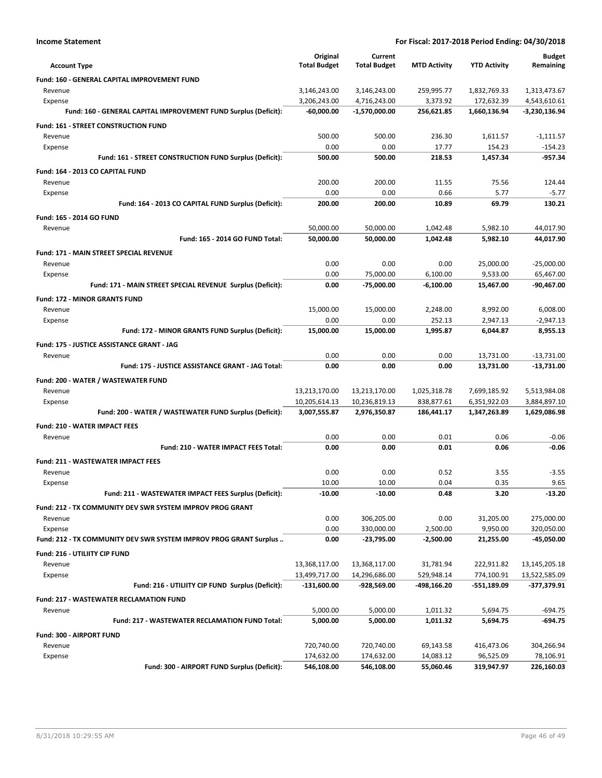| <b>Income Statement</b>                                            |                          | For Fiscal: 2017-2018 Period Ending: 04/30/2018 |                        |                         |                         |  |
|--------------------------------------------------------------------|--------------------------|-------------------------------------------------|------------------------|-------------------------|-------------------------|--|
|                                                                    | Original                 | Current                                         |                        |                         | <b>Budget</b>           |  |
| <b>Account Type</b>                                                | <b>Total Budget</b>      | <b>Total Budget</b>                             | <b>MTD Activity</b>    | <b>YTD Activity</b>     | Remaining               |  |
| Fund: 160 - GENERAL CAPITAL IMPROVEMENT FUND                       |                          |                                                 |                        |                         |                         |  |
| Revenue                                                            | 3,146,243.00             | 3,146,243.00                                    | 259,995.77             | 1,832,769.33            | 1,313,473.67            |  |
| Expense                                                            | 3,206,243.00             | 4,716,243.00                                    | 3,373.92               | 172,632.39              | 4,543,610.61            |  |
| Fund: 160 - GENERAL CAPITAL IMPROVEMENT FUND Surplus (Deficit):    | -60,000.00               | -1,570,000.00                                   | 256,621.85             | 1,660,136.94            | -3,230,136.94           |  |
| Fund: 161 - STREET CONSTRUCTION FUND                               |                          |                                                 |                        |                         |                         |  |
| Revenue                                                            | 500.00                   | 500.00                                          | 236.30                 | 1,611.57                | $-1,111.57$             |  |
| Expense<br>Fund: 161 - STREET CONSTRUCTION FUND Surplus (Deficit): | 0.00<br>500.00           | 0.00<br>500.00                                  | 17.77<br>218.53        | 154.23<br>1.457.34      | $-154.23$<br>$-957.34$  |  |
|                                                                    |                          |                                                 |                        |                         |                         |  |
| Fund: 164 - 2013 CO CAPITAL FUND                                   |                          |                                                 |                        |                         |                         |  |
| Revenue<br>Expense                                                 | 200.00<br>0.00           | 200.00<br>0.00                                  | 11.55<br>0.66          | 75.56<br>5.77           | 124.44<br>$-5.77$       |  |
| Fund: 164 - 2013 CO CAPITAL FUND Surplus (Deficit):                | 200.00                   | 200.00                                          | 10.89                  | 69.79                   | 130.21                  |  |
| Fund: 165 - 2014 GO FUND                                           |                          |                                                 |                        |                         |                         |  |
| Revenue                                                            | 50,000.00                | 50,000.00                                       | 1,042.48               | 5,982.10                | 44,017.90               |  |
| Fund: 165 - 2014 GO FUND Total:                                    | 50,000.00                | 50,000.00                                       | 1,042.48               | 5,982.10                | 44,017.90               |  |
| Fund: 171 - MAIN STREET SPECIAL REVENUE                            |                          |                                                 |                        |                         |                         |  |
| Revenue                                                            | 0.00                     | 0.00                                            | 0.00                   | 25,000.00               | $-25,000.00$            |  |
| Expense                                                            | 0.00                     | 75,000.00                                       | 6,100.00               | 9,533.00                | 65,467.00               |  |
| Fund: 171 - MAIN STREET SPECIAL REVENUE Surplus (Deficit):         | 0.00                     | -75,000.00                                      | $-6,100.00$            | 15,467.00               | $-90,467.00$            |  |
| <b>Fund: 172 - MINOR GRANTS FUND</b>                               |                          |                                                 |                        |                         |                         |  |
| Revenue                                                            | 15,000.00                | 15,000.00                                       | 2,248.00               | 8,992.00                | 6,008.00                |  |
| Expense                                                            | 0.00                     | 0.00                                            | 252.13                 | 2,947.13                | $-2,947.13$             |  |
| Fund: 172 - MINOR GRANTS FUND Surplus (Deficit):                   | 15,000.00                | 15,000.00                                       | 1,995.87               | 6,044.87                | 8,955.13                |  |
| Fund: 175 - JUSTICE ASSISTANCE GRANT - JAG                         |                          |                                                 |                        |                         |                         |  |
| Revenue                                                            | 0.00                     | 0.00                                            | 0.00                   | 13,731.00               | $-13,731.00$            |  |
| Fund: 175 - JUSTICE ASSISTANCE GRANT - JAG Total:                  | 0.00                     | 0.00                                            | 0.00                   | 13,731.00               | $-13,731.00$            |  |
| Fund: 200 - WATER / WASTEWATER FUND                                |                          |                                                 |                        |                         |                         |  |
| Revenue                                                            | 13,213,170.00            | 13,213,170.00                                   | 1,025,318.78           | 7,699,185.92            | 5,513,984.08            |  |
| Expense                                                            | 10,205,614.13            | 10,236,819.13                                   | 838,877.61             | 6,351,922.03            | 3,884,897.10            |  |
| Fund: 200 - WATER / WASTEWATER FUND Surplus (Deficit):             | 3,007,555.87             | 2,976,350.87                                    | 186,441.17             | 1,347,263.89            | 1,629,086.98            |  |
| <b>Fund: 210 - WATER IMPACT FEES</b>                               |                          |                                                 |                        |                         |                         |  |
| Revenue                                                            | 0.00                     | 0.00                                            | 0.01                   | 0.06                    | $-0.06$                 |  |
| Fund: 210 - WATER IMPACT FEES Total:                               | 0.00                     | 0.00                                            | 0.01                   | 0.06                    | $-0.06$                 |  |
| <b>Fund: 211 - WASTEWATER IMPACT FEES</b>                          |                          |                                                 |                        |                         |                         |  |
| Revenue                                                            | 0.00                     | 0.00                                            | 0.52                   | 3.55                    | $-3.55$                 |  |
| Expense                                                            | 10.00                    | 10.00                                           | 0.04                   | 0.35                    | 9.65                    |  |
| Fund: 211 - WASTEWATER IMPACT FEES Surplus (Deficit):              | $-10.00$                 | -10.00                                          | 0.48                   | 3.20                    | $-13.20$                |  |
| Fund: 212 - TX COMMUNITY DEV SWR SYSTEM IMPROV PROG GRANT          |                          |                                                 |                        |                         |                         |  |
| Revenue                                                            | 0.00                     | 306,205.00                                      | 0.00                   | 31,205.00               | 275,000.00              |  |
| Expense                                                            | 0.00                     | 330,000.00                                      | 2,500.00               | 9,950.00                | 320,050.00              |  |
| Fund: 212 - TX COMMUNITY DEV SWR SYSTEM IMPROV PROG GRANT Surplus  | 0.00                     | $-23,795.00$                                    | $-2,500.00$            | 21,255.00               | -45,050.00              |  |
| Fund: 216 - UTILIITY CIP FUND                                      |                          |                                                 |                        |                         |                         |  |
| Revenue                                                            | 13,368,117.00            | 13,368,117.00                                   | 31,781.94              | 222,911.82              | 13,145,205.18           |  |
| Expense                                                            | 13,499,717.00            | 14,296,686.00                                   | 529,948.14             | 774,100.91              | 13,522,585.09           |  |
| Fund: 216 - UTILIITY CIP FUND Surplus (Deficit):                   | $-131,600.00$            | -928,569.00                                     | -498,166.20            | $-551,189.09$           | $-377,379.91$           |  |
| <b>Fund: 217 - WASTEWATER RECLAMATION FUND</b>                     |                          |                                                 |                        |                         |                         |  |
| Revenue                                                            | 5,000.00                 | 5,000.00                                        | 1,011.32               | 5,694.75                | $-694.75$               |  |
| Fund: 217 - WASTEWATER RECLAMATION FUND Total:                     | 5,000.00                 | 5,000.00                                        | 1,011.32               | 5,694.75                | $-694.75$               |  |
| Fund: 300 - AIRPORT FUND                                           |                          |                                                 |                        |                         |                         |  |
| Revenue                                                            | 720,740.00               | 720,740.00                                      | 69,143.58              | 416,473.06              | 304,266.94              |  |
| Expense<br>Fund: 300 - AIRPORT FUND Surplus (Deficit):             | 174,632.00<br>546,108.00 | 174,632.00<br>546,108.00                        | 14,083.12<br>55,060.46 | 96,525.09<br>319,947.97 | 78,106.91<br>226,160.03 |  |
|                                                                    |                          |                                                 |                        |                         |                         |  |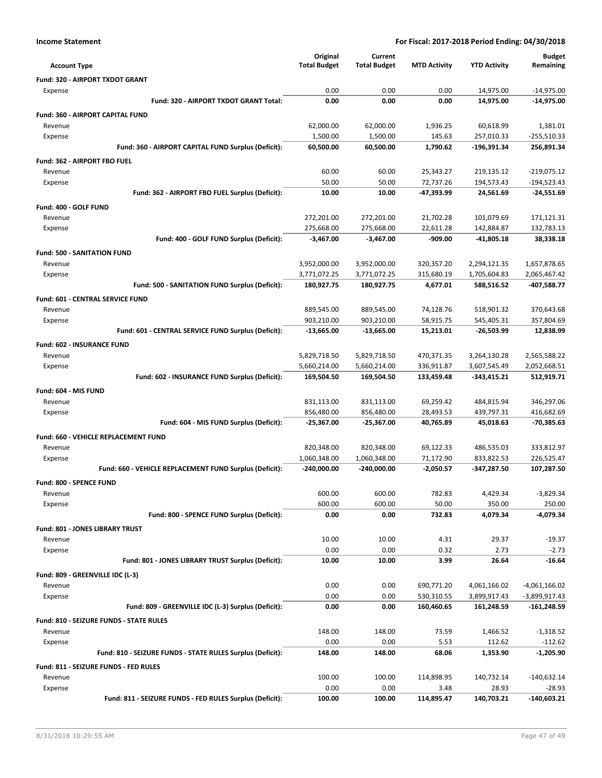|                                                                       | Original                 | Current                  |                          |                          | <b>Budget</b>                 |
|-----------------------------------------------------------------------|--------------------------|--------------------------|--------------------------|--------------------------|-------------------------------|
| <b>Account Type</b>                                                   | <b>Total Budget</b>      | <b>Total Budget</b>      | <b>MTD Activity</b>      | <b>YTD Activity</b>      | Remaining                     |
| Fund: 320 - AIRPORT TXDOT GRANT                                       |                          |                          |                          |                          |                               |
| Expense                                                               | 0.00                     | 0.00                     | 0.00                     | 14,975.00                | $-14,975.00$                  |
| Fund: 320 - AIRPORT TXDOT GRANT Total:                                | 0.00                     | 0.00                     | 0.00                     | 14,975.00                | -14,975.00                    |
| <b>Fund: 360 - AIRPORT CAPITAL FUND</b>                               |                          |                          |                          |                          |                               |
| Revenue                                                               | 62,000.00                | 62,000.00                | 1,936.25                 | 60,618.99                | 1,381.01                      |
| Expense                                                               | 1,500.00                 | 1,500.00                 | 145.63                   | 257,010.33               | $-255,510.33$                 |
| Fund: 360 - AIRPORT CAPITAL FUND Surplus (Deficit):                   | 60,500.00                | 60,500.00                | 1,790.62                 | -196,391.34              | 256,891.34                    |
| Fund: 362 - AIRPORT FBO FUEL                                          |                          |                          |                          |                          |                               |
| Revenue                                                               | 60.00                    | 60.00                    | 25,343.27                | 219,135.12               | $-219,075.12$                 |
| Expense<br>Fund: 362 - AIRPORT FBO FUEL Surplus (Deficit):            | 50.00<br>10.00           | 50.00<br>10.00           | 72,737.26<br>-47,393.99  | 194,573.43<br>24,561.69  | $-194,523.43$<br>$-24,551.69$ |
|                                                                       |                          |                          |                          |                          |                               |
| Fund: 400 - GOLF FUND                                                 |                          |                          |                          |                          |                               |
| Revenue<br>Expense                                                    | 272,201.00<br>275,668.00 | 272,201.00<br>275,668.00 | 21,702.28<br>22,611.28   | 101,079.69<br>142,884.87 | 171,121.31<br>132,783.13      |
| Fund: 400 - GOLF FUND Surplus (Deficit):                              | $-3,467.00$              | $-3,467.00$              | $-909.00$                | -41,805.18               | 38,338.18                     |
| <b>Fund: 500 - SANITATION FUND</b>                                    |                          |                          |                          |                          |                               |
| Revenue                                                               | 3,952,000.00             | 3,952,000.00             | 320,357.20               | 2,294,121.35             | 1,657,878.65                  |
| Expense                                                               | 3,771,072.25             | 3,771,072.25             | 315,680.19               | 1,705,604.83             | 2,065,467.42                  |
| Fund: 500 - SANITATION FUND Surplus (Deficit):                        | 180,927.75               | 180,927.75               | 4,677.01                 | 588,516.52               | -407,588.77                   |
| <b>Fund: 601 - CENTRAL SERVICE FUND</b>                               |                          |                          |                          |                          |                               |
| Revenue                                                               | 889,545.00               | 889,545.00               | 74,128.76                | 518,901.32               | 370,643.68                    |
| Expense                                                               | 903,210.00               | 903,210.00               | 58,915.75                | 545,405.31               | 357,804.69                    |
| Fund: 601 - CENTRAL SERVICE FUND Surplus (Deficit):                   | $-13,665.00$             | $-13,665.00$             | 15,213.01                | -26,503.99               | 12,838.99                     |
| Fund: 602 - INSURANCE FUND                                            |                          |                          |                          |                          |                               |
| Revenue                                                               | 5,829,718.50             | 5,829,718.50             | 470,371.35               | 3,264,130.28             | 2,565,588.22                  |
| Expense                                                               | 5,660,214.00             | 5,660,214.00             | 336,911.87               | 3,607,545.49             | 2,052,668.51                  |
| Fund: 602 - INSURANCE FUND Surplus (Deficit):                         | 169,504.50               | 169,504.50               | 133,459.48               | -343,415.21              | 512,919.71                    |
| Fund: 604 - MIS FUND                                                  |                          |                          |                          |                          |                               |
| Revenue                                                               | 831,113.00               | 831,113.00               | 69,259.42                | 484,815.94               | 346,297.06                    |
| Expense                                                               | 856,480.00               | 856,480.00               | 28,493.53                | 439,797.31               | 416,682.69                    |
| Fund: 604 - MIS FUND Surplus (Deficit):                               | $-25,367.00$             | $-25,367.00$             | 40,765.89                | 45,018.63                | $-70,385.63$                  |
| Fund: 660 - VEHICLE REPLACEMENT FUND                                  |                          |                          |                          |                          |                               |
| Revenue                                                               | 820,348.00               | 820,348.00               | 69,122.33                | 486,535.03               | 333,812.97                    |
| Expense                                                               | 1,060,348.00             | 1,060,348.00             | 71,172.90                | 833,822.53               | 226,525.47                    |
| Fund: 660 - VEHICLE REPLACEMENT FUND Surplus (Deficit):               | $-240,000.00$            | $-240,000.00$            | $-2,050.57$              | -347,287.50              | 107,287.50                    |
| Fund: 800 - SPENCE FUND                                               |                          |                          |                          |                          |                               |
| Revenue                                                               | 600.00                   | 600.00                   | 782.83                   | 4,429.34                 | -3,829.34                     |
| Expense                                                               | 600.00                   | 600.00                   | 50.00                    | 350.00                   | 250.00                        |
| Fund: 800 - SPENCE FUND Surplus (Deficit):                            | 0.00                     | 0.00                     | 732.83                   | 4,079.34                 | -4,079.34                     |
| Fund: 801 - JONES LIBRARY TRUST                                       |                          |                          |                          |                          |                               |
| Revenue                                                               | 10.00                    | 10.00                    | 4.31                     | 29.37                    | $-19.37$                      |
| Expense                                                               | 0.00                     | 0.00                     | 0.32                     | 2.73                     | $-2.73$                       |
| Fund: 801 - JONES LIBRARY TRUST Surplus (Deficit):                    | 10.00                    | 10.00                    | 3.99                     | 26.64                    | $-16.64$                      |
| Fund: 809 - GREENVILLE IDC (L-3)                                      |                          |                          |                          |                          |                               |
| Revenue                                                               | 0.00                     | 0.00                     | 690,771.20               | 4,061,166.02             | $-4,061,166.02$               |
| Expense                                                               | 0.00                     | 0.00                     | 530,310.55<br>160,460.65 | 3,899,917.43             | $-3,899,917.43$               |
| Fund: 809 - GREENVILLE IDC (L-3) Surplus (Deficit):                   | 0.00                     | 0.00                     |                          | 161,248.59               | $-161,248.59$                 |
| Fund: 810 - SEIZURE FUNDS - STATE RULES                               |                          |                          |                          |                          |                               |
| Revenue                                                               | 148.00<br>0.00           | 148.00<br>0.00           | 73.59<br>5.53            | 1,466.52                 | $-1,318.52$                   |
| Expense<br>Fund: 810 - SEIZURE FUNDS - STATE RULES Surplus (Deficit): | 148.00                   | 148.00                   | 68.06                    | 112.62<br>1,353.90       | $-112.62$<br>-1,205.90        |
|                                                                       |                          |                          |                          |                          |                               |
| Fund: 811 - SEIZURE FUNDS - FED RULES                                 |                          |                          |                          |                          |                               |
| Revenue<br>Expense                                                    | 100.00<br>0.00           | 100.00<br>0.00           | 114,898.95<br>3.48       | 140,732.14<br>28.93      | $-140,632.14$<br>$-28.93$     |
| Fund: 811 - SEIZURE FUNDS - FED RULES Surplus (Deficit):              | 100.00                   | 100.00                   | 114,895.47               | 140,703.21               | $-140,603.21$                 |
|                                                                       |                          |                          |                          |                          |                               |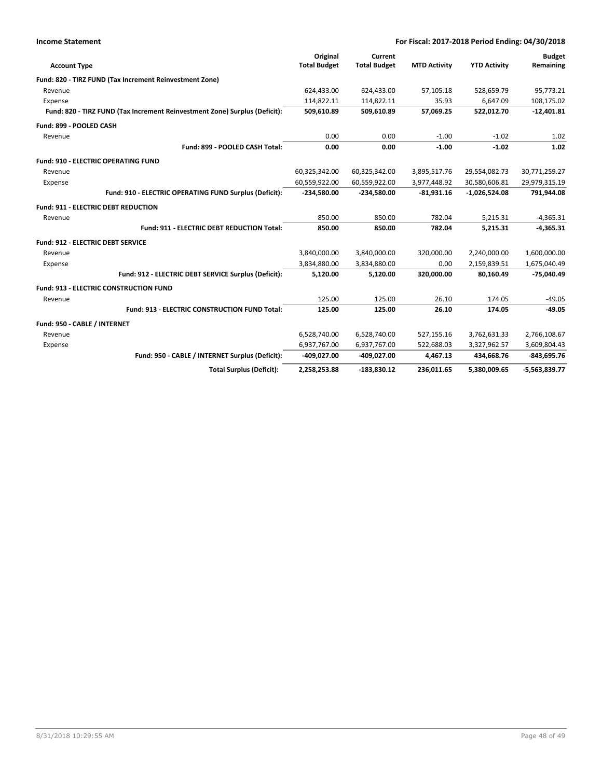| <b>Income Statement</b>                                                    |                                 |                                |                     | For Fiscal: 2017-2018 Period Ending: 04/30/2018 |                            |
|----------------------------------------------------------------------------|---------------------------------|--------------------------------|---------------------|-------------------------------------------------|----------------------------|
| <b>Account Type</b>                                                        | Original<br><b>Total Budget</b> | Current<br><b>Total Budget</b> | <b>MTD Activity</b> | <b>YTD Activity</b>                             | <b>Budget</b><br>Remaining |
| Fund: 820 - TIRZ FUND (Tax Increment Reinvestment Zone)                    |                                 |                                |                     |                                                 |                            |
| Revenue                                                                    | 624,433.00                      | 624,433.00                     | 57,105.18           | 528,659.79                                      | 95,773.21                  |
| Expense                                                                    | 114,822.11                      | 114,822.11                     | 35.93               | 6,647.09                                        | 108,175.02                 |
| Fund: 820 - TIRZ FUND (Tax Increment Reinvestment Zone) Surplus (Deficit): | 509,610.89                      | 509,610.89                     | 57,069.25           | 522,012.70                                      | $-12,401.81$               |
| Fund: 899 - POOLED CASH                                                    |                                 |                                |                     |                                                 |                            |
| Revenue                                                                    | 0.00                            | 0.00                           | $-1.00$             | $-1.02$                                         | 1.02                       |
| Fund: 899 - POOLED CASH Total:                                             | 0.00                            | 0.00                           | $-1.00$             | $-1.02$                                         | 1.02                       |
| <b>Fund: 910 - ELECTRIC OPERATING FUND</b>                                 |                                 |                                |                     |                                                 |                            |
| Revenue                                                                    | 60,325,342.00                   | 60,325,342.00                  | 3,895,517.76        | 29,554,082.73                                   | 30,771,259.27              |
| Expense                                                                    | 60,559,922.00                   | 60,559,922.00                  | 3,977,448.92        | 30,580,606.81                                   | 29,979,315.19              |
| Fund: 910 - ELECTRIC OPERATING FUND Surplus (Deficit):                     | $-234,580.00$                   | $-234,580.00$                  | $-81,931.16$        | $-1,026,524.08$                                 | 791,944.08                 |
| <b>Fund: 911 - ELECTRIC DEBT REDUCTION</b>                                 |                                 |                                |                     |                                                 |                            |
| Revenue                                                                    | 850.00                          | 850.00                         | 782.04              | 5,215.31                                        | $-4,365.31$                |
| Fund: 911 - ELECTRIC DEBT REDUCTION Total:                                 | 850.00                          | 850.00                         | 782.04              | 5,215.31                                        | $-4,365.31$                |
| <b>Fund: 912 - ELECTRIC DEBT SERVICE</b>                                   |                                 |                                |                     |                                                 |                            |
| Revenue                                                                    | 3,840,000.00                    | 3,840,000.00                   | 320,000.00          | 2,240,000.00                                    | 1,600,000.00               |
| Expense                                                                    | 3,834,880.00                    | 3,834,880.00                   | 0.00                | 2,159,839.51                                    | 1,675,040.49               |
| Fund: 912 - ELECTRIC DEBT SERVICE Surplus (Deficit):                       | 5,120.00                        | 5,120.00                       | 320,000.00          | 80,160.49                                       | $-75,040.49$               |
| Fund: 913 - ELECTRIC CONSTRUCTION FUND                                     |                                 |                                |                     |                                                 |                            |
| Revenue                                                                    | 125.00                          | 125.00                         | 26.10               | 174.05                                          | $-49.05$                   |
| Fund: 913 - ELECTRIC CONSTRUCTION FUND Total:                              | 125.00                          | 125.00                         | 26.10               | 174.05                                          | $-49.05$                   |
| Fund: 950 - CABLE / INTERNET                                               |                                 |                                |                     |                                                 |                            |
| Revenue                                                                    | 6,528,740.00                    | 6,528,740.00                   | 527,155.16          | 3,762,631.33                                    | 2,766,108.67               |
| Expense                                                                    | 6,937,767.00                    | 6,937,767.00                   | 522,688.03          | 3,327,962.57                                    | 3,609,804.43               |
| Fund: 950 - CABLE / INTERNET Surplus (Deficit):                            | $-409,027.00$                   | -409,027.00                    | 4,467.13            | 434,668.76                                      | $-843,695.76$              |
| <b>Total Surplus (Deficit):</b>                                            | 2,258,253.88                    | $-183,830.12$                  | 236,011.65          | 5,380,009.65                                    | $-5,563,839.77$            |